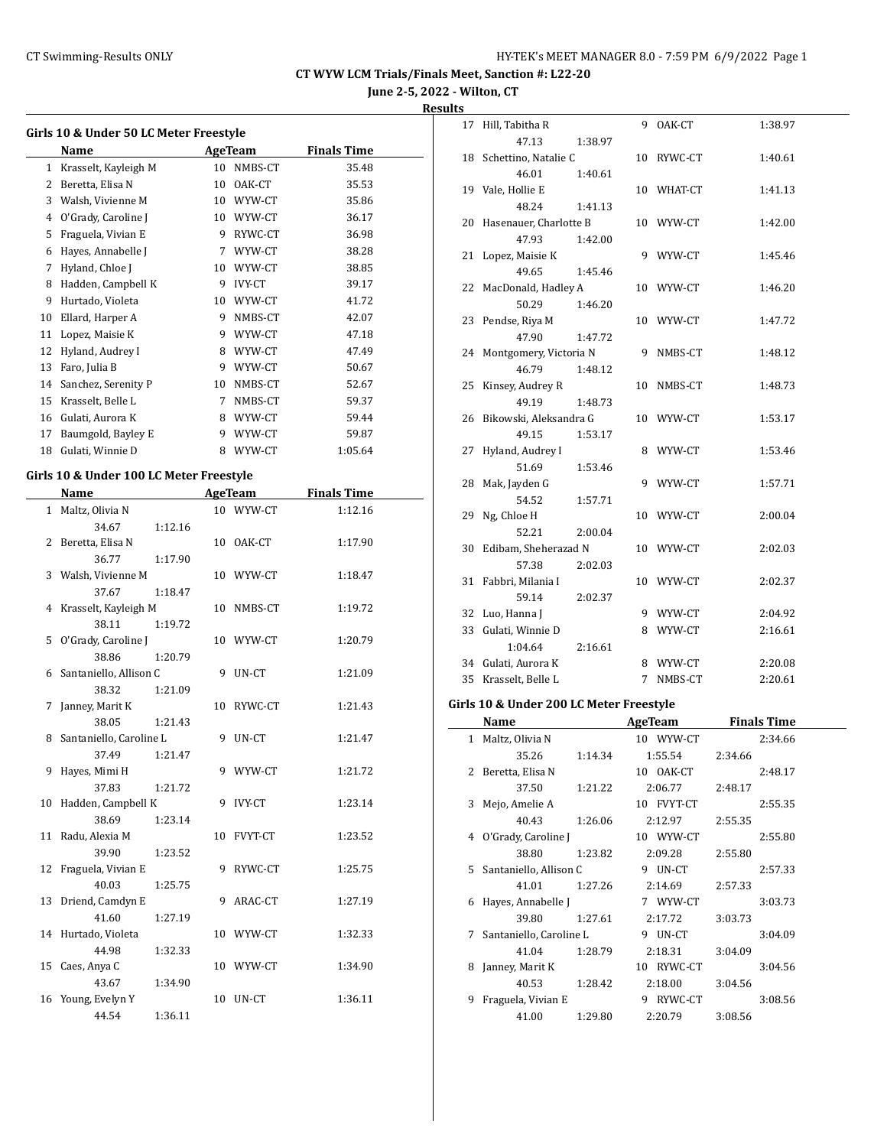**June 2-5, 2022 - Wilton, CT**

#### **Results**

|    | Girls 10 & Under 50 LC Meter Freestyle  |    |               |                    |
|----|-----------------------------------------|----|---------------|--------------------|
|    | Name                                    |    | AgeTeam       | <b>Finals Time</b> |
|    | 1 Krasselt, Kayleigh M                  |    | 10 NMBS-CT    | 35.48              |
|    | 2 Beretta, Elisa N                      |    | 10 OAK-CT     | 35.53              |
|    | 3 Walsh, Vivienne M                     |    | 10 WYW-CT     | 35.86              |
|    | 4 O'Grady, Caroline J                   |    | 10 WYW-CT     | 36.17              |
| 5  | Fraguela, Vivian E                      |    | 9 RYWC-CT     | 36.98              |
|    | 6 Hayes, Annabelle J                    |    | 7 WYW-CT      | 38.28              |
|    | 7 Hyland, Chloe J                       |    | 10 WYW-CT     | 38.85              |
|    | 8 Hadden, Campbell K                    |    | 9 IVY-CT      | 39.17              |
|    | 9 Hurtado, Violeta                      |    | 10 WYW-CT     | 41.72              |
|    | 10 Ellard, Harper A                     |    | 9 NMBS-CT     | 42.07              |
|    | 11 Lopez, Maisie K                      |    | 9 WYW-CT      | 47.18              |
|    |                                         |    |               |                    |
|    | 12 Hyland, Audrey I                     |    | 8 WYW-CT      | 47.49              |
|    | 13 Faro, Julia B                        |    | 9 WYW-CT      | 50.67              |
|    | 14 Sanchez, Serenity P                  |    | 10 NMBS-CT    | 52.67              |
|    | 15 Krasselt, Belle L                    |    | 7 NMBS-CT     | 59.37              |
|    | 16 Gulati, Aurora K                     |    | 8 WYW-CT      | 59.44              |
|    | 17 Baumgold, Bayley E                   |    | 9 WYW-CT      | 59.87              |
|    | 18 Gulati, Winnie D                     |    | 8 WYW-CT      | 1:05.64            |
|    | Girls 10 & Under 100 LC Meter Freestyle |    |               |                    |
|    | Name                                    |    | AgeTeam       | <b>Finals Time</b> |
| 1  | Maltz, Olivia N                         |    | 10 WYW-CT     | 1:12.16            |
|    | 34.67<br>1:12.16                        |    |               |                    |
| 2  | Beretta, Elisa N                        |    | 10 OAK-CT     | 1:17.90            |
|    | 36.77<br>1:17.90                        |    |               |                    |
| 3  | Walsh, Vivienne M                       |    | 10 WYW-CT     | 1:18.47            |
|    | 37.67<br>1:18.47                        |    |               |                    |
| 4  | Krasselt, Kayleigh M                    |    | 10 NMBS-CT    | 1:19.72            |
|    | 38.11<br>1:19.72                        |    |               |                    |
|    | 5 O'Grady, Caroline J                   |    | 10 WYW-CT     | 1:20.79            |
|    | 38.86<br>1:20.79                        |    |               |                    |
| 6  | Santaniello, Allison C                  | 9  | UN-CT         | 1:21.09            |
|    | 38.32<br>1:21.09                        |    |               |                    |
| 7  | Janney, Marit K                         |    | 10 RYWC-CT    | 1:21.43            |
|    | 38.05<br>1:21.43                        |    |               |                    |
| 8  | Santaniello, Caroline L                 | 9  | UN-CT         | 1:21.47            |
|    | 37.49<br>1:21.47                        |    |               |                    |
| 9  | Hayes, Mimi H                           |    | 9 WYW-CT      | 1:21.72            |
|    | 37.83<br>1:21.72                        |    |               |                    |
| 10 | Hadden, Campbell K                      | 9. | <b>IVY-CT</b> | 1:23.14            |
|    | 38.69<br>1:23.14                        |    |               |                    |
| 11 |                                         |    |               |                    |
|    | Radu, Alexia M<br>39.90                 | 10 | FVYT-CT       | 1:23.52            |
|    | 1:23.52                                 |    |               |                    |
| 12 | Fraguela, Vivian E                      | 9  | RYWC-CT       | 1:25.75            |
|    | 40.03<br>1:25.75                        |    |               |                    |
| 13 | Driend, Camdyn E                        | 9  | ARAC-CT       | 1:27.19            |
|    | 41.60<br>1:27.19                        |    |               |                    |
| 14 | Hurtado, Violeta                        |    | 10 WYW-CT     | 1:32.33            |
|    | 44.98<br>1:32.33                        |    |               |                    |
| 15 | Caes, Anya C                            |    | 10 WYW-CT     | 1:34.90            |
|    | 43.67<br>1:34.90                        |    |               |                    |
| 16 | Young, Evelyn Y                         | 10 | UN-CT         | 1:36.11            |
|    | 44.54<br>1:36.11                        |    |               |                    |

| uits |                                               |             |                 |                                      |
|------|-----------------------------------------------|-------------|-----------------|--------------------------------------|
|      | 17 Hill, Tabitha R                            |             | 9 OAK-CT        | 1:38.97                              |
|      | 47.13<br>1:38.97                              |             |                 |                                      |
|      | 18 Schettino, Natalie C                       |             | 10 RYWC-CT      | 1:40.61                              |
|      | 46.01<br>1:40.61                              |             |                 |                                      |
|      | 19 Vale, Hollie E                             |             | 10 WHAT-CT      | 1:41.13                              |
|      | 48.24<br>1:41.13                              |             |                 |                                      |
|      | 20 Hasenauer, Charlotte B                     |             | 10 WYW-CT       | 1:42.00                              |
|      | 47.93<br>1:42.00                              |             |                 |                                      |
|      | 21 Lopez, Maisie K                            |             | 9 WYW-CT        | 1:45.46                              |
|      | 49.65<br>1:45.46                              |             |                 |                                      |
|      | 22 MacDonald, Hadley A                        |             | 10 WYW-CT       | 1:46.20                              |
|      | 50.29<br>1:46.20                              |             |                 |                                      |
|      | 23 Pendse, Riya M                             |             | 10 WYW-CT       | 1:47.72                              |
|      | 47.90<br>1:47.72                              |             |                 |                                      |
|      | 24 Montgomery, Victoria N                     |             | 9 NMBS-CT       | 1:48.12                              |
|      | 46.79<br>1:48.12                              |             |                 |                                      |
|      | 25 Kinsey, Audrey R                           |             | 10 NMBS-CT      | 1:48.73                              |
|      | 49.19<br>1:48.73<br>26 Bikowski, Aleksandra G |             |                 |                                      |
|      | 49.15                                         |             | 10 WYW-CT       | 1:53.17                              |
|      | 1:53.17<br>27 Hyland, Audrey I                |             | 8 WYW-CT        | 1:53.46                              |
|      | 51.69<br>1:53.46                              |             |                 |                                      |
|      | 28 Mak, Jayden G                              |             | 9 WYW-CT        | 1:57.71                              |
|      | 54.52<br>1:57.71                              |             |                 |                                      |
|      | 29 Ng, Chloe H                                |             | 10 WYW-CT       | 2:00.04                              |
|      | 52.21<br>2:00.04                              |             |                 |                                      |
|      | 30 Edibam, Sheherazad N                       |             | 10 WYW-CT       | 2:02.03                              |
|      | 57.38<br>2:02.03                              |             |                 |                                      |
|      | 31 Fabbri, Milania I                          |             | 10 WYW-CT       | 2:02.37                              |
|      | 59.14<br>2:02.37                              |             |                 |                                      |
|      | 32 Luo, Hanna J                               |             | 9 WYW-CT        | 2:04.92                              |
|      | 33 Gulati, Winnie D                           |             | 8 WYW-CT        | 2:16.61                              |
|      | 1:04.64<br>2:16.61                            |             |                 |                                      |
|      | 34 Gulati, Aurora K                           |             | 8 WYW-CT        | 2:20.08                              |
|      | 35 Krasselt, Belle L                          | $7^{\circ}$ | NMBS-CT         | 2:20.61                              |
|      |                                               |             |                 |                                      |
|      | Girls 10 & Under 200 LC Meter Freestyle       |             |                 |                                      |
|      | Name<br>0.11.11                               |             | $40.3488817$ cm | <b>Example 2 AgeTeam</b> Finals Time |

| $\mathbf{1}$ | Maltz, Olivia N         |         | 10 WYW-CT    |         | 2:34.66 |
|--------------|-------------------------|---------|--------------|---------|---------|
|              | 35.26                   | 1:14.34 | 1:55.54      | 2:34.66 |         |
| 2            | Beretta, Elisa N        |         | 10 OAK-CT    |         | 2:48.17 |
|              | 37.50                   | 1:21.22 | 2:06.77      | 2:48.17 |         |
| 3            | Mejo, Amelie A          |         | 10 FVYT-CT   |         | 2:55.35 |
|              | 40.43                   | 1:26.06 | 2:12.97      | 2:55.35 |         |
| 4            | O'Grady, Caroline J     |         | 10 WYW-CT    |         | 2:55.80 |
|              | 38.80                   | 1:23.82 | 2:09.28      | 2:55.80 |         |
| 5.           | Santaniello, Allison C  |         | 9 UN-CT      |         | 2:57.33 |
|              | 41.01                   | 1:27.26 | 2:14.69      | 2:57.33 |         |
| 6            | Hayes, Annabelle J      |         | 7 WYW-CT     |         | 3:03.73 |
|              | 39.80                   | 1:27.61 | 2:17.72      | 3:03.73 |         |
| 7            | Santaniello, Caroline L |         | 9 UN-CT      |         | 3:04.09 |
|              | 41.04                   | 1:28.79 | 2:18.31      | 3:04.09 |         |
| 8            | Janney, Marit K         |         | 10 RYWC-CT   |         | 3:04.56 |
|              | 40.53                   | 1:28.42 | 2:18.00      | 3:04.56 |         |
| 9            | Fraguela, Vivian E      |         | RYWC-CT<br>9 |         | 3:08.56 |
|              | 41.00                   | 1:29.80 | 2:20.79      | 3:08.56 |         |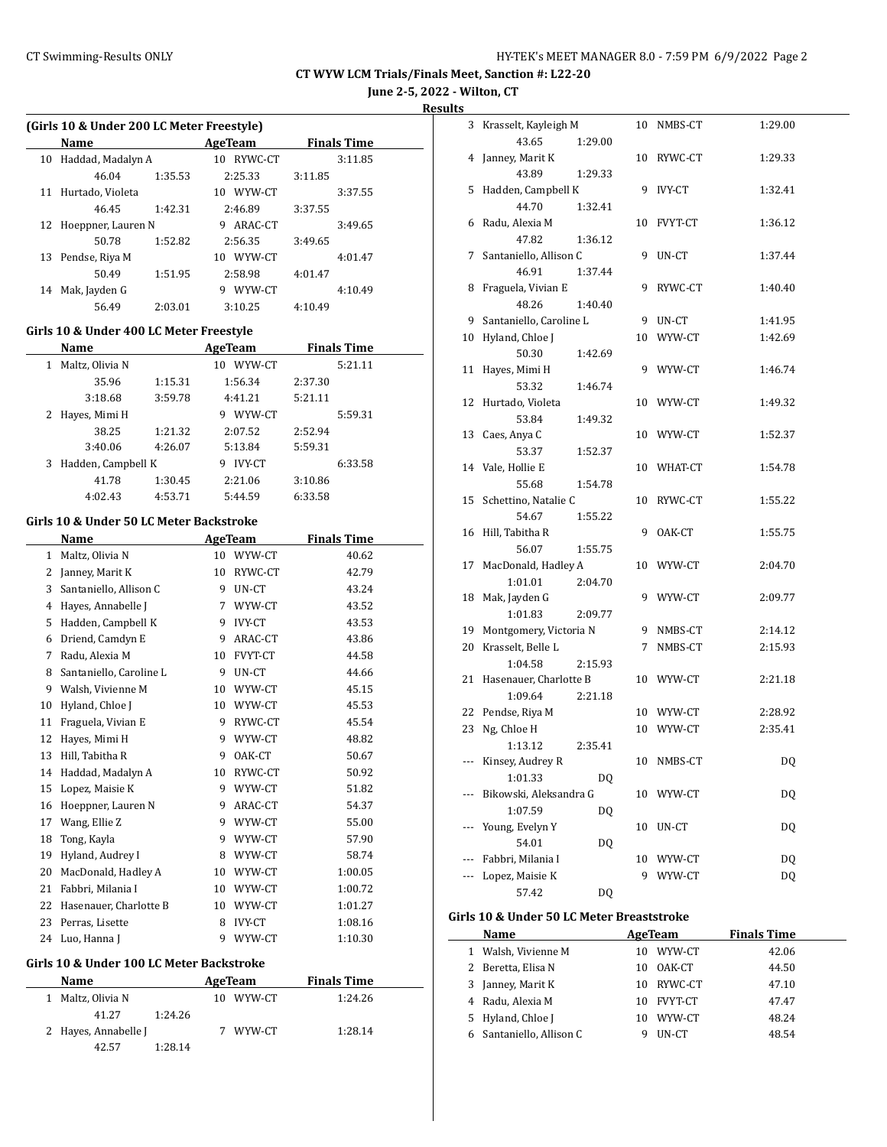**June 2-5, 2022 - Wilton, CT**

**Results**

|              | (Girls 10 & Under 200 LC Meter Freestyle) |         |    |                |         |                    |  |  |  |  |
|--------------|-------------------------------------------|---------|----|----------------|---------|--------------------|--|--|--|--|
|              | Name                                      |         |    | <b>AgeTeam</b> |         | <b>Finals Time</b> |  |  |  |  |
| 10           | Haddad, Madalyn A                         |         |    | 10 RYWC-CT     |         | 3:11.85            |  |  |  |  |
|              | 46.04                                     | 1:35.53 |    | 2:25.33        | 3:11.85 |                    |  |  |  |  |
| 11           | Hurtado, Violeta                          |         |    | 10 WYW-CT      |         | 3:37.55            |  |  |  |  |
|              | 46.45                                     | 1:42.31 |    | 2:46.89        | 3:37.55 |                    |  |  |  |  |
| 12           | Hoeppner, Lauren N                        |         |    | 9 ARAC-CT      |         | 3:49.65            |  |  |  |  |
|              | 50.78                                     | 1:52.82 |    | 2:56.35        | 3:49.65 |                    |  |  |  |  |
| 13           | Pendse, Riya M                            |         |    | 10 WYW-CT      |         | 4:01.47            |  |  |  |  |
|              | 50.49                                     | 1:51.95 |    | 2:58.98        | 4:01.47 |                    |  |  |  |  |
| 14           | Mak, Jayden G                             |         |    | 9 WYW-CT       |         | 4:10.49            |  |  |  |  |
|              | 56.49                                     | 2:03.01 |    | 3:10.25        | 4:10.49 |                    |  |  |  |  |
|              | Girls 10 & Under 400 LC Meter Freestyle   |         |    |                |         |                    |  |  |  |  |
|              | Name                                      |         |    | <b>AgeTeam</b> |         | <b>Finals Time</b> |  |  |  |  |
| $\mathbf{1}$ | Maltz, Olivia N                           |         |    | 10 WYW-CT      |         | 5:21.11            |  |  |  |  |
|              | 35.96                                     | 1:15.31 |    | 1:56.34        | 2:37.30 |                    |  |  |  |  |
|              | 3:18.68                                   | 3:59.78 |    | 4:41.21        | 5:21.11 |                    |  |  |  |  |
| 2            | Hayes, Mimi H                             |         |    | 9 WYW-CT       |         | 5:59.31            |  |  |  |  |
|              | 38.25                                     | 1:21.32 |    | 2:07.52        | 2:52.94 |                    |  |  |  |  |
|              | 3:40.06                                   | 4:26.07 |    | 5:13.84        | 5:59.31 |                    |  |  |  |  |
| 3            | Hadden, Campbell K                        |         |    | 9 IVY-CT       |         | 6:33.58            |  |  |  |  |
|              | 41.78                                     | 1:30.45 |    | 2:21.06        | 3:10.86 |                    |  |  |  |  |
|              | 4:02.43                                   | 4:53.71 |    | 5:44.59        | 6:33.58 |                    |  |  |  |  |
|              |                                           |         |    |                |         |                    |  |  |  |  |
|              | Girls 10 & Under 50 LC Meter Backstroke   |         |    |                |         |                    |  |  |  |  |
|              | Name                                      |         |    | <b>AgeTeam</b> |         | <b>Finals Time</b> |  |  |  |  |
| $\mathbf{1}$ | Maltz, Olivia N                           |         |    | 10 WYW-CT      |         | 40.62              |  |  |  |  |
|              | 2 Janney, Marit K                         |         |    | 10 RYWC-CT     |         | 42.79              |  |  |  |  |
|              | 3 Santaniello, Allison C                  |         | 9. | UN-CT          |         | 43.24              |  |  |  |  |
|              | 4 Hayes, Annabelle J                      |         |    | 7 WYW-CT       |         | 43.52              |  |  |  |  |
|              | 5 Hadden, Campbell K                      |         |    | 9 IVY-CT       |         | 43.53              |  |  |  |  |
|              | 6 Driend, Camdyn E                        |         |    | 9 ARAC-CT      |         | 43.86              |  |  |  |  |
|              | 7 Radu, Alexia M                          |         |    | 10 FVYT-CT     |         | 44.58              |  |  |  |  |
| 8            | Santaniello, Caroline L                   |         | 9  | UN-CT          |         | 44.66              |  |  |  |  |
| 9            | Walsh, Vivienne M                         |         |    | 10 WYW-CT      |         | 45.15              |  |  |  |  |
| 10           | Hyland, Chloe J                           |         |    | 10 WYW-CT      |         | 45.53              |  |  |  |  |
| 11           | Fraguela, Vivian E                        |         | 9  | RYWC-CT        |         | 45.54              |  |  |  |  |
| 12           | Hayes, Mimi H                             |         | 9  | WYW-CT         |         | 48.82              |  |  |  |  |
|              | 13 Hill, Tabitha R                        |         | 9  | OAK-CT         |         | 50.67              |  |  |  |  |
| 14           | Haddad, Madalyn A                         |         | 10 | RYWC-CT        |         | 50.92              |  |  |  |  |
| 15           | Lopez, Maisie K                           |         | 9  | WYW-CT         |         | 51.82              |  |  |  |  |
| 16           | Hoeppner, Lauren N                        |         | 9  | ARAC-CT        |         | 54.37              |  |  |  |  |
| 17           | Wang, Ellie Z                             |         | 9  | WYW-CT         |         | 55.00              |  |  |  |  |
| 18           | Tong, Kayla                               |         | 9  | WYW-CT         |         | 57.90              |  |  |  |  |
| 19           | Hyland, Audrey I                          |         | 8  | WYW-CT         |         | 58.74              |  |  |  |  |
| 20           | MacDonald, Hadley A                       |         | 10 | WYW-CT         |         | 1:00.05            |  |  |  |  |
| 21           | Fabbri, Milania I                         |         | 10 | WYW-CT         |         | 1:00.72            |  |  |  |  |
| 22           | Hasenauer, Charlotte B                    |         | 10 | WYW-CT         |         | 1:01.27            |  |  |  |  |
| 23           | Perras, Lisette                           |         | 8  | IVY-CT         |         | 1:08.16            |  |  |  |  |
| 24           | Luo, Hanna J                              |         | 9  | WYW-CT         |         | 1:10.30            |  |  |  |  |

#### **Girls 10 & Under 100 LC Meter Backstroke**

| <b>Name</b>          |         |    | AgeTeam | <b>Finals Time</b> |  |
|----------------------|---------|----|---------|--------------------|--|
| Maltz, Olivia N      |         | 10 | WYW-CT  | 1:24.26            |  |
| 41.27                | 1:24.26 |    |         |                    |  |
| 2 Hayes, Annabelle J |         |    | WYW-CT  | 1:28.14            |  |
| 42.57                | 1:28.14 |    |         |                    |  |

| 3  | Krasselt, Kayleigh M    |         | 10 | NMBS-CT        | 1:29.00   |
|----|-------------------------|---------|----|----------------|-----------|
|    | 43.65                   | 1:29.00 |    |                |           |
| 4  | Janney, Marit K         |         | 10 | RYWC-CT        | 1:29.33   |
|    | 43.89                   | 1:29.33 |    |                |           |
| 5  | Hadden, Campbell K      |         | 9  | IVY-CT         | 1:32.41   |
|    | 44.70                   | 1:32.41 |    |                |           |
| 6  | Radu, Alexia M          |         | 10 | FVYT-CT        | 1:36.12   |
|    | 47.82                   | 1:36.12 |    |                |           |
| 7  | Santaniello, Allison C  |         | 9  | UN-CT          | 1:37.44   |
|    | 46.91                   | 1:37.44 |    |                |           |
| 8  | Fraguela, Vivian E      |         | 9  | RYWC-CT        | 1:40.40   |
|    | 48.26                   | 1:40.40 |    |                |           |
| 9  | Santaniello, Caroline L |         | 9  | $_{\rm UN-CT}$ | 1:41.95   |
| 10 | Hyland, Chloe J         |         | 10 | WYW-CT         | 1:42.69   |
|    | 50.30                   | 1:42.69 |    |                |           |
| 11 | Hayes, Mimi H           |         |    | 9 WYW-CT       | 1:46.74   |
|    | 53.32                   | 1:46.74 |    |                |           |
| 12 | Hurtado, Violeta        |         |    | 10 WYW-CT      | 1:49.32   |
|    | 53.84                   | 1:49.32 |    |                |           |
| 13 | Caes, Anya C            |         |    | 10 WYW-CT      | 1:52.37   |
|    | 53.37                   | 1:52.37 |    |                |           |
| 14 | Vale, Hollie E          |         |    | 10 WHAT-CT     | 1:54.78   |
|    | 55.68                   | 1:54.78 |    |                |           |
| 15 | Schettino, Natalie C    |         | 10 | RYWC-CT        | 1:55.22   |
|    | 54.67                   | 1:55.22 |    |                |           |
| 16 | Hill, Tabitha R         |         | 9  | OAK-CT         | 1:55.75   |
|    | 56.07                   | 1:55.75 |    |                |           |
| 17 | MacDonald, Hadley A     |         | 10 | WYW-CT         | 2:04.70   |
|    | 1:01.01                 | 2:04.70 |    |                |           |
| 18 | Mak, Jayden G           |         |    | 9 WYW-CT       | 2:09.77   |
|    | 1:01.83                 | 2:09.77 |    |                |           |
| 19 | Montgomery, Victoria N  |         | 9  | NMBS-CT        | 2:14.12   |
| 20 | Krasselt, Belle L       |         | 7  | NMBS-CT        | 2:15.93   |
|    | 1:04.58                 | 2:15.93 |    |                |           |
| 21 | Hasenauer, Charlotte B  |         |    | 10 WYW-CT      | 2:21.18   |
|    | 1:09.64                 | 2:21.18 |    |                |           |
| 22 | Pendse, Riya M          |         |    | 10 WYW-CT      | 2:28.92   |
| 23 | Ng, Chloe H             |         | 10 | WYW-CT         | 2:35.41   |
|    | 1:13.12                 | 2:35.41 |    |                |           |
|    | --- Kinsey, Audrey R    |         |    | 10 NMBS-CT     | DQ        |
|    | 1:01.33                 | DQ      |    |                |           |
|    | Bikowski, Aleksandra G  |         | 10 | WYW-CT         | DQ        |
|    | 1:07.59                 | DQ      |    |                |           |
|    | Young, Evelyn Y         |         | 10 | UN-CT          | DQ        |
|    | 54.01                   | DQ      |    |                |           |
|    | Fabbri, Milania I       |         | 10 | WYW-CT         | <b>DQ</b> |
|    | Lopez, Maisie K         |         | 9  | WYW-CT         | <b>DQ</b> |
|    | 57.42                   | DQ      |    |                |           |

#### **Girls 10 & Under 50 LC Meter Breaststroke**

| Name                     |     | AgeTeam | <b>Finals Time</b> |
|--------------------------|-----|---------|--------------------|
| 1 Walsh, Vivienne M      | 10. | WYW-CT  | 42.06              |
| 2 Beretta, Elisa N       | 10  | OAK-CT  | 44.50              |
| 3 Janney, Marit K        | 10. | RYWC-CT | 47.10              |
| 4 Radu, Alexia M         | 10  | FVYT-CT | 47.47              |
| 5 Hyland, Chloe J        | 10  | WYW-CT  | 48.24              |
| 6 Santaniello, Allison C |     | UN-CT   | 48.54              |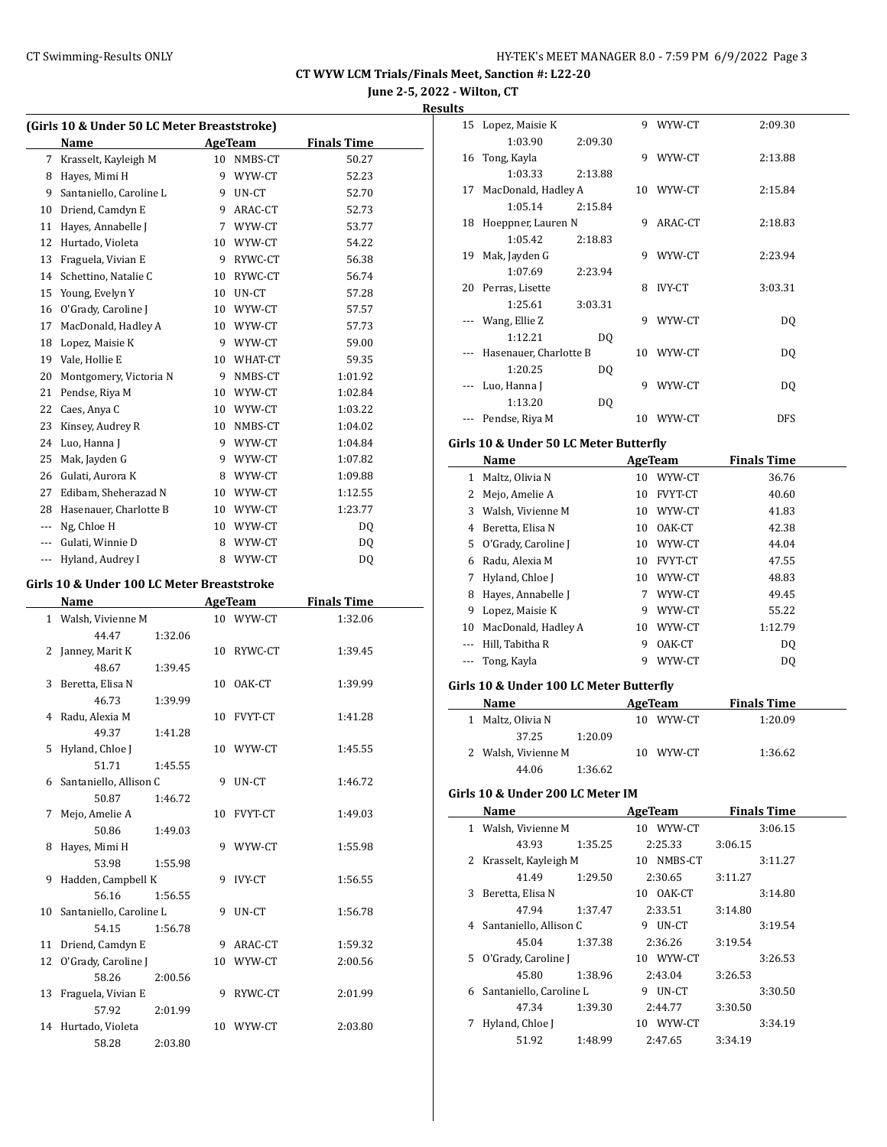**June 2-5, 2022 - Wilton, CT**

#### **Results**

| (Girls 10 & Under 50 LC Meter Breaststroke) |                                            |         |             |                |                    |  |  |
|---------------------------------------------|--------------------------------------------|---------|-------------|----------------|--------------------|--|--|
|                                             | Name                                       |         |             | AgeTeam        | <b>Finals Time</b> |  |  |
| 7                                           | Krasselt, Kayleigh M                       |         | 10          | NMBS-CT        | 50.27              |  |  |
| 8                                           | Hayes, Mimi H                              |         | 9           | WYW-CT         | 52.23              |  |  |
| 9                                           | Santaniello, Caroline L                    |         | 9           | UN-CT          | 52.70              |  |  |
| 10                                          | Driend, Camdyn E                           |         | 9           | ARAC-CT        | 52.73              |  |  |
| 11                                          | Hayes, Annabelle J                         |         | $7^{\circ}$ | WYW-CT         | 53.77              |  |  |
| 12                                          | Hurtado, Violeta                           |         |             | 10 WYW-CT      | 54.22              |  |  |
| 13                                          | Fraguela, Vivian E                         |         | 9           | RYWC-CT        | 56.38              |  |  |
| 14                                          | Schettino, Natalie C                       |         | 10          | RYWC-CT        | 56.74              |  |  |
| 15                                          | Young, Evelyn Y                            |         | 10          | UN-CT          | 57.28              |  |  |
| 16                                          | O'Grady, Caroline J                        |         |             | 10 WYW-CT      | 57.57              |  |  |
| 17                                          | MacDonald, Hadley A                        |         |             | 10 WYW-CT      | 57.73              |  |  |
| 18                                          | Lopez, Maisie K                            |         |             | 9 WYW-CT       | 59.00              |  |  |
| 19                                          | Vale, Hollie E                             |         | $10\,$      | WHAT-CT        | 59.35              |  |  |
| 20                                          | Montgomery, Victoria N                     |         | 9           | NMBS-CT        | 1:01.92            |  |  |
| 21                                          | Pendse, Riya M                             |         | 10          | WYW-CT         | 1:02.84            |  |  |
| 22                                          | Caes, Anya C                               |         |             | 10 WYW-CT      | 1:03.22            |  |  |
| 23                                          | Kinsey, Audrey R                           |         | 10          | NMBS-CT        | 1:04.02            |  |  |
| 24                                          | Luo, Hanna J                               |         | 9           | WYW-CT         | 1:04.84            |  |  |
| 25                                          | Mak, Jayden G                              |         | 9           | WYW-CT         | 1:07.82            |  |  |
| 26                                          | Gulati, Aurora K                           |         | 8           | WYW-CT         | 1:09.88            |  |  |
| 27                                          | Edibam, Sheherazad N                       |         |             | 10 WYW-CT      | 1:12.55            |  |  |
| 28                                          | Hasenauer, Charlotte B                     |         |             | 10 WYW-CT      | 1:23.77            |  |  |
| $\scriptstyle\cdots$                        | Ng, Chloe H                                |         |             | 10 WYW-CT      | DQ                 |  |  |
| $\overline{\phantom{a}}$                    | Gulati, Winnie D                           |         | 8           | WYW-CT         | DQ                 |  |  |
| $\scriptstyle\cdots$                        | Hyland, Audrey I                           |         | 8           | WYW-CT         | DQ                 |  |  |
|                                             | Girls 10 & Under 100 LC Meter Breaststroke |         |             |                |                    |  |  |
|                                             |                                            |         |             |                |                    |  |  |
|                                             | Name                                       |         |             | AgeTeam        | <b>Finals Time</b> |  |  |
| 1                                           | Walsh, Vivienne M<br>44.47                 |         | 10          | WYW-CT         | 1:32.06            |  |  |
|                                             |                                            | 1:32.06 |             |                |                    |  |  |
| 2                                           | Janney, Marit K<br>48.67                   | 1:39.45 | 10          | RYWC-CT        | 1:39.45            |  |  |
| 3                                           | Beretta, Elisa N                           |         | 10          | OAK-CT         | 1:39.99            |  |  |
|                                             | 46.73                                      |         |             |                |                    |  |  |
| $\overline{4}$                              | Radu, Alexia M                             | 1:39.99 | 10          | <b>FVYT-CT</b> | 1:41.28            |  |  |
|                                             | 49.37                                      | 1:41.28 |             |                |                    |  |  |
| 5                                           | Hyland, Chloe J                            |         | 10          | WYW-CT         | 1:45.55            |  |  |
|                                             | 51.71                                      | 1:45.55 |             |                |                    |  |  |
| 6                                           | Santaniello, Allison C                     |         | 9           | UN-CT          | 1:46.72            |  |  |
|                                             | 50.87                                      | 1:46.72 |             |                |                    |  |  |
| 7                                           | Mejo, Amelie A                             |         | 10          | <b>FVYT-CT</b> | 1:49.03            |  |  |
|                                             | 50.86                                      | 1:49.03 |             |                |                    |  |  |

8 Hayes, Mimi H 9 WYW-CT 1:55.98

9 Hadden, Campbell K 9 IVY-CT 1:56.55

10 Santaniello, Caroline L 9 UN-CT 1:56.78

11 Driend, Camdyn E 9 ARAC-CT 1:59.32 12 O'Grady, Caroline J 10 WYW-CT 2:00.56

13 Fraguela, Vivian E 9 RYWC-CT 2:01.99

14 Hurtado, Violeta 10 WYW-CT 2:03.80

53.98 1:55.98

56.16 1:56.55

54.15 1:56.78

58.26 2:00.56

57.92 2:01.99

58.28 2:03.80

|          | 15 Lopez, Maisie K                         |   | 9 WYW-CT       | 2:09.30            |  |
|----------|--------------------------------------------|---|----------------|--------------------|--|
|          | 1:03.90<br>2:09.30                         |   |                |                    |  |
| 16       | Tong, Kayla                                |   | 9 WYW-CT       | 2:13.88            |  |
|          | 1:03.33<br>2:13.88                         |   |                |                    |  |
| 17       | MacDonald, Hadley A                        |   | 10 WYW-CT      | 2:15.84            |  |
|          | 1:05.14<br>2:15.84                         |   |                |                    |  |
|          | 18 Hoeppner, Lauren N                      |   | 9 ARAC-CT      | 2:18.83            |  |
|          | 1:05.42<br>2:18.83                         |   |                |                    |  |
| 19       | Mak, Jayden G                              |   | 9 WYW-CT       | 2:23.94            |  |
|          | 1:07.69<br>2:23.94                         |   |                |                    |  |
|          | 20 Perras, Lisette                         |   | 8 IVY-CT       | 3:03.31            |  |
|          | 1:25.61<br>3:03.31                         |   |                |                    |  |
|          | --- Wang, Ellie Z                          | 9 | WYW-CT         | DQ                 |  |
|          | 1:12.21<br>DQ                              |   |                |                    |  |
|          | Hasenauer, Charlotte B                     |   | 10 WYW-CT      | DQ                 |  |
|          | 1:20.25<br>DQ                              |   |                |                    |  |
|          | --- Luo, Hanna J                           |   | 9 WYW-CT       | DQ                 |  |
|          | 1:13.20<br>DQ                              |   |                |                    |  |
|          | Pendse, Riya M                             |   | 10 WYW-CT      | DFS                |  |
|          | Girls 10 & Under 50 LC Meter Butterfly     |   |                |                    |  |
|          | Name                                       |   | AgeTeam        | <b>Finals Time</b> |  |
|          | 1 Maltz, Olivia N                          |   | 10 WYW-CT      | 36.76              |  |
|          | 2 Mejo, Amelie A                           |   | 10 FVYT-CT     | 40.60              |  |
|          | 3 Walsh, Vivienne M                        |   | 10 WYW-CT      | 41.83              |  |
|          | 4 Beretta, Elisa N                         |   | 10 OAK-CT      | 42.38              |  |
|          | 5 O'Grady, Caroline J                      |   | 10 WYW-CT      | 44.04              |  |
|          | 6 Radu, Alexia M                           |   |                |                    |  |
|          |                                            |   | 10 FVYT-CT     | 47.55              |  |
|          | 7 Hyland, Chloe J                          |   | 10 WYW-CT      | 48.83              |  |
|          | 8 Hayes, Annabelle J                       |   | 7 WYW-CT       | 49.45              |  |
|          | 9 Lopez, Maisie K                          |   | 9 WYW-CT       | 55.22              |  |
|          | 10 MacDonald, Hadley A                     |   | 10 WYW-CT      | 1:12.79            |  |
|          | --- Hill, Tabitha R                        |   | 9 OAK-CT       | DQ                 |  |
| $\cdots$ | Tong, Kayla                                |   | 9 WYW-CT       | DQ                 |  |
|          | Girls 10 & Under 100 LC Meter Butterfly    |   |                |                    |  |
|          | Name                                       |   | <b>AgeTeam</b> | <b>Finals Time</b> |  |
|          | 1 Maltz, Olivia N                          |   | 10 WYW-CT      | 1:20.09            |  |
|          | 37.25<br>1:20.09                           |   |                |                    |  |
|          | 2 Walsh, Vivienne M                        |   | 10 WYW-CT      | 1:36.62            |  |
|          | 1:36.62<br>44.06                           |   |                |                    |  |
|          | Girls 10 & Under 200 LC Meter IM           |   |                |                    |  |
|          |                                            |   |                |                    |  |
|          | <b>Name</b>                                |   | AgeTeam        | <b>Finals Time</b> |  |
|          | 1 Walsh, Vivienne M                        |   | 10 WYW-CT      | 3:06.15            |  |
|          | 43.93<br>1:35.25                           |   | 2:25.33        | 3:06.15            |  |
|          |                                            |   | 10 NMBS-CT     | 3:11.27            |  |
|          | 2 Krasselt, Kayleigh M<br>41.49<br>1:29.50 |   | 2:30.65        | 3:11.27            |  |
|          | 3 Beretta, Elisa N                         |   | 10 OAK-CT      | 3:14.80            |  |
|          | 47.94<br>1:37.47                           |   | 2:33.51        | 3:14.80            |  |
|          | 4 Santaniello, Allison C                   |   | 9 UN-CT        | 3:19.54            |  |
|          | 45.04<br>1:37.38                           |   | 2:36.26        | 3:19.54            |  |
|          | 5 O'Grady, Caroline J                      |   | 10 WYW-CT      | 3:26.53            |  |
|          | 45.80<br>1:38.96                           |   | 2:43.04        | 3:26.53            |  |
|          | 6 Santaniello, Caroline L                  |   | 9 UN-CT        | 3:30.50            |  |
|          | 47.34<br>1:39.30                           |   | 2:44.77        | 3:30.50            |  |
| 7        | Hyland, Chloe J                            |   | 10 WYW-CT      | 3:34.19            |  |
|          | 51.92<br>1:48.99                           |   | 2:47.65        | 3:34.19            |  |
|          |                                            |   |                |                    |  |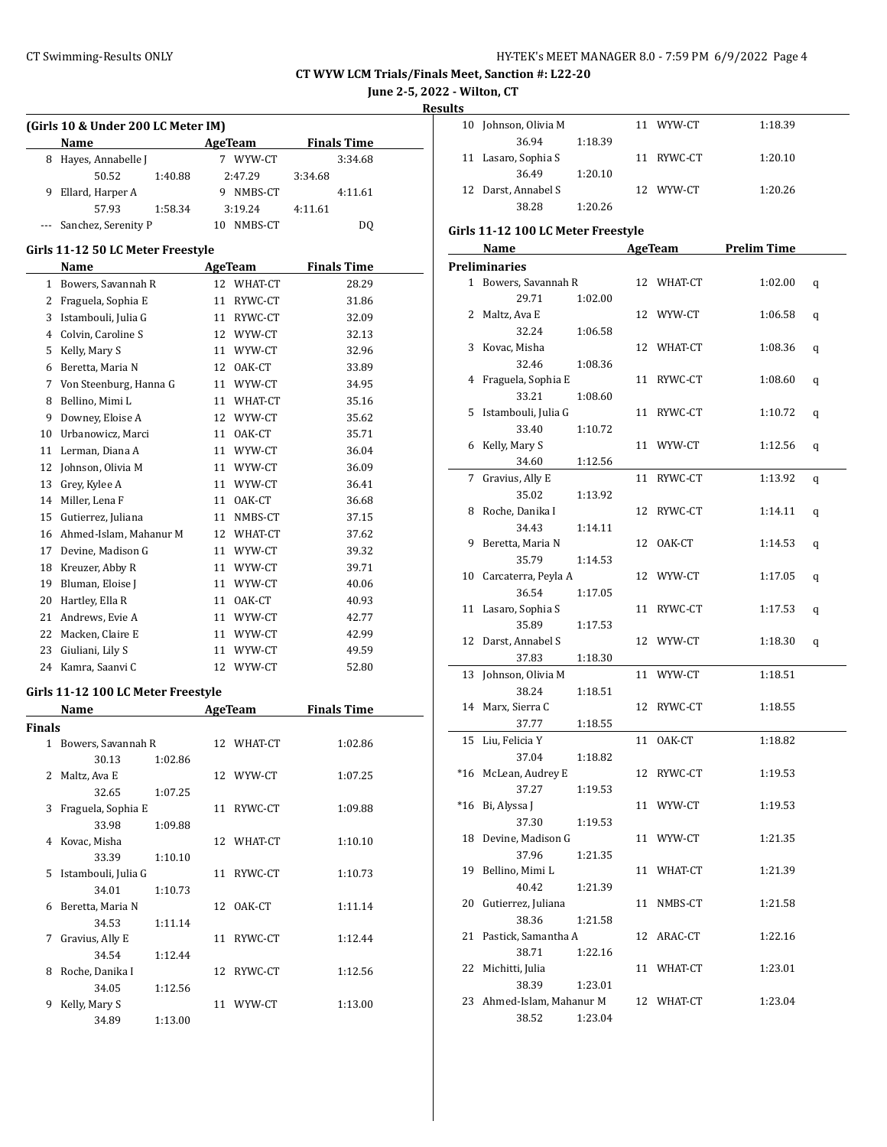**June 2-5, 2022 - Wilton, CT**

**Results**

|        | (Girls 10 & Under 200 LC Meter IM)<br>Name | AgeTeam    | <b>Finals Time</b> |
|--------|--------------------------------------------|------------|--------------------|
| 8      | Hayes, Annabelle J                         | 7 WYW-CT   | 3:34.68            |
|        | 50.52<br>1:40.88                           | 2:47.29    | 3:34.68            |
| 9      | Ellard, Harper A                           | 9 NMBS-CT  | 4:11.61            |
|        | 57.93<br>1:58.34                           | 3:19.24    | 4:11.61            |
|        | Sanchez, Serenity P                        | 10 NMBS-CT | DQ                 |
|        | Girls 11-12 50 LC Meter Freestyle          |            |                    |
|        | Name                                       | AgeTeam    | <b>Finals Time</b> |
|        | 1 Bowers, Savannah R                       | 12 WHAT-CT | 28.29              |
|        | 2 Fraguela, Sophia E                       | 11 RYWC-CT | 31.86              |
|        | 3 Istambouli, Julia G                      | 11 RYWC-CT | 32.09              |
|        | 4 Colvin, Caroline S                       | 12 WYW-CT  | 32.13              |
|        | 5 Kelly, Mary S                            | 11 WYW-CT  | 32.96              |
|        | 6 Beretta, Maria N                         | 12 OAK-CT  | 33.89              |
|        |                                            |            |                    |
|        | 7 Von Steenburg, Hanna G                   | 11 WYW-CT  | 34.95              |
| 8      | Bellino, Mimi L                            | 11 WHAT-CT | 35.16              |
| 9      | Downey, Eloise A                           | 12 WYW-CT  | 35.62              |
|        | 10 Urbanowicz, Marci                       | 11 OAK-CT  | 35.71              |
| 11     | Lerman, Diana A                            | 11 WYW-CT  | 36.04              |
| 12     | Johnson, Olivia M                          | 11 WYW-CT  | 36.09              |
| 13     | Grey, Kylee A                              | 11 WYW-CT  | 36.41              |
|        | 14 Miller, Lena F                          | 11 OAK-CT  | 36.68              |
| 15     | Gutierrez, Juliana                         | 11 NMBS-CT | 37.15              |
|        | 16 Ahmed-Islam, Mahanur M                  | 12 WHAT-CT | 37.62              |
|        | 17 Devine, Madison G                       | 11 WYW-CT  | 39.32              |
|        | 18 Kreuzer, Abby R                         | 11 WYW-CT  | 39.71              |
|        | 19 Bluman, Eloise J                        | 11 WYW-CT  | 40.06              |
|        | 20 Hartley, Ella R                         | 11 OAK-CT  | 40.93              |
|        | 21 Andrews, Evie A                         | 11 WYW-CT  | 42.77              |
|        | 22 Macken, Claire E                        | 11 WYW-CT  | 42.99              |
| 23     | Giuliani, Lily S                           | 11 WYW-CT  | 49.59              |
|        | 24 Kamra, Saanvi C                         | 12 WYW-CT  | 52.80              |
|        | Girls 11-12 100 LC Meter Freestyle         |            |                    |
|        | Name                                       | AgeTeam    | <b>Finals Time</b> |
| Finals |                                            |            |                    |
|        | 1 Bowers, Savannah R                       | 12 WHAT-CT | 1:02.86            |
|        | 30.13<br>1:02.86                           |            |                    |
|        | 2 Maltz, Ava E                             | 12 WYW-CT  | 1:07.25            |
|        | 32.65<br>1:07.25                           |            |                    |
| 3      | Fraguela, Sophia E                         | 11 RYWC-CT | 1:09.88            |
|        | 33.98<br>1:09.88                           |            |                    |
|        | 4 Kovac, Misha                             | 12 WHAT-CT | 1:10.10            |
|        | 33.39<br>1:10.10                           |            |                    |
| 5      | Istambouli, Julia G                        | 11 RYWC-CT | 1:10.73            |
|        | 34.01<br>1:10.73                           |            |                    |
| 6      | Beretta, Maria N                           | 12 OAK-CT  | 1:11.14            |
|        | 34.53<br>1:11.14                           |            |                    |
| 7      | Gravius, Ally E                            | 11 RYWC-CT | 1:12.44            |
|        | 34.54<br>1:12.44                           |            |                    |
| 8      | Roche, Danika I                            | 12 RYWC-CT | 1:12.56            |
|        | 34.05<br>1:12.56                           |            |                    |
| 9      | Kelly, Mary S                              | 11 WYW-CT  | 1:13.00            |
|        | 34.89<br>1:13.00                           |            |                    |

| 10 Johnson, Olivia M |         | 11 WYW-CT  | 1:18.39 |
|----------------------|---------|------------|---------|
| 36.94                | 1:18.39 |            |         |
| 11 Lasaro, Sophia S  |         | 11 RYWC-CT | 1:20.10 |
| 36.49                | 1:20.10 |            |         |
| 12 Darst, Annabel S  |         | 12 WYW-CT  | 1:20.26 |
| 38.28                | 1:20.26 |            |         |

## **Girls 11-12 100 LC Meter Freestyle**

|       | <u>Name</u>                          | <b>AgeTeam</b> |            | <b>Prelim Time</b> |   |
|-------|--------------------------------------|----------------|------------|--------------------|---|
|       | <b>Preliminaries</b>                 |                |            |                    |   |
|       | 1 Bowers, Savannah R                 |                | 12 WHAT-CT | 1:02.00            | q |
|       | 29.71<br>1:02.00                     |                |            |                    |   |
| 2     | Maltz, Ava E                         |                | 12 WYW-CT  | 1:06.58            | q |
|       | 32.24<br>1:06.58                     |                |            |                    |   |
| 3     | Kovac, Misha                         | 12             | WHAT-CT    | 1:08.36            | q |
|       | 32.46<br>1:08.36                     |                |            |                    |   |
| 4     | Fraguela, Sophia E                   | 11             | RYWC-CT    | 1:08.60            | q |
|       | 33.21<br>1:08.60                     |                |            |                    |   |
| 5     | Istambouli, Julia G                  | 11             | RYWC-CT    | 1:10.72            | q |
|       | 33.40<br>1:10.72                     |                |            |                    |   |
| 6     | Kelly, Mary S                        |                | 11 WYW-CT  | 1:12.56            | q |
|       | 34.60<br>1:12.56                     |                |            |                    |   |
| 7     | Gravius, Ally E                      | 11             | RYWC-CT    | 1:13.92            |   |
|       | 35.02<br>1:13.92                     |                |            |                    | q |
| 8     | Roche, Danika I                      |                | 12 RYWC-CT | 1:14.11            |   |
|       |                                      |                |            |                    | q |
| 9     | 34.43<br>1:14.11<br>Beretta, Maria N |                | 12 OAK-CT  | 1:14.53            |   |
|       |                                      |                |            |                    | q |
|       | 35.79<br>1:14.53                     |                | 12 WYW-CT  |                    |   |
|       | 10 Carcaterra, Peyla A               |                |            | 1:17.05            | q |
|       | 36.54<br>1:17.05                     |                |            |                    |   |
|       | 11 Lasaro, Sophia S                  | 11             | RYWC-CT    | 1:17.53            | q |
|       | 35.89<br>1:17.53                     |                |            |                    |   |
| 12    | Darst, Annabel S                     | 12             | WYW-CT     | 1:18.30            | q |
|       | 37.83<br>1:18.30                     |                |            |                    |   |
| 13    | Johnson, Olivia M                    |                | 11 WYW-CT  | 1:18.51            |   |
|       | 38.24<br>1:18.51                     |                |            |                    |   |
| 14    | Marx, Sierra C                       | 12             | RYWC-CT    | 1:18.55            |   |
|       | 37.77<br>1:18.55                     |                |            |                    |   |
|       | 15 Liu, Felicia Y                    | 11             | OAK-CT     | 1:18.82            |   |
|       | 37.04<br>1:18.82                     |                |            |                    |   |
| $*16$ | McLean, Audrey E                     |                | 12 RYWC-CT | 1:19.53            |   |
|       | 37.27<br>1:19.53                     |                |            |                    |   |
|       | *16 Bi, Alyssa J                     |                | 11 WYW-CT  | 1:19.53            |   |
|       | 37.30<br>1:19.53                     |                |            |                    |   |
|       | 18 Devine, Madison G                 |                | 11 WYW-CT  | 1:21.35            |   |
|       | 37.96<br>1:21.35                     |                |            |                    |   |
| 19    | Bellino, Mimi L                      | 11             | WHAT-CT    | 1:21.39            |   |
|       | 40.42<br>1:21.39                     |                |            |                    |   |
|       | 20 Gutierrez, Juliana                |                | 11 NMBS-CT | 1:21.58            |   |
|       | 38.36<br>1:21.58                     |                |            |                    |   |
| 21    | Pastick, Samantha A                  | 12             | ARAC-CT    | 1:22.16            |   |
|       | 38.71<br>1:22.16                     |                |            |                    |   |
| 22    | Michitti, Julia                      |                | 11 WHAT-CT | 1:23.01            |   |
|       | 38.39<br>1:23.01                     |                |            |                    |   |
| 23    | Ahmed-Islam, Mahanur M               |                | 12 WHAT-CT | 1:23.04            |   |
|       | 38.52<br>1:23.04                     |                |            |                    |   |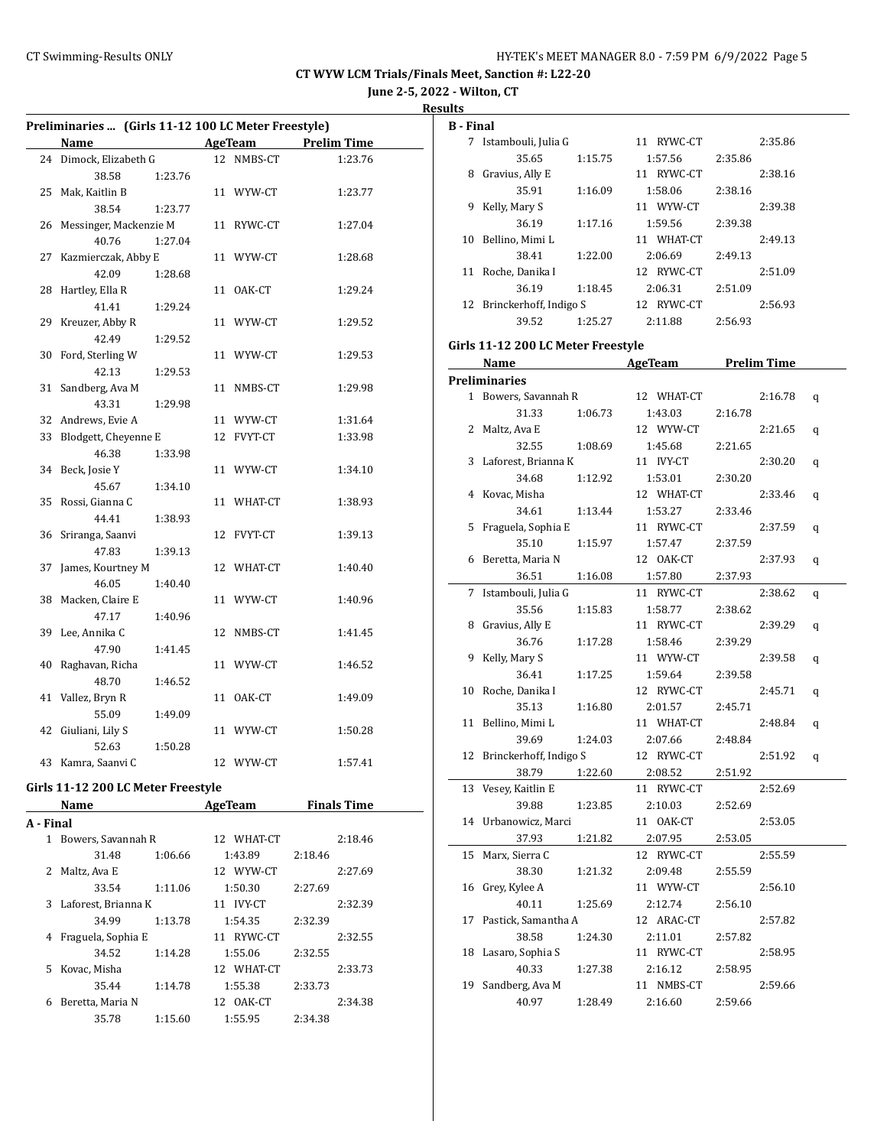**June 2-5, 2022 - Wilton, CT**

**Results**

| Preliminaries  (Girls 11-12 100 LC Meter Freestyle) |                                    |  |            |                     |  |  |  |
|-----------------------------------------------------|------------------------------------|--|------------|---------------------|--|--|--|
|                                                     | Name                               |  | AgeTeam    | <b>Prelim Time</b>  |  |  |  |
|                                                     | 24 Dimock, Elizabeth G             |  | 12 NMBS-CT | 1:23.76             |  |  |  |
|                                                     | 38.58<br>1:23.76                   |  |            |                     |  |  |  |
| 25                                                  | Mak, Kaitlin B                     |  | 11 WYW-CT  | 1:23.77             |  |  |  |
|                                                     | 38.54<br>1:23.77                   |  |            |                     |  |  |  |
| 26                                                  | Messinger, Mackenzie M             |  | 11 RYWC-CT | 1:27.04             |  |  |  |
|                                                     | 40.76<br>1:27.04                   |  |            |                     |  |  |  |
| 27                                                  | Kazmierczak, Abby E                |  | 11 WYW-CT  | 1:28.68             |  |  |  |
|                                                     | 42.09<br>1:28.68                   |  |            |                     |  |  |  |
| 28                                                  | Hartley, Ella R                    |  | 11 OAK-CT  | 1:29.24             |  |  |  |
|                                                     | 41.41<br>1:29.24                   |  |            |                     |  |  |  |
|                                                     | 29 Kreuzer, Abby R                 |  | 11 WYW-CT  | 1:29.52             |  |  |  |
|                                                     | 42.49<br>1:29.52                   |  |            |                     |  |  |  |
| 30                                                  | Ford, Sterling W                   |  | 11 WYW-CT  | 1:29.53             |  |  |  |
|                                                     | 42.13<br>1:29.53                   |  |            |                     |  |  |  |
| 31                                                  | Sandberg, Ava M                    |  | 11 NMBS-CT | 1:29.98             |  |  |  |
|                                                     | 43.31<br>1:29.98                   |  |            |                     |  |  |  |
| 32                                                  | Andrews, Evie A                    |  | 11 WYW-CT  | 1:31.64             |  |  |  |
| 33                                                  | Blodgett, Cheyenne E               |  | 12 FVYT-CT | 1:33.98             |  |  |  |
|                                                     | 46.38<br>1:33.98                   |  |            |                     |  |  |  |
|                                                     | 34 Beck, Josie Y                   |  | 11 WYW-CT  | 1:34.10             |  |  |  |
|                                                     | 45.67<br>1:34.10                   |  |            |                     |  |  |  |
| 35                                                  | Rossi, Gianna C                    |  | 11 WHAT-CT | 1:38.93             |  |  |  |
|                                                     | 44.41<br>1:38.93                   |  |            |                     |  |  |  |
| 36                                                  | Sriranga, Saanvi                   |  | 12 FVYT-CT | 1:39.13             |  |  |  |
|                                                     | 47.83<br>1:39.13                   |  |            |                     |  |  |  |
| 37                                                  | James, Kourtney M                  |  | 12 WHAT-CT | 1:40.40             |  |  |  |
|                                                     | 46.05<br>1:40.40                   |  |            |                     |  |  |  |
|                                                     | 38 Macken, Claire E                |  | 11 WYW-CT  | 1:40.96             |  |  |  |
|                                                     | 47.17<br>1:40.96                   |  |            |                     |  |  |  |
|                                                     | 39 Lee, Annika C                   |  | 12 NMBS-CT | 1:41.45             |  |  |  |
|                                                     | 47.90<br>1:41.45                   |  |            |                     |  |  |  |
| 40                                                  | Raghavan, Richa                    |  | 11 WYW-CT  | 1:46.52             |  |  |  |
|                                                     | 48.70<br>1:46.52                   |  |            |                     |  |  |  |
| 41                                                  | Vallez, Bryn R                     |  | 11 OAK-CT  | 1:49.09             |  |  |  |
|                                                     | 55.09<br>1:49.09                   |  |            |                     |  |  |  |
| 42                                                  | Giuliani, Lily S                   |  | 11 WYW-CT  | 1:50.28             |  |  |  |
|                                                     | 52.63<br>1:50.28                   |  |            |                     |  |  |  |
|                                                     | 43 Kamra, Saanvi C                 |  | 12 WYW-CT  | 1:57.41             |  |  |  |
|                                                     |                                    |  |            |                     |  |  |  |
|                                                     | Girls 11-12 200 LC Meter Freestyle |  |            |                     |  |  |  |
|                                                     | Name                               |  |            | AgeTeam Finals Time |  |  |  |
| A - Final                                           |                                    |  |            |                     |  |  |  |
| 1                                                   | Bowers, Savannah R                 |  | 12 WHAT-CT | 2:18.46             |  |  |  |
|                                                     | 31.48<br>1:06.66                   |  | 1:43.89    | 2:18.46             |  |  |  |
| 2                                                   | Maltz, Ava E                       |  | 12 WYW-CT  | 2:27.69             |  |  |  |
|                                                     | 33.54<br>1:11.06                   |  | 1:50.30    | 2:27.69             |  |  |  |
| 3                                                   | Laforest, Brianna K                |  | 11 IVY-CT  | 2:32.39             |  |  |  |
|                                                     | 34.99<br>1:13.78                   |  | 1:54.35    | 2:32.39             |  |  |  |
| 4                                                   | Fraguela, Sophia E                 |  | 11 RYWC-CT | 2:32.55             |  |  |  |
|                                                     | 34.52<br>1:14.28                   |  | 1:55.06    | 2:32.55             |  |  |  |
| 5                                                   | Kovac, Misha                       |  | 12 WHAT-CT | 2:33.73             |  |  |  |
|                                                     | 35.44<br>1:14.78                   |  | 1:55.38    | 2:33.73             |  |  |  |
| 6                                                   | Beretta, Maria N                   |  | 12 OAK-CT  | 2:34.38             |  |  |  |

35.78 1:15.60 1:55.95 2:34.38

| <b>B</b> - Final |                                    |         |            |         |         |   |
|------------------|------------------------------------|---------|------------|---------|---------|---|
|                  | 7 Istambouli, Julia G              |         | 11 RYWC-CT |         | 2:35.86 |   |
|                  | 35.65                              | 1:15.75 | 1:57.56    | 2:35.86 |         |   |
|                  | 8 Gravius, Ally E                  |         | 11 RYWC-CT |         | 2:38.16 |   |
|                  | 35.91                              | 1:16.09 | 1:58.06    | 2:38.16 |         |   |
|                  | 9 Kelly, Mary S                    |         | 11 WYW-CT  |         | 2:39.38 |   |
|                  | 36.19                              | 1:17.16 | 1:59.56    | 2:39.38 |         |   |
|                  | 10 Bellino, Mimi L                 |         | 11 WHAT-CT |         | 2:49.13 |   |
|                  | 38.41                              | 1:22.00 | 2:06.69    | 2:49.13 |         |   |
|                  | 11 Roche, Danika I                 |         | 12 RYWC-CT |         | 2:51.09 |   |
|                  | 36.19                              | 1:18.45 | 2:06.31    | 2:51.09 |         |   |
|                  | 12 Brinckerhoff, Indigo S          |         | 12 RYWC-CT |         | 2:56.93 |   |
|                  | 39.52                              | 1:25.27 | 2:11.88    | 2:56.93 |         |   |
|                  | Girls 11-12 200 LC Meter Freestyle |         |            |         |         |   |
|                  | Name AgeTeam Prelim Time           |         |            |         |         |   |
|                  | <b>Preliminaries</b>               |         |            |         |         |   |
|                  | 1 Bowers, Savannah R               |         | 12 WHAT-CT |         | 2:16.78 | q |
|                  | 31.33                              | 1:06.73 | 1:43.03    | 2:16.78 |         |   |
|                  | 2 Maltz, Ava E                     |         | 12 WYW-CT  |         | 2:21.65 | q |
|                  | 32.55                              | 1:08.69 | 1:45.68    | 2:21.65 |         |   |
|                  | 3 Laforest, Brianna K              |         | 11 IVY-CT  |         | 2:30.20 | q |
|                  | 34.68                              | 1:12.92 | 1:53.01    | 2:30.20 |         |   |
| 4                | Kovac, Misha                       |         | 12 WHAT-CT |         | 2:33.46 | q |
|                  | 34.61                              | 1:13.44 | 1:53.27    | 2:33.46 |         |   |
| 5                | Fraguela, Sophia E                 |         | 11 RYWC-CT |         | 2:37.59 | q |
|                  | 35.10                              | 1:15.97 | 1:57.47    | 2:37.59 |         |   |
| 6                | Beretta, Maria N                   |         | 12 OAK-CT  |         | 2:37.93 | q |
|                  | 36.51                              | 1:16.08 | 1:57.80    | 2:37.93 |         |   |
|                  | 7 Istambouli, Julia G              |         | 11 RYWC-CT |         | 2:38.62 | q |
|                  | 35.56                              | 1:15.83 | 1:58.77    | 2:38.62 |         |   |
|                  | 8 Gravius, Ally E                  |         | 11 RYWC-CT |         | 2:39.29 | q |
|                  | 36.76                              | 1:17.28 | 1:58.46    | 2:39.29 |         |   |
| 9                | Kelly, Mary S                      |         | 11 WYW-CT  |         | 2:39.58 | q |
|                  | 36.41                              | 1:17.25 | 1:59.64    | 2:39.58 |         |   |
|                  | 10 Roche, Danika I                 |         | 12 RYWC-CT |         | 2:45.71 | q |
|                  | 35.13                              | 1:16.80 | 2:01.57    | 2:45.71 |         |   |
|                  | 11 Bellino, Mimi L                 |         | 11 WHAT-CT |         | 2:48.84 | q |
|                  | 39.69                              | 1:24.03 | 2:07.66    | 2:48.84 |         |   |
|                  | 12 Brinckerhoff, Indigo S          |         | 12 RYWC-CT |         | 2:51.92 | q |
|                  | 38.79                              | 1:22.60 | 2:08.52    | 2:51.92 |         |   |
| 13               | Vesey, Kaitlin E                   |         | 11 RYWC-CT |         | 2:52.69 |   |
|                  | 39.88                              | 1:23.85 | 2:10.03    | 2:52.69 |         |   |
| 14               | Urbanowicz, Marci                  |         | 11 OAK-CT  |         | 2:53.05 |   |
|                  | 37.93                              | 1:21.82 | 2:07.95    | 2:53.05 |         |   |
| 15               | Marx, Sierra C                     |         | 12 RYWC-CT |         | 2:55.59 |   |
|                  | 38.30                              | 1:21.32 | 2:09.48    | 2:55.59 |         |   |
| 16               | Grey, Kylee A                      |         | 11 WYW-CT  |         | 2:56.10 |   |
|                  | 40.11                              | 1:25.69 | 2:12.74    | 2:56.10 |         |   |
| 17               | Pastick, Samantha A                |         | 12 ARAC-CT |         | 2:57.82 |   |
|                  | 38.58                              | 1:24.30 | 2:11.01    | 2:57.82 |         |   |
| 18               | Lasaro, Sophia S                   |         | 11 RYWC-CT |         | 2:58.95 |   |
|                  | 40.33                              | 1:27.38 | 2:16.12    | 2:58.95 |         |   |
| 19               | Sandberg, Ava M                    |         | 11 NMBS-CT |         | 2:59.66 |   |
|                  | 40.97                              | 1:28.49 | 2:16.60    | 2:59.66 |         |   |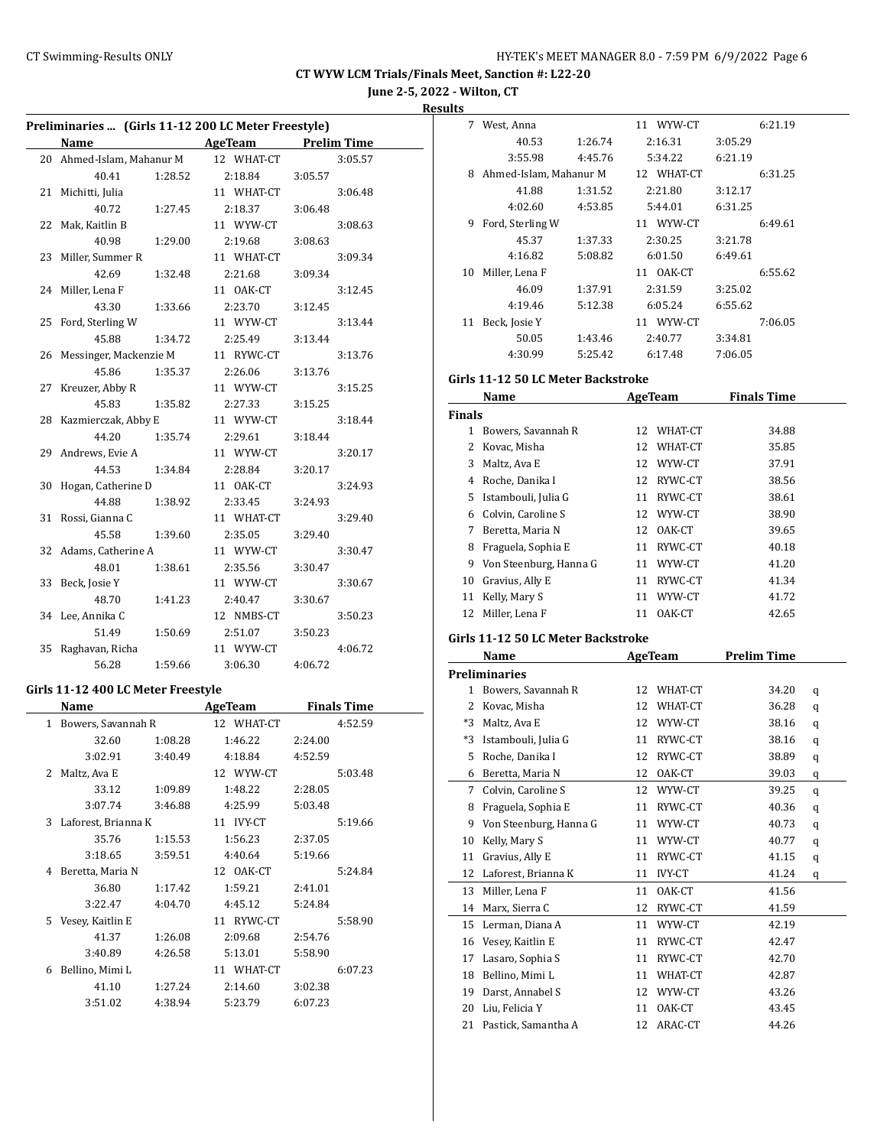**June 2-5, 2022 - Wilton, CT**

**Results**

| Preliminaries  (Girls 11-12 200 LC Meter Freestyle) |                                    |         |                      |         |                    |  |  |
|-----------------------------------------------------|------------------------------------|---------|----------------------|---------|--------------------|--|--|
|                                                     | Name                               |         | AgeTeam              |         | <b>Prelim Time</b> |  |  |
|                                                     | 20 Ahmed-Islam, Mahanur M          |         | 12 WHAT-CT           |         | 3:05.57            |  |  |
|                                                     | 40.41                              | 1:28.52 | 2:18.84              | 3:05.57 |                    |  |  |
| 21                                                  | Michitti, Julia                    |         | 11 WHAT-CT           |         | 3:06.48            |  |  |
|                                                     | 40.72                              | 1:27.45 | 2:18.37              | 3:06.48 |                    |  |  |
| 22                                                  | Mak, Kaitlin B                     |         | 11 WYW-CT            |         | 3:08.63            |  |  |
|                                                     | 40.98                              | 1:29.00 | 2:19.68              | 3:08.63 |                    |  |  |
| 23                                                  | Miller, Summer R                   |         | 11 WHAT-CT           |         | 3:09.34            |  |  |
|                                                     | 42.69                              | 1:32.48 | 2:21.68              | 3:09.34 |                    |  |  |
| 24                                                  | Miller, Lena F                     |         | 11 OAK-CT            |         | 3:12.45            |  |  |
|                                                     | 43.30                              | 1:33.66 | 2:23.70              | 3:12.45 |                    |  |  |
| 25                                                  | Ford, Sterling W                   |         | 11 WYW-CT            |         | 3:13.44            |  |  |
|                                                     | 45.88                              | 1:34.72 | 2:25.49              | 3:13.44 |                    |  |  |
| 26                                                  | Messinger, Mackenzie M             |         | 11 RYWC-CT           |         | 3:13.76            |  |  |
|                                                     | 45.86                              | 1:35.37 | 2:26.06              | 3:13.76 |                    |  |  |
| 27                                                  | Kreuzer, Abby R                    |         | 11 WYW-CT            |         | 3:15.25            |  |  |
|                                                     | 45.83                              | 1:35.82 | 2:27.33              | 3:15.25 |                    |  |  |
| 28                                                  | Kazmierczak, Abby E                |         | 11 WYW-CT            |         | 3:18.44            |  |  |
|                                                     | 44.20                              | 1:35.74 | 2:29.61              | 3:18.44 |                    |  |  |
| 29                                                  | Andrews, Evie A                    |         | 11 WYW-CT            |         | 3:20.17            |  |  |
|                                                     | 44.53                              | 1:34.84 | 2:28.84              | 3:20.17 |                    |  |  |
| 30                                                  | Hogan, Catherine D                 |         | 11 OAK-CT            |         | 3:24.93            |  |  |
|                                                     | 44.88                              | 1:38.92 | 2:33.45              | 3:24.93 |                    |  |  |
| 31                                                  | Rossi, Gianna C                    |         | 11 WHAT-CT           |         | 3:29.40            |  |  |
|                                                     | 45.58                              | 1:39.60 | 2:35.05              | 3:29.40 |                    |  |  |
| 32                                                  | Adams, Catherine A                 |         | 11 WYW-CT            |         | 3:30.47            |  |  |
|                                                     | 48.01                              | 1:38.61 | 2:35.56              | 3:30.47 |                    |  |  |
| 33                                                  | Beck, Josie Y                      |         | 11 WYW-CT            |         | 3:30.67            |  |  |
|                                                     | 48.70                              | 1:41.23 | 2:40.47              |         |                    |  |  |
|                                                     | 34 Lee, Annika C                   |         | 12 NMBS-CT           | 3:30.67 | 3:50.23            |  |  |
|                                                     | 51.49                              |         |                      |         |                    |  |  |
| 35                                                  | Raghavan, Richa                    | 1:50.69 | 2:51.07<br>11 WYW-CT | 3:50.23 |                    |  |  |
|                                                     | 56.28                              | 1:59.66 | 3:06.30              |         | 4:06.72            |  |  |
|                                                     |                                    |         |                      | 4:06.72 |                    |  |  |
|                                                     | Girls 11-12 400 LC Meter Freestyle |         |                      |         |                    |  |  |
|                                                     | Name                               |         | AgeTeam              |         | <b>Finals Time</b> |  |  |
| $\mathbf{1}$                                        | Bowers, Savannah R                 |         | 12 WHAT-CT           |         | 4:52.59            |  |  |
|                                                     | 32.60                              | 1:08.28 | 1:46.22              | 2:24.00 |                    |  |  |
|                                                     | 3:02.91                            | 3:40.49 | 4:18.84              | 4:52.59 |                    |  |  |
|                                                     | 2 Maltz, Ava E                     |         | 12 WYW-CT            |         | 5:03.48            |  |  |
|                                                     | 33.12                              | 1:09.89 | 1:48.22              | 2:28.05 |                    |  |  |
|                                                     | 3:07.74                            | 3:46.88 | 4:25.99              | 5:03.48 |                    |  |  |
| 3                                                   | Laforest, Brianna K                |         | 11 IVY-CT            |         | 5:19.66            |  |  |
|                                                     | 35.76                              | 1:15.53 | 1:56.23              | 2:37.05 |                    |  |  |
|                                                     | 3:18.65                            | 3:59.51 | 4:40.64              | 5:19.66 |                    |  |  |
| 4                                                   | Beretta, Maria N                   |         | 12 OAK-CT            |         | 5:24.84            |  |  |
|                                                     | 36.80                              | 1:17.42 | 1:59.21              | 2:41.01 |                    |  |  |
|                                                     | 3:22.47                            | 4:04.70 | 4:45.12              | 5:24.84 |                    |  |  |
| 5                                                   | Vesey, Kaitlin E                   |         | 11 RYWC-CT           |         | 5:58.90            |  |  |
|                                                     | 41.37                              | 1:26.08 | 2:09.68              | 2:54.76 |                    |  |  |
|                                                     | 3:40.89                            | 4:26.58 | 5:13.01              | 5:58.90 |                    |  |  |
| 6                                                   | Bellino, Mimi L                    |         | 11 WHAT-CT           |         | 6:07.23            |  |  |
|                                                     | 41.10                              | 1:27.24 | 2:14.60              | 3:02.38 |                    |  |  |
|                                                     | 3:51.02                            | 4:38.94 | 5:23.79              | 6:07.23 |                    |  |  |
|                                                     |                                    |         |                      |         |                    |  |  |
|                                                     |                                    |         |                      |         |                    |  |  |

| 7  | West, Anna             |         | 11 WYW-CT  |         | 6:21.19 |
|----|------------------------|---------|------------|---------|---------|
|    | 40.53                  | 1:26.74 | 2:16.31    | 3:05.29 |         |
|    | 3:55.98                | 4:45.76 | 5:34.22    | 6:21.19 |         |
| 8  | Ahmed-Islam, Mahanur M |         | 12 WHAT-CT |         | 6:31.25 |
|    | 41.88                  | 1:31.52 | 2:21.80    | 3:12.17 |         |
|    | 4:02.60                | 4:53.85 | 5:44.01    | 6:31.25 |         |
| 9  | Ford, Sterling W       |         | 11 WYW-CT  |         | 6:49.61 |
|    | 45.37                  | 1:37.33 | 2:30.25    | 3:21.78 |         |
|    | 4:16.82                | 5:08.82 | 6:01.50    | 6:49.61 |         |
| 10 | Miller, Lena F         |         | 11 OAK-CT  |         | 6:55.62 |
|    | 46.09                  | 1:37.91 | 2:31.59    | 3:25.02 |         |
|    | 4:19.46                | 5:12.38 | 6:05.24    | 6:55.62 |         |
| 11 | Beck, Josie Y          |         | 11 WYW-CT  |         | 7:06.05 |
|    | 50.05                  | 1:43.46 | 2:40.77    | 3:34.81 |         |
|    | 4:30.99                | 5:25.42 | 6:17.48    | 7:06.05 |         |
|    |                        |         |            |         |         |

#### **Girls 11-12 50 LC Meter Backstroke**

|               | Name                   | AgeTeam       | <b>Finals Time</b> |  |
|---------------|------------------------|---------------|--------------------|--|
| <b>Finals</b> |                        |               |                    |  |
|               | Bowers, Savannah R     | WHAT-CT<br>12 | 34.88              |  |
|               | Kovac, Misha           | WHAT-CT<br>12 | 35.85              |  |
| 3             | Maltz, Ava E           | WYW-CT<br>12  | 37.91              |  |
| 4             | Roche, Danika I        | RYWC-CT<br>12 | 38.56              |  |
| 5.            | Istambouli, Julia G    | RYWC-CT<br>11 | 38.61              |  |
| 6             | Colvin, Caroline S     | WYW-CT<br>12  | 38.90              |  |
| 7             | Beretta, Maria N       | OAK-CT<br>12  | 39.65              |  |
| 8             | Fraguela, Sophia E     | RYWC-CT<br>11 | 40.18              |  |
| 9             | Von Steenburg, Hanna G | WYW-CT<br>11  | 41.20              |  |
| 10            | Gravius, Ally E        | RYWC-CT<br>11 | 41.34              |  |
| 11            | Kelly, Mary S          | WYW-CT<br>11  | 41.72              |  |
| 12            | Miller, Lena F         | OAK-CT<br>11  | 42.65              |  |
|               |                        |               |                    |  |

# **Girls 11-12 50 LC Meter Backstroke**

|      | <b>Name</b>            |    | AgeTeam       | <b>Prelim Time</b> |   |
|------|------------------------|----|---------------|--------------------|---|
|      | <b>Preliminaries</b>   |    |               |                    |   |
| 1    | Bowers, Savannah R     | 12 | WHAT-CT       | 34.20              | q |
| 2    | Kovac, Misha           | 12 | WHAT-CT       | 36.28              | q |
| $*3$ | Maltz, Ava E           | 12 | WYW-CT        | 38.16              | q |
| *3   | Istambouli, Julia G    | 11 | RYWC-CT       | 38.16              | q |
| 5    | Roche, Danika I        | 12 | RYWC-CT       | 38.89              | q |
| 6    | Beretta, Maria N       | 12 | OAK-CT        | 39.03              | q |
| 7    | Colvin, Caroline S     | 12 | WYW-CT        | 39.25              | q |
| 8    | Fraguela, Sophia E     | 11 | RYWC-CT       | 40.36              | q |
| 9    | Von Steenburg, Hanna G | 11 | WYW-CT        | 40.73              | q |
| 10   | Kelly, Mary S          | 11 | WYW-CT        | 40.77              | q |
| 11   | Gravius, Ally E        | 11 | RYWC-CT       | 41.15              | q |
| 12   | Laforest, Brianna K    | 11 | <b>IVY-CT</b> | 41.24              | q |
| 13   | Miller, Lena F         | 11 | OAK-CT        | 41.56              |   |
| 14   | Marx, Sierra C         | 12 | RYWC-CT       | 41.59              |   |
| 15   | Lerman, Diana A        | 11 | WYW-CT        | 42.19              |   |
| 16   | Vesey, Kaitlin E       | 11 | RYWC-CT       | 42.47              |   |
| 17   | Lasaro, Sophia S       | 11 | RYWC-CT       | 42.70              |   |
| 18   | Bellino, Mimi L        | 11 | WHAT-CT       | 42.87              |   |
| 19   | Darst, Annabel S       | 12 | WYW-CT        | 43.26              |   |
| 20   | Liu, Felicia Y         | 11 | OAK-CT        | 43.45              |   |
| 21   | Pastick, Samantha A    | 12 | ARAC-CT       | 44.26              |   |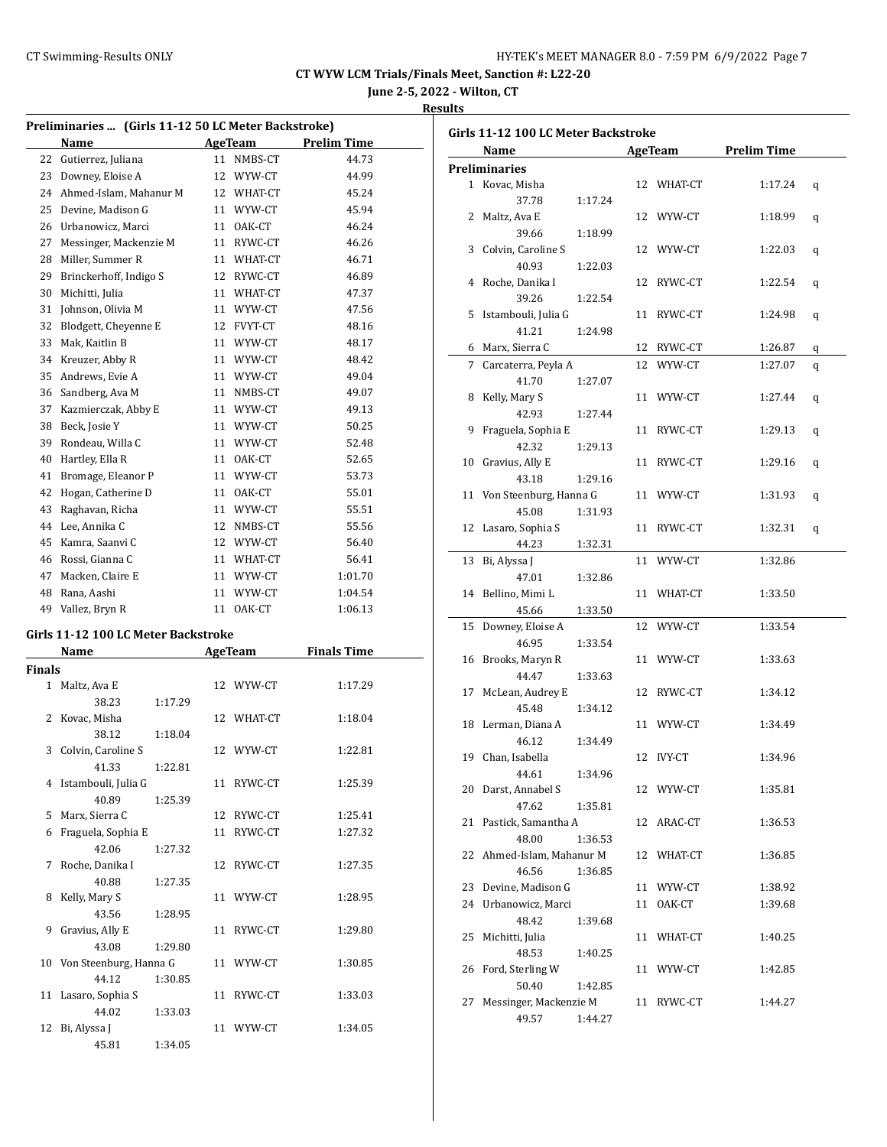**June 2-5, 2022 - Wilton, CT**

# **Results**

| Preliminaries  (Girls 11-12 50 LC Meter Backstroke) |                                     |         |    |            |                    |  |
|-----------------------------------------------------|-------------------------------------|---------|----|------------|--------------------|--|
|                                                     | Name                                |         |    | AgeTeam    | <b>Prelim Time</b> |  |
| 22                                                  | Gutierrez, Juliana                  |         | 11 | NMBS-CT    | 44.73              |  |
|                                                     | 23 Downey, Eloise A                 |         |    | 12 WYW-CT  | 44.99              |  |
|                                                     | 24 Ahmed-Islam. Mahanur M           |         |    | 12 WHAT-CT | 45.24              |  |
|                                                     | 25 Devine, Madison G                |         |    | 11 WYW-CT  | 45.94              |  |
|                                                     | 26 Urbanowicz, Marci                |         |    | 11 OAK-CT  | 46.24              |  |
| 27                                                  | Messinger, Mackenzie M              |         |    | 11 RYWC-CT | 46.26              |  |
|                                                     | 28 Miller, Summer R                 |         |    | 11 WHAT-CT | 46.71              |  |
|                                                     | 29 Brinckerhoff, Indigo S           |         |    | 12 RYWC-CT | 46.89              |  |
| 30                                                  | Michitti, Julia                     |         |    | 11 WHAT-CT | 47.37              |  |
| 31                                                  | Johnson, Olivia M                   |         |    | 11 WYW-CT  | 47.56              |  |
| 32                                                  | Blodgett, Cheyenne E                |         |    | 12 FVYT-CT | 48.16              |  |
| 33                                                  | Mak, Kaitlin B                      |         |    | 11 WYW-CT  | 48.17              |  |
|                                                     | 34 Kreuzer, Abby R                  |         |    | 11 WYW-CT  | 48.42              |  |
|                                                     | 35 Andrews, Evie A                  |         |    | 11 WYW-CT  | 49.04              |  |
|                                                     | 36 Sandberg, Ava M                  |         |    | 11 NMBS-CT | 49.07              |  |
| 37                                                  | Kazmierczak, Abby E                 |         |    | 11 WYW-CT  | 49.13              |  |
|                                                     |                                     |         |    |            |                    |  |
|                                                     | 38 Beck, Josie Y                    |         |    | 11 WYW-CT  | 50.25              |  |
| 39                                                  | Rondeau, Willa C                    |         |    | 11 WYW-CT  | 52.48              |  |
|                                                     | 40 Hartley, Ella R                  |         |    | 11 OAK-CT  | 52.65              |  |
| 41                                                  | Bromage, Eleanor P                  |         |    | 11 WYW-CT  | 53.73              |  |
| 42                                                  | Hogan, Catherine D                  |         |    | 11 OAK-CT  | 55.01              |  |
| 43                                                  | Raghavan, Richa                     |         |    | 11 WYW-CT  | 55.51              |  |
|                                                     | 44 Lee, Annika C                    |         |    | 12 NMBS-CT | 55.56              |  |
|                                                     | 45 Kamra, Saanvi C                  |         |    | 12 WYW-CT  | 56.40              |  |
|                                                     | 46 Rossi, Gianna C                  |         |    | 11 WHAT-CT | 56.41              |  |
| 47                                                  | Macken, Claire E                    |         |    | 11 WYW-CT  | 1:01.70            |  |
|                                                     | 48 Rana, Aashi                      |         | 11 | WYW-CT     | 1:04.54            |  |
|                                                     | 49 Vallez, Bryn R                   |         |    | 11 OAK-CT  | 1:06.13            |  |
|                                                     | Girls 11-12 100 LC Meter Backstroke |         |    |            |                    |  |
|                                                     | Name                                |         |    | AgeTeam    | <b>Finals Time</b> |  |
| Finals                                              |                                     |         |    |            |                    |  |
| $\mathbf{1}$                                        | Maltz, Ava E                        |         | 12 | WYW-CT     | 1:17.29            |  |
|                                                     | 38.23                               | 1:17.29 |    |            |                    |  |
| 2                                                   | Kovac, Misha                        |         |    | 12 WHAT-CT | 1:18.04            |  |
|                                                     | 38.12                               | 1:18.04 |    |            |                    |  |
| 3                                                   | Colvin, Caroline S                  |         | 12 | WYW-CT     | 1:22.81            |  |
|                                                     | 41.33                               | 1:22.81 |    |            |                    |  |
|                                                     | 4 Istambouli, Julia G               |         | 11 | RYWC-CT    | 1:25.39            |  |
|                                                     | 40.89                               | 1:25.39 |    |            |                    |  |
|                                                     | 5 Marx, Sierra C                    |         |    | 12 RYWC-CT | 1:25.41            |  |
| 6                                                   | Fraguela, Sophia E                  |         | 11 | RYWC-CT    | 1:27.32            |  |
|                                                     | 42.06                               | 1:27.32 |    |            |                    |  |
| 7                                                   | Roche, Danika I                     |         | 12 | RYWC-CT    | 1:27.35            |  |
|                                                     | 40.88                               | 1:27.35 |    |            |                    |  |
| 8                                                   | Kelly, Mary S                       |         | 11 | WYW-CT     | 1:28.95            |  |
|                                                     | 43.56                               | 1:28.95 |    |            |                    |  |
| 9                                                   | Gravius, Ally E                     |         | 11 | RYWC-CT    | 1:29.80            |  |
|                                                     | 43.08                               | 1:29.80 |    |            |                    |  |
| 10                                                  | Von Steenburg, Hanna G              |         | 11 | WYW-CT     | 1:30.85            |  |
|                                                     | 44.12                               | 1:30.85 |    |            |                    |  |
| 11                                                  | Lasaro, Sophia S                    |         | 11 | RYWC-CT    | 1:33.03            |  |
|                                                     | 44.02                               | 1:33.03 |    |            |                    |  |
| 12                                                  | Bi, Alyssa J                        |         | 11 | WYW-CT     | 1:34.05            |  |
|                                                     | 45.81                               | 1:34.05 |    |            |                    |  |
|                                                     |                                     |         |    |            |                    |  |

|    | Girls 11-12 100 LC Meter Backstroke |    |               |                    |   |  |  |  |
|----|-------------------------------------|----|---------------|--------------------|---|--|--|--|
|    | Name                                |    | AgeTeam       | <b>Prelim Time</b> |   |  |  |  |
|    | <b>Preliminaries</b>                |    |               |                    |   |  |  |  |
|    | 1 Kovac, Misha                      |    | 12 WHAT-CT    | 1:17.24            | q |  |  |  |
|    | 37.78<br>1:17.24                    |    |               |                    |   |  |  |  |
|    | 2 Maltz, Ava E                      |    | 12 WYW-CT     | 1:18.99            | q |  |  |  |
|    | 39.66<br>1:18.99                    |    |               |                    |   |  |  |  |
| 3  | Colvin, Caroline S                  | 12 | WYW-CT        | 1:22.03            | q |  |  |  |
|    | 40.93<br>1:22.03                    |    |               |                    |   |  |  |  |
| 4  | Roche, Danika I                     | 12 | RYWC-CT       | 1:22.54            | q |  |  |  |
|    | 39.26<br>1:22.54                    |    |               |                    |   |  |  |  |
| 5  | Istambouli, Julia G                 | 11 | RYWC-CT       | 1:24.98            | q |  |  |  |
|    | 41.21<br>1:24.98                    |    |               |                    |   |  |  |  |
|    | 6 Marx, Sierra C                    | 12 | RYWC-CT       | 1:26.87            | q |  |  |  |
| 7  | Carcaterra, Peyla A                 | 12 | WYW-CT        | 1:27.07            | q |  |  |  |
|    | 41.70<br>1:27.07                    |    |               |                    |   |  |  |  |
| 8  | Kelly, Mary S                       |    | 11 WYW-CT     | 1:27.44            | q |  |  |  |
|    | 42.93<br>1:27.44                    |    |               |                    |   |  |  |  |
| 9  | Fraguela, Sophia E                  | 11 | RYWC-CT       | 1:29.13            | q |  |  |  |
|    | 42.32<br>1:29.13                    |    |               |                    |   |  |  |  |
|    | 10 Gravius, Ally E                  | 11 | RYWC-CT       | 1:29.16            | q |  |  |  |
|    | 43.18<br>1:29.16                    |    |               |                    |   |  |  |  |
|    | 11 Von Steenburg, Hanna G           | 11 | WYW-CT        | 1:31.93            | q |  |  |  |
|    | 45.08<br>1:31.93                    |    |               |                    |   |  |  |  |
|    | 12 Lasaro, Sophia S                 | 11 | RYWC-CT       | 1:32.31            |   |  |  |  |
|    | 44.23<br>1:32.31                    |    |               |                    | q |  |  |  |
| 13 | Bi, Alyssa J                        | 11 | WYW-CT        | 1:32.86            |   |  |  |  |
|    | 47.01                               |    |               |                    |   |  |  |  |
| 14 | 1:32.86<br>Bellino, Mimi L          |    | 11 WHAT-CT    | 1:33.50            |   |  |  |  |
|    |                                     |    |               |                    |   |  |  |  |
|    | 45.66<br>1:33.50                    |    |               |                    |   |  |  |  |
| 15 | Downey, Eloise A                    | 12 | WYW-CT        | 1:33.54            |   |  |  |  |
|    | 46.95<br>1:33.54                    |    |               |                    |   |  |  |  |
|    | 16 Brooks, Maryn R                  |    | 11 WYW-CT     | 1:33.63            |   |  |  |  |
|    | 44.47<br>1:33.63                    |    |               |                    |   |  |  |  |
| 17 | McLean, Audrey E                    | 12 | RYWC-CT       | 1:34.12            |   |  |  |  |
|    | 45.48<br>1:34.12                    |    |               |                    |   |  |  |  |
|    | 18 Lerman, Diana A                  |    | 11 WYW-CT     | 1:34.49            |   |  |  |  |
|    | 46.12<br>1:34.49                    |    |               |                    |   |  |  |  |
| 19 | Chan, Isabella                      | 12 | <b>IVY-CT</b> | 1:34.96            |   |  |  |  |
|    | 44.61<br>1:34.96                    |    |               |                    |   |  |  |  |
|    | 20 Darst, Annabel S                 |    | 12 WYW-CT     | 1:35.81            |   |  |  |  |
|    | 47.62<br>1:35.81                    |    |               |                    |   |  |  |  |
|    | 21 Pastick, Samantha A              |    | 12 ARAC-CT    | 1:36.53            |   |  |  |  |
|    | 48.00<br>1:36.53                    |    |               |                    |   |  |  |  |
|    | 22 Ahmed-Islam, Mahanur M           |    | 12 WHAT-CT    | 1:36.85            |   |  |  |  |
|    | 46.56<br>1:36.85                    |    |               |                    |   |  |  |  |
|    | 23 Devine, Madison G                |    | 11 WYW-CT     | 1:38.92            |   |  |  |  |
|    | 24 Urbanowicz, Marci                | 11 | OAK-CT        | 1:39.68            |   |  |  |  |
|    | 48.42<br>1:39.68                    |    |               |                    |   |  |  |  |
| 25 | Michitti, Julia                     |    | 11 WHAT-CT    | 1:40.25            |   |  |  |  |
|    | 48.53<br>1:40.25                    |    |               |                    |   |  |  |  |
| 26 | Ford, Sterling W                    |    | 11 WYW-CT     | 1:42.85            |   |  |  |  |
|    | 50.40<br>1:42.85                    |    |               |                    |   |  |  |  |
| 27 | Messinger, Mackenzie M              |    | 11 RYWC-CT    | 1:44.27            |   |  |  |  |
|    | 49.57<br>1:44.27                    |    |               |                    |   |  |  |  |
|    |                                     |    |               |                    |   |  |  |  |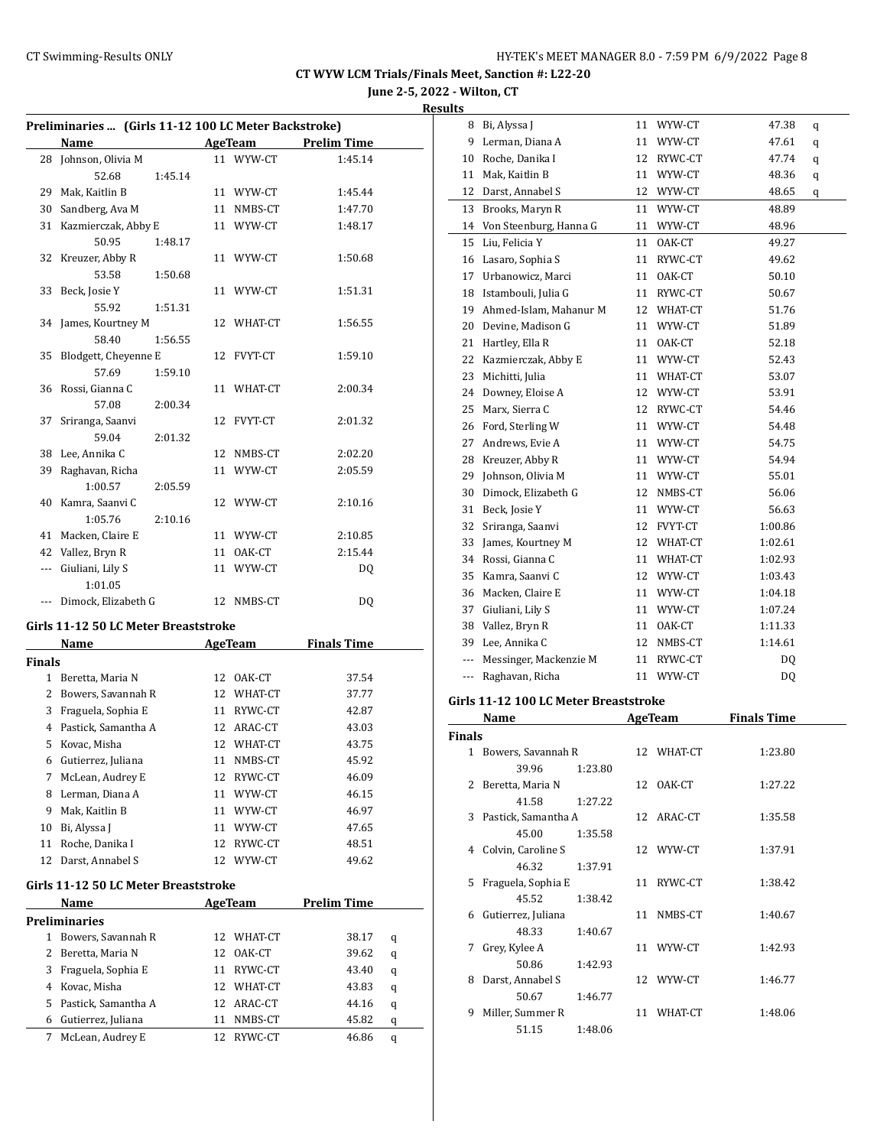**June 2-5, 2022 - Wilton, CT**

**Results**

|               | Preliminaries  (Girls 11-12 100 LC Meter Backstroke)<br>Name |    | <b>AgeTeam</b>    | <b>Prelim Time</b> |   |
|---------------|--------------------------------------------------------------|----|-------------------|--------------------|---|
| 28            | Johnson, Olivia M                                            |    | 11 WYW-CT         | 1:45.14            |   |
|               | 52.68<br>1:45.14                                             |    |                   |                    |   |
|               | 29 Mak, Kaitlin B                                            |    | 11 WYW-CT         | 1:45.44            |   |
|               | 30 Sandberg, Ava M                                           |    | 11 NMBS-CT        | 1:47.70            |   |
|               | 31 Kazmierczak, Abby E                                       |    | 11 WYW-CT         | 1:48.17            |   |
|               | 50.95<br>1:48.17                                             |    |                   |                    |   |
| 32            | Kreuzer, Abby R                                              |    | 11 WYW-CT         | 1:50.68            |   |
|               | 53.58<br>1:50.68                                             |    |                   |                    |   |
| 33            | Beck, Josie Y                                                |    | 11 WYW-CT         | 1:51.31            |   |
|               | 55.92<br>1:51.31                                             |    |                   |                    |   |
| 34            | James, Kourtney M                                            |    | 12 WHAT-CT        | 1:56.55            |   |
|               | 58.40<br>1:56.55                                             |    |                   |                    |   |
| 35            | Blodgett, Cheyenne E                                         |    | 12 FVYT-CT        | 1:59.10            |   |
|               | 57.69<br>1:59.10                                             |    |                   |                    |   |
| 36            | Rossi, Gianna C                                              |    | 11 WHAT-CT        | 2:00.34            |   |
|               | 57.08<br>2:00.34                                             |    |                   |                    |   |
| 37            | Sriranga, Saanvi                                             |    | 12 FVYT-CT        | 2:01.32            |   |
|               | 59.04<br>2:01.32                                             |    |                   |                    |   |
|               | 38 Lee, Annika C                                             |    | 12 NMBS-CT        | 2:02.20            |   |
| 39            | Raghavan, Richa                                              |    | 11 WYW-CT         | 2:05.59            |   |
|               | 1:00.57<br>2:05.59                                           |    |                   |                    |   |
| 40            | Kamra, Saanvi C                                              |    | 12 WYW-CT         | 2:10.16            |   |
|               | 1:05.76<br>2:10.16                                           |    |                   |                    |   |
| 41            | Macken, Claire E                                             |    | 11 WYW-CT         | 2:10.85            |   |
| 42            | Vallez, Bryn R                                               |    | 11 OAK-CT         | 2:15.44            |   |
|               | --- Giuliani, Lily S                                         |    | 11 WYW-CT         | DQ                 |   |
|               | 1:01.05                                                      |    |                   |                    |   |
|               | --- Dimock, Elizabeth G                                      |    | 12 NMBS-CT        | DQ                 |   |
|               | Girls 11-12 50 LC Meter Breaststroke                         |    |                   |                    |   |
|               | Name                                                         |    | <b>AgeTeam</b>    | <b>Finals Time</b> |   |
| <b>Finals</b> |                                                              |    |                   |                    |   |
|               | 1 Beretta, Maria N                                           |    | 12 OAK-CT         | 37.54              |   |
|               | 2 Bowers, Savannah R                                         |    | 12 WHAT-CT        | 37.77              |   |
|               | 3 Fraguela, Sophia E                                         |    | 11 RYWC-CT        | 42.87              |   |
|               | 4 Pastick. Samantha A                                        |    | 12 ARAC-CT        | 43.03              |   |
|               | 5 Kovac, Misha                                               |    | 12 WHAT-CT        | 43.75              |   |
| 6             | Gutierrez, Juliana                                           | 11 | NMBS-CT           | 45.92              |   |
| 7             | McLean, Audrey E                                             | 12 | RYWC-CT           | 46.09              |   |
| 8             | Lerman, Diana A                                              | 11 | WYW-CT            | 46.15              |   |
|               | 9 Mak, Kaitlin B                                             |    | 11 WYW-CT         | 46.97              |   |
| 10            | Bi, Alyssa J                                                 |    | 11 WYW-CT         | 47.65              |   |
| 11            | Roche, Danika I                                              | 12 | RYWC-CT           | 48.51              |   |
| 12            | Darst, Annabel S                                             |    | 12 WYW-CT         | 49.62              |   |
|               | Girls 11-12 50 LC Meter Breaststroke                         |    |                   |                    |   |
|               |                                                              |    |                   |                    |   |
|               | Name                                                         |    | AgeTeam           | <b>Prelim Time</b> |   |
| 1             | <b>Preliminaries</b><br>Bowers, Savannah R                   | 12 | WHAT-CT           | 38.17              |   |
| 2             |                                                              | 12 |                   |                    | q |
| 3             | Beretta, Maria N<br>Fraguela, Sophia E                       |    | OAK-CT<br>RYWC-CT | 39.62              | q |
| 4             |                                                              | 11 |                   | 43.40              | q |
|               | Kovac, Misha                                                 |    | 12 WHAT-CT        | 43.83              | q |
| 5             | Pastick, Samantha A                                          |    | 12 ARAC-CT        | 44.16              | q |
| 6             | Gutierrez, Juliana                                           | 11 | NMBS-CT           | 45.82              | q |
| 7             | McLean, Audrey E                                             | 12 | RYWC-CT           | 46.86              | q |

| 8   | Bi, Alyssa J           | 11 | WYW-CT    | 47.38   | q |
|-----|------------------------|----|-----------|---------|---|
| 9   | Lerman, Diana A        | 11 | WYW-CT    | 47.61   | q |
| 10  | Roche, Danika I        | 12 | RYWC-CT   | 47.74   | q |
| 11  | Mak, Kaitlin B         |    | 11 WYW-CT | 48.36   | q |
| 12  | Darst, Annabel S       |    | 12 WYW-CT | 48.65   | q |
| 13  | Brooks, Maryn R        | 11 | WYW-CT    | 48.89   |   |
| 14  | Von Steenburg, Hanna G | 11 | WYW-CT    | 48.96   |   |
| 15  | Liu. Felicia Y         | 11 | OAK-CT    | 49.27   |   |
| 16  | Lasaro, Sophia S       | 11 | RYWC-CT   | 49.62   |   |
| 17  | Urbanowicz, Marci      | 11 | OAK-CT    | 50.10   |   |
| 18  | Istambouli, Julia G    | 11 | RYWC-CT   | 50.67   |   |
| 19  | Ahmed-Islam, Mahanur M | 12 | WHAT-CT   | 51.76   |   |
| 20  | Devine, Madison G      | 11 | WYW-CT    | 51.89   |   |
| 21  | Hartley, Ella R        | 11 | OAK-CT    | 52.18   |   |
| 22  | Kazmierczak, Abby E    |    | 11 WYW-CT | 52.43   |   |
| 23  | Michitti, Julia        | 11 | WHAT-CT   | 53.07   |   |
| 24  | Downey, Eloise A       |    | 12 WYW-CT | 53.91   |   |
| 25  | Marx, Sierra C         | 12 | RYWC-CT   | 54.46   |   |
| 26  | Ford, Sterling W       | 11 | WYW-CT    | 54.48   |   |
| 27  | Andrews, Evie A        | 11 | WYW-CT    | 54.75   |   |
| 28  | Kreuzer, Abby R        | 11 | WYW-CT    | 54.94   |   |
| 29  | Johnson, Olivia M      |    | 11 WYW-CT | 55.01   |   |
| 30  | Dimock, Elizabeth G    | 12 | NMBS-CT   | 56.06   |   |
| 31  | Beck, Josie Y          | 11 | WYW-CT    | 56.63   |   |
| 32  | Sriranga, Saanvi       | 12 | FVYT-CT   | 1:00.86 |   |
| 33  | James, Kourtney M      | 12 | WHAT-CT   | 1:02.61 |   |
| 34  | Rossi, Gianna C        | 11 | WHAT-CT   | 1:02.93 |   |
| 35  | Kamra, Saanvi C        |    | 12 WYW-CT | 1:03.43 |   |
| 36  | Macken, Claire E       | 11 | WYW-CT    | 1:04.18 |   |
| 37  | Giuliani, Lily S       | 11 | WYW-CT    | 1:07.24 |   |
| 38  | Vallez, Bryn R         | 11 | OAK-CT    | 1:11.33 |   |
| 39  | Lee, Annika C          | 12 | NMBS-CT   | 1:14.61 |   |
| --- | Messinger, Mackenzie M | 11 | RYWC-CT   | DQ      |   |
| --- | Raghavan, Richa        | 11 | WYW-CT    | DQ      |   |
|     |                        |    |           |         |   |

#### **Girls 11-12 100 LC Meter Breaststroke**

|               | Name                  |         | <b>AgeTeam</b> | <b>Finals Time</b> |
|---------------|-----------------------|---------|----------------|--------------------|
| <b>Finals</b> |                       |         |                |                    |
| 1             | Bowers, Savannah R    |         | 12 WHAT-CT     | 1:23.80            |
|               | 39.96                 | 1:23.80 |                |                    |
|               | 2 Beretta, Maria N    |         | 12 OAK-CT      | 1:27.22            |
|               | 41.58                 | 1:27.22 |                |                    |
|               | 3 Pastick, Samantha A |         | 12 ARAC-CT     | 1:35.58            |
|               | 45.00                 | 1:35.58 |                |                    |
|               | 4 Colvin, Caroline S  |         | 12 WYW-CT      | 1:37.91            |
|               | 46.32                 | 1:37.91 |                |                    |
|               | 5 Fraguela, Sophia E  |         | 11 RYWC-CT     | 1:38.42            |
|               | 45.52                 | 1:38.42 |                |                    |
| 6             | Gutierrez, Juliana    |         | 11 NMBS-CT     | 1:40.67            |
|               | 48.33                 | 1:40.67 |                |                    |
| 7             | Grey, Kylee A         |         | 11 WYW-CT      | 1:42.93            |
|               | 50.86                 | 1:42.93 |                |                    |
| 8             | Darst, Annabel S      |         | 12 WYW-CT      | 1:46.77            |
|               | 50.67                 | 1:46.77 |                |                    |
| 9             | Miller, Summer R      |         | 11 WHAT-CT     | 1:48.06            |
|               | 51.15                 | 1:48.06 |                |                    |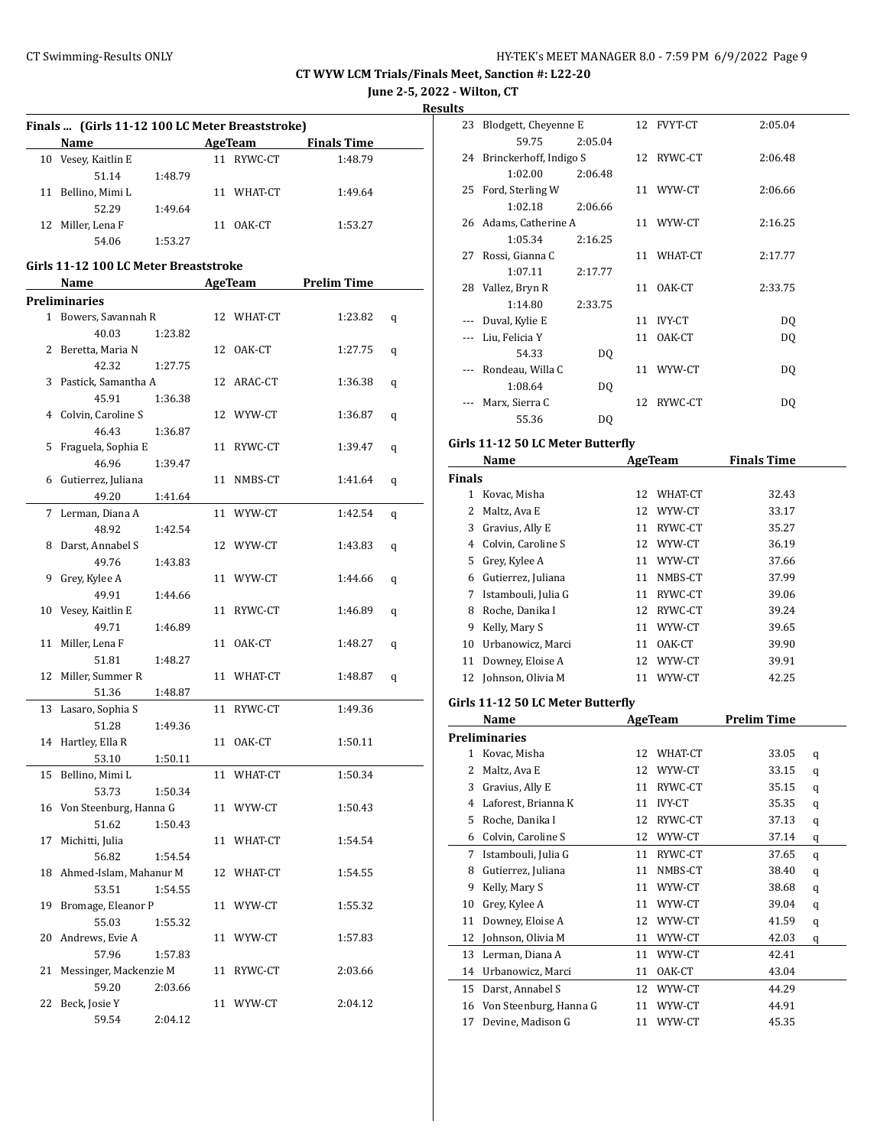**June 2-5, 2022 - Wilton, CT**

**Results**

|                                                                                                                                                                                                        |         |    |            |                     | june 2-5, |
|--------------------------------------------------------------------------------------------------------------------------------------------------------------------------------------------------------|---------|----|------------|---------------------|-----------|
| Finals  (Girls 11-12 100 LC Meter Breaststroke)                                                                                                                                                        |         |    |            |                     |           |
| Name                                                                                                                                                                                                   |         |    |            | AgeTeam Finals Time |           |
| 10 Vesey, Kaitlin E                                                                                                                                                                                    |         |    | 11 RYWC-CT | 1:48.79             |           |
| 51.14                                                                                                                                                                                                  | 1:48.79 |    |            |                     |           |
| 11 Bellino, Mimi L                                                                                                                                                                                     |         |    | 11 WHAT-CT | 1:49.64             |           |
| 52.29                                                                                                                                                                                                  | 1:49.64 |    |            |                     |           |
| 12 Miller, Lena F                                                                                                                                                                                      |         |    | 11 OAK-CT  | 1:53.27             |           |
| 54.06                                                                                                                                                                                                  | 1:53.27 |    |            |                     |           |
| Girls 11-12 100 LC Meter Breaststroke                                                                                                                                                                  |         |    |            |                     |           |
| Name<br>$\mathcal{L}^{\mathcal{L}}(\mathcal{L}^{\mathcal{L}})$ and $\mathcal{L}^{\mathcal{L}}(\mathcal{L}^{\mathcal{L}})$ . The contribution of $\mathcal{L}^{\mathcal{L}}(\mathcal{L}^{\mathcal{L}})$ |         |    |            | AgeTeam Prelim Time |           |
| <b>Preliminaries</b>                                                                                                                                                                                   |         |    |            |                     |           |
| 1 Bowers, Savannah R                                                                                                                                                                                   |         |    | 12 WHAT-CT | 1:23.82             | q         |
| 40.03                                                                                                                                                                                                  | 1:23.82 |    |            |                     |           |
| 2 Beretta, Maria N                                                                                                                                                                                     |         |    | 12 OAK-CT  | 1:27.75             | q         |
| 42.32                                                                                                                                                                                                  | 1:27.75 |    |            |                     |           |
| 3 Pastick, Samantha A                                                                                                                                                                                  |         |    | 12 ARAC-CT | 1:36.38             | q         |
| 45.91                                                                                                                                                                                                  | 1:36.38 |    |            |                     |           |
| 4 Colvin, Caroline S                                                                                                                                                                                   |         |    | 12 WYW-CT  | 1:36.87             | q         |
| 46.43                                                                                                                                                                                                  | 1:36.87 |    |            |                     |           |
| 5 Fraguela, Sophia E                                                                                                                                                                                   |         |    | 11 RYWC-CT | 1:39.47             | q         |
| 46.96                                                                                                                                                                                                  | 1:39.47 |    |            |                     |           |
| 6 Gutierrez, Juliana                                                                                                                                                                                   |         | 11 | NMBS-CT    | 1:41.64             | q         |
| 49.20                                                                                                                                                                                                  | 1:41.64 |    |            |                     |           |
| 7 Lerman, Diana A                                                                                                                                                                                      |         |    | 11 WYW-CT  | 1:42.54             | q         |
| 48.92                                                                                                                                                                                                  | 1:42.54 |    |            |                     |           |
| 8 Darst, Annabel S                                                                                                                                                                                     |         |    | 12 WYW-CT  | 1:43.83             | q         |
| 49.76                                                                                                                                                                                                  | 1:43.83 |    |            |                     |           |
| 9 Grey, Kylee A                                                                                                                                                                                        |         |    | 11 WYW-CT  | 1:44.66             | q         |
| 49.91                                                                                                                                                                                                  | 1:44.66 |    |            |                     |           |
| 10 Vesey, Kaitlin E                                                                                                                                                                                    |         | 11 | RYWC-CT    | 1:46.89             | q         |
| 49.71                                                                                                                                                                                                  | 1:46.89 |    |            |                     |           |
| 11 Miller, Lena F                                                                                                                                                                                      |         | 11 | OAK-CT     | 1:48.27             | q         |

12 Miller, Summer R 11 WHAT-CT 1:48.87 q

13 Lasaro, Sophia S 11 RYWC-CT 1:49.36

14 Hartley, Ella R 11 OAK-CT 1:50.11

15 Bellino, Mimi L 11 WHAT-CT 1:50.34

16 Von Steenburg, Hanna G 11 WYW-CT 1:50.43

17 Michitti, Julia 11 WHAT-CT 1:54.54

18 Ahmed-Islam, Mahanur M 12 WHAT-CT 1:54.55

19 Bromage, Eleanor P 11 WYW-CT 1:55.32

20 Andrews, Evie A 11 WYW-CT 1:57.83

21 Messinger, Mackenzie M 11 RYWC-CT 2:03.66

22 Beck, Josie Y 11 WYW-CT 2:04.12

51.81 1:48.27

51.36 1:48.87

51.28 1:49.36

53.10 1:50.11

53.73 1:50.34

51.62 1:50.43

56.82 1:54.54

53.51 1:54.55

55.03 1:55.32

57.96 1:57.83

59.20 2:03.66

59.54 2:04.12

| v  |                           |         |    |               |         |
|----|---------------------------|---------|----|---------------|---------|
| 23 | Blodgett, Cheyenne E      |         |    | 12 FVYT-CT    | 2:05.04 |
|    | 59.75                     | 2:05.04 |    |               |         |
|    | 24 Brinckerhoff, Indigo S |         |    | 12 RYWC-CT    | 2:06.48 |
|    | 1:02.00                   | 2:06.48 |    |               |         |
| 25 | Ford, Sterling W          |         |    | 11 WYW-CT     | 2:06.66 |
|    | 1:02.18                   | 2:06.66 |    |               |         |
|    | 26 Adams, Catherine A     |         |    | 11 WYW-CT     | 2:16.25 |
|    | 1:05.34                   | 2:16.25 |    |               |         |
| 27 | Rossi, Gianna C           |         |    | 11 WHAT-CT    | 2:17.77 |
|    | 1:07.11                   | 2:17.77 |    |               |         |
| 28 | Vallez, Bryn R            |         | 11 | OAK-CT        | 2:33.75 |
|    | 1:14.80                   | 2:33.75 |    |               |         |
|    | Duval, Kylie E            |         | 11 | <b>IVY-CT</b> | DQ      |
|    | Liu, Felicia Y            |         | 11 | OAK-CT        | DQ      |
|    | 54.33                     | DQ      |    |               |         |
|    | Rondeau, Willa C          |         | 11 | WYW-CT        | DQ      |
|    | 1:08.64                   | DQ      |    |               |         |
|    | Marx, Sierra C            |         | 12 | RYWC-CT       | DQ      |
|    | 55.36                     | DQ      |    |               |         |

#### **Girls 11-12 50 LC Meter Butterfly**

| Name          |                     |    | <b>AgeTeam</b> | <b>Finals Time</b> |  |  |
|---------------|---------------------|----|----------------|--------------------|--|--|
| <b>Finals</b> |                     |    |                |                    |  |  |
| 1             | Kovac, Misha        | 12 | WHAT-CT        | 32.43              |  |  |
| 2             | Maltz, Ava E        | 12 | WYW-CT         | 33.17              |  |  |
| 3             | Gravius, Ally E     | 11 | RYWC-CT        | 35.27              |  |  |
| 4             | Colvin, Caroline S  | 12 | WYW-CT         | 36.19              |  |  |
| 5             | Grey, Kylee A       | 11 | WYW-CT         | 37.66              |  |  |
| 6             | Gutierrez, Juliana  | 11 | NMBS-CT        | 37.99              |  |  |
| 7             | Istambouli, Julia G | 11 | RYWC-CT        | 39.06              |  |  |
| 8             | Roche, Danika I     | 12 | RYWC-CT        | 39.24              |  |  |
| 9             | Kelly, Mary S       | 11 | WYW-CT         | 39.65              |  |  |
| 10            | Urbanowicz, Marci   | 11 | OAK-CT         | 39.90              |  |  |
| 11            | Downey, Eloise A    | 12 | WYW-CT         | 39.91              |  |  |
| 12            | Johnson, Olivia M   | 11 | WYW-CT         | 42.25              |  |  |

#### **Girls 11-12 50 LC Meter Butterfly**

| Name |                        |    | AgeTeam       | Prelim Time |   |
|------|------------------------|----|---------------|-------------|---|
|      | <b>Preliminaries</b>   |    |               |             |   |
| 1    | Kovac, Misha           | 12 | WHAT-CT       | 33.05       | q |
| 2    | Maltz, Ava E           | 12 | WYW-CT        | 33.15       | q |
| 3    | Gravius, Ally E        | 11 | RYWC-CT       | 35.15       | q |
| 4    | Laforest, Brianna K    | 11 | <b>IVY-CT</b> | 35.35       | q |
| 5    | Roche, Danika I        | 12 | RYWC-CT       | 37.13       | q |
| 6    | Colvin, Caroline S     | 12 | WYW-CT        | 37.14       | q |
| 7    | Istambouli, Julia G    | 11 | RYWC-CT       | 37.65       | q |
| 8    | Gutierrez, Juliana     | 11 | NMBS-CT       | 38.40       | q |
| 9    | Kelly, Mary S          | 11 | WYW-CT        | 38.68       | q |
| 10   | Grey, Kylee A          | 11 | WYW-CT        | 39.04       | q |
| 11   | Downey, Eloise A       | 12 | WYW-CT        | 41.59       | q |
| 12   | Johnson, Olivia M      | 11 | WYW-CT        | 42.03       | q |
| 13   | Lerman, Diana A        | 11 | WYW-CT        | 42.41       |   |
| 14   | Urbanowicz, Marci      | 11 | OAK-CT        | 43.04       |   |
| 15   | Darst, Annabel S       | 12 | WYW-CT        | 44.29       |   |
| 16   | Von Steenburg, Hanna G | 11 | WYW-CT        | 44.91       |   |
| 17   | Devine, Madison G      | 11 | WYW-CT        | 45.35       |   |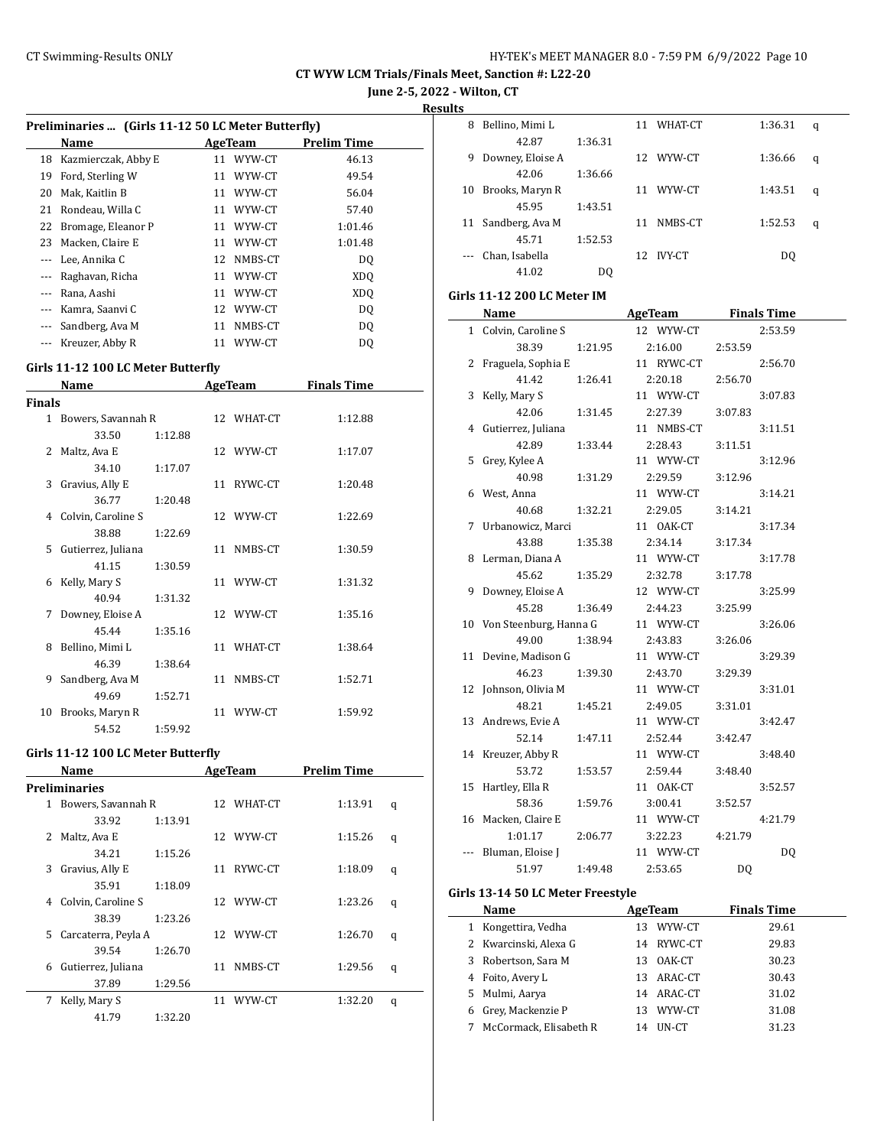**June 2-5, 2022 - Wilton, CT**

**Results**

 $\overline{\phantom{a}}$ 

|               | Preliminaries  (Girls 11-12 50 LC Meter Butterfly) |         | AgeTeam        | <b>Prelim Time</b> |   |
|---------------|----------------------------------------------------|---------|----------------|--------------------|---|
|               | Name<br>18 Kazmierczak, Abby E                     |         | 11 WYW-CT      | 46.13              |   |
|               |                                                    |         |                | 49.54              |   |
|               | 19 Ford, Sterling W                                |         | 11 WYW-CT      |                    |   |
|               | 20 Mak, Kaitlin B                                  |         | 11 WYW-CT      | 56.04              |   |
|               | 21 Rondeau, Willa C                                |         | 11 WYW-CT      | 57.40              |   |
|               | 22 Bromage, Eleanor P                              |         | 11 WYW-CT      | 1:01.46            |   |
|               | 23 Macken, Claire E                                |         | 11 WYW-CT      | 1:01.48            |   |
|               | --- Lee, Annika C                                  |         | 12 NMBS-CT     | DQ                 |   |
|               | --- Raghavan, Richa                                |         | 11 WYW-CT      | XDQ                |   |
|               | --- Rana, Aashi                                    |         | 11 WYW-CT      | <b>XDQ</b>         |   |
|               | --- Kamra, Saanvi C                                |         | 12 WYW-CT      | DQ                 |   |
|               | --- Sandberg, Ava M                                |         | 11 NMBS-CT     | <b>DQ</b>          |   |
|               | --- Kreuzer, Abby R                                |         | 11 WYW-CT      | <b>DQ</b>          |   |
|               | Girls 11-12 100 LC Meter Butterfly                 |         |                |                    |   |
|               | Name                                               |         | <b>AgeTeam</b> | <b>Finals Time</b> |   |
| <b>Finals</b> |                                                    |         |                |                    |   |
|               | 1 Bowers, Savannah R                               |         | 12 WHAT-CT     | 1:12.88            |   |
|               | 33.50                                              | 1:12.88 |                |                    |   |
|               | 2 Maltz, Ava E                                     |         | 12 WYW-CT      | 1:17.07            |   |
|               | 34.10                                              | 1:17.07 |                |                    |   |
| 3             | Gravius, Ally E                                    |         | 11 RYWC-CT     | 1:20.48            |   |
|               | 36.77                                              | 1:20.48 |                |                    |   |
| 4             | Colvin, Caroline S                                 |         | 12 WYW-CT      | 1:22.69            |   |
|               | 38.88                                              | 1:22.69 |                |                    |   |
| 5             | Gutierrez, Juliana                                 |         | 11 NMBS-CT     | 1:30.59            |   |
|               | 41.15                                              | 1:30.59 |                |                    |   |
| 6             | Kelly, Mary S                                      |         | 11 WYW-CT      | 1:31.32            |   |
|               | 40.94                                              | 1:31.32 |                |                    |   |
| 7             | Downey, Eloise A                                   |         | 12 WYW-CT      | 1:35.16            |   |
|               | 45.44                                              | 1:35.16 |                |                    |   |
| 8             | Bellino, Mimi L                                    |         | 11 WHAT-CT     | 1:38.64            |   |
|               | 46.39                                              | 1:38.64 |                |                    |   |
| 9             | Sandberg, Ava M                                    |         | 11 NMBS-CT     | 1:52.71            |   |
|               | 49.69                                              | 1:52.71 |                |                    |   |
| 10            | Brooks, Maryn R                                    |         | 11 WYW-CT      | 1:59.92            |   |
|               | 54.52                                              | 1:59.92 |                |                    |   |
|               | Girls 11-12 100 LC Meter Butterfly                 |         |                |                    |   |
|               | Name                                               |         | <b>AgeTeam</b> | <b>Prelim Time</b> |   |
|               | <b>Preliminaries</b>                               |         |                |                    |   |
| $\mathbf{1}$  | Bowers, Savannah R                                 |         | 12 WHAT-CT     | 1:13.91            | q |
|               | 33.92                                              | 1:13.91 |                |                    |   |
| 2             | Maltz, Ava E                                       |         | 12 WYW-CT      | 1:15.26            | q |
|               | 34.21                                              | 1:15.26 |                |                    |   |
| 3             | Gravius, Ally E                                    |         | 11 RYWC-CT     | 1:18.09            | q |
|               | 35.91                                              | 1:18.09 |                |                    |   |
| 4             | Colvin, Caroline S                                 |         | 12 WYW-CT      | 1:23.26            | q |

38.39 1:23.26

39.54 1:26.70

37.89 1:29.56

41.79 1:32.20

5 Carcaterra, Peyla A 12 WYW-CT 1:26.70 q

6 Gutierrez, Juliana 11 NMBS-CT 1:29.56 q

7 Kelly, Mary S 11 WYW-CT 1:32.20 q

| LЭ |                  |         |     |               |         |   |
|----|------------------|---------|-----|---------------|---------|---|
| 8  | Bellino, Mimi L  |         | 11  | WHAT-CT       | 1:36.31 | q |
|    | 42.87            | 1:36.31 |     |               |         |   |
| 9  | Downey, Eloise A |         | 12. | WYW-CT        | 1:36.66 | q |
|    | 42.06            | 1:36.66 |     |               |         |   |
| 10 | Brooks, Maryn R  |         | 11  | WYW-CT        | 1:43.51 | q |
|    | 45.95            | 1:43.51 |     |               |         |   |
| 11 | Sandberg, Ava M  |         | 11  | NMBS-CT       | 1:52.53 | q |
|    | 45.71            | 1:52.53 |     |               |         |   |
|    | Chan, Isabella   |         | 12  | <b>IVY-CT</b> | DO.     |   |
|    | 41.02            | D0      |     |               |         |   |

## **Girls 11-12 200 LC Meter IM**

| Name                      |         | <b>AgeTeam</b> |            |         | <b>Finals Time</b> |
|---------------------------|---------|----------------|------------|---------|--------------------|
| 1 Colvin, Caroline S      |         | 12 WYW-CT      |            |         | 2:53.59            |
| 38.39                     | 1:21.95 | 2:16.00        |            | 2:53.59 |                    |
| 2 Fraguela, Sophia E      |         | 11 RYWC-CT     |            |         | 2:56.70            |
| 41.42                     | 1:26.41 | 2:20.18        |            | 2:56.70 |                    |
| 3 Kelly, Mary S           |         | 11 WYW-CT      |            |         | 3:07.83            |
| 42.06                     | 1:31.45 | 2:27.39        |            | 3:07.83 |                    |
| 4 Gutierrez, Juliana      |         |                | 11 NMBS-CT |         | 3:11.51            |
| 42.89                     | 1:33.44 | 2:28.43        |            | 3:11.51 |                    |
| 5 Grey, Kylee A           |         |                | 11 WYW-CT  |         | 3:12.96            |
| 40.98                     | 1:31.29 | 2:29.59        |            | 3:12.96 |                    |
| 6 West, Anna              |         | 11 WYW-CT      |            |         | 3:14.21            |
| 40.68                     | 1:32.21 | 2:29.05        |            | 3:14.21 |                    |
| 7 Urbanowicz, Marci       |         | 11 OAK-CT      |            |         | 3:17.34            |
| 43.88                     | 1:35.38 | 2:34.14        |            | 3:17.34 |                    |
| 8 Lerman, Diana A         |         | 11 WYW-CT      |            |         | 3:17.78            |
| 45.62                     | 1:35.29 | 2:32.78        |            | 3:17.78 |                    |
| 9 Downey, Eloise A        |         | 12 WYW-CT      |            |         | 3:25.99            |
| 45.28                     | 1:36.49 | 2:44.23        |            | 3:25.99 |                    |
| 10 Von Steenburg, Hanna G |         | 11 WYW-CT      |            |         | 3:26.06            |
| 49.00                     | 1:38.94 | 2:43.83        |            | 3:26.06 |                    |
| 11 Devine, Madison G      |         | 11 WYW-CT      |            |         | 3:29.39            |
| 46.23                     | 1:39.30 | 2:43.70        |            | 3:29.39 |                    |
| 12 Johnson, Olivia M      |         |                | 11 WYW-CT  |         | 3:31.01            |
| 48.21                     | 1:45.21 | 2:49.05        |            | 3:31.01 |                    |
| 13 Andrews, Evie A        |         |                | 11 WYW-CT  |         | 3:42.47            |
| 52.14                     | 1:47.11 | 2:52.44        |            | 3:42.47 |                    |
| 14 Kreuzer, Abby R        |         |                | 11 WYW-CT  |         | 3:48.40            |
| 53.72                     | 1:53.57 | 2:59.44        |            | 3:48.40 |                    |
| 15 Hartley, Ella R        |         | 11 OAK-CT      |            |         | 3:52.57            |
| 58.36                     | 1:59.76 | 3:00.41        |            | 3:52.57 |                    |
| 16 Macken, Claire E       |         | 11 WYW-CT      |            |         | 4:21.79            |
| 1:01.17                   | 2:06.77 | 3:22.23        |            | 4:21.79 |                    |
| Bluman, Eloise J          |         | 11 WYW-CT      |            |         | DQ                 |
| 51.97                     | 1:49.48 | 2:53.65        |            | DQ      |                    |

#### **Girls 13-14 50 LC Meter Freestyle**

l,

|   | Name                   |     | AgeTeam    | <b>Finals Time</b> |
|---|------------------------|-----|------------|--------------------|
|   | 1 Kongettira, Vedha    | 13  | WYW-CT     | 29.61              |
|   | 2 Kwarcinski, Alexa G  | 14  | RYWC-CT    | 29.83              |
|   | 3 Robertson, Sara M    | 13  | OAK-CT     | 30.23              |
| 4 | Foito, Avery L         | 13  | ARAC-CT    | 30.43              |
|   | 5 Mulmi, Aarya         |     | 14 ARAC-CT | 31.02              |
|   | 6 Grey, Mackenzie P    | 13. | WYW-CT     | 31.08              |
|   | McCormack, Elisabeth R |     | UN-CT      | 31.23              |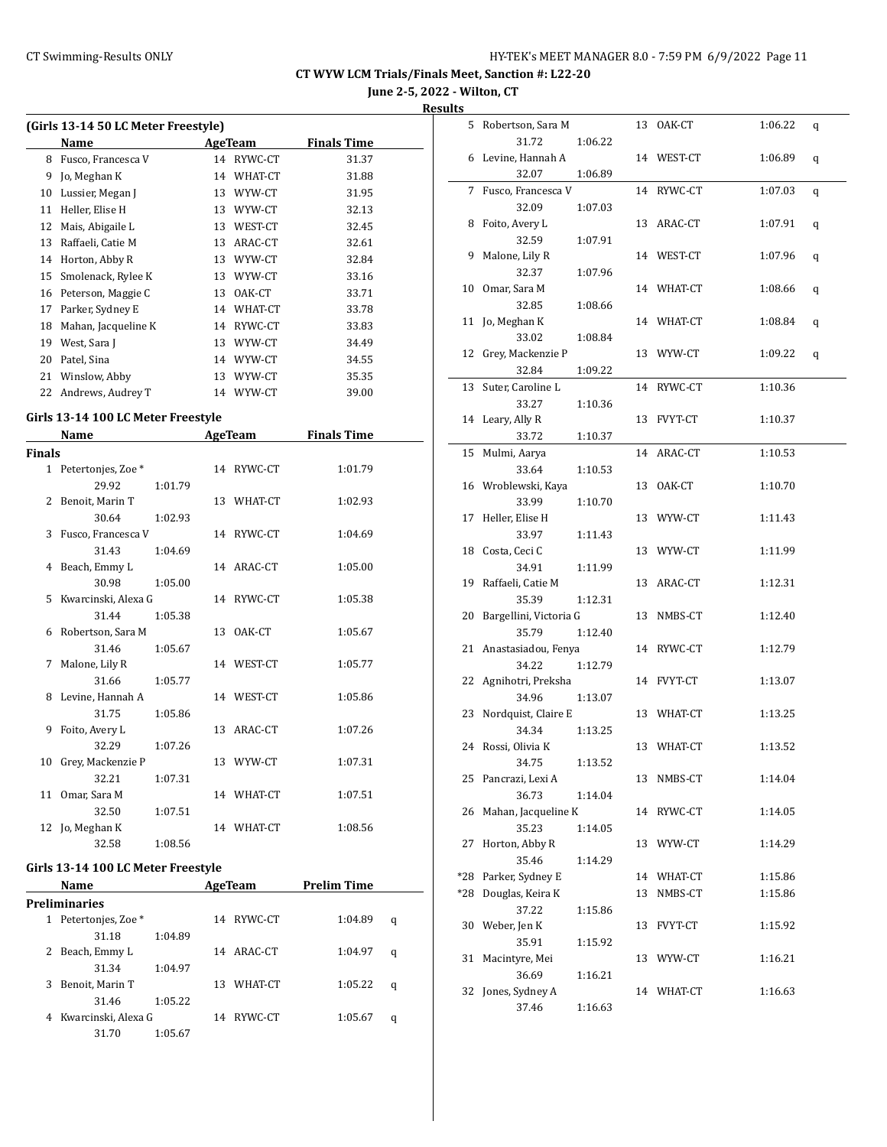**June 2-5, 2022 - Wilton, CT**

| (Girls 13-14 50 LC Meter Freestyle) |                     |         |                    |       |  |  |  |  |  |
|-------------------------------------|---------------------|---------|--------------------|-------|--|--|--|--|--|
|                                     | Name                | AgeTeam | <b>Finals Time</b> |       |  |  |  |  |  |
| 8                                   | Fusco, Francesca V  | 14      | RYWC-CT            | 31.37 |  |  |  |  |  |
| 9                                   | Jo, Meghan K        | 14      | WHAT-CT            | 31.88 |  |  |  |  |  |
| 10                                  | Lussier, Megan J    | 13      | WYW-CT             | 31.95 |  |  |  |  |  |
| 11                                  | Heller, Elise H     | 13      | WYW-CT             | 32.13 |  |  |  |  |  |
| 12                                  | Mais, Abigaile L    | 13      | WEST-CT            | 32.45 |  |  |  |  |  |
| 13                                  | Raffaeli, Catie M   | 13      | ARAC-CT            | 32.61 |  |  |  |  |  |
| 14                                  | Horton, Abby R      | 13      | WYW-CT             | 32.84 |  |  |  |  |  |
| 15                                  | Smolenack, Rylee K  | 13      | WYW-CT             | 33.16 |  |  |  |  |  |
| 16                                  | Peterson, Maggie C  | 13      | OAK-CT             | 33.71 |  |  |  |  |  |
| 17                                  | Parker, Sydney E    | 14      | WHAT-CT            | 33.78 |  |  |  |  |  |
| 18                                  | Mahan, Jacqueline K | 14      | RYWC-CT            | 33.83 |  |  |  |  |  |
| 19                                  | West, Sara J        | 13      | WYW-CT             | 34.49 |  |  |  |  |  |
| 20                                  | Patel, Sina         | 14      | WYW-CT             | 34.55 |  |  |  |  |  |
| 21                                  | Winslow, Abby       | 13      | WYW-CT             | 35.35 |  |  |  |  |  |
| 22                                  | Andrews, Audrey T   | 14      | WYW-CT             | 39.00 |  |  |  |  |  |
|                                     |                     |         |                    |       |  |  |  |  |  |

#### **Girls 13-14 100 LC Meter Freestyle**

|               | Name                  |         | <b>AgeTeam</b> |            | <b>Finals Time</b> |
|---------------|-----------------------|---------|----------------|------------|--------------------|
| <b>Finals</b> |                       |         |                |            |                    |
|               | 1 Petertonjes, Zoe *  |         |                | 14 RYWC-CT | 1:01.79            |
|               | 29.92                 | 1:01.79 |                |            |                    |
|               | 2 Benoit, Marin T     |         |                | 13 WHAT-CT | 1:02.93            |
|               | 30.64                 | 1:02.93 |                |            |                    |
|               | 3 Fusco, Francesca V  |         |                | 14 RYWC-CT | 1:04.69            |
|               | 31.43                 | 1:04.69 |                |            |                    |
|               | 4 Beach, Emmy L       |         |                | 14 ARAC-CT | 1:05.00            |
|               | 30.98                 | 1:05.00 |                |            |                    |
|               | 5 Kwarcinski, Alexa G |         |                | 14 RYWC-CT | 1:05.38            |
|               | 31.44                 | 1:05.38 |                |            |                    |
|               | 6 Robertson, Sara M   |         |                | 13 OAK-CT  | 1:05.67            |
|               | 31.46                 | 1:05.67 |                |            |                    |
|               | 7 Malone, Lily R      |         |                | 14 WEST-CT | 1:05.77            |
|               | 31.66                 | 1:05.77 |                |            |                    |
|               | 8 Levine, Hannah A    |         |                | 14 WEST-CT | 1:05.86            |
|               | 31.75                 | 1:05.86 |                |            |                    |
| 9             | Foito, Avery L        |         |                | 13 ARAC-CT | 1:07.26            |
|               | 32.29                 | 1:07.26 |                |            |                    |
| 10            | Grey, Mackenzie P     |         |                | 13 WYW-CT  | 1:07.31            |
|               | 32.21                 | 1:07.31 |                |            |                    |
| 11            | Omar, Sara M          |         |                | 14 WHAT-CT | 1:07.51            |
|               | 32.50                 | 1:07.51 |                |            |                    |
|               | 12 Jo, Meghan K       |         |                | 14 WHAT-CT | 1:08.56            |
|               | 32.58                 | 1:08.56 |                |            |                    |

#### **Girls 13-14 100 LC Meter Freestyle**

| <b>Name</b> |                               |         |    | AgeTeam    | <b>Prelim Time</b> |   |  |
|-------------|-------------------------------|---------|----|------------|--------------------|---|--|
|             | Preliminaries                 |         |    |            |                    |   |  |
| 1           | Petertonies, Zoe <sup>*</sup> |         | 14 | RYWC-CT    | 1:04.89            | q |  |
|             | 31.18                         | 1:04.89 |    |            |                    |   |  |
|             | Beach, Emmy L                 |         |    | 14 ARAC-CT | 1:04.97            | q |  |
|             | 31.34                         | 1:04.97 |    |            |                    |   |  |
| 3           | Benoit, Marin T               |         | 13 | WHAT-CT    | 1:05.22            | q |  |
|             | 31.46                         | 1:05.22 |    |            |                    |   |  |
| 4           | Kwarcinski, Alexa G           |         | 14 | RYWC-CT    | 1:05.67            | q |  |
|             | 31.70                         | 1:05.67 |    |            |                    |   |  |

| 5   | Robertson, Sara M      |         |    | 13 OAK-CT  | 1:06.22 | q |
|-----|------------------------|---------|----|------------|---------|---|
|     | 31.72                  | 1:06.22 |    |            |         |   |
| 6   | Levine, Hannah A       |         |    | 14 WEST-CT | 1:06.89 | q |
|     | 32.07                  | 1:06.89 |    |            |         |   |
| 7   | Fusco, Francesca V     |         |    | 14 RYWC-CT | 1:07.03 | q |
|     | 32.09                  | 1:07.03 |    |            |         |   |
| 8   | Foito, Avery L         |         |    | 13 ARAC-CT | 1:07.91 | q |
|     | 32.59                  | 1:07.91 |    |            |         |   |
| 9   | Malone, Lily R         |         |    | 14 WEST-CT | 1:07.96 |   |
|     |                        | 1:07.96 |    |            |         | q |
|     | 32.37                  |         |    |            |         |   |
| 10  | Omar, Sara M           |         |    | 14 WHAT-CT | 1:08.66 | q |
|     | 32.85                  | 1:08.66 |    |            |         |   |
| 11  | Jo, Meghan K           |         |    | 14 WHAT-CT | 1:08.84 | q |
|     | 33.02                  | 1:08.84 |    |            |         |   |
| 12  | Grey, Mackenzie P      |         |    | 13 WYW-CT  | 1:09.22 | q |
|     | 32.84                  | 1:09.22 |    |            |         |   |
| 13  | Suter, Caroline L      |         | 14 | RYWC-CT    | 1:10.36 |   |
|     | 33.27                  | 1:10.36 |    |            |         |   |
|     | 14 Leary, Ally R       |         | 13 | FVYT-CT    | 1:10.37 |   |
|     | 33.72                  | 1:10.37 |    |            |         |   |
| 15  | Mulmi, Aarya           |         |    | 14 ARAC-CT | 1:10.53 |   |
|     | 33.64                  | 1:10.53 |    |            |         |   |
|     | 16 Wroblewski, Kaya    |         |    | 13 OAK-CT  | 1:10.70 |   |
|     | 33.99                  | 1:10.70 |    |            |         |   |
| 17  | Heller, Elise H        |         |    | 13 WYW-CT  | 1:11.43 |   |
|     | 33.97                  | 1:11.43 |    |            |         |   |
|     | 18 Costa, Ceci C       |         |    | 13 WYW-CT  | 1:11.99 |   |
|     | 34.91                  | 1:11.99 |    |            |         |   |
|     | 19 Raffaeli, Catie M   |         | 13 | ARAC-CT    |         |   |
|     |                        |         |    |            | 1:12.31 |   |
|     | 35.39                  | 1:12.31 |    |            |         |   |
| 20  | Bargellini, Victoria G |         | 13 | NMBS-CT    | 1:12.40 |   |
|     | 35.79                  | 1:12.40 |    |            |         |   |
|     | 21 Anastasiadou, Fenya |         |    | 14 RYWC-CT | 1:12.79 |   |
|     | 34.22                  | 1:12.79 |    |            |         |   |
| 22  | Agnihotri, Preksha     |         |    | 14 FVYT-CT | 1:13.07 |   |
|     | 34.96                  | 1:13.07 |    |            |         |   |
| 23  | Nordquist, Claire E    |         |    | 13 WHAT-CT | 1:13.25 |   |
|     | 34.34                  | 1:13.25 |    |            |         |   |
| 24  | Rossi, Olivia K        |         |    | 13 WHAT-CT | 1:13.52 |   |
|     | 34.75                  | 1:13.52 |    |            |         |   |
|     | 25 Pancrazi, Lexi A    |         | 13 | NMBS-CT    | 1:14.04 |   |
|     | 36.73                  | 1:14.04 |    |            |         |   |
| 26  | Mahan, Jacqueline K    |         |    | 14 RYWC-CT | 1:14.05 |   |
|     | 35.23                  | 1:14.05 |    |            |         |   |
| 27  | Horton, Abby R         |         |    | 13 WYW-CT  | 1:14.29 |   |
|     | 35.46                  | 1:14.29 |    |            |         |   |
| *28 | Parker, Sydney E       |         |    | 14 WHAT-CT | 1:15.86 |   |
|     | *28 Douglas, Keira K   |         | 13 | NMBS-CT    | 1:15.86 |   |
|     | 37.22                  | 1:15.86 |    |            |         |   |
|     | 30 Weber, Jen K        |         | 13 | FVYT-CT    | 1:15.92 |   |
|     | 35.91                  | 1:15.92 |    |            |         |   |
|     | 31 Macintyre, Mei      |         |    | 13 WYW-CT  | 1:16.21 |   |
|     |                        |         |    |            |         |   |
|     | 36.69                  | 1:16.21 |    |            |         |   |
|     | 32 Jones, Sydney A     |         |    | 14 WHAT-CT | 1:16.63 |   |
|     | 37.46                  | 1:16.63 |    |            |         |   |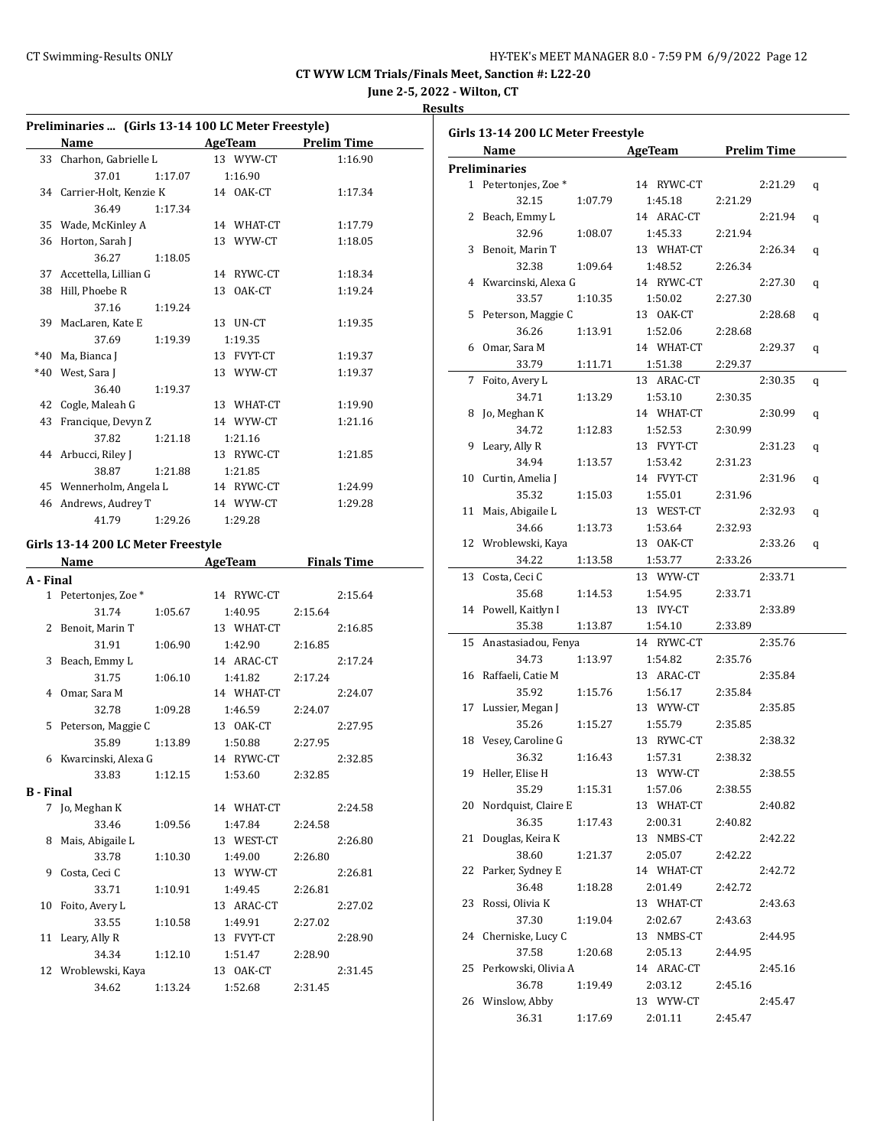**June 2-5, 2022 - Wilton, CT**

| u<br>` |  |
|--------|--|
|        |  |

| Preliminaries  (Girls 13-14 100 LC Meter Freestyle) |                                     |                                      |                    |  |  |  |  |  |
|-----------------------------------------------------|-------------------------------------|--------------------------------------|--------------------|--|--|--|--|--|
|                                                     | <b>Example 2018</b> AgeTeam<br>Name |                                      | <b>Prelim Time</b> |  |  |  |  |  |
|                                                     | 33 Charhon, Gabrielle L             | 13 WYW-CT                            | 1:16.90            |  |  |  |  |  |
|                                                     | 37.01<br>1:17.07                    | 1:16.90                              |                    |  |  |  |  |  |
|                                                     | 34 Carrier-Holt, Kenzie K           | 14 OAK-CT                            | 1:17.34            |  |  |  |  |  |
|                                                     | 36.49<br>1:17.34                    |                                      |                    |  |  |  |  |  |
|                                                     | 35 Wade, McKinley A                 | 14 WHAT-CT                           | 1:17.79            |  |  |  |  |  |
|                                                     | 36 Horton, Sarah J                  | 13 WYW-CT                            | 1:18.05            |  |  |  |  |  |
|                                                     | 36.27<br>1:18.05                    |                                      |                    |  |  |  |  |  |
|                                                     | 37 Accettella, Lillian G            | 14 RYWC-CT                           | 1:18.34            |  |  |  |  |  |
|                                                     | 38 Hill, Phoebe R                   | 13 OAK-CT                            | 1:19.24            |  |  |  |  |  |
|                                                     | 37.16<br>1:19.24                    |                                      |                    |  |  |  |  |  |
|                                                     | 39 MacLaren, Kate E                 | 13 UN-CT                             | 1:19.35            |  |  |  |  |  |
|                                                     | 37.69<br>1:19.39                    | 1:19.35                              |                    |  |  |  |  |  |
|                                                     | *40 Ma, Bianca J                    | 13 FVYT-CT                           | 1:19.37            |  |  |  |  |  |
|                                                     | *40 West, Sara J                    | 13 WYW-CT                            | 1:19.37            |  |  |  |  |  |
|                                                     | 36.40<br>1:19.37                    |                                      |                    |  |  |  |  |  |
|                                                     | 42 Cogle, Maleah G                  | 13 WHAT-CT                           | 1:19.90            |  |  |  |  |  |
|                                                     | 43 Francique, Devyn Z               | 14 WYW-CT                            | 1:21.16            |  |  |  |  |  |
|                                                     | 37.82<br>1:21.18                    | 1:21.16                              |                    |  |  |  |  |  |
|                                                     | 44 Arbucci, Riley J                 | 13 RYWC-CT                           | 1:21.85            |  |  |  |  |  |
|                                                     | 38.87<br>1:21.88                    | 1:21.85                              |                    |  |  |  |  |  |
|                                                     | 45 Wennerholm, Angela L             | 14 RYWC-CT                           | 1:24.99            |  |  |  |  |  |
|                                                     | 46 Andrews, Audrey T                | 14 WYW-CT                            | 1:29.28            |  |  |  |  |  |
|                                                     | 41.79                               | 1:29.26 1:29.28                      |                    |  |  |  |  |  |
|                                                     |                                     |                                      |                    |  |  |  |  |  |
|                                                     | Girls 13-14 200 LC Meter Freestyle  |                                      |                    |  |  |  |  |  |
|                                                     |                                     |                                      |                    |  |  |  |  |  |
|                                                     | Name                                | <b>Example 2 AgeTeam</b> Finals Time |                    |  |  |  |  |  |
|                                                     |                                     |                                      |                    |  |  |  |  |  |
| A - Final                                           | 1 Petertonjes, Zoe *                | 14 RYWC-CT                           | 2:15.64            |  |  |  |  |  |
|                                                     | 31.74<br>1:05.67                    | 1:40.95                              | 2:15.64            |  |  |  |  |  |
|                                                     | 2 Benoit, Marin T                   | 13 WHAT-CT                           | 2:16.85            |  |  |  |  |  |
|                                                     | 31.91<br>1:06.90                    | 1:42.90                              | 2:16.85            |  |  |  |  |  |
|                                                     | 3 Beach, Emmy L                     | 14 ARAC-CT                           | 2:17.24            |  |  |  |  |  |
|                                                     | 31.75<br>1:06.10                    | 1:41.82                              | 2:17.24            |  |  |  |  |  |
|                                                     | 4 Omar, Sara M                      | 14 WHAT-CT                           | 2:24.07            |  |  |  |  |  |
|                                                     | 32.78<br>1:09.28                    | 1:46.59                              | 2:24.07            |  |  |  |  |  |
|                                                     | 5 Peterson, Maggie C                | 13 OAK-CT                            | 2:27.95            |  |  |  |  |  |
|                                                     | 35.89<br>1:13.89                    | 1:50.88                              | 2:27.95            |  |  |  |  |  |
|                                                     | 6 Kwarcinski, Alexa G               | 14 RYWC-CT                           | 2:32.85            |  |  |  |  |  |
|                                                     | 33.83<br>1:12.15                    | 1:53.60                              | 2:32.85            |  |  |  |  |  |
| <b>B</b> - Final                                    |                                     |                                      |                    |  |  |  |  |  |
|                                                     | 7 Jo, Meghan K                      | 14 WHAT-CT                           | 2:24.58            |  |  |  |  |  |
|                                                     | 33.46<br>1:09.56                    | 1:47.84                              | 2:24.58            |  |  |  |  |  |
| 8                                                   | Mais, Abigaile L                    | 13 WEST-CT                           | 2:26.80            |  |  |  |  |  |
|                                                     | 33.78<br>1:10.30                    | 1:49.00                              | 2:26.80            |  |  |  |  |  |
| 9                                                   | Costa, Ceci C                       | 13 WYW-CT                            | 2:26.81            |  |  |  |  |  |
|                                                     | 33.71<br>1:10.91                    | 1:49.45                              | 2:26.81            |  |  |  |  |  |
| 10                                                  | Foito, Avery L                      | 13 ARAC-CT                           | 2:27.02            |  |  |  |  |  |
|                                                     | 33.55<br>1:10.58                    | 1:49.91                              | 2:27.02            |  |  |  |  |  |
| 11                                                  | Leary, Ally R                       | 13 FVYT-CT                           | 2:28.90            |  |  |  |  |  |
|                                                     | 34.34<br>1:12.10                    | 1:51.47                              | 2:28.90            |  |  |  |  |  |
| 12                                                  | Wroblewski, Kaya                    | 13 OAK-CT                            | 2:31.45            |  |  |  |  |  |
|                                                     | 34.62<br>1:13.24                    | 1:52.68                              | 2:31.45            |  |  |  |  |  |

|    | Name                   |         | AgeTeam    |         | <b>Prelim Time</b> |   |
|----|------------------------|---------|------------|---------|--------------------|---|
|    | <b>Preliminaries</b>   |         |            |         |                    |   |
|    | 1 Petertonjes, Zoe *   |         | 14 RYWC-CT |         | 2:21.29            | q |
|    | 32.15                  | 1:07.79 | 1:45.18    | 2:21.29 |                    |   |
|    | 2 Beach, Emmy L        |         | 14 ARAC-CT |         | 2:21.94            | q |
|    | 32.96                  | 1:08.07 | 1:45.33    | 2:21.94 |                    |   |
| 3  | Benoit, Marin T        |         | 13 WHAT-CT |         | 2:26.34            |   |
|    | 32.38                  | 1:09.64 | 1:48.52    | 2:26.34 |                    | q |
|    |                        |         |            |         |                    |   |
| 4  | Kwarcinski, Alexa G    |         | 14 RYWC-CT |         | 2:27.30            | q |
|    | 33.57                  | 1:10.35 | 1:50.02    | 2:27.30 |                    |   |
| 5  | Peterson, Maggie C     |         | 13 OAK-CT  |         | 2:28.68            | q |
|    | 36.26                  | 1:13.91 | 1:52.06    | 2:28.68 |                    |   |
| 6  | Omar, Sara M           |         | 14 WHAT-CT |         | 2:29.37            | q |
|    | 33.79                  | 1:11.71 | 1:51.38    | 2:29.37 |                    |   |
| 7  | Foito, Avery L         |         | 13 ARAC-CT |         | 2:30.35            | q |
|    | 34.71                  | 1:13.29 | 1:53.10    | 2:30.35 |                    |   |
| 8  | Jo, Meghan K           |         | 14 WHAT-CT |         | 2:30.99            | q |
|    | 34.72                  | 1:12.83 | 1:52.53    | 2:30.99 |                    |   |
| 9  | Leary, Ally R          |         | 13 FVYT-CT |         | 2:31.23            | q |
|    | 34.94                  | 1:13.57 | 1:53.42    | 2:31.23 |                    |   |
| 10 | Curtin, Amelia J       |         | 14 FVYT-CT |         | 2:31.96            | q |
|    | 35.32                  | 1:15.03 | 1:55.01    | 2:31.96 |                    |   |
| 11 | Mais, Abigaile L       |         | 13 WEST-CT |         | 2:32.93            | q |
|    | 34.66                  | 1:13.73 | 1:53.64    | 2:32.93 |                    |   |
| 12 | Wroblewski, Kaya       |         | 13 OAK-CT  |         | 2:33.26            | q |
|    | 34.22                  | 1:13.58 | 1:53.77    | 2:33.26 |                    |   |
| 13 | Costa, Ceci C          |         | 13 WYW-CT  |         | 2:33.71            |   |
|    | 35.68                  | 1:14.53 | 1:54.95    | 2:33.71 |                    |   |
|    | 14 Powell, Kaitlyn I   |         | 13 IVY-CT  |         | 2:33.89            |   |
|    | 35.38                  | 1:13.87 | 1:54.10    | 2:33.89 |                    |   |
| 15 | Anastasiadou, Fenya    |         | 14 RYWC-CT |         | 2:35.76            |   |
|    | 34.73                  | 1:13.97 | 1:54.82    | 2:35.76 |                    |   |
|    | 16 Raffaeli, Catie M   |         | 13 ARAC-CT |         | 2:35.84            |   |
|    | 35.92                  | 1:15.76 | 1:56.17    | 2:35.84 |                    |   |
|    | 17 Lussier, Megan J    |         | 13 WYW-CT  |         | 2:35.85            |   |
|    | 35.26                  | 1:15.27 | 1:55.79    | 2:35.85 |                    |   |
|    | 18 Vesey, Caroline G   |         | 13 RYWC-CT |         | 2:38.32            |   |
|    | 36.32                  | 1:16.43 | 1:57.31    | 2:38.32 |                    |   |
|    | 19 Heller, Elise H     |         | 13 WYW-CT  |         | 2:38.55            |   |
|    | 35.29                  | 1:15.31 | 1:57.06    | 2:38.55 |                    |   |
|    |                        |         |            |         |                    |   |
|    | 20 Nordquist, Claire E |         | 13 WHAT-CT |         | 2:40.82            |   |
|    | 36.35                  | 1:17.43 | 2:00.31    | 2:40.82 |                    |   |
| 21 | Douglas, Keira K       |         | 13 NMBS-CT |         | 2:42.22            |   |
|    | 38.60                  | 1:21.37 | 2:05.07    | 2:42.22 |                    |   |
| 22 | Parker, Sydney E       |         | 14 WHAT-CT |         | 2:42.72            |   |
|    | 36.48                  | 1:18.28 | 2:01.49    | 2:42.72 |                    |   |
| 23 | Rossi, Olivia K        |         | 13 WHAT-CT |         | 2:43.63            |   |
|    | 37.30                  | 1:19.04 | 2:02.67    | 2:43.63 |                    |   |
| 24 | Cherniske, Lucy C      |         | 13 NMBS-CT |         | 2:44.95            |   |
|    | 37.58                  | 1:20.68 | 2:05.13    | 2:44.95 |                    |   |
| 25 | Perkowski, Olivia A    |         | 14 ARAC-CT |         | 2:45.16            |   |
|    | 36.78                  | 1:19.49 | 2:03.12    | 2:45.16 |                    |   |
| 26 | Winslow, Abby          |         | 13 WYW-CT  |         | 2:45.47            |   |
|    | 36.31                  | 1:17.69 | 2:01.11    | 2:45.47 |                    |   |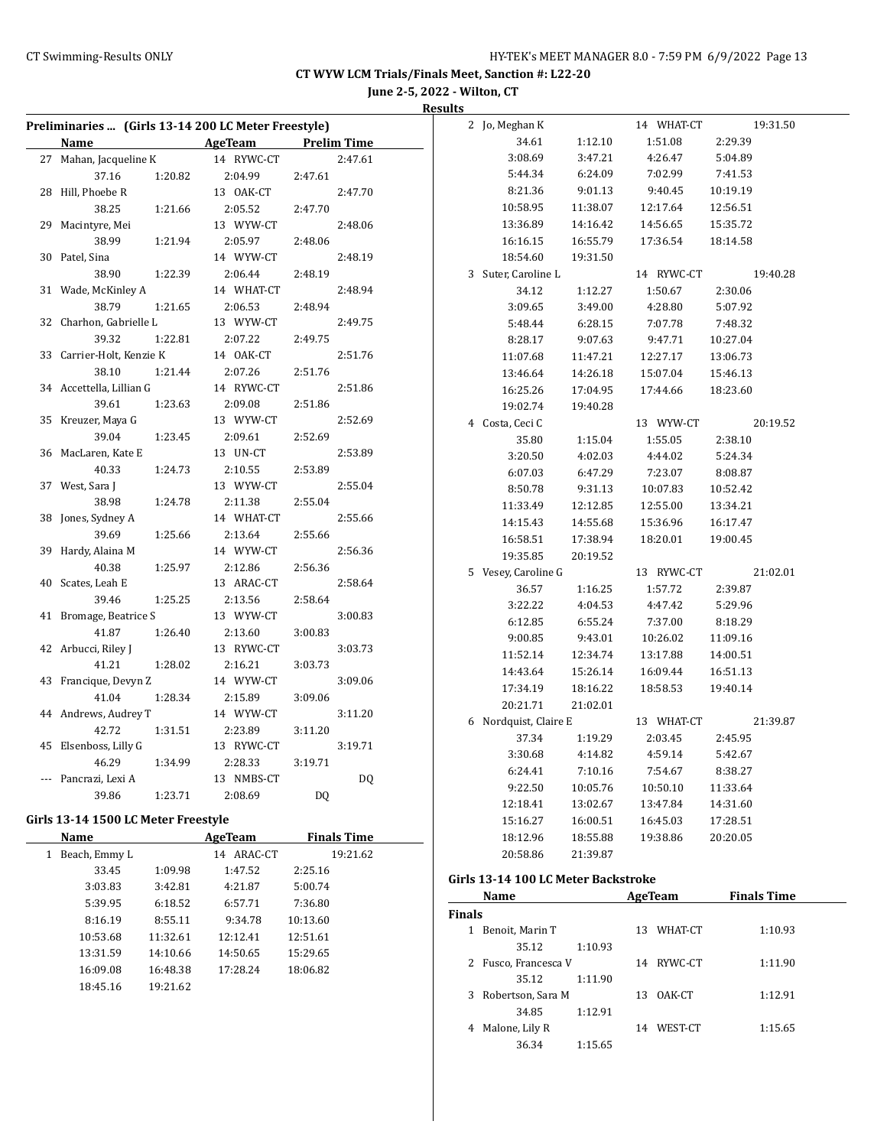**June 2-5, 2022 - Wilton, CT**

|                                                     |            |                    |         | <b>Results</b> |                       |          |            |          |          |
|-----------------------------------------------------|------------|--------------------|---------|----------------|-----------------------|----------|------------|----------|----------|
| Preliminaries  (Girls 13-14 200 LC Meter Freestyle) |            |                    |         |                | 2 Jo, Meghan K        |          | 14 WHAT-CT |          | 19:31.50 |
| Name                                                | AgeTeam    | <b>Prelim Time</b> |         |                | 34.61                 | 1:12.10  | 1:51.08    | 2:29.39  |          |
| 27 Mahan, Jacqueline K                              | 14 RYWC-CT |                    | 2:47.61 |                | 3:08.69               | 3:47.21  | 4:26.47    | 5:04.89  |          |
| 37.16<br>1:20.82                                    | 2:04.99    | 2:47.61            |         |                | 5:44.34               | 6:24.09  | 7:02.99    | 7:41.53  |          |
| 28 Hill, Phoebe R                                   | 13 OAK-CT  |                    | 2:47.70 |                | 8:21.36               | 9:01.13  | 9:40.45    | 10:19.19 |          |
| 38.25<br>1:21.66                                    | 2:05.52    | 2:47.70            |         |                | 10:58.95              | 11:38.07 | 12:17.64   | 12:56.51 |          |
| 29 Macintyre, Mei                                   | 13 WYW-CT  |                    | 2:48.06 |                | 13:36.89              | 14:16.42 | 14:56.65   | 15:35.72 |          |
| 38.99<br>1:21.94                                    | 2:05.97    | 2:48.06            |         |                | 16:16.15              | 16:55.79 | 17:36.54   | 18:14.58 |          |
| 30 Patel, Sina                                      | 14 WYW-CT  |                    | 2:48.19 |                | 18:54.60              | 19:31.50 |            |          |          |
| 38.90<br>1:22.39                                    | 2:06.44    | 2:48.19            |         |                | 3 Suter, Caroline L   |          | 14 RYWC-CT |          | 19:40.28 |
| 31 Wade, McKinley A                                 | 14 WHAT-CT |                    | 2:48.94 |                | 34.12                 | 1:12.27  | 1:50.67    | 2:30.06  |          |
| 38.79<br>1:21.65                                    | 2:06.53    | 2:48.94            |         |                | 3:09.65               | 3:49.00  | 4:28.80    | 5:07.92  |          |
| 32 Charhon, Gabrielle L                             | 13 WYW-CT  |                    | 2:49.75 |                | 5:48.44               | 6:28.15  | 7:07.78    | 7:48.32  |          |
| 39.32<br>1:22.81                                    | 2:07.22    | 2:49.75            |         |                | 8:28.17               | 9:07.63  | 9:47.71    | 10:27.04 |          |
| 33 Carrier-Holt, Kenzie K                           | 14 OAK-CT  |                    | 2:51.76 |                | 11:07.68              | 11:47.21 | 12:27.17   | 13:06.73 |          |
| 38.10<br>1:21.44                                    | 2:07.26    | 2:51.76            |         |                | 13:46.64              | 14:26.18 | 15:07.04   | 15:46.13 |          |
| 34 Accettella, Lillian G                            | 14 RYWC-CT |                    | 2:51.86 |                | 16:25.26              | 17:04.95 | 17:44.66   | 18:23.60 |          |
| 39.61<br>1:23.63                                    | 2:09.08    | 2:51.86            |         |                | 19:02.74              | 19:40.28 |            |          |          |
| 35 Kreuzer, Maya G                                  | 13 WYW-CT  |                    | 2:52.69 |                | 4 Costa, Ceci C       |          | 13 WYW-CT  |          | 20:19.52 |
| 39.04<br>1:23.45                                    | 2:09.61    | 2:52.69            |         |                | 35.80                 | 1:15.04  | 1:55.05    | 2:38.10  |          |
| 36 MacLaren, Kate E                                 | 13 UN-CT   |                    | 2:53.89 |                | 3:20.50               | 4:02.03  | 4:44.02    | 5:24.34  |          |
| 40.33<br>1:24.73                                    | 2:10.55    | 2:53.89            |         |                | 6:07.03               | 6:47.29  | 7:23.07    | 8:08.87  |          |
| 37 West, Sara J                                     | 13 WYW-CT  |                    | 2:55.04 |                | 8:50.78               | 9:31.13  | 10:07.83   | 10:52.42 |          |
| 38.98<br>1:24.78                                    | 2:11.38    | 2:55.04            |         |                | 11:33.49              | 12:12.85 | 12:55.00   | 13:34.21 |          |
| 38 Jones, Sydney A                                  | 14 WHAT-CT |                    | 2:55.66 |                | 14:15.43              | 14:55.68 | 15:36.96   | 16:17.47 |          |
| 39.69<br>1:25.66                                    | 2:13.64    | 2:55.66            |         |                | 16:58.51              | 17:38.94 | 18:20.01   | 19:00.45 |          |
| 39 Hardy, Alaina M                                  | 14 WYW-CT  |                    | 2:56.36 |                | 19:35.85              | 20:19.52 |            |          |          |
| 40.38<br>1:25.97                                    | 2:12.86    | 2:56.36            |         |                | 5 Vesey, Caroline G   |          | 13 RYWC-CT |          | 21:02.01 |
| 40 Scates, Leah E                                   | 13 ARAC-CT |                    | 2:58.64 |                | 36.57                 | 1:16.25  | 1:57.72    | 2:39.87  |          |
| 39.46<br>1:25.25                                    | 2:13.56    | 2:58.64            |         |                | 3:22.22               | 4:04.53  | 4:47.42    | 5:29.96  |          |
| 41 Bromage, Beatrice S                              | 13 WYW-CT  |                    | 3:00.83 |                | 6:12.85               | 6:55.24  | 7:37.00    | 8:18.29  |          |
| 41.87<br>1:26.40                                    | 2:13.60    | 3:00.83            |         |                | 9:00.85               | 9:43.01  | 10:26.02   | 11:09.16 |          |
| 42 Arbucci, Riley J                                 | 13 RYWC-CT |                    | 3:03.73 |                | 11:52.14              | 12:34.74 | 13:17.88   | 14:00.51 |          |
| 1:28.02<br>41.21                                    | 2:16.21    | 3:03.73            |         |                | 14:43.64              | 15:26.14 | 16:09.44   | 16:51.13 |          |
| 43 Francique, Devyn Z                               | 14 WYW-CT  |                    | 3:09.06 |                | 17:34.19              | 18:16.22 | 18:58.53   | 19:40.14 |          |
| 41.04<br>1:28.34                                    | 2:15.89    | 3:09.06            |         |                | 20:21.71              | 21:02.01 |            |          |          |
| 44 Andrews, Audrey T                                | 14 WYW-CT  |                    | 3:11.20 |                | 6 Nordquist, Claire E |          | 13 WHAT-CT |          | 21:39.87 |
| 42.72<br>1:31.51                                    | 2:23.89    | 3:11.20            |         |                | 37.34                 | 1:19.29  | 2:03.45    | 2:45.95  |          |
| 45 Elsenboss, Lilly G                               | 13 RYWC-CT |                    | 3:19.71 |                | 3:30.68               | 4:14.82  | 4:59.14    | 5:42.67  |          |
| 46.29<br>1:34.99                                    | 2:28.33    | 3:19.71            |         |                | 6:24.41               | 7:10.16  | 7:54.67    | 8:38.27  |          |
| --- Pancrazi, Lexi A                                | 13 NMBS-CT |                    | DQ      |                | 9:22.50               | 10:05.76 | 10:50.10   | 11:33.64 |          |
| 39.86<br>1:23.71                                    | 2:08.69    | DQ                 |         |                | 12:18.41              | 13:02.67 | 13:47.84   | 14:31.60 |          |
| Girls 13-14 1500 LC Meter Freestyle                 |            |                    |         |                |                       |          | 16:45.03   |          |          |
|                                                     |            |                    |         |                | 15:16.27              | 16:00.51 |            | 17:28.51 |          |

#### **Girls 13-14 1500 LC Meter Freestyle**

| Name               |          | AgeTeam    | <b>Finals Time</b> |  |
|--------------------|----------|------------|--------------------|--|
| Beach, Emmy L<br>1 |          | 14 ARAC-CT | 19:21.62           |  |
| 33.45              | 1:09.98  | 1:47.52    | 2:25.16            |  |
| 3:03.83            | 3:42.81  | 4:21.87    | 5:00.74            |  |
| 5:39.95            | 6:18.52  | 6:57.71    | 7:36.80            |  |
| 8:16.19            | 8:55.11  | 9:34.78    | 10:13.60           |  |
| 10:53.68           | 11:32.61 | 12:12.41   | 12:51.61           |  |
| 13:31.59           | 14:10.66 | 14:50.65   | 15:29.65           |  |
| 16:09.08           | 16:48.38 | 17:28.24   | 18:06.82           |  |
| 18:45.16           | 19:21.62 |            |                    |  |

# 20:58.86 21:39.87 **Girls 13-14 100 LC Meter Backstroke**

|               | Name                 |         |     | AgeTeam    | <b>Finals Time</b> |  |
|---------------|----------------------|---------|-----|------------|--------------------|--|
| <b>Finals</b> |                      |         |     |            |                    |  |
| 1             | Benoit, Marin T      |         | 13  | WHAT-CT    | 1:10.93            |  |
|               | 35.12                | 1:10.93 |     |            |                    |  |
|               | 2 Fusco, Francesca V |         |     | 14 RYWC-CT | 1:11.90            |  |
|               | 35.12                | 1:11.90 |     |            |                    |  |
| 3             | Robertson, Sara M    |         | 13. | OAK-CT     | 1:12.91            |  |
|               | 34.85                | 1:12.91 |     |            |                    |  |
| 4             | Malone, Lily R       |         | 14  | WEST-CT    | 1:15.65            |  |
|               | 36.34                | 1:15.65 |     |            |                    |  |

18:12.96 18:55.88 19:38.86 20:20.05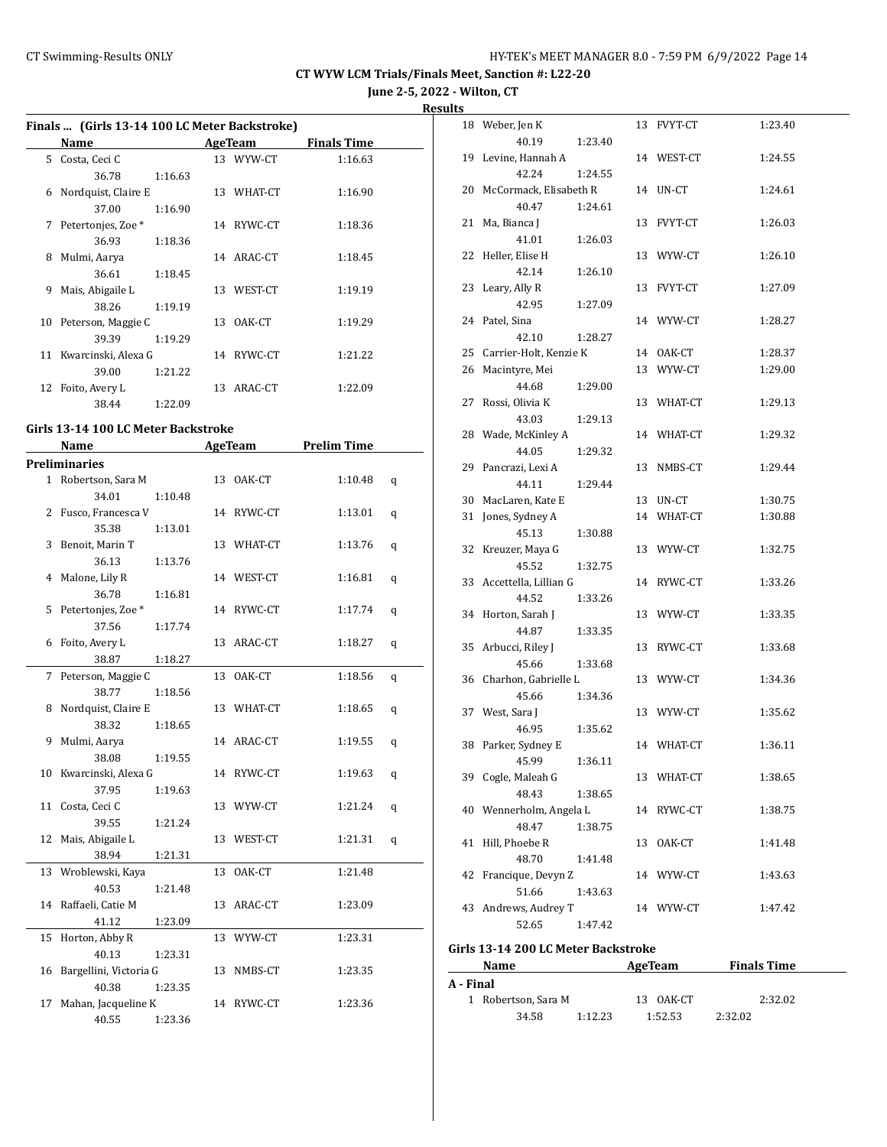**June 2-5, 2022 - Wilton, CT**

**Results**

|    | Finals  (Girls 13-14 100 LC Meter Backstroke) |         |    |                |                    |   |
|----|-----------------------------------------------|---------|----|----------------|--------------------|---|
|    | Name<br><u> Alban Alban (</u>                 |         |    | AgeTeam        | <b>Finals Time</b> |   |
|    | 5 Costa, Ceci C                               |         |    | 13 WYW-CT      | 1:16.63            |   |
|    | 36.78                                         | 1:16.63 |    |                |                    |   |
|    | 6 Nordquist, Claire E                         |         |    | 13 WHAT-CT     | 1:16.90            |   |
|    | 37.00                                         | 1:16.90 |    |                |                    |   |
|    | 7 Petertonjes, Zoe *                          |         |    | 14 RYWC-CT     | 1:18.36            |   |
|    | 36.93                                         | 1:18.36 |    |                |                    |   |
| 8  | Mulmi, Aarya                                  |         |    | 14 ARAC-CT     | 1:18.45            |   |
|    | 36.61                                         | 1:18.45 |    |                |                    |   |
| 9  | Mais, Abigaile L                              |         |    | 13 WEST-CT     | 1:19.19            |   |
|    | 38.26                                         | 1:19.19 |    |                |                    |   |
|    | 10 Peterson, Maggie C                         |         |    | 13 OAK-CT      | 1:19.29            |   |
|    | 39.39                                         | 1:19.29 |    |                |                    |   |
|    | 11 Kwarcinski, Alexa G                        |         |    | 14 RYWC-CT     | 1:21.22            |   |
|    | 39.00                                         | 1:21.22 |    |                |                    |   |
|    | 12 Foito, Avery L                             |         |    | 13 ARAC-CT     | 1:22.09            |   |
|    | 38.44                                         | 1:22.09 |    |                |                    |   |
|    | Girls 13-14 100 LC Meter Backstroke           |         |    |                |                    |   |
|    | Name                                          |         |    | <b>AgeTeam</b> | <b>Prelim Time</b> |   |
|    |                                               |         |    |                |                    |   |
|    | <b>Preliminaries</b>                          |         |    |                |                    |   |
|    | 1 Robertson, Sara M                           |         |    | 13 OAK-CT      | 1:10.48            | q |
|    | 34.01                                         | 1:10.48 |    |                |                    |   |
| 2  | Fusco, Francesca V                            |         |    | 14 RYWC-CT     | 1:13.01            | q |
|    | 35.38                                         | 1:13.01 |    |                |                    |   |
| 3  | Benoit, Marin T                               |         |    | 13 WHAT-CT     | 1:13.76            | q |
|    | 36.13                                         | 1:13.76 |    |                |                    |   |
| 4  | Malone, Lily R                                |         |    | 14 WEST-CT     | 1:16.81            | q |
|    | 36.78                                         | 1:16.81 |    |                |                    |   |
|    | 5 Petertonjes, Zoe *                          |         |    | 14 RYWC-CT     | 1:17.74            | q |
|    | 37.56                                         | 1:17.74 |    |                |                    |   |
|    | 6 Foito, Avery L                              |         |    | 13 ARAC-CT     | 1:18.27            | q |
|    | 38.87                                         | 1:18.27 |    |                |                    |   |
| 7  | Peterson, Maggie C                            |         |    | 13 OAK-CT      | 1:18.56            | q |
|    | 38.77                                         | 1:18.56 |    |                |                    |   |
| 8  | Nordquist, Claire E                           |         |    | 13 WHAT-CT     | 1:18.65            | q |
|    | 38.32                                         | 1:18.65 |    |                |                    |   |
| 9  | Mulmi, Aarya                                  |         |    | 14 ARAC-CT     | 1:19.55            | q |
|    | 38.08                                         | 1:19.55 |    |                |                    |   |
|    | 10 Kwarcinski, Alexa G                        |         |    | 14 RYWC-CT     | 1:19.63            | q |
|    | 37.95                                         | 1:19.63 |    |                |                    |   |
| 11 | Costa, Ceci C                                 |         |    | 13 WYW-CT      | 1:21.24            | q |
|    | 39.55                                         | 1:21.24 |    |                |                    |   |
| 12 | Mais, Abigaile L                              |         |    | 13 WEST-CT     | 1:21.31            | q |
|    | 38.94                                         | 1:21.31 |    |                |                    |   |
| 13 | Wroblewski, Kaya                              |         | 13 | OAK-CT         | 1:21.48            |   |
|    | 40.53                                         | 1:21.48 |    |                |                    |   |
| 14 | Raffaeli, Catie M                             |         |    | 13 ARAC-CT     | 1:23.09            |   |
|    | 41.12                                         | 1:23.09 |    |                |                    |   |

15 Horton, Abby R 13 WYW-CT 1:23.31

16 Bargellini, Victoria G 13 NMBS-CT 1:23.35

17 Mahan, Jacqueline K 14 RYWC-CT 1:23.36

40.13 1:23.31

40.38 1:23.35

40.55 1:23.36

|    | 18 Weber, Jen K           |         | 13 FVYT-CT | 1:23.40 |
|----|---------------------------|---------|------------|---------|
|    | 40.19                     | 1:23.40 |            |         |
| 19 | Levine, Hannah A          |         | 14 WEST-CT | 1:24.55 |
|    | 42.24                     | 1:24.55 |            |         |
|    | 20 McCormack, Elisabeth R |         | 14 UN-CT   | 1:24.61 |
|    | 40.47                     | 1:24.61 |            |         |
| 21 | Ma, Bianca J              |         | 13 FVYT-CT | 1:26.03 |
|    | 41.01                     | 1:26.03 |            |         |
|    | 22 Heller, Elise H        |         | 13 WYW-CT  | 1:26.10 |
|    | 42.14                     | 1:26.10 |            |         |
|    | 23 Leary, Ally R          |         | 13 FVYT-CT | 1:27.09 |
|    | 42.95                     | 1:27.09 |            |         |
|    | 24 Patel, Sina            |         | 14 WYW-CT  | 1:28.27 |
|    | 42.10                     | 1:28.27 |            |         |
|    | 25 Carrier-Holt, Kenzie K |         | 14 OAK-CT  | 1:28.37 |
|    | 26 Macintyre, Mei         |         | 13 WYW-CT  | 1:29.00 |
|    | 44.68                     | 1:29.00 |            |         |
| 27 | Rossi, Olivia K           |         | 13 WHAT-CT | 1:29.13 |
|    | 43.03                     | 1:29.13 |            |         |
| 28 | Wade, McKinley A          |         | 14 WHAT-CT | 1:29.32 |
|    | 44.05                     | 1:29.32 |            |         |
|    | 29 Pancrazi, Lexi A       |         | 13 NMBS-CT | 1:29.44 |
|    | 44.11                     | 1:29.44 |            |         |
|    | 30 MacLaren, Kate E       |         | 13 UN-CT   | 1:30.75 |
|    | 31 Jones, Sydney A        |         | 14 WHAT-CT | 1:30.88 |
|    | 45.13                     | 1:30.88 |            |         |
|    | 32 Kreuzer, Maya G        |         | 13 WYW-CT  | 1:32.75 |
|    | 45.52                     | 1:32.75 |            |         |
|    | 33 Accettella, Lillian G  |         | 14 RYWC-CT | 1:33.26 |
|    | 44.52                     | 1:33.26 |            |         |
| 34 | Horton, Sarah J           |         | 13 WYW-CT  | 1:33.35 |
|    | 44.87                     | 1:33.35 |            |         |
|    | 35 Arbucci, Riley J       |         | 13 RYWC-CT | 1:33.68 |
|    | 45.66                     | 1:33.68 |            |         |
| 36 | Charhon, Gabrielle L      |         | 13 WYW-CT  | 1:34.36 |
|    | 45.66                     | 1:34.36 |            |         |
|    | 37 West, Sara J           |         | 13 WYW-CT  | 1:35.62 |
|    | 46.95                     | 1:35.62 |            |         |
|    | 38 Parker, Sydney E       |         | 14 WHAT-CT | 1:36.11 |
|    | 45.99 1:36.11             |         |            |         |
|    | 39 Cogle, Maleah G        |         | 13 WHAT-CT | 1:38.65 |
|    | 48.43                     | 1:38.65 |            |         |
| 40 | Wennerholm, Angela L      |         | 14 RYWC-CT | 1:38.75 |
|    | 48.47                     | 1:38.75 |            |         |
| 41 | Hill, Phoebe R            |         | 13 OAK-CT  | 1:41.48 |
|    | 48.70                     | 1:41.48 |            |         |
| 42 | Francique, Devyn Z        |         | 14 WYW-CT  | 1:43.63 |
|    | 51.66                     | 1:43.63 |            |         |
| 43 | Andrews, Audrey T         |         | 14 WYW-CT  | 1:47.42 |
|    | 52.65                     | 1:47.42 |            |         |
|    |                           |         |            |         |

#### **Girls 13-14 200 LC Meter Backstroke**

|           | Name                |         | AgeTeam   | <b>Finals Time</b> |  |
|-----------|---------------------|---------|-----------|--------------------|--|
| A - Final |                     |         |           |                    |  |
|           | 1 Robertson, Sara M |         | 13 OAK-CT | 2:32.02            |  |
|           | 34.58               | 1:12.23 | 1:52.53   | 2:32.02            |  |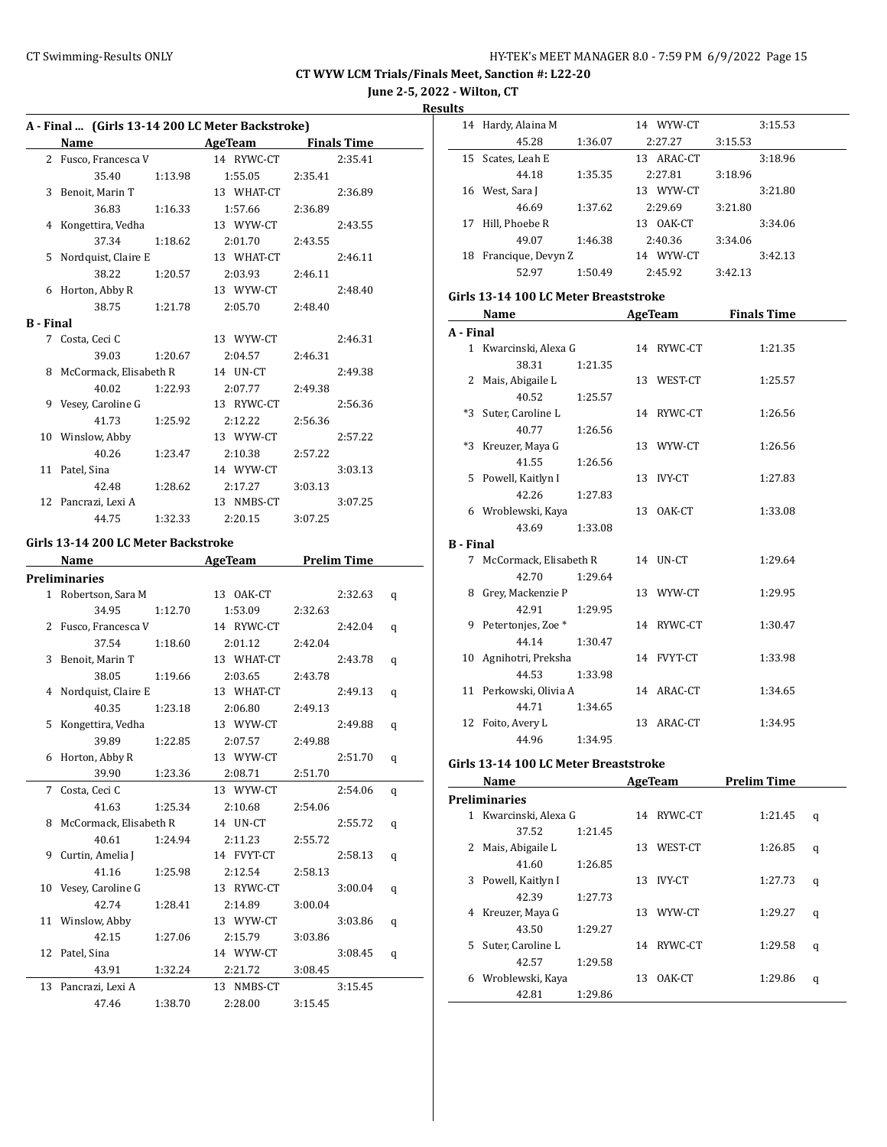**June 2-5, 2022 - Wilton, CT**

**Results**

| A - Final  (Girls 13-14 200 LC Meter Backstroke) |                                     |         |                 |         |                    |   |  |
|--------------------------------------------------|-------------------------------------|---------|-----------------|---------|--------------------|---|--|
|                                                  | Name AgeTeam Finals Time            |         |                 |         |                    |   |  |
|                                                  | 2 Fusco, Francesca V                |         | 14 RYWC-CT      |         | 2:35.41            |   |  |
|                                                  | 35.40                               |         | 1:13.98 1:55.05 | 2:35.41 |                    |   |  |
|                                                  | 3 Benoit, Marin T                   |         | 13 WHAT-CT      |         | 2:36.89            |   |  |
|                                                  | 36.83                               | 1:16.33 | 1:57.66         | 2:36.89 |                    |   |  |
|                                                  | 4 Kongettira, Vedha                 |         | 13 WYW-CT       |         | 2:43.55            |   |  |
|                                                  | 37.34                               | 1:18.62 | 2:01.70         | 2:43.55 |                    |   |  |
|                                                  | 5 Nordquist, Claire E               |         | 13 WHAT-CT      |         | 2:46.11            |   |  |
|                                                  | 38.22                               | 1:20.57 | 2:03.93         | 2:46.11 |                    |   |  |
|                                                  | 6 Horton, Abby R                    |         | 13 WYW-CT       |         | 2:48.40            |   |  |
|                                                  | 38.75                               | 1:21.78 | 2:05.70         | 2:48.40 |                    |   |  |
| <b>B</b> - Final                                 |                                     |         |                 |         |                    |   |  |
|                                                  | 7 Costa, Ceci C                     |         | 13 WYW-CT       |         | 2:46.31            |   |  |
|                                                  |                                     |         |                 |         |                    |   |  |
|                                                  | 39.03                               | 1:20.67 | 2:04.57         | 2:46.31 |                    |   |  |
|                                                  | 8 McCormack, Elisabeth R            |         | 14 UN-CT        |         | 2:49.38            |   |  |
|                                                  | 40.02                               | 1:22.93 | 2:07.77         | 2:49.38 |                    |   |  |
|                                                  | 9 Vesey, Caroline G                 |         | 13 RYWC-CT      |         | 2:56.36            |   |  |
|                                                  | 41.73                               | 1:25.92 | 2:12.22         | 2:56.36 |                    |   |  |
|                                                  | 10 Winslow, Abby                    |         | 13 WYW-CT       |         | 2:57.22            |   |  |
|                                                  | 40.26                               | 1:23.47 | 2:10.38         | 2:57.22 |                    |   |  |
|                                                  | 11 Patel, Sina                      |         | 14 WYW-CT       |         | 3:03.13            |   |  |
|                                                  | 42.48                               | 1:28.62 | 2:17.27         | 3:03.13 |                    |   |  |
|                                                  | 12 Pancrazi, Lexi A                 |         | 13 NMBS-CT      |         | 3:07.25            |   |  |
|                                                  | 44.75                               | 1:32.33 | 2:20.15         | 3:07.25 |                    |   |  |
|                                                  | Girls 13-14 200 LC Meter Backstroke |         |                 |         |                    |   |  |
|                                                  | Name AgeTeam                        |         |                 |         | <b>Prelim Time</b> |   |  |
|                                                  | <b>Preliminaries</b>                |         |                 |         |                    |   |  |
|                                                  | 1 Robertson, Sara M                 |         | 13 OAK-CT       |         | 2:32.63            | q |  |
|                                                  | 34.95                               | 1:12.70 | 1:53.09         | 2:32.63 |                    |   |  |
|                                                  | 2 Fusco, Francesca V                |         | 14 RYWC-CT      |         | 2:42.04            |   |  |
|                                                  |                                     |         |                 |         |                    | q |  |
|                                                  | 37.54                               | 1:18.60 | 2:01.12         | 2:42.04 |                    |   |  |
|                                                  | 3 Benoit, Marin T                   |         | 13 WHAT-CT      |         | 2:43.78            | q |  |
|                                                  | 38.05                               | 1:19.66 | 2:03.65         | 2:43.78 |                    |   |  |
|                                                  | 4 Nordquist, Claire E               |         | 13 WHAT-CT      |         | 2:49.13            | q |  |
|                                                  | 40.35                               | 1:23.18 | 2:06.80         | 2:49.13 |                    |   |  |
|                                                  | 5 Kongettira, Vedha                 |         | 13 WYW-CT       |         | 2:49.88            | q |  |
|                                                  | 39.89                               | 1:22.85 | 2:07.57         | 2:49.88 |                    |   |  |
| 6                                                | Horton, Abby R                      |         | 13 WYW-CT       |         | 2:51.70            | q |  |
|                                                  | 39.90                               | 1:23.36 | 2:08.71         | 2:51.70 |                    |   |  |
| 7                                                | Costa, Ceci C                       |         | 13 WYW-CT       |         | 2:54.06            | q |  |
|                                                  | 41.63                               | 1:25.34 | 2:10.68         | 2:54.06 |                    |   |  |
| 8                                                | McCormack, Elisabeth R              |         | 14 UN-CT        |         | 2:55.72            | q |  |
|                                                  | 40.61                               | 1:24.94 | 2:11.23         | 2:55.72 |                    |   |  |
| 9                                                | Curtin, Amelia J                    |         | 14 FVYT-CT      |         | 2:58.13            | q |  |
|                                                  | 41.16                               | 1:25.98 | 2:12.54         | 2:58.13 |                    |   |  |
|                                                  | 10 Vesey, Caroline G                |         | 13 RYWC-CT      |         | 3:00.04            | q |  |
|                                                  | 42.74                               | 1:28.41 | 2:14.89         | 3:00.04 |                    |   |  |
| 11                                               | Winslow, Abby                       |         | 13 WYW-CT       |         | 3:03.86            | q |  |
|                                                  | 42.15                               | 1:27.06 | 2:15.79         | 3:03.86 |                    |   |  |
| 12                                               | Patel, Sina                         |         | 14 WYW-CT       |         | 3:08.45            | q |  |
|                                                  | 43.91                               | 1:32.24 | 2:21.72         | 3:08.45 |                    |   |  |
| 13                                               | Pancrazi, Lexi A                    |         | 13 NMBS-CT      |         | 3:15.45            |   |  |
|                                                  | 47.46                               | 1:38.70 | 2:28.00         | 3:15.45 |                    |   |  |

|                  | 14 Hardy, Alaina M                    |         | 14 WYW-CT                            |         | 3:15.53 |
|------------------|---------------------------------------|---------|--------------------------------------|---------|---------|
|                  | 45.28                                 | 1:36.07 | 2:27.27                              | 3:15.53 |         |
|                  | 15 Scates, Leah E                     |         | 13 ARAC-CT                           |         | 3:18.96 |
|                  | 44.18                                 | 1:35.35 | 2:27.81                              | 3:18.96 |         |
|                  | 16 West, Sara J                       |         | 13 WYW-CT                            |         | 3:21.80 |
|                  | 46.69                                 | 1:37.62 | 2:29.69                              | 3:21.80 |         |
|                  | 17 Hill, Phoebe R                     |         | 13 OAK-CT                            |         | 3:34.06 |
|                  | 49.07                                 | 1:46.38 | 2:40.36                              | 3:34.06 |         |
|                  | 18 Francique, Devyn Z                 |         | 14 WYW-CT                            |         | 3:42.13 |
|                  | 52.97                                 | 1:50.49 | 2:45.92                              | 3:42.13 |         |
|                  | Girls 13-14 100 LC Meter Breaststroke |         |                                      |         |         |
|                  | Name                                  |         | <b>Example 2 AgeTeam</b> Finals Time |         |         |
| A - Final        |                                       |         |                                      |         |         |
|                  | 1 Kwarcinski, Alexa G                 |         | 14 RYWC-CT                           |         | 1:21.35 |
|                  | 38.31                                 | 1:21.35 |                                      |         |         |
|                  | 2 Mais, Abigaile L                    |         | 13 WEST-CT                           |         | 1:25.57 |
|                  | 40.52                                 | 1:25.57 |                                      |         |         |
|                  | *3 Suter, Caroline L                  |         | 14 RYWC-CT                           |         | 1:26.56 |
|                  | 40.77                                 | 1:26.56 |                                      |         |         |
|                  | *3 Kreuzer, Maya G                    |         | 13 WYW-CT                            |         | 1:26.56 |
|                  | 41.55                                 | 1:26.56 |                                      |         |         |
|                  | 5 Powell, Kaitlyn I                   |         | 13 IVY-CT                            |         | 1:27.83 |
|                  | 42.26                                 | 1:27.83 |                                      |         |         |
|                  | 6 Wroblewski, Kaya                    |         | 13 OAK-CT                            |         | 1:33.08 |
|                  | 43.69                                 | 1:33.08 |                                      |         |         |
| <b>B</b> - Final |                                       |         |                                      |         |         |
|                  | 7 McCormack, Elisabeth R              |         | 14 UN-CT                             |         | 1:29.64 |
|                  | 42.70                                 | 1:29.64 |                                      |         |         |
|                  | 8 Grey, Mackenzie P                   |         | 13 WYW-CT                            |         | 1:29.95 |
|                  | 42.91                                 | 1:29.95 |                                      |         |         |
|                  | 9 Petertonjes, Zoe *                  |         | 14 RYWC-CT                           |         | 1:30.47 |
|                  | 44.14                                 | 1:30.47 |                                      |         |         |
|                  | 10 Agnihotri, Preksha                 |         | 14 FVYT-CT                           |         | 1:33.98 |
|                  | 44.53                                 | 1:33.98 |                                      |         |         |
|                  | 11 Perkowski, Olivia A                |         | 14 ARAC-CT                           |         | 1:34.65 |
|                  | 44.71                                 | 1:34.65 |                                      |         |         |
|                  | 12 Foito, Avery L                     |         | 13 ARAC-CT                           |         | 1:34.95 |
|                  | 44.96                                 | 1:34.95 |                                      |         |         |
|                  | Girls 13-14 100 LC Meter Breaststroke |         |                                      |         |         |

|              | Name                 |         |    | AgeTeam       | <b>Prelim Time</b> |   |
|--------------|----------------------|---------|----|---------------|--------------------|---|
|              | <b>Preliminaries</b> |         |    |               |                    |   |
| $\mathbf{1}$ | Kwarcinski, Alexa G  |         | 14 | RYWC-CT       | 1:21.45            | q |
|              | 37.52                | 1:21.45 |    |               |                    |   |
| 2            | Mais, Abigaile L     |         | 13 | WEST-CT       | 1:26.85            | q |
|              | 41.60                | 1:26.85 |    |               |                    |   |
| 3            | Powell, Kaitlyn I    |         | 13 | <b>IVY-CT</b> | 1:27.73            | q |
|              | 42.39                | 1:27.73 |    |               |                    |   |
| 4            | Kreuzer, Maya G      |         | 13 | WYW-CT        | 1:29.27            | q |
|              | 43.50                | 1:29.27 |    |               |                    |   |
| 5.           | Suter, Caroline L    |         | 14 | RYWC-CT       | 1:29.58            | q |
|              | 42.57                | 1:29.58 |    |               |                    |   |
| 6            | Wroblewski, Kaya     |         | 13 | OAK-CT        | 1:29.86            | q |
|              | 42.81                | 1:29.86 |    |               |                    |   |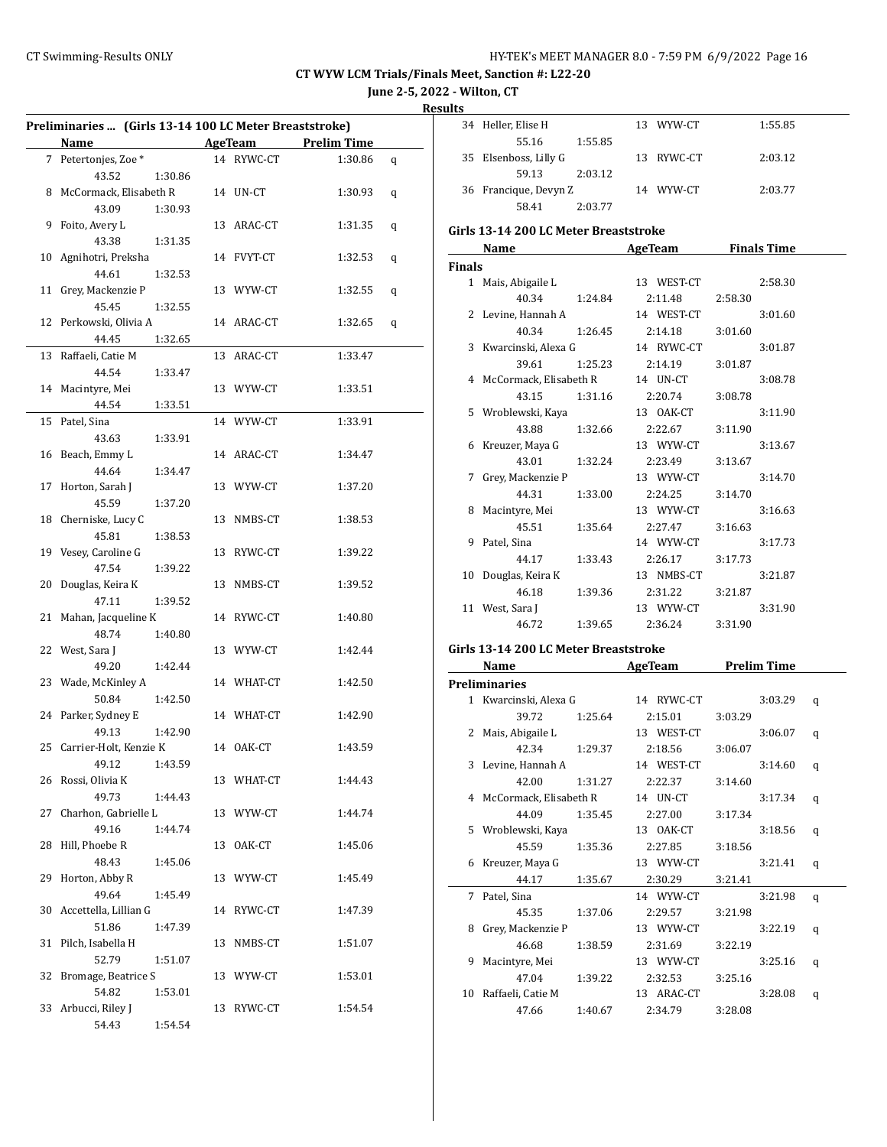**June 2-5, 2022 - Wilton, CT**

**Results**

| Preliminaries  (Girls 13-14 100 LC Meter Breaststroke) |                              |         |    |            |                    |   |
|--------------------------------------------------------|------------------------------|---------|----|------------|--------------------|---|
|                                                        | <b>Name</b>                  |         |    | AgeTeam    | <b>Prelim Time</b> |   |
|                                                        | 7 Petertonjes, Zoe *         |         |    | 14 RYWC-CT | 1:30.86            | q |
|                                                        | 43.52                        | 1:30.86 |    |            |                    |   |
|                                                        | 8 McCormack, Elisabeth R     |         |    | 14 UN-CT   | 1:30.93            | q |
|                                                        | 43.09                        | 1:30.93 |    |            |                    |   |
| 9                                                      | Foito, Avery L               |         |    | 13 ARAC-CT | 1:31.35            | q |
|                                                        | 43.38                        | 1:31.35 |    |            |                    |   |
|                                                        | 10 Agnihotri, Preksha        |         |    | 14 FVYT-CT | 1:32.53            | q |
|                                                        | 44.61                        | 1:32.53 |    |            |                    |   |
|                                                        | 11 Grey, Mackenzie P         |         |    | 13 WYW-CT  | 1:32.55            |   |
|                                                        | 45.45                        | 1:32.55 |    |            |                    | q |
|                                                        |                              |         |    | 14 ARAC-CT |                    |   |
|                                                        | 12 Perkowski, Olivia A       |         |    |            | 1:32.65            | q |
|                                                        | 44.45                        | 1:32.65 |    |            |                    |   |
| 13                                                     | Raffaeli, Catie M            |         |    | 13 ARAC-CT | 1:33.47            |   |
|                                                        | 44.54                        | 1:33.47 |    |            |                    |   |
|                                                        | 14 Macintyre, Mei            |         |    | 13 WYW-CT  | 1:33.51            |   |
|                                                        | 44.54                        | 1:33.51 |    |            |                    |   |
| 15                                                     | Patel, Sina                  |         |    | 14 WYW-CT  | 1:33.91            |   |
|                                                        | 43.63                        | 1:33.91 |    |            |                    |   |
|                                                        | 16 Beach, Emmy L             |         |    | 14 ARAC-CT | 1:34.47            |   |
|                                                        | 44.64                        | 1:34.47 |    |            |                    |   |
| 17                                                     | Horton, Sarah J              |         |    | 13 WYW-CT  | 1:37.20            |   |
|                                                        | 45.59                        | 1:37.20 |    |            |                    |   |
|                                                        | 18 Cherniske, Lucy C         |         |    | 13 NMBS-CT | 1:38.53            |   |
|                                                        | 45.81                        | 1:38.53 |    |            |                    |   |
|                                                        | 19 Vesey, Caroline G         |         |    | 13 RYWC-CT | 1:39.22            |   |
|                                                        | 47.54                        | 1:39.22 |    |            |                    |   |
|                                                        | 20 Douglas, Keira K          |         |    | 13 NMBS-CT | 1:39.52            |   |
|                                                        | 47.11                        | 1:39.52 |    |            |                    |   |
|                                                        | 21 Mahan, Jacqueline K       |         |    | 14 RYWC-CT | 1:40.80            |   |
|                                                        | 48.74                        | 1:40.80 |    |            |                    |   |
|                                                        | 22 West, Sara J              |         |    | 13 WYW-CT  | 1:42.44            |   |
|                                                        | 49.20                        | 1:42.44 |    |            |                    |   |
|                                                        | 23 Wade, McKinley A          |         |    | 14 WHAT-CT | 1:42.50            |   |
|                                                        | 50.84                        |         |    |            |                    |   |
|                                                        |                              | 1:42.50 |    | 14 WHAT-CT |                    |   |
|                                                        | 24 Parker, Sydney E<br>49.13 |         |    |            | 1:42.90            |   |
|                                                        |                              | 1:42.90 |    |            |                    |   |
|                                                        | 25 Carrier-Holt, Kenzie K    |         |    | 14 OAK-CT  | 1:43.59            |   |
|                                                        | 49.12 1:43.59                |         |    |            |                    |   |
|                                                        | 26 Rossi, Olivia K           |         |    | 13 WHAT-CT | 1:44.43            |   |
|                                                        | 49.73                        | 1:44.43 |    |            |                    |   |
| 27                                                     | Charhon, Gabrielle L         |         |    | 13 WYW-CT  | 1:44.74            |   |
|                                                        | 49.16                        | 1:44.74 |    |            |                    |   |
| 28                                                     | Hill, Phoebe R               |         |    | 13 OAK-CT  | 1:45.06            |   |
|                                                        | 48.43                        | 1:45.06 |    |            |                    |   |
| 29                                                     | Horton, Abby R               |         |    | 13 WYW-CT  | 1:45.49            |   |
|                                                        | 49.64                        | 1:45.49 |    |            |                    |   |
| 30                                                     | Accettella, Lillian G        |         |    | 14 RYWC-CT | 1:47.39            |   |
|                                                        | 51.86                        | 1:47.39 |    |            |                    |   |
| 31                                                     | Pilch, Isabella H            |         | 13 | NMBS-CT    | 1:51.07            |   |
|                                                        | 52.79                        | 1:51.07 |    |            |                    |   |
| 32                                                     | Bromage, Beatrice S          |         |    | 13 WYW-CT  | 1:53.01            |   |
|                                                        | 54.82                        | 1:53.01 |    |            |                    |   |
|                                                        | 33 Arbucci, Riley J          |         |    | 13 RYWC-CT | 1:54.54            |   |
|                                                        | 54.43                        | 1:54.54 |    |            |                    |   |
|                                                        |                              |         |    |            |                    |   |

| 34 Heller, Elise H    |         | 13 WYW-CT  | 1:55.85 |
|-----------------------|---------|------------|---------|
| 55.16                 | 1:55.85 |            |         |
| 35 Elsenboss, Lilly G |         | 13 RYWC-CT | 2:03.12 |
| 59.13                 | 2:03.12 |            |         |
| 36 Francique, Devyn Z |         | 14 WYW-CT  | 2:03.77 |
| 58.41                 | 2:03.77 |            |         |

## **Girls 13-14 200 LC Meter Breaststroke**

|               | Name                     |         | AgeTeam    | <b>Finals Time</b> |  |
|---------------|--------------------------|---------|------------|--------------------|--|
| <b>Finals</b> |                          |         |            |                    |  |
|               | 1 Mais, Abigaile L       |         | 13 WEST-CT | 2:58.30            |  |
|               | 40.34                    | 1:24.84 | 2:11.48    | 2:58.30            |  |
|               | 2 Levine, Hannah A       |         | 14 WEST-CT | 3:01.60            |  |
|               | 40.34                    | 1:26.45 | 2:14.18    | 3:01.60            |  |
|               | 3 Kwarcinski, Alexa G    |         | 14 RYWC-CT | 3:01.87            |  |
|               | 39.61                    | 1:25.23 | 2:14.19    | 3:01.87            |  |
|               | 4 McCormack, Elisabeth R |         | 14 UN-CT   | 3:08.78            |  |
|               | 43.15                    | 1:31.16 | 2:20.74    | 3:08.78            |  |
|               | 5 Wroblewski, Kaya       |         | 13 OAK-CT  | 3:11.90            |  |
|               | 43.88                    | 1:32.66 | 2:22.67    | 3:11.90            |  |
|               | 6 Kreuzer, Maya G        |         | 13 WYW-CT  | 3:13.67            |  |
|               | 43.01 1:32.24            |         | 2:23.49    | 3:13.67            |  |
|               | 7 Grey, Mackenzie P      |         | 13 WYW-CT  | 3:14.70            |  |
|               | 44.31                    | 1:33.00 | 2:24.25    | 3:14.70            |  |
|               | 8 Macintyre, Mei         |         | 13 WYW-CT  | 3:16.63            |  |
|               | 45.51                    | 1:35.64 | 2:27.47    | 3:16.63            |  |
|               | 9 Patel, Sina            |         | 14 WYW-CT  | 3:17.73            |  |
|               | 44.17                    | 1:33.43 | 2:26.17    | 3:17.73            |  |
|               | 10 Douglas, Keira K      |         | 13 NMBS-CT | 3:21.87            |  |
|               | 46.18                    | 1:39.36 | 2:31.22    | 3:21.87            |  |
|               | 11 West, Sara J          |         | 13 WYW-CT  | 3:31.90            |  |
|               | 46.72                    | 1:39.65 | 2:36.24    | 3:31.90            |  |

#### **Girls 13-14 200 LC Meter Breaststroke**

|              | Name                   |         | <b>AgeTeam</b> | <b>Prelim Time</b> |   |
|--------------|------------------------|---------|----------------|--------------------|---|
|              | <b>Preliminaries</b>   |         |                |                    |   |
| $\mathbf{1}$ | Kwarcinski, Alexa G    |         | 14 RYWC-CT     | 3:03.29            | q |
|              | 39.72                  | 1:25.64 | 2:15.01        | 3:03.29            |   |
| 2            | Mais, Abigaile L       |         | 13 WEST-CT     | 3:06.07            | q |
|              | 42.34                  | 1:29.37 | 2:18.56        | 3:06.07            |   |
| 3            | Levine, Hannah A       |         | 14 WEST-CT     | 3:14.60            | q |
|              | 42.00                  | 1:31.27 | 2:22.37        | 3:14.60            |   |
| 4            | McCormack, Elisabeth R |         | 14 UN-CT       | 3:17.34            | q |
|              | 44.09                  | 1:35.45 | 2:27.00        | 3:17.34            |   |
| 5.           | Wroblewski, Kaya       |         | 13 OAK-CT      | 3:18.56            | q |
|              | 45.59                  | 1:35.36 | 2:27.85        | 3:18.56            |   |
| 6            | Kreuzer, Maya G        |         | 13 WYW-CT      | 3:21.41            | q |
|              | 44.17                  | 1:35.67 | 2:30.29        | 3:21.41            |   |
| 7            | Patel, Sina            |         | 14 WYW-CT      | 3:21.98            | q |
|              | 45.35                  | 1:37.06 | 2:29.57        | 3:21.98            |   |
| 8            | Grey, Mackenzie P      |         | 13 WYW-CT      | 3:22.19            | q |
|              | 46.68                  | 1:38.59 | 2:31.69        | 3:22.19            |   |
| 9            | Macintyre, Mei         |         | 13 WYW-CT      | 3:25.16            | q |
|              | 47.04                  | 1:39.22 | 2:32.53        | 3:25.16            |   |
| 10           | Raffaeli, Catie M      |         | 13 ARAC-CT     | 3:28.08            | q |
|              | 47.66                  | 1:40.67 | 2:34.79        | 3:28.08            |   |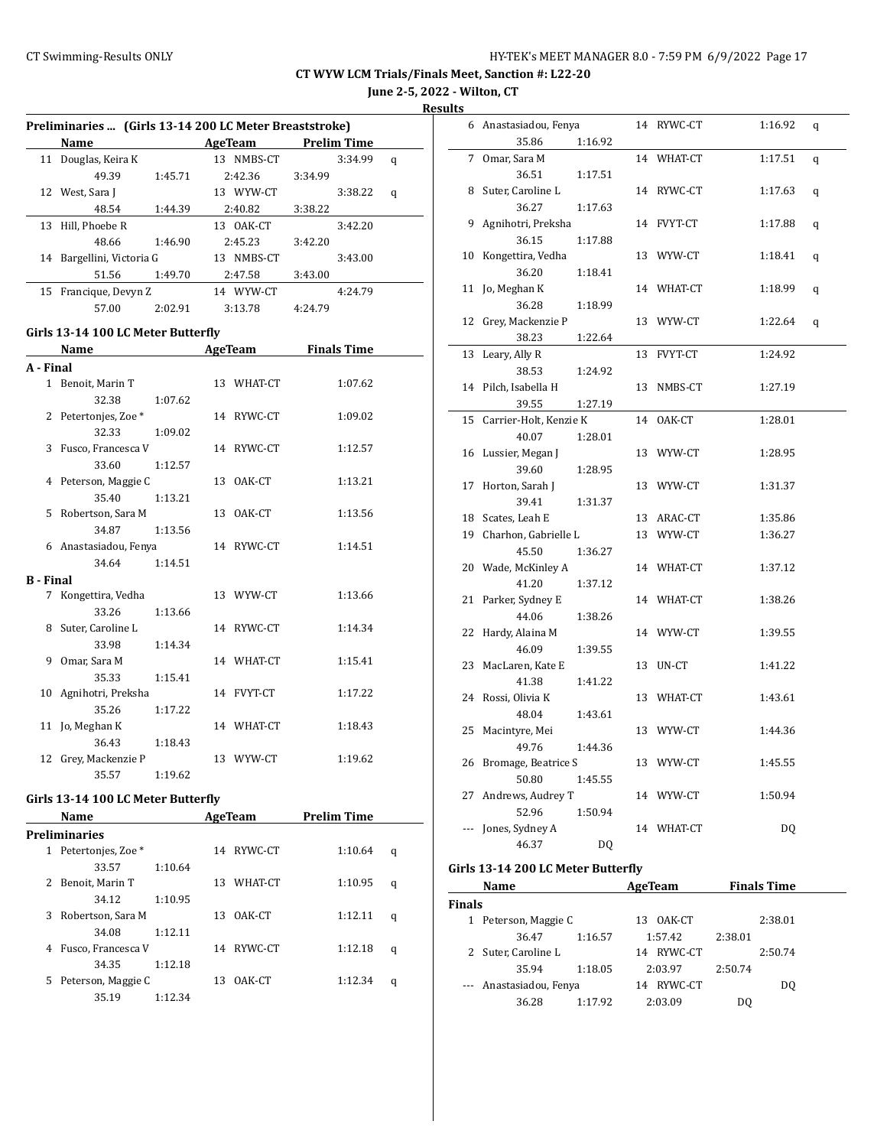# **June 2-5, 2022 - Wilton, CT**

**Results**

|                  | Preliminaries  (Girls 13-14 200 LC Meter Breaststroke) |         |  |            |         |                    |   |
|------------------|--------------------------------------------------------|---------|--|------------|---------|--------------------|---|
|                  | Name                                                   |         |  | AgeTeam    |         | <b>Prelim Time</b> |   |
|                  | 11 Douglas, Keira K                                    |         |  | 13 NMBS-CT |         | 3:34.99            | q |
|                  | 49.39                                                  | 1:45.71 |  | 2:42.36    | 3:34.99 |                    |   |
|                  | 12 West, Sara J                                        |         |  | 13 WYW-CT  |         | 3:38.22            | q |
|                  | 48.54                                                  | 1:44.39 |  | 2:40.82    | 3:38.22 |                    |   |
|                  | 13 Hill, Phoebe R                                      |         |  | 13 OAK-CT  |         | 3:42.20            |   |
|                  | 48.66                                                  | 1:46.90 |  | 2:45.23    | 3:42.20 |                    |   |
|                  | 14 Bargellini, Victoria G                              |         |  | 13 NMBS-CT |         | 3:43.00            |   |
|                  | 51.56                                                  | 1:49.70 |  | 2:47.58    | 3:43.00 |                    |   |
|                  | 15 Francique, Devyn Z                                  |         |  | 14 WYW-CT  |         | 4:24.79            |   |
|                  | 57.00                                                  | 2:02.91 |  | 3:13.78    | 4:24.79 |                    |   |
|                  | Girls 13-14 100 LC Meter Butterfly                     |         |  |            |         |                    |   |
|                  | Name                                                   |         |  | AgeTeam    |         | <b>Finals Time</b> |   |
| A - Final        |                                                        |         |  |            |         |                    |   |
|                  | 1 Benoit, Marin T                                      |         |  | 13 WHAT-CT |         | 1:07.62            |   |
|                  | 32.38                                                  | 1:07.62 |  |            |         |                    |   |
|                  | 2 Petertonjes, Zoe*                                    |         |  | 14 RYWC-CT |         | 1:09.02            |   |
|                  | 32.33                                                  | 1:09.02 |  |            |         |                    |   |
|                  | 3 Fusco, Francesca V                                   |         |  | 14 RYWC-CT |         | 1:12.57            |   |
|                  | 33.60                                                  | 1:12.57 |  |            |         |                    |   |
|                  | 4 Peterson, Maggie C                                   |         |  | 13 OAK-CT  |         | 1:13.21            |   |
|                  | 35.40                                                  | 1:13.21 |  |            |         |                    |   |
|                  | 5 Robertson, Sara M                                    |         |  | 13 OAK-CT  |         | 1:13.56            |   |
|                  | 34.87                                                  | 1:13.56 |  |            |         |                    |   |
|                  | 6 Anastasiadou, Fenya                                  |         |  | 14 RYWC-CT |         | 1:14.51            |   |
|                  | 34.64                                                  | 1:14.51 |  |            |         |                    |   |
| <b>B</b> - Final |                                                        |         |  |            |         |                    |   |
|                  | 7 Kongettira, Vedha                                    |         |  | 13 WYW-CT  |         | 1:13.66            |   |
|                  | 33.26                                                  | 1:13.66 |  |            |         |                    |   |
|                  | 8 Suter, Caroline L                                    |         |  | 14 RYWC-CT |         | 1:14.34            |   |
|                  | 33.98                                                  | 1:14.34 |  |            |         |                    |   |
|                  | 9 Omar, Sara M                                         |         |  | 14 WHAT-CT |         | 1:15.41            |   |
|                  | 35.33                                                  | 1:15.41 |  |            |         |                    |   |
|                  | 10 Agnihotri, Preksha                                  |         |  | 14 FVYT-CT |         | 1:17.22            |   |
|                  | 35.26                                                  | 1:17.22 |  |            |         |                    |   |
| 11               | Jo, Meghan K                                           |         |  | 14 WHAT-CT |         | 1:18.43            |   |
|                  | 36.43                                                  | 1:18.43 |  |            |         |                    |   |
|                  | 12 Grey, Mackenzie P                                   |         |  | 13 WYW-CT  |         | 1:19.62            |   |
|                  | 35.57                                                  | 1:19.62 |  |            |         |                    |   |

#### **Girls 13-14 100 LC Meter Butterfly**

|    | <b>Name</b>        |         |     | <b>AgeTeam</b> | <b>Prelim Time</b> |   |
|----|--------------------|---------|-----|----------------|--------------------|---|
|    | Preliminaries      |         |     |                |                    |   |
| 1  | Petertonjes, Zoe * |         | 14  | RYWC-CT        | 1:10.64            | q |
|    | 33.57              | 1:10.64 |     |                |                    |   |
| 2  | Benoit, Marin T    |         | 13. | WHAT-CT        | 1:10.95            | q |
|    | 34.12              | 1:10.95 |     |                |                    |   |
| 3  | Robertson, Sara M  |         | 13. | OAK-CT         | 1:12.11            | q |
|    | 34.08              | 1:12.11 |     |                |                    |   |
| 4  | Fusco, Francesca V |         |     | 14 RYWC-CT     | 1:12.18            | q |
|    | 34.35              | 1:12.18 |     |                |                    |   |
| 5. | Peterson, Maggie C |         | 13. | OAK-CT         | 1:12.34            | q |
|    | 35.19              | 1:12.34 |     |                |                    |   |
|    |                    |         |     |                |                    |   |

| սււծ |                         |         |    |            |         |   |
|------|-------------------------|---------|----|------------|---------|---|
|      | 6 Anastasiadou, Fenya   |         |    | 14 RYWC-CT | 1:16.92 | q |
|      | 35.86                   | 1:16.92 |    |            |         |   |
| 7    | Omar, Sara M            |         |    | 14 WHAT-CT | 1:17.51 | q |
|      | 36.51                   | 1:17.51 |    |            |         |   |
| 8    | Suter, Caroline L       |         |    | 14 RYWC-CT | 1:17.63 | q |
|      | 36.27                   | 1:17.63 |    |            |         |   |
| 9    | Agnihotri, Preksha      |         |    | 14 FVYT-CT | 1:17.88 | q |
|      | 36.15                   | 1:17.88 |    |            |         |   |
|      | 10 Kongettira, Vedha    |         |    | 13 WYW-CT  | 1:18.41 | q |
|      | 36.20                   | 1:18.41 |    |            |         |   |
| 11   | Jo, Meghan K            |         |    | 14 WHAT-CT | 1:18.99 | q |
|      | 36.28                   | 1:18.99 |    |            |         |   |
| 12   | Grey, Mackenzie P       |         |    | 13 WYW-CT  | 1:22.64 | q |
|      | 38.23                   | 1:22.64 |    |            |         |   |
| 13   | Leary, Ally R           |         |    | 13 FVYT-CT | 1:24.92 |   |
|      | 38.53                   | 1:24.92 |    |            |         |   |
| 14   | Pilch, Isabella H       |         | 13 | NMBS-CT    | 1:27.19 |   |
|      | 39.55                   | 1:27.19 |    |            |         |   |
| 15   | Carrier-Holt, Kenzie K  |         | 14 | OAK-CT     | 1:28.01 |   |
|      | 40.07                   | 1:28.01 |    |            |         |   |
| 16   | Lussier, Megan J        |         |    | 13 WYW-CT  | 1:28.95 |   |
|      | 39.60                   | 1:28.95 |    |            |         |   |
| 17   | Horton, Sarah J         |         |    | 13 WYW-CT  | 1:31.37 |   |
|      | 39.41                   | 1:31.37 |    |            |         |   |
|      | 18 Scates, Leah E       |         |    | 13 ARAC-CT | 1:35.86 |   |
|      | 19 Charhon, Gabrielle L |         |    | 13 WYW-CT  | 1:36.27 |   |
|      | 45.50                   | 1:36.27 |    |            |         |   |
| 20   | Wade, McKinley A        |         |    | 14 WHAT-CT | 1:37.12 |   |
|      | 41.20                   | 1:37.12 |    |            |         |   |
| 21   | Parker, Sydney E        |         |    | 14 WHAT-CT | 1:38.26 |   |
|      | 44.06                   | 1:38.26 |    |            |         |   |
| 22   | Hardy, Alaina M         |         |    | 14 WYW-CT  | 1:39.55 |   |
|      | 46.09                   | 1:39.55 |    |            |         |   |
| 23   | MacLaren, Kate E        |         |    | 13 UN-CT   | 1:41.22 |   |
|      | 41.38                   | 1:41.22 |    |            |         |   |
| 24   | Rossi, Olivia K         |         |    | 13 WHAT-CT | 1:43.61 |   |
|      | 48.04                   | 1:43.61 |    |            |         |   |
| 25   | Macintyre, Mei          |         |    | 13 WYW-CT  | 1:44.36 |   |
|      | 49.76                   | 1:44.36 |    |            |         |   |
| 26   | Bromage, Beatrice S     |         |    | 13 WYW-CT  | 1:45.55 |   |
|      | 50.80                   | 1:45.55 |    |            |         |   |
| 27   | Andrews, Audrey T       |         |    | 14 WYW-CT  | 1:50.94 |   |
|      | 52.96                   | 1:50.94 |    |            |         |   |
|      | Jones, Sydney A         |         |    | 14 WHAT-CT | DQ      |   |
|      | 46.37                   | DQ      |    |            |         |   |

## **Girls 13-14 200 LC Meter Butterfly**

|               | Name                    |         | AgeTeam       | <b>Finals Time</b> |         |
|---------------|-------------------------|---------|---------------|--------------------|---------|
| <b>Finals</b> |                         |         |               |                    |         |
| 1             | Peterson, Maggie C      |         | OAK-CT<br>13. |                    | 2:38.01 |
|               | 36.47                   | 1:16.57 | 1:57.42       | 2:38.01            |         |
|               | 2 Suter, Caroline L     |         | 14 RYWC-CT    |                    | 2:50.74 |
|               | 35.94                   | 1:18.05 | 2:03.97       | 2:50.74            |         |
|               | --- Anastasiadou, Fenya |         | RYWC-CT<br>14 |                    | DO.     |
|               | 36.28                   | 1:17.92 | 2:03.09       | DO                 |         |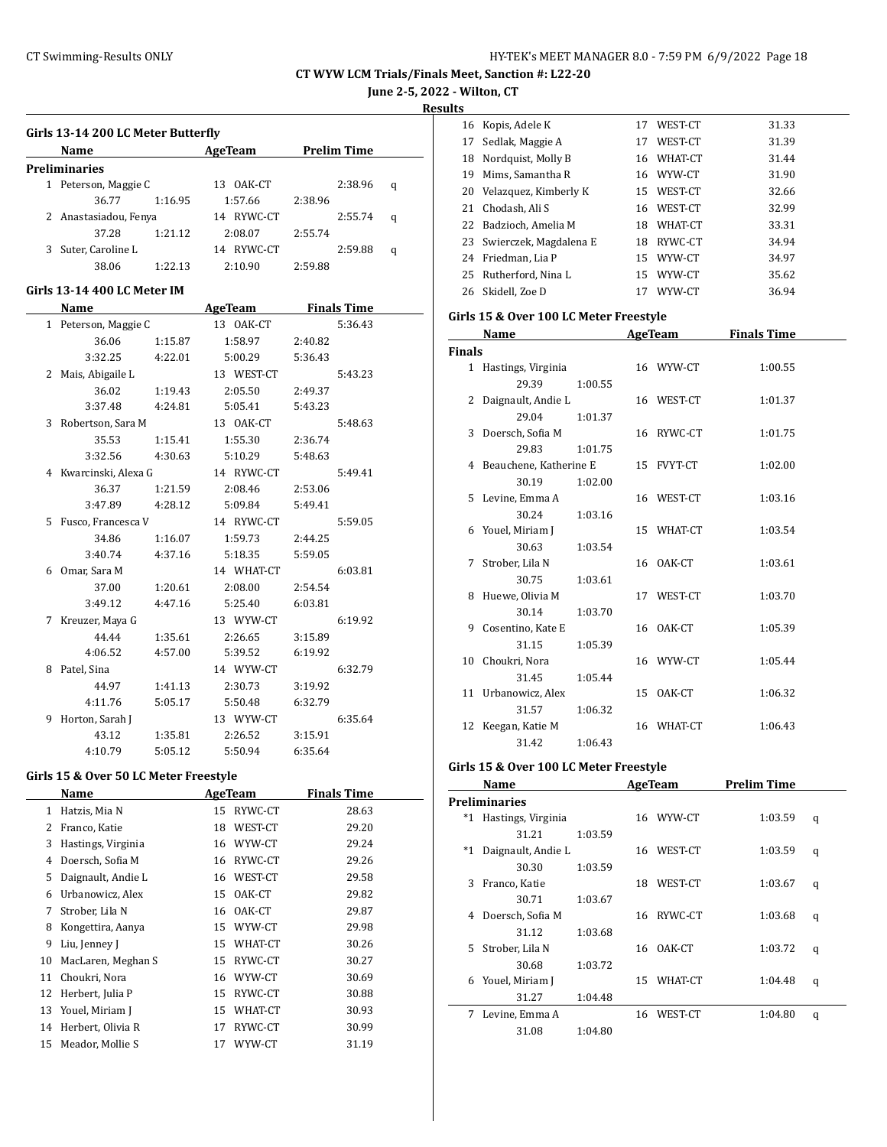**June 2-5, 2022 - Wilton, CT**

**Results**

| Girls 13-14 200 LC Meter Butterfly |         |               |         |                    |   |  |
|------------------------------------|---------|---------------|---------|--------------------|---|--|
| Name                               |         | AgeTeam       |         | <b>Prelim Time</b> |   |  |
| <b>Preliminaries</b>               |         |               |         |                    |   |  |
| 1 Peterson, Maggie C               |         | OAK-CT<br>13. |         | 2:38.96            | q |  |
| 36.77                              | 1:16.95 | 1:57.66       | 2:38.96 |                    |   |  |
| 2 Anastasiadou, Fenya              |         | RYWC-CT<br>14 |         | 2:55.74            | q |  |
| 37.28                              | 1:21.12 | 2:08.07       | 2:55.74 |                    |   |  |
| Suter, Caroline L                  |         | RYWC-CT<br>14 |         | 2:59.88            | q |  |
| 38.06                              | 1:22.13 | 2:10.90       | 2:59.88 |                    |   |  |

#### **Girls 13-14 400 LC Meter IM**

|   | Name                  |         | AgeTeam    |         | <b>Finals Time</b> |
|---|-----------------------|---------|------------|---------|--------------------|
|   | 1 Peterson, Maggie C  |         | 13 OAK-CT  |         | 5:36.43            |
|   | 36.06                 | 1:15.87 | 1:58.97    | 2:40.82 |                    |
|   | 3:32.25               | 4:22.01 | 5:00.29    | 5:36.43 |                    |
|   | 2 Mais, Abigaile L    |         | 13 WEST-CT |         | 5:43.23            |
|   | 36.02                 | 1:19.43 | 2:05.50    | 2:49.37 |                    |
|   | 3:37.48               | 4:24.81 | 5:05.41    | 5:43.23 |                    |
|   | 3 Robertson, Sara M   |         | 13 OAK-CT  |         | 5:48.63            |
|   | 35.53                 | 1:15.41 | 1:55.30    | 2:36.74 |                    |
|   | 3:32.56               | 4:30.63 | 5:10.29    | 5:48.63 |                    |
|   | 4 Kwarcinski, Alexa G |         | 14 RYWC-CT |         | 5:49.41            |
|   | 36.37                 | 1:21.59 | 2:08.46    | 2:53.06 |                    |
|   | 3:47.89               | 4:28.12 | 5:09.84    | 5:49.41 |                    |
|   | 5 Fusco, Francesca V  |         | 14 RYWC-CT |         | 5:59.05            |
|   | 34.86                 | 1:16.07 | 1:59.73    | 2:44.25 |                    |
|   | 3:40.74               | 4:37.16 | 5:18.35    | 5:59.05 |                    |
|   | 6 Omar, Sara M        |         | 14 WHAT-CT |         | 6:03.81            |
|   | 37.00                 | 1:20.61 | 2:08.00    | 2:54.54 |                    |
|   | 3:49.12               | 4:47.16 | 5:25.40    | 6:03.81 |                    |
|   | 7 Kreuzer, Maya G     |         | 13 WYW-CT  |         | 6:19.92            |
|   | 44.44                 | 1:35.61 | 2:26.65    | 3:15.89 |                    |
|   | 4:06.52               | 4:57.00 | 5:39.52    | 6:19.92 |                    |
|   | 8 Patel, Sina         |         | 14 WYW-CT  |         | 6:32.79            |
|   | 44.97                 | 1:41.13 | 2:30.73    | 3:19.92 |                    |
|   | 4:11.76               | 5:05.17 | 5:50.48    | 6:32.79 |                    |
| 9 | Horton, Sarah J       |         | 13 WYW-CT  |         | 6:35.64            |
|   | 43.12                 | 1:35.81 | 2:26.52    | 3:15.91 |                    |
|   | 4:10.79               | 5:05.12 | 5:50.94    | 6:35.64 |                    |

#### **Girls 15 & Over 50 LC Meter Freestyle**

|    | Name               |    | AgeTeam | <b>Finals Time</b> |  |
|----|--------------------|----|---------|--------------------|--|
| 1  | Hatzis, Mia N      | 15 | RYWC-CT | 28.63              |  |
| 2  | Franco, Katie      | 18 | WEST-CT | 29.20              |  |
| 3  | Hastings, Virginia | 16 | WYW-CT  | 29.24              |  |
| 4  | Doersch, Sofia M   | 16 | RYWC-CT | 29.26              |  |
| 5  | Daignault, Andie L | 16 | WEST-CT | 29.58              |  |
| 6  | Urbanowicz, Alex   | 15 | OAK-CT  | 29.82              |  |
| 7  | Strober, Lila N    | 16 | OAK-CT  | 29.87              |  |
| 8  | Kongettira, Aanya  | 15 | WYW-CT  | 29.98              |  |
| 9  | Liu, Jenney J      | 15 | WHAT-CT | 30.26              |  |
| 10 | MacLaren, Meghan S | 15 | RYWC-CT | 30.27              |  |
| 11 | Choukri, Nora      | 16 | WYW-CT  | 30.69              |  |
| 12 | Herbert, Julia P   | 15 | RYWC-CT | 30.88              |  |
| 13 | Youel, Miriam J    | 15 | WHAT-CT | 30.93              |  |
| 14 | Herbert, Olivia R  | 17 | RYWC-CT | 30.99              |  |
| 15 | Meador, Mollie S   | 17 | WYW-CT  | 31.19              |  |
|    |                    |    |         |                    |  |

| 16 | Kopis, Adele K         | 17 | WEST-CT    | 31.33 |
|----|------------------------|----|------------|-------|
| 17 | Sedlak, Maggie A       | 17 | WEST-CT    | 31.39 |
| 18 | Nordquist, Molly B     |    | 16 WHAT-CT | 31.44 |
| 19 | Mims. Samantha R       |    | 16 WYW-CT  | 31.90 |
| 20 | Velazquez, Kimberly K  | 15 | WEST-CT    | 32.66 |
| 21 | Chodash, Ali S         | 16 | WEST-CT    | 32.99 |
| 22 | Badzioch, Amelia M     | 18 | WHAT-CT    | 33.31 |
| 23 | Swierczek, Magdalena E | 18 | RYWC-CT    | 34.94 |
| 24 | Friedman, Lia P        | 15 | WYW-CT     | 34.97 |
| 25 | Rutherford, Nina L     | 15 | WYW-CT     | 35.62 |
| 26 | Skidell. Zoe D         | 17 | WYW-CT     | 36.94 |

#### **Girls 15 & Over 100 LC Meter Freestyle**

|               | Name                     |         | <b>AgeTeam</b> | <b>Finals Time</b> |  |
|---------------|--------------------------|---------|----------------|--------------------|--|
| <b>Finals</b> |                          |         |                |                    |  |
|               | 1 Hastings, Virginia     |         | 16 WYW-CT      | 1:00.55            |  |
|               | 29.39                    | 1:00.55 |                |                    |  |
|               | 2 Daignault, Andie L     |         | 16 WEST-CT     | 1:01.37            |  |
|               | 29.04                    | 1:01.37 |                |                    |  |
|               | 3 Doersch, Sofia M       |         | 16 RYWC-CT     | 1:01.75            |  |
|               | 29.83                    | 1:01.75 |                |                    |  |
|               | 4 Beauchene, Katherine E |         | 15 FVYT-CT     | 1:02.00            |  |
|               | 30.19                    | 1:02.00 |                |                    |  |
|               | 5 Levine, Emma A         |         | 16 WEST-CT     | 1:03.16            |  |
|               | 30.24                    | 1:03.16 |                |                    |  |
|               | 6 Youel, Miriam J        |         | 15 WHAT-CT     | 1:03.54            |  |
|               | 30.63                    | 1:03.54 |                |                    |  |
|               | 7 Strober, Lila N        |         | 16 OAK-CT      | 1:03.61            |  |
|               | 30.75                    | 1:03.61 |                |                    |  |
|               | 8 Huewe, Olivia M        |         | 17 WEST-CT     | 1:03.70            |  |
|               | 30.14                    | 1:03.70 |                |                    |  |
|               | 9 Cosentino, Kate E      |         | 16 OAK-CT      | 1:05.39            |  |
|               | 31.15                    | 1:05.39 |                |                    |  |
|               | 10 Choukri, Nora         |         | 16 WYW-CT      | 1:05.44            |  |
|               | 31.45                    | 1:05.44 |                |                    |  |
|               | 11 Urbanowicz, Alex      |         | 15 OAK-CT      | 1:06.32            |  |
|               | 31.57                    | 1:06.32 |                |                    |  |
|               | 12 Keegan, Katie M       |         | 16 WHAT-CT     | 1:06.43            |  |
|               | 31.42                    | 1:06.43 |                |                    |  |

# **Girls 15 & Over 100 LC Meter Freestyle**

|      | Name                 |         |    | AgeTeam    | Prelim Time |   |
|------|----------------------|---------|----|------------|-------------|---|
|      | <b>Preliminaries</b> |         |    |            |             |   |
| *1   | Hastings, Virginia   |         |    | 16 WYW-CT  | 1:03.59     | q |
|      | 31.21                | 1:03.59 |    |            |             |   |
| $*1$ | Daignault, Andie L   |         |    | 16 WEST-CT | 1:03.59     | q |
|      | 30.30                | 1:03.59 |    |            |             |   |
| 3    | Franco, Katie        |         | 18 | WEST-CT    | 1:03.67     | q |
|      | 30.71                | 1:03.67 |    |            |             |   |
| 4    | Doersch, Sofia M     |         | 16 | RYWC-CT    | 1:03.68     | q |
|      | 31.12                | 1:03.68 |    |            |             |   |
| 5.   | Strober, Lila N      |         | 16 | OAK-CT     | 1:03.72     | q |
|      | 30.68                | 1:03.72 |    |            |             |   |
| 6    | Youel, Miriam J      |         | 15 | WHAT-CT    | 1:04.48     | q |
|      | 31.27                | 1:04.48 |    |            |             |   |
| 7    | Levine, Emma A       |         | 16 | WEST-CT    | 1:04.80     | q |
|      | 31.08                | 1:04.80 |    |            |             |   |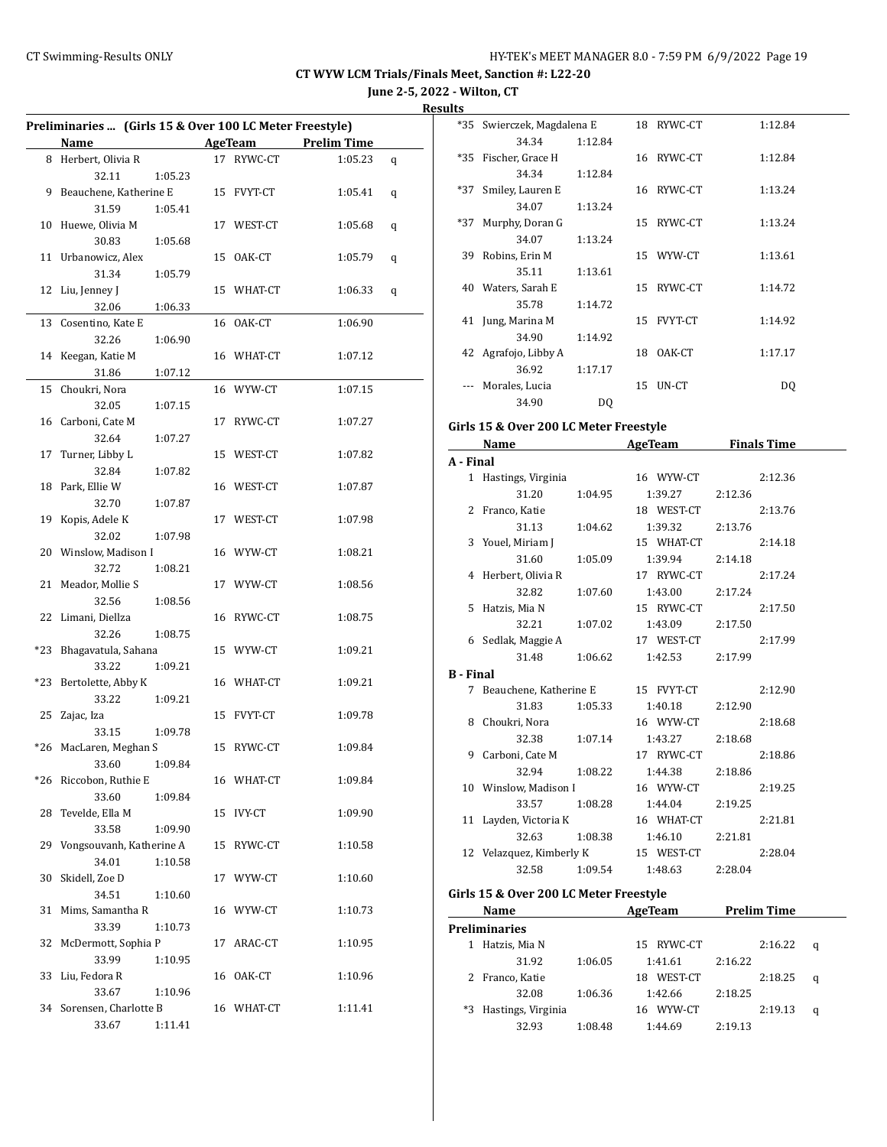**June 2-5, 2022 - Wilton, CT**

| Preliminaries  (Girls 15 & Over 100 LC Meter Freestyle) |                          |         |    |               |                    |   |
|---------------------------------------------------------|--------------------------|---------|----|---------------|--------------------|---|
|                                                         | Name                     |         |    | AgeTeam       | <b>Prelim Time</b> |   |
|                                                         | 8 Herbert, Olivia R      |         |    | 17 RYWC-CT    | 1:05.23            | q |
|                                                         | 32.11                    | 1:05.23 |    |               |                    |   |
| 9                                                       | Beauchene, Katherine E   |         |    | 15 FVYT-CT    | 1:05.41            | q |
|                                                         | 31.59                    | 1:05.41 |    |               |                    |   |
| 10                                                      | Huewe, Olivia M          |         |    | 17 WEST-CT    | 1:05.68            | q |
|                                                         | 30.83                    | 1:05.68 |    |               |                    |   |
| 11                                                      | Urbanowicz, Alex         |         |    | 15 OAK-CT     | 1:05.79            | q |
|                                                         | 31.34                    | 1:05.79 |    |               |                    |   |
| 12                                                      | Liu, Jenney J            |         |    | 15 WHAT-CT    | 1:06.33            | q |
|                                                         | 32.06                    | 1:06.33 |    |               |                    |   |
| 13                                                      | Cosentino, Kate E        |         |    | 16 OAK-CT     | 1:06.90            |   |
|                                                         | 32.26                    | 1:06.90 |    |               |                    |   |
| 14                                                      | Keegan, Katie M          |         |    | 16 WHAT-CT    | 1:07.12            |   |
|                                                         | 31.86                    | 1:07.12 |    |               |                    |   |
| 15                                                      | Choukri, Nora            |         |    | 16 WYW-CT     | 1:07.15            |   |
|                                                         | 32.05                    | 1:07.15 |    |               |                    |   |
|                                                         | 16 Carboni, Cate M       |         | 17 | RYWC-CT       | 1:07.27            |   |
|                                                         | 32.64                    | 1:07.27 |    |               |                    |   |
| 17                                                      | Turner, Libby L          |         |    | 15 WEST-CT    | 1:07.82            |   |
|                                                         | 32.84                    | 1:07.82 |    |               |                    |   |
| 18                                                      | Park, Ellie W            |         |    | 16 WEST-CT    | 1:07.87            |   |
|                                                         | 32.70                    | 1:07.87 |    |               |                    |   |
| 19                                                      | Kopis, Adele K           |         |    | 17 WEST-CT    | 1:07.98            |   |
|                                                         | 32.02                    | 1:07.98 |    |               |                    |   |
| 20                                                      | Winslow, Madison I       |         |    | 16 WYW-CT     | 1:08.21            |   |
|                                                         | 32.72                    | 1:08.21 |    |               |                    |   |
| 21                                                      | Meador, Mollie S         |         |    | 17 WYW-CT     | 1:08.56            |   |
|                                                         | 32.56                    | 1:08.56 |    |               |                    |   |
| 22                                                      | Limani, Diellza          |         |    | 16 RYWC-CT    | 1:08.75            |   |
|                                                         | 32.26                    | 1:08.75 |    |               |                    |   |
| *23                                                     | Bhagavatula, Sahana      |         |    | 15 WYW-CT     | 1:09.21            |   |
|                                                         | 33.22                    | 1:09.21 |    |               |                    |   |
| *23                                                     | Bertolette, Abby K       |         |    | 16 WHAT-CT    | 1:09.21            |   |
|                                                         | 33.22                    | 1:09.21 |    |               |                    |   |
| 25                                                      | Zajac, Iza               |         |    | 15 FVYT-CT    | 1:09.78            |   |
|                                                         | 33.15                    | 1:09.78 |    |               |                    |   |
| *26                                                     | MacLaren, Meghan S       |         |    | 15 RYWC-CT    | 1:09.84            |   |
|                                                         | 33.60                    | 1:09.84 |    |               |                    |   |
|                                                         | *26 Riccobon, Ruthie E   |         |    | 16 WHAT-CT    | 1:09.84            |   |
|                                                         | 33.60                    | 1:09.84 |    |               |                    |   |
| 28                                                      | Tevelde, Ella M          |         | 15 | <b>IVY-CT</b> | 1:09.90            |   |
|                                                         | 33.58                    | 1:09.90 |    |               |                    |   |
| 29                                                      | Vongsouvanh, Katherine A |         | 15 | RYWC-CT       | 1:10.58            |   |
|                                                         | 34.01                    | 1:10.58 |    |               |                    |   |
| 30                                                      | Skidell, Zoe D           |         | 17 | WYW-CT        | 1:10.60            |   |
|                                                         | 34.51                    | 1:10.60 |    |               |                    |   |
| 31                                                      | Mims, Samantha R         |         |    | 16 WYW-CT     | 1:10.73            |   |
|                                                         | 33.39                    | 1:10.73 |    |               |                    |   |
| 32                                                      | McDermott, Sophia P      |         | 17 | ARAC-CT       | 1:10.95            |   |
|                                                         | 33.99                    | 1:10.95 |    |               |                    |   |
| 33                                                      | Liu, Fedora R            |         | 16 | OAK-CT        | 1:10.96            |   |
|                                                         | 33.67                    | 1:10.96 |    |               |                    |   |
| 34                                                      | Sorensen, Charlotte B    |         |    | 16 WHAT-CT    | 1:11.41            |   |
|                                                         | 33.67                    | 1:11.41 |    |               |                    |   |

| <u>.э</u> |                            |         |    |            |         |
|-----------|----------------------------|---------|----|------------|---------|
|           | *35 Swierczek, Magdalena E |         |    | 18 RYWC-CT | 1:12.84 |
|           | 34.34                      | 1:12.84 |    |            |         |
|           | *35 Fischer, Grace H       |         |    | 16 RYWC-CT | 1:12.84 |
|           | 34.34                      | 1:12.84 |    |            |         |
| *37       | Smiley, Lauren E           |         |    | 16 RYWC-CT | 1:13.24 |
|           | 34.07                      | 1:13.24 |    |            |         |
| *37       | Murphy, Doran G            |         |    | 15 RYWC-CT | 1:13.24 |
|           | 34.07                      | 1:13.24 |    |            |         |
| 39        | Robins, Erin M             |         |    | 15 WYW-CT  | 1:13.61 |
|           | 35.11                      | 1:13.61 |    |            |         |
|           | 40 Waters, Sarah E         |         |    | 15 RYWC-CT | 1:14.72 |
|           | 35.78                      | 1:14.72 |    |            |         |
|           | 41 Jung, Marina M          |         |    | 15 FVYT-CT | 1:14.92 |
|           | 34.90                      | 1:14.92 |    |            |         |
|           | 42 Agrafojo, Libby A       |         | 18 | OAK-CT     | 1:17.17 |
|           | 36.92                      | 1:17.17 |    |            |         |
|           | Morales, Lucia             |         | 15 | UN-CT      | DQ      |
|           | 34.90                      | DQ      |    |            |         |
|           |                            |         |    |            |         |

## **Girls 15 & Over 200 LC Meter Freestyle**

|           | Name                                |         | AgeTeam         | <b>Finals Time</b> |         |
|-----------|-------------------------------------|---------|-----------------|--------------------|---------|
| A - Final |                                     |         |                 |                    |         |
|           | 1 Hastings, Virginia                |         | 16 WYW-CT       |                    | 2:12.36 |
|           | 31.20                               | 1:04.95 | 1:39.27         | 2:12.36            |         |
|           | 2 Franco, Katie                     |         | 18 WEST-CT      |                    | 2:13.76 |
|           | 31.13                               | 1:04.62 | 1:39.32         | 2:13.76            |         |
|           | 3 Youel, Miriam J                   |         | 15 WHAT-CT      |                    | 2:14.18 |
|           | 31.60                               | 1:05.09 | 1:39.94         | 2:14.18            |         |
|           | 4 Herbert, Olivia R                 |         | 17 RYWC-CT      |                    | 2:17.24 |
|           | 32.82                               | 1:07.60 | 1:43.00         | 2:17.24            |         |
|           | 5 Hatzis, Mia N                     |         | 15 RYWC-CT      |                    | 2:17.50 |
|           | 32.21                               | 1:07.02 | 1:43.09         | 2:17.50            |         |
|           | 6 Sedlak, Maggie A                  |         | 17 WEST-CT      |                    | 2:17.99 |
|           | 31.48                               | 1:06.62 | 1:42.53         | 2:17.99            |         |
| B - Final |                                     |         |                 |                    |         |
|           | 7 Beauchene, Katherine E 15 FVYT-CT |         |                 |                    | 2:12.90 |
|           | 31.83                               | 1:05.33 | 1:40.18         | 2:12.90            |         |
|           | 8 Choukri, Nora                     |         | 16 WYW-CT       |                    | 2:18.68 |
|           | 32.38                               | 1:07.14 | 1:43.27         | 2:18.68            |         |
| 9         | Carboni, Cate M                     |         | 17 RYWC-CT      |                    | 2:18.86 |
|           | 32.94                               | 1:08.22 | 1:44.38         | 2:18.86            |         |
|           | 10 Winslow, Madison I 16 WYW-CT     |         |                 |                    | 2:19.25 |
|           | 33.57                               |         | 1:08.28 1:44.04 | 2:19.25            |         |
|           | 11 Layden, Victoria K               |         | 16 WHAT-CT      |                    | 2:21.81 |
|           | 32.63                               | 1:08.38 | 1:46.10         | 2:21.81            |         |
|           | 12 Velazquez, Kimberly K 15 WEST-CT |         |                 |                    | 2:28.04 |
|           | 32.58                               | 1:09.54 | 1:48.63         | 2:28.04            |         |

#### **Girls 15 & Over 200 LC Meter Freestyle**

|    | Name                 |         | AgeTeam       |         | <b>Prelim Time</b> |   |
|----|----------------------|---------|---------------|---------|--------------------|---|
|    | <b>Preliminaries</b> |         |               |         |                    |   |
|    | Hatzis, Mia N        |         | 15 RYWC-CT    |         | 2:16.22            | a |
|    | 31.92                | 1:06.05 | 1:41.61       | 2:16.22 |                    |   |
|    | Franco, Katie        |         | WEST-CT<br>18 |         | 2:18.25            | q |
|    | 32.08                | 1:06.36 | 1:42.66       | 2:18.25 |                    |   |
| *3 | Hastings, Virginia   |         | WYW-CT<br>16. |         | 2:19.13            | q |
|    | 32.93                | 1:08.48 | 1:44.69       | 2:19.13 |                    |   |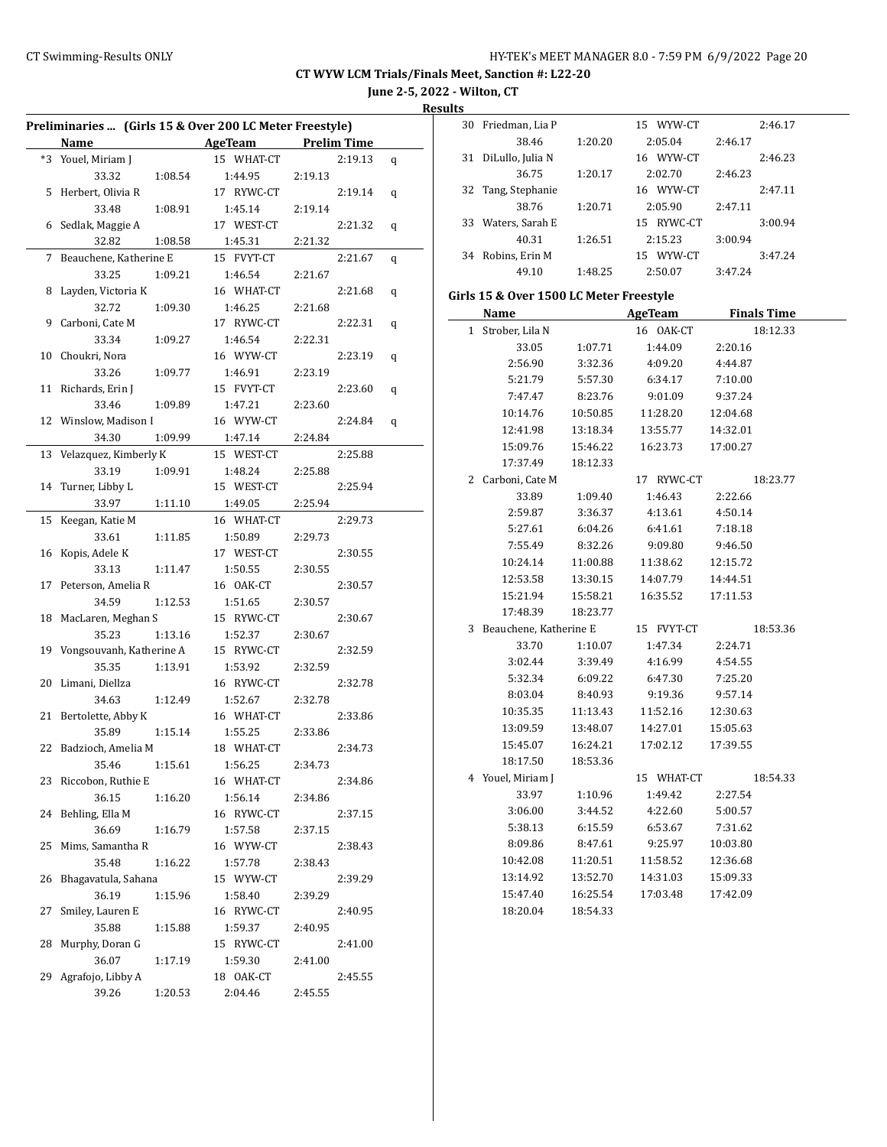**June 2-5, 2022 - Wilton, CT**

**Results**

 $\overline{\phantom{a}}$ 

| Preliminaries  (Girls 15 & Over 200 LC Meter Freestyle) |                            |         |                      |                    |   |  |
|---------------------------------------------------------|----------------------------|---------|----------------------|--------------------|---|--|
|                                                         | Name                       |         | AgeTeam              | <b>Prelim Time</b> |   |  |
| *3                                                      | Youel, Miriam J            |         | 15 WHAT-CT           | 2:19.13            | q |  |
|                                                         | 33.32                      | 1:08.54 | 1:44.95              | 2:19.13            |   |  |
| 5                                                       | Herbert, Olivia R          |         | 17 RYWC-CT           | 2:19.14            | q |  |
|                                                         | 33.48                      | 1:08.91 | 1:45.14              | 2:19.14            |   |  |
| 6                                                       | Sedlak, Maggie A           |         | 17 WEST-CT           | 2:21.32            | q |  |
|                                                         | 32.82                      | 1:08.58 | 1:45.31              | 2:21.32            |   |  |
| 7                                                       | Beauchene, Katherine E     |         | 15 FVYT-CT           | 2:21.67            | q |  |
|                                                         | 33.25                      | 1:09.21 | 1:46.54              | 2:21.67            |   |  |
| 8                                                       | Layden, Victoria K         |         | 16 WHAT-CT           | 2:21.68            | q |  |
|                                                         | 32.72                      | 1:09.30 | 1:46.25              | 2:21.68            |   |  |
| 9                                                       | Carboni, Cate M            |         | 17 RYWC-CT           | 2:22.31            | q |  |
|                                                         | 33.34                      | 1:09.27 | 1:46.54              | 2:22.31            |   |  |
| 10                                                      | Choukri, Nora              |         | 16 WYW-CT            | 2:23.19            | q |  |
|                                                         | 33.26                      | 1:09.77 | 1:46.91              | 2:23.19            |   |  |
| 11                                                      | Richards, Erin J           |         | 15 FVYT-CT           | 2:23.60            | q |  |
|                                                         | 33.46                      | 1:09.89 | 1:47.21              | 2:23.60            |   |  |
|                                                         | 12 Winslow, Madison I      |         | 16 WYW-CT            | 2:24.84            | q |  |
|                                                         | 34.30                      | 1:09.99 | 1:47.14              | 2:24.84            |   |  |
| 13                                                      | Velazquez, Kimberly K      |         | 15 WEST-CT           | 2:25.88            |   |  |
|                                                         | 33.19                      | 1:09.91 | 1:48.24              | 2:25.88            |   |  |
| 14                                                      | Turner, Libby L            |         | 15 WEST-CT           | 2:25.94            |   |  |
|                                                         | 33.97                      | 1:11.10 | 1:49.05              | 2:25.94            |   |  |
| 15                                                      | Keegan, Katie M            |         | 16 WHAT-CT           | 2:29.73            |   |  |
|                                                         | 33.61                      | 1:11.85 | 1:50.89              | 2:29.73            |   |  |
| 16                                                      | Kopis, Adele K             |         | 17 WEST-CT           | 2:30.55            |   |  |
|                                                         | 33.13                      | 1:11.47 | 1:50.55              | 2:30.55            |   |  |
| 17                                                      | Peterson, Amelia R         |         | 16 OAK-CT            | 2:30.57            |   |  |
|                                                         | 34.59                      | 1:12.53 | 1:51.65              | 2:30.57            |   |  |
| 18                                                      | MacLaren, Meghan S         |         | 15 RYWC-CT           | 2:30.67            |   |  |
|                                                         | 35.23                      | 1:13.16 | 1:52.37              | 2:30.67            |   |  |
| 19                                                      | Vongsouvanh, Katherine A   |         | 15 RYWC-CT           | 2:32.59            |   |  |
|                                                         | 35.35                      | 1:13.91 | 1:53.92              | 2:32.59            |   |  |
| 20                                                      | Limani, Diellza            |         | 16 RYWC-CT           | 2:32.78            |   |  |
|                                                         | 34.63                      | 1:12.49 | 1:52.67              | 2:32.78            |   |  |
| 21                                                      | Bertolette, Abby K         |         | 16 WHAT-CT           | 2:33.86            |   |  |
|                                                         | 35.89                      | 1:15.14 | 1:55.25              | 2:33.86            |   |  |
| 22                                                      | Badzioch, Amelia M         |         | 18 WHAT-CT           | 2:34.73            |   |  |
|                                                         | 35.46                      | 1:15.61 | 1:56.25              | 2:34.73            |   |  |
| 23                                                      | Riccobon, Ruthie E         |         | 16 WHAT-CT           | 2:34.86            |   |  |
|                                                         | 36.15                      | 1:16.20 | 1:56.14              | 2:34.86            |   |  |
| 24                                                      | Behling, Ella M            |         | 16 RYWC-CT           | 2:37.15            |   |  |
|                                                         | 36.69                      | 1:16.79 | 1:57.58              | 2:37.15            |   |  |
| 25                                                      | Mims, Samantha R           |         | 16 WYW-CT            | 2:38.43            |   |  |
|                                                         | 35.48                      | 1:16.22 | 1:57.78              | 2:38.43            |   |  |
| 26                                                      | Bhagavatula, Sahana        |         | 15 WYW-CT            | 2:39.29            |   |  |
|                                                         | 36.19                      | 1:15.96 | 1:58.40              | 2:39.29            |   |  |
| 27                                                      | Smiley, Lauren E           |         | 16 RYWC-CT           | 2:40.95            |   |  |
|                                                         | 35.88                      | 1:15.88 | 1:59.37              | 2:40.95            |   |  |
| 28                                                      | Murphy, Doran G            |         | 15 RYWC-CT           | 2:41.00            |   |  |
| 29                                                      | 36.07                      | 1:17.19 | 1:59.30<br>18 OAK-CT | 2:41.00<br>2:45.55 |   |  |
|                                                         | Agrafojo, Libby A<br>39.26 |         | 2:04.46              |                    |   |  |
|                                                         |                            | 1:20.53 |                      | 2:45.55            |   |  |

| w  |                  |         |               |         |         |
|----|------------------|---------|---------------|---------|---------|
| 30 | Friedman, Lia P  |         | 15 WYW-CT     |         | 2:46.17 |
|    | 38.46            | 1:20.20 | 2:05.04       | 2:46.17 |         |
| 31 | DiLullo, Julia N |         | 16 WYW-CT     |         | 2:46.23 |
|    | 36.75            | 1:20.17 | 2:02.70       | 2:46.23 |         |
| 32 | Tang, Stephanie  |         | 16 WYW-CT     |         | 2:47.11 |
|    | 38.76            | 1:20.71 | 2:05.90       | 2:47.11 |         |
| 33 | Waters, Sarah E  |         | 15 RYWC-CT    |         | 3:00.94 |
|    | 40.31            | 1:26.51 | 2:15.23       | 3:00.94 |         |
| 34 | Robins, Erin M   |         | WYW-CT<br>15. |         | 3:47.24 |
|    | 49.10            | 1:48.25 | 2:50.07       | 3:47.24 |         |
|    |                  |         |               |         |         |

# **Girls 15 & Over 1500 LC Meter Freestyle**

|              | Name                   |          | <b>AgeTeam</b> | <b>Finals Time</b> |  |
|--------------|------------------------|----------|----------------|--------------------|--|
| $\mathbf{1}$ | Strober, Lila N        |          | 16 OAK-CT      | 18:12.33           |  |
|              | 33.05                  | 1:07.71  | 1:44.09        | 2:20.16            |  |
|              | 2:56.90                | 3:32.36  | 4:09.20        | 4:44.87            |  |
|              | 5:21.79                | 5:57.30  | 6:34.17        | 7:10.00            |  |
|              | 7:47.47                | 8:23.76  | 9:01.09        | 9:37.24            |  |
|              | 10:14.76               | 10:50.85 | 11:28.20       | 12:04.68           |  |
|              | 12:41.98               | 13:18.34 | 13:55.77       | 14:32.01           |  |
|              | 15:09.76               | 15:46.22 | 16:23.73       | 17:00.27           |  |
|              | 17:37.49               | 18:12.33 |                |                    |  |
| 2            | Carboni, Cate M        |          | 17 RYWC-CT     | 18:23.77           |  |
|              | 33.89                  | 1:09.40  | 1:46.43        | 2:22.66            |  |
|              | 2:59.87                | 3:36.37  | 4:13.61        | 4:50.14            |  |
|              | 5:27.61                | 6:04.26  | 6:41.61        | 7:18.18            |  |
|              | 7:55.49                | 8:32.26  | 9:09.80        | 9:46.50            |  |
|              | 10:24.14               | 11:00.88 | 11:38.62       | 12:15.72           |  |
|              | 12:53.58               | 13:30.15 | 14:07.79       | 14:44.51           |  |
|              | 15:21.94               | 15:58.21 | 16:35.52       | 17:11.53           |  |
|              | 17:48.39               | 18:23.77 |                |                    |  |
| 3            | Beauchene, Katherine E |          | 15 FVYT-CT     | 18:53.36           |  |
|              | 33.70                  | 1:10.07  | 1:47.34        | 2:24.71            |  |
|              | 3:02.44                | 3:39.49  | 4:16.99        | 4:54.55            |  |
|              | 5:32.34                | 6:09.22  | 6:47.30        | 7:25.20            |  |
|              | 8:03.04                | 8:40.93  | 9:19.36        | 9:57.14            |  |
|              | 10:35.35               | 11:13.43 | 11:52.16       | 12:30.63           |  |
|              | 13:09.59               | 13:48.07 | 14:27.01       | 15:05.63           |  |
|              | 15:45.07               | 16:24.21 | 17:02.12       | 17:39.55           |  |
|              | 18:17.50               | 18:53.36 |                |                    |  |
| 4            | Youel, Miriam J        |          | 15 WHAT-CT     | 18:54.33           |  |
|              | 33.97                  | 1:10.96  | 1:49.42        | 2:27.54            |  |
|              | 3:06.00                | 3:44.52  | 4:22.60        | 5:00.57            |  |
|              | 5:38.13                | 6:15.59  | 6:53.67        | 7:31.62            |  |
|              | 8:09.86                | 8:47.61  | 9:25.97        | 10:03.80           |  |
|              | 10:42.08               | 11:20.51 | 11:58.52       | 12:36.68           |  |
|              | 13:14.92               | 13:52.70 | 14:31.03       | 15:09.33           |  |
|              | 15:47.40               | 16:25.54 | 17:03.48       | 17:42.09           |  |
|              | 18:20.04               | 18:54.33 |                |                    |  |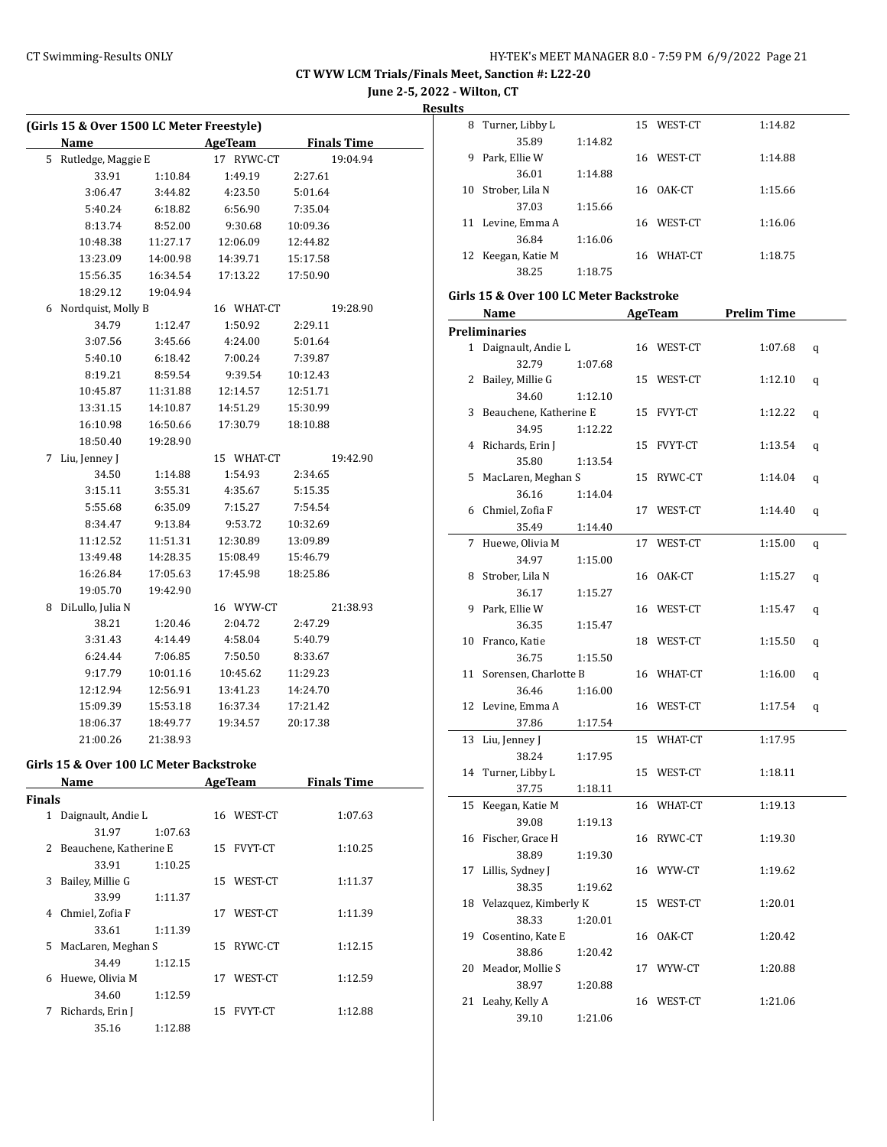**June 2-5, 2022 - Wilton, CT**

**Results**

|               | (Girls 15 & Over 1500 LC Meter Freestyle) |          |    |                     |          |                    |
|---------------|-------------------------------------------|----------|----|---------------------|----------|--------------------|
|               | Name                                      |          |    | <b>AgeTeam</b>      |          | <b>Finals Time</b> |
| 5             | Rutledge, Maggie E                        |          | 17 | RYWC-CT             |          | 19:04.94           |
|               | 33.91                                     | 1:10.84  |    | 1:49.19             | 2:27.61  |                    |
|               | 3:06.47                                   | 3:44.82  |    | 4:23.50             | 5:01.64  |                    |
|               | 5:40.24                                   | 6:18.82  |    | 6:56.90             | 7:35.04  |                    |
|               | 8:13.74                                   | 8:52.00  |    | 9:30.68             | 10:09.36 |                    |
|               | 10:48.38                                  | 11:27.17 |    | 12:06.09            | 12:44.82 |                    |
|               | 13:23.09                                  | 14:00.98 |    | 14:39.71            | 15:17.58 |                    |
|               | 15:56.35                                  | 16:34.54 |    | 17:13.22            | 17:50.90 |                    |
|               | 18:29.12                                  | 19:04.94 |    |                     |          |                    |
| 6             | Nordquist, Molly B                        |          |    | 16 WHAT-CT          |          | 19:28.90           |
|               | 34.79                                     | 1:12.47  |    | 1:50.92             | 2:29.11  |                    |
|               | 3:07.56                                   | 3:45.66  |    | 4:24.00             | 5:01.64  |                    |
|               | 5:40.10                                   | 6:18.42  |    | 7:00.24             | 7:39.87  |                    |
|               | 8:19.21                                   | 8:59.54  |    | 9:39.54             | 10:12.43 |                    |
|               | 10:45.87                                  | 11:31.88 |    | 12:14.57            | 12:51.71 |                    |
|               | 13:31.15                                  | 14:10.87 |    | 14:51.29            | 15:30.99 |                    |
|               | 16:10.98                                  | 16:50.66 |    | 17:30.79            | 18:10.88 |                    |
|               | 18:50.40                                  | 19:28.90 |    |                     |          |                    |
| 7             | Liu, Jenney J                             |          |    | 15 WHAT-CT          |          | 19:42.90           |
|               | 34.50                                     | 1:14.88  |    | 1:54.93             | 2:34.65  |                    |
|               | 3:15.11                                   | 3:55.31  |    | 4:35.67             | 5:15.35  |                    |
|               | 5:55.68                                   | 6:35.09  |    | 7:15.27             | 7:54.54  |                    |
|               | 8:34.47                                   | 9:13.84  |    | 9:53.72             | 10:32.69 |                    |
|               | 11:12.52                                  | 11:51.31 |    | 12:30.89            | 13:09.89 |                    |
|               | 13:49.48                                  | 14:28.35 |    | 15:08.49            | 15:46.79 |                    |
|               | 16:26.84                                  | 17:05.63 |    | 17:45.98            | 18:25.86 |                    |
|               | 19:05.70                                  | 19:42.90 |    |                     |          |                    |
| 8             | DiLullo, Julia N                          |          |    | 16 WYW-CT           |          | 21:38.93           |
|               | 38.21                                     | 1:20.46  |    | 2:04.72             | 2:47.29  |                    |
|               | 3:31.43                                   | 4:14.49  |    | 4:58.04             | 5:40.79  |                    |
|               | 6:24.44                                   | 7:06.85  |    | 7:50.50             | 8:33.67  |                    |
|               |                                           |          |    |                     |          |                    |
|               | 9:17.79<br>12:12.94                       | 10:01.16 |    | 10:45.62            | 11:29.23 |                    |
|               |                                           | 12:56.91 |    | 13:41.23            | 14:24.70 |                    |
|               | 15:09.39                                  | 15:53.18 |    | 16:37.34            | 17:21.42 |                    |
|               | 18:06.37                                  | 18:49.77 |    | 19:34.57            | 20:17.38 |                    |
|               | 21:00.26                                  | 21:38.93 |    |                     |          |                    |
|               | Girls 15 & Over 100 LC Meter Backstroke   |          |    |                     |          |                    |
|               | Name                                      |          |    | AgeTeam Finals Time |          |                    |
| <b>Finals</b> |                                           |          |    |                     |          |                    |
|               | 1 Daignault, Andie L                      |          |    | 16 WEST-CT          |          | 1:07.63            |
|               | 31.97                                     | 1:07.63  |    |                     |          |                    |
| $\mathbf{2}$  | Beauchene, Katherine E                    |          |    | 15 FVYT-CT          |          | 1:10.25            |
|               | 33.91                                     | 1:10.25  |    |                     |          |                    |
| 3             | Bailey, Millie G                          |          |    | 15 WEST-CT          |          | 1:11.37            |
|               | 33.99                                     | 1:11.37  |    |                     |          |                    |
| 4             | Chmiel, Zofia F                           |          |    | 17 WEST-CT          |          | 1:11.39            |
|               | 33.61                                     | 1:11.39  |    |                     |          |                    |
| 5             | MacLaren, Meghan S                        |          |    | 15 RYWC-CT          |          | 1:12.15            |
|               | 34.49                                     | 1:12.15  |    |                     |          |                    |
| 6             | Huewe, Olivia M                           |          | 17 | WEST-CT             |          | 1:12.59            |
|               | 34.60                                     | 1:12.59  |    |                     |          |                    |
| 7             | Richards, Erin J                          |          |    | 15 FVYT-CT          |          | 1:12.88            |

35.16 1:12.88

| IJ |                 |         |    |            |         |
|----|-----------------|---------|----|------------|---------|
| 8  | Turner, Libby L |         |    | 15 WEST-CT | 1:14.82 |
|    | 35.89           | 1:14.82 |    |            |         |
| 9  | Park, Ellie W   |         | 16 | WEST-CT    | 1:14.88 |
|    | 36.01           | 1:14.88 |    |            |         |
| 10 | Strober, Lila N |         | 16 | OAK-CT     | 1:15.66 |
|    | 37.03           | 1:15.66 |    |            |         |
| 11 | Levine, Emma A  |         |    | 16 WEST-CT | 1:16.06 |
|    | 36.84           | 1:16.06 |    |            |         |
| 12 | Keegan, Katie M |         | 16 | WHAT-CT    | 1:18.75 |
|    | 38.25           | 1:18.75 |    |            |         |

#### **Girls 15 & Over 100 LC Meter Backstroke**

|                | Name                     |         |    | AgeTeam    | <b>Prelim Time</b> |   |
|----------------|--------------------------|---------|----|------------|--------------------|---|
|                | Preliminaries            |         |    |            |                    |   |
|                | 1 Daignault, Andie L     |         |    | 16 WEST-CT | 1:07.68            | q |
|                | 32.79                    | 1:07.68 |    |            |                    |   |
| 2              | Bailey, Millie G         |         |    | 15 WEST-CT | 1:12.10            | q |
|                | 34.60                    | 1:12.10 |    |            |                    |   |
| 3              | Beauchene, Katherine E   |         |    | 15 FVYT-CT | 1:12.22            | q |
|                | 34.95                    | 1:12.22 |    |            |                    |   |
| $\overline{4}$ | Richards, Erin J         |         | 15 | FVYT-CT    | 1:13.54            | q |
|                | 35.80                    | 1:13.54 |    |            |                    |   |
| 5              | MacLaren, Meghan S       |         | 15 | RYWC-CT    | 1:14.04            | q |
|                | 36.16                    | 1:14.04 |    |            |                    |   |
| 6              | Chmiel, Zofia F          |         |    | 17 WEST-CT | 1:14.40            | q |
|                | 35.49                    | 1:14.40 |    |            |                    |   |
| 7              | Huewe, Olivia M          |         | 17 | WEST-CT    | 1:15.00            | q |
|                | 34.97                    | 1:15.00 |    |            |                    |   |
| 8              | Strober, Lila N          |         |    | 16 OAK-CT  | 1:15.27            | q |
|                | 36.17                    | 1:15.27 |    |            |                    |   |
| 9              | Park, Ellie W            |         |    | 16 WEST-CT | 1:15.47            | q |
|                | 36.35                    | 1:15.47 |    |            |                    |   |
| 10             | Franco, Katie            |         |    | 18 WEST-CT | 1:15.50            | q |
|                | 36.75                    | 1:15.50 |    |            |                    |   |
| 11             | Sorensen, Charlotte B    |         |    | 16 WHAT-CT | 1:16.00            | q |
|                | 36.46                    | 1:16.00 |    |            |                    |   |
| 12             | Levine, Emma A           |         |    | 16 WEST-CT | 1:17.54            | q |
|                | 37.86                    | 1:17.54 |    |            |                    |   |
| 13             | Liu, Jenney J            |         | 15 | WHAT-CT    | 1:17.95            |   |
|                | 38.24                    | 1:17.95 |    |            |                    |   |
| 14             | Turner, Libby L          |         |    | 15 WEST-CT | 1:18.11            |   |
|                | 37.75                    | 1:18.11 |    |            |                    |   |
| 15             | Keegan, Katie M          |         |    | 16 WHAT-CT | 1:19.13            |   |
|                | 39.08                    | 1:19.13 |    |            |                    |   |
| 16             | Fischer, Grace H         |         |    | 16 RYWC-CT | 1:19.30            |   |
|                | 38.89                    | 1:19.30 |    |            |                    |   |
| 17             | Lillis, Sydney J         |         |    | 16 WYW-CT  | 1:19.62            |   |
|                | 38.35                    | 1:19.62 |    |            |                    |   |
|                | 18 Velazquez, Kimberly K |         |    | 15 WEST-CT | 1:20.01            |   |
|                | 38.33                    | 1:20.01 |    |            |                    |   |
| 19             | Cosentino, Kate E        |         |    | 16 OAK-CT  | 1:20.42            |   |
|                | 38.86                    | 1:20.42 |    |            |                    |   |
| 20             | Meador, Mollie S         |         |    | 17 WYW-CT  | 1:20.88            |   |
|                | 38.97                    | 1:20.88 |    |            |                    |   |
| 21             | Leahy, Kelly A           |         |    | 16 WEST-CT | 1:21.06            |   |
|                | 39.10                    | 1:21.06 |    |            |                    |   |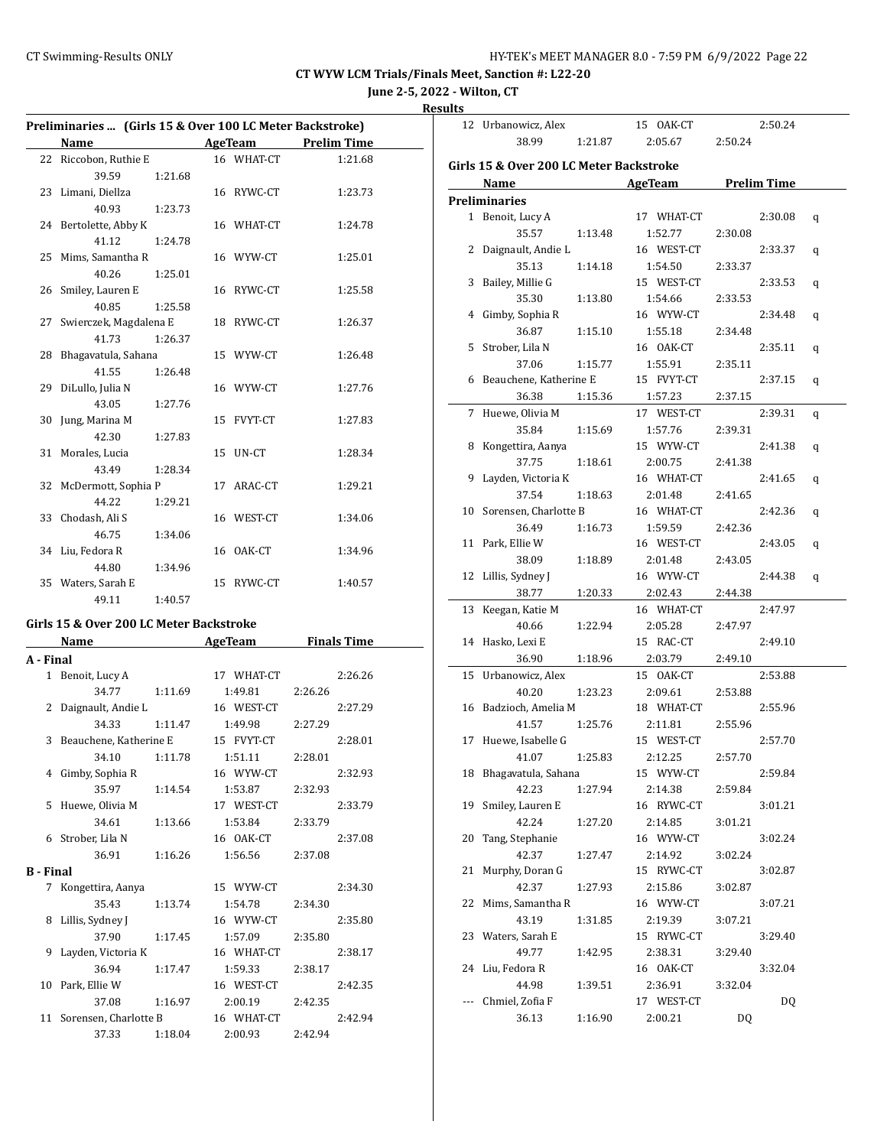**June 2-5, 2022 - Wilton, CT**

| esult<br> |  |
|-----------|--|
|           |  |

|           | Preliminaries  (Girls 15 & Over 100 LC Meter Backstroke)                                                                                                                                                                      |         |  |                                       |         |                    |  |
|-----------|-------------------------------------------------------------------------------------------------------------------------------------------------------------------------------------------------------------------------------|---------|--|---------------------------------------|---------|--------------------|--|
|           | Name                                                                                                                                                                                                                          |         |  | <b>Example 21 AgeTeam</b> Prelim Time |         |                    |  |
|           | 22 Riccobon, Ruthie E                                                                                                                                                                                                         |         |  | 16 WHAT-CT                            |         | 1:21.68            |  |
|           | 39.59                                                                                                                                                                                                                         | 1:21.68 |  |                                       |         |                    |  |
| 23        | Limani, Diellza                                                                                                                                                                                                               |         |  | 16 RYWC-CT                            |         | 1:23.73            |  |
|           | 40.93                                                                                                                                                                                                                         | 1:23.73 |  |                                       |         |                    |  |
| 24        | Bertolette, Abby K                                                                                                                                                                                                            |         |  | 16 WHAT-CT                            |         | 1:24.78            |  |
|           | 41.12                                                                                                                                                                                                                         | 1:24.78 |  |                                       |         |                    |  |
| 25        | Mims, Samantha R                                                                                                                                                                                                              |         |  | 16 WYW-CT                             |         | 1:25.01            |  |
|           | 40.26                                                                                                                                                                                                                         | 1:25.01 |  |                                       |         |                    |  |
| 26        | Smiley, Lauren E                                                                                                                                                                                                              |         |  | 16 RYWC-CT                            |         | 1:25.58            |  |
|           | 40.85                                                                                                                                                                                                                         | 1:25.58 |  |                                       |         |                    |  |
| 27        | Swierczek, Magdalena E                                                                                                                                                                                                        |         |  | 18 RYWC-CT                            |         | 1:26.37            |  |
|           | 41.73                                                                                                                                                                                                                         | 1:26.37 |  |                                       |         |                    |  |
| 28        | Bhagavatula, Sahana                                                                                                                                                                                                           |         |  | 15 WYW-CT                             |         | 1:26.48            |  |
|           | 41.55                                                                                                                                                                                                                         | 1:26.48 |  |                                       |         |                    |  |
| 29        | DiLullo, Julia N                                                                                                                                                                                                              |         |  | 16 WYW-CT                             |         | 1:27.76            |  |
|           | 43.05                                                                                                                                                                                                                         | 1:27.76 |  |                                       |         |                    |  |
| 30        | Jung, Marina M                                                                                                                                                                                                                |         |  | 15 FVYT-CT                            |         | 1:27.83            |  |
|           | 42.30                                                                                                                                                                                                                         | 1:27.83 |  |                                       |         |                    |  |
| 31        | Morales, Lucia                                                                                                                                                                                                                |         |  | 15 UN-CT                              |         | 1:28.34            |  |
|           | 43.49                                                                                                                                                                                                                         | 1:28.34 |  |                                       |         |                    |  |
| 32        | McDermott, Sophia P                                                                                                                                                                                                           |         |  | 17 ARAC-CT                            |         | 1:29.21            |  |
|           | 44.22                                                                                                                                                                                                                         | 1:29.21 |  |                                       |         |                    |  |
| 33        | Chodash, Ali S                                                                                                                                                                                                                |         |  | 16 WEST-CT                            |         | 1:34.06            |  |
|           | 46.75                                                                                                                                                                                                                         | 1:34.06 |  |                                       |         |                    |  |
| 34        | Liu, Fedora R                                                                                                                                                                                                                 |         |  | 16 OAK-CT                             |         | 1:34.96            |  |
|           | 44.80                                                                                                                                                                                                                         | 1:34.96 |  |                                       |         |                    |  |
|           | 35 Waters, Sarah E                                                                                                                                                                                                            |         |  | 15 RYWC-CT                            |         | 1:40.57            |  |
|           | 49.11                                                                                                                                                                                                                         | 1:40.57 |  |                                       |         |                    |  |
|           | Girls 15 & Over 200 LC Meter Backstroke                                                                                                                                                                                       |         |  |                                       |         |                    |  |
|           | Name and the same state of the state of the state of the state of the state of the state of the state of the state of the state of the state of the state of the state of the state of the state of the state of the state of |         |  | <b>AgeTeam</b>                        |         | <b>Finals Time</b> |  |
| A - Final |                                                                                                                                                                                                                               |         |  |                                       |         |                    |  |
|           | 1 Benoit, Lucy A                                                                                                                                                                                                              |         |  | 17 WHAT-CT                            |         | 2:26.26            |  |
|           | 34.77                                                                                                                                                                                                                         | 1:11.69 |  | 1:49.81                               | 2:26.26 |                    |  |
|           | 2 Daignault, Andie L                                                                                                                                                                                                          |         |  | 16 WEST-CT                            |         | 2:27.29            |  |
|           | 34.33                                                                                                                                                                                                                         | 1:11.47 |  | 1:49.98                               | 2:27.29 |                    |  |
| 3         | Beauchene, Katherine E                                                                                                                                                                                                        |         |  | 15 FVYT-CT                            |         | 2:28.01            |  |
|           | 34.10                                                                                                                                                                                                                         | 1:11.78 |  | 1:51.11                               | 2:28.01 |                    |  |
| 4         | Gimby, Sophia R                                                                                                                                                                                                               |         |  | 16 WYW-CT                             |         | 2:32.93            |  |

35.97 1:14.54 1:53.87 2:32.93 5 Huewe, Olivia M 17 WEST-CT 2:33.79 34.61 1:13.66 1:53.84 2:33.79 6 Strober, Lila N 16 OAK-CT 2:37.08 36.91 1:16.26 1:56.56 2:37.08

7 Kongettira, Aanya 15 WYW-CT 2:34.30 35.43 1:13.74 1:54.78 2:34.30 8 Lillis, Sydney J 16 WYW-CT 2:35.80 37.90 1:17.45 1:57.09 2:35.80 9 Layden, Victoria K 16 WHAT-CT 2:38.17 36.94 1:17.47 1:59.33 2:38.17 10 Park, Ellie W 16 WEST-CT 2:42.35 37.08 1:16.97 2:00.19 2:42.35 11 Sorensen, Charlotte B 16 WHAT-CT 2:42.94 37.33 1:18.04 2:00.93 2:42.94

**B - Final**

|     | 12 Urbanowicz, Alex                     |         | 15 OAK-CT  |         | 2:50.24            |   |
|-----|-----------------------------------------|---------|------------|---------|--------------------|---|
|     | 38.99                                   | 1:21.87 | 2:05.67    | 2:50.24 |                    |   |
|     | Girls 15 & Over 200 LC Meter Backstroke |         |            |         |                    |   |
|     |                                         |         |            |         |                    |   |
|     | Name                                    |         | AgeTeam    |         | <b>Prelim Time</b> |   |
|     | <b>Preliminaries</b>                    |         |            |         |                    |   |
|     | 1 Benoit, Lucy A                        |         | 17 WHAT-CT |         | 2:30.08            | q |
|     | 35.57                                   | 1:13.48 | 1:52.77    | 2:30.08 |                    |   |
|     | 2 Daignault, Andie L                    |         | 16 WEST-CT |         | 2:33.37            | q |
|     | 35.13                                   | 1:14.18 | 1:54.50    | 2:33.37 |                    |   |
| 3   | Bailey, Millie G                        |         | 15 WEST-CT |         | 2:33.53            | q |
|     | 35.30                                   | 1:13.80 | 1:54.66    | 2:33.53 |                    |   |
|     | 4 Gimby, Sophia R                       |         | 16 WYW-CT  |         | 2:34.48            | q |
|     | 36.87                                   | 1:15.10 | 1:55.18    | 2:34.48 |                    |   |
|     | 5 Strober, Lila N                       |         | 16 OAK-CT  |         | 2:35.11            | q |
|     | 37.06                                   | 1:15.77 | 1:55.91    | 2:35.11 |                    |   |
|     | 6 Beauchene, Katherine E                |         | 15 FVYT-CT |         | 2:37.15            | q |
|     | 36.38                                   | 1:15.36 | 1:57.23    | 2:37.15 |                    |   |
| 7   | Huewe, Olivia M                         |         | 17 WEST-CT |         | 2:39.31            | q |
|     | 35.84                                   | 1:15.69 | 1:57.76    | 2:39.31 |                    |   |
| 8   | Kongettira, Aanya                       |         | 15 WYW-CT  |         | 2:41.38            | q |
|     | 37.75                                   | 1:18.61 | 2:00.75    | 2:41.38 |                    |   |
| 9   | Layden, Victoria K                      |         | 16 WHAT-CT |         | 2:41.65            | q |
|     | 37.54                                   | 1:18.63 | 2:01.48    | 2:41.65 |                    |   |
| 10  | Sorensen, Charlotte B                   |         | 16 WHAT-CT |         | 2:42.36            | q |
|     | 36.49                                   | 1:16.73 | 1:59.59    | 2:42.36 |                    |   |
|     | 11 Park, Ellie W                        |         | 16 WEST-CT |         | 2:43.05            | q |
|     | 38.09                                   | 1:18.89 | 2:01.48    | 2:43.05 |                    |   |
|     | 12 Lillis, Sydney J                     |         | 16 WYW-CT  |         | 2:44.38            | q |
|     | 38.77                                   | 1:20.33 | 2:02.43    | 2:44.38 |                    |   |
| 13  | Keegan, Katie M                         |         | 16 WHAT-CT |         | 2:47.97            |   |
|     | 40.66                                   | 1:22.94 | 2:05.28    | 2:47.97 |                    |   |
|     | 14 Hasko, Lexi E                        |         | 15 RAC-CT  |         | 2:49.10            |   |
|     | 36.90                                   | 1:18.96 | 2:03.79    | 2:49.10 |                    |   |
|     | 15 Urbanowicz, Alex                     |         | 15 OAK-CT  |         | 2:53.88            |   |
|     | 40.20                                   | 1:23.23 | 2:09.61    | 2:53.88 |                    |   |
|     | 16 Badzioch, Amelia M                   |         | 18 WHAT-CT |         | 2:55.96            |   |
|     | 41.57                                   | 1:25.76 | 2:11.81    | 2:55.96 |                    |   |
| 17  | Huewe, Isabelle G                       |         | 15 WEST-CT |         | 2:57.70            |   |
|     | 41.07                                   | 1:25.83 | 2:12.25    | 2:57.70 |                    |   |
| 18  | Bhagavatula, Sahana                     |         | 15 WYW-CT  |         | 2:59.84            |   |
|     | 42.23                                   | 1:27.94 | 2:14.38    | 2:59.84 |                    |   |
| 19  | Smiley, Lauren E                        |         | 16 RYWC-CT |         | 3:01.21            |   |
|     | 42.24                                   | 1:27.20 | 2:14.85    | 3:01.21 |                    |   |
| 20  | Tang, Stephanie                         |         | 16 WYW-CT  |         | 3:02.24            |   |
|     | 42.37                                   | 1:27.47 | 2:14.92    | 3:02.24 |                    |   |
| 21  | Murphy, Doran G                         |         | 15 RYWC-CT |         | 3:02.87            |   |
|     | 42.37                                   | 1:27.93 | 2:15.86    | 3:02.87 |                    |   |
| 22  | Mims, Samantha R                        |         | 16 WYW-CT  |         | 3:07.21            |   |
|     | 43.19                                   | 1:31.85 | 2:19.39    | 3:07.21 |                    |   |
| 23  | Waters, Sarah E                         |         | 15 RYWC-CT |         | 3:29.40            |   |
|     | 49.77                                   | 1:42.95 | 2:38.31    | 3:29.40 |                    |   |
| 24  | Liu, Fedora R                           |         | 16 OAK-CT  |         | 3:32.04            |   |
|     | 44.98                                   | 1:39.51 | 2:36.91    | 3:32.04 |                    |   |
| --- | Chmiel, Zofia F                         |         | 17 WEST-CT |         | DQ                 |   |
|     | 36.13                                   | 1:16.90 | 2:00.21    | DQ      |                    |   |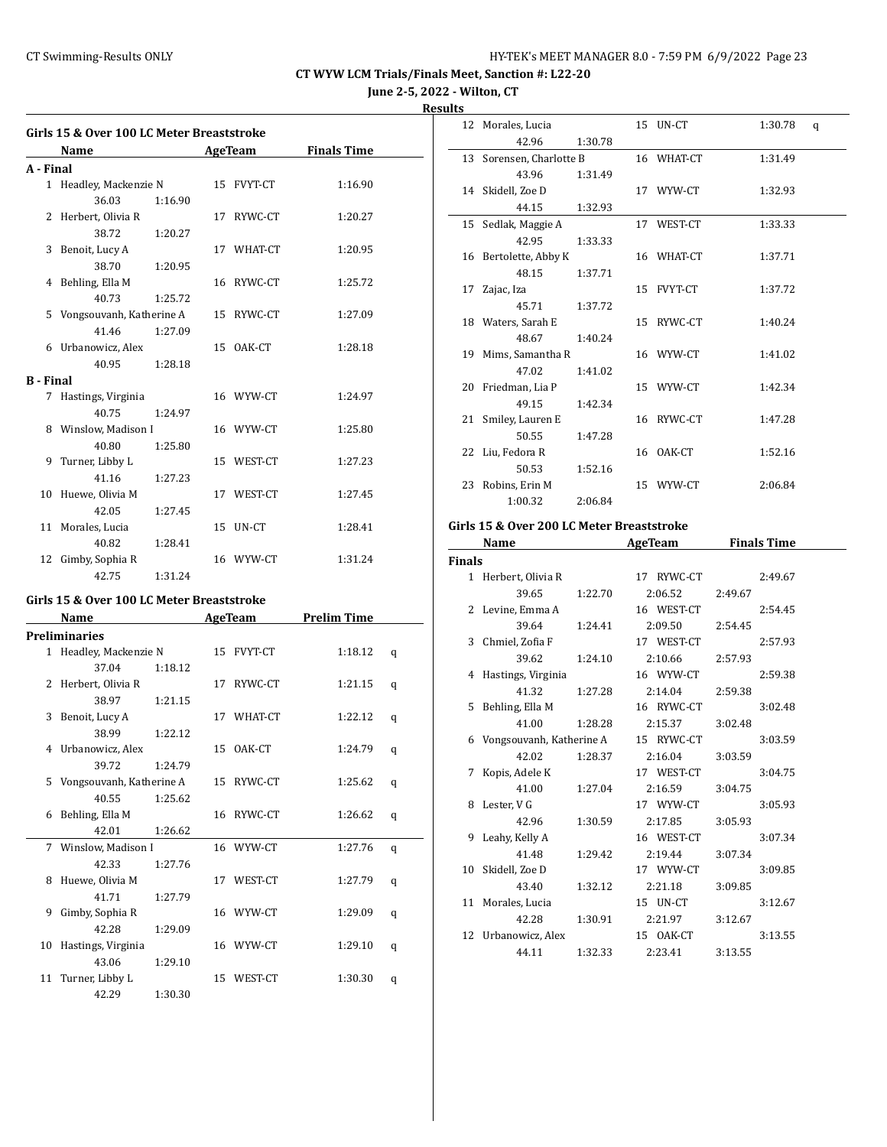**June 2-5, 2022 - Wilton, CT**

#### **Results**

|                  | Girls 15 & Over 100 LC Meter Breaststroke |         |                |                    |
|------------------|-------------------------------------------|---------|----------------|--------------------|
|                  | Name                                      |         | <b>AgeTeam</b> | <b>Finals Time</b> |
| A - Final        |                                           |         |                |                    |
|                  | 1 Headley, Mackenzie N                    |         | 15 FVYT-CT     | 1:16.90            |
|                  | 36.03                                     | 1:16.90 |                |                    |
|                  | 2 Herbert, Olivia R                       |         | 17 RYWC-CT     | 1:20.27            |
|                  | 38.72                                     | 1:20.27 |                |                    |
|                  | 3 Benoit, Lucy A                          |         | 17 WHAT-CT     | 1:20.95            |
|                  | 38.70                                     | 1:20.95 |                |                    |
|                  | 4 Behling, Ella M                         |         | 16 RYWC-CT     | 1:25.72            |
|                  | 40.73                                     | 1:25.72 |                |                    |
| 5                | Vongsouvanh, Katherine A                  |         | 15 RYWC-CT     | 1:27.09            |
|                  | 41.46                                     | 1:27.09 |                |                    |
|                  | 6 Urbanowicz, Alex                        |         | 15 OAK-CT      | 1:28.18            |
|                  | 40.95                                     | 1:28.18 |                |                    |
| <b>B</b> - Final |                                           |         |                |                    |
| 7                | Hastings, Virginia                        |         | 16 WYW-CT      | 1:24.97            |
|                  | 40.75                                     | 1:24.97 |                |                    |
|                  | 8 Winslow, Madison I                      |         | 16 WYW-CT      | 1:25.80            |
|                  | 40.80                                     | 1:25.80 |                |                    |
|                  | 9 Turner, Libby L                         |         | 15 WEST-CT     | 1:27.23            |
|                  | 41.16                                     | 1:27.23 |                |                    |
|                  | 10 Huewe, Olivia M                        |         | 17 WEST-CT     | 1:27.45            |
|                  | 42.05                                     | 1:27.45 |                |                    |
|                  | 11 Morales, Lucia                         |         | 15 UN-CT       | 1:28.41            |
|                  | 40.82                                     | 1:28.41 |                |                    |
| 12               | Gimby, Sophia R                           |         | 16 WYW-CT      | 1:31.24            |
|                  | 42.75                                     | 1:31.24 |                |                    |

#### **Girls 15 & Over 100 LC Meter Breaststroke**

|                | Name                     |         | <b>AgeTeam</b> | <b>Prelim Time</b> |   |  |
|----------------|--------------------------|---------|----------------|--------------------|---|--|
|                | <b>Preliminaries</b>     |         |                |                    |   |  |
|                | 1 Headley, Mackenzie N   |         | 15 FVYT-CT     | 1:18.12            | q |  |
|                | 37.04                    | 1:18.12 |                |                    |   |  |
| $\overline{2}$ | Herbert, Olivia R        |         | 17 RYWC-CT     | 1:21.15            | q |  |
|                | 38.97                    | 1:21.15 |                |                    |   |  |
| 3              | Benoit, Lucy A           |         | 17 WHAT-CT     | 1:22.12            | q |  |
|                | 38.99                    | 1:22.12 |                |                    |   |  |
| 4              | Urbanowicz, Alex         |         | 15 OAK-CT      | 1:24.79            | q |  |
|                | 39.72                    | 1:24.79 |                |                    |   |  |
| 5.             | Vongsouvanh, Katherine A |         | 15 RYWC-CT     | 1:25.62            | q |  |
|                | 40.55                    | 1:25.62 |                |                    |   |  |
| 6              | Behling, Ella M          |         | 16 RYWC-CT     | 1:26.62            | q |  |
|                | 42.01                    | 1:26.62 |                |                    |   |  |
|                | 7 Winslow, Madison I     |         | 16 WYW-CT      | 1:27.76            | q |  |
|                | 42.33                    | 1:27.76 |                |                    |   |  |
| 8              | Huewe, Olivia M          |         | 17 WEST-CT     | 1:27.79            | q |  |
|                | 41.71                    | 1:27.79 |                |                    |   |  |
| 9              | Gimby, Sophia R          |         | 16 WYW-CT      | 1:29.09            | q |  |
|                | 42.28                    | 1:29.09 |                |                    |   |  |
| 10             | Hastings, Virginia       |         | 16 WYW-CT      | 1:29.10            | q |  |
|                | 43.06                    | 1:29.10 |                |                    |   |  |
| 11             | Turner, Libby L          |         | 15 WEST-CT     | 1:30.30            | q |  |
|                | 42.29                    | 1:30.30 |                |                    |   |  |

| πь |                          |         |            |         |   |
|----|--------------------------|---------|------------|---------|---|
|    | 12 Morales, Lucia        |         | 15 UN-CT   | 1:30.78 | q |
|    | 42.96                    | 1:30.78 |            |         |   |
|    | 13 Sorensen, Charlotte B |         | 16 WHAT-CT | 1:31.49 |   |
|    | 43.96                    | 1:31.49 |            |         |   |
|    | 14 Skidell, Zoe D        |         | 17 WYW-CT  | 1:32.93 |   |
|    | 44.15                    | 1:32.93 |            |         |   |
|    | 15 Sedlak, Maggie A      |         | 17 WEST-CT | 1:33.33 |   |
|    | 42.95                    | 1:33.33 |            |         |   |
|    | 16 Bertolette, Abby K    |         | 16 WHAT-CT | 1:37.71 |   |
|    | 48.15                    | 1:37.71 |            |         |   |
| 17 | Zajac, Iza               |         | 15 FVYT-CT | 1:37.72 |   |
|    | 45.71                    | 1:37.72 |            |         |   |
|    | 18 Waters, Sarah E       |         | 15 RYWC-CT | 1:40.24 |   |
|    | 48.67                    | 1:40.24 |            |         |   |
|    | 19 Mims, Samantha R      |         | 16 WYW-CT  | 1:41.02 |   |
|    | 47.02                    | 1:41.02 |            |         |   |
|    | 20 Friedman, Lia P       |         | 15 WYW-CT  | 1:42.34 |   |
|    | 49.15                    | 1:42.34 |            |         |   |
|    | 21 Smiley, Lauren E      |         | 16 RYWC-CT | 1:47.28 |   |
|    | 50.55                    | 1:47.28 |            |         |   |
|    | 22 Liu, Fedora R         |         | 16 OAK-CT  | 1:52.16 |   |
|    | 50.53                    | 1:52.16 |            |         |   |
| 23 | Robins, Erin M           |         | 15 WYW-CT  | 2:06.84 |   |
|    | 1:00.32                  | 2:06.84 |            |         |   |

# **Girls 15 & Over 200 LC Meter Breaststroke**

|               | Name                       |         | AgeTeam    | <b>Finals Time</b> |
|---------------|----------------------------|---------|------------|--------------------|
| <b>Finals</b> |                            |         |            |                    |
|               | 1 Herbert, Olivia R        |         | 17 RYWC-CT | 2:49.67            |
|               | 39.65                      | 1:22.70 | 2:06.52    | 2:49.67            |
|               | 2 Levine, Emma A           |         | 16 WEST-CT | 2:54.45            |
|               | 39.64                      | 1:24.41 | 2:09.50    | 2:54.45            |
|               | 3 Chmiel, Zofia F          |         | 17 WEST-CT | 2:57.93            |
|               | 39.62                      | 1:24.10 | 2:10.66    | 2:57.93            |
|               | 4 Hastings, Virginia       |         | 16 WYW-CT  | 2:59.38            |
|               | 41.32                      | 1:27.28 | 2:14.04    | 2:59.38            |
| 5.            | Behling, Ella M            |         | 16 RYWC-CT | 3:02.48            |
|               | 41.00                      | 1:28.28 | 2:15.37    | 3:02.48            |
|               | 6 Vongsouvanh, Katherine A |         | 15 RYWC-CT | 3:03.59            |
|               | 42.02                      | 1:28.37 | 2:16.04    | 3:03.59            |
| 7             | Kopis, Adele K             |         | 17 WEST-CT | 3:04.75            |
|               | 41.00                      | 1:27.04 | 2:16.59    | 3:04.75            |
|               | 8 Lester, V G              |         | 17 WYW-CT  | 3:05.93            |
|               | 42.96                      | 1:30.59 | 2:17.85    | 3:05.93            |
|               | 9 Leahy, Kelly A           |         | 16 WEST-CT | 3:07.34            |
|               | 41.48                      | 1:29.42 | 2:19.44    | 3:07.34            |
|               | 10 Skidell, Zoe D          |         | 17 WYW-CT  | 3:09.85            |
|               | 43.40                      | 1:32.12 | 2:21.18    | 3:09.85            |
| 11            | Morales, Lucia             |         | 15 UN-CT   | 3:12.67            |
|               | 42.28                      | 1:30.91 | 2:21.97    | 3:12.67            |
|               | 12 Urbanowicz, Alex        |         | 15 OAK-CT  | 3:13.55            |
|               | 44.11                      | 1:32.33 | 2:23.41    | 3:13.55            |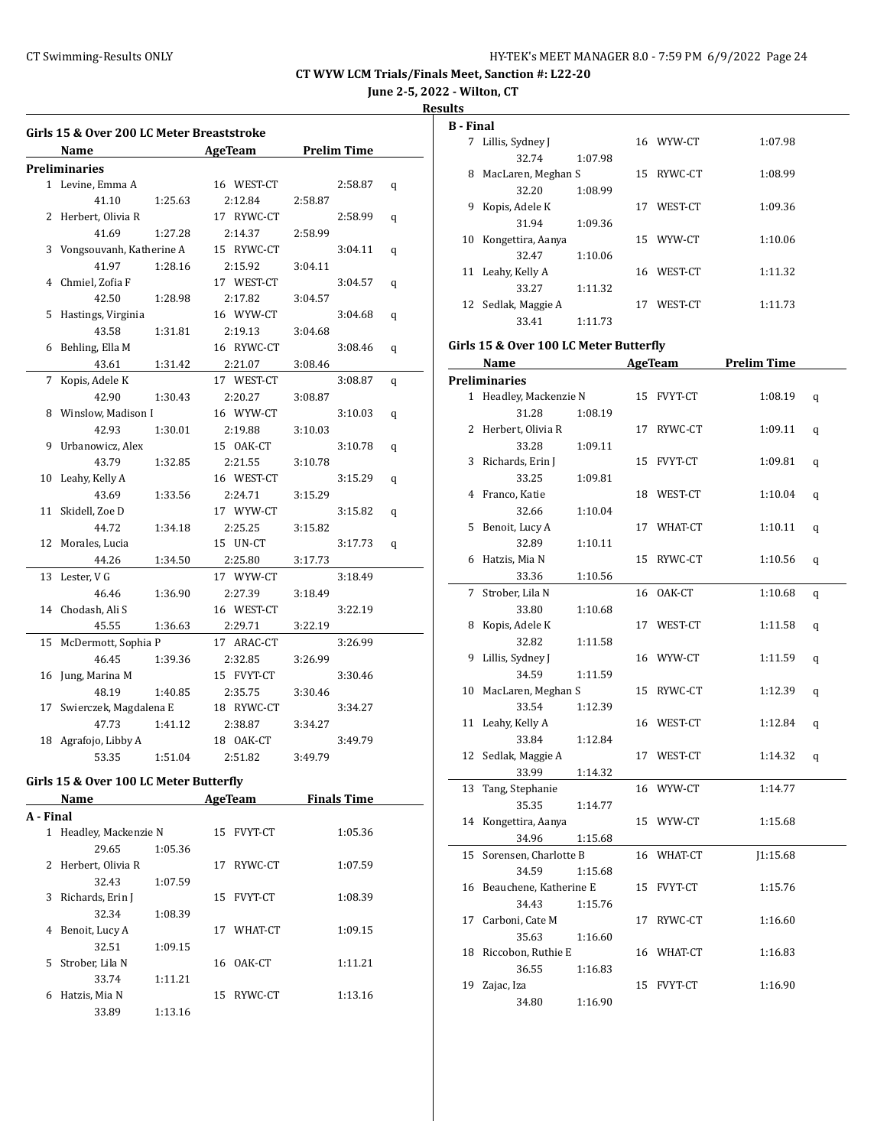**June 2-5, 2022 - Wilton, CT**

#### **Results**

l.

l,

|           | Girls 15 & Over 200 LC Meter Breaststroke |         |               |                     |   |
|-----------|-------------------------------------------|---------|---------------|---------------------|---|
|           | Name                                      |         | AgeTeam       |                     |   |
|           | Preliminaries                             |         |               |                     |   |
|           | 1 Levine, Emma A                          |         | 16 WEST-CT    | 2:58.87             | q |
|           | 41.10                                     | 1:25.63 | 2:12.84       | 2:58.87             |   |
| 2         | Herbert, Olivia R                         |         | 17 RYWC-CT    | 2:58.99             | q |
|           | 41.69                                     | 1:27.28 | 2:14.37       | 2:58.99             |   |
| 3         | Vongsouvanh, Katherine A                  |         | 15 RYWC-CT    | 3:04.11             | q |
|           | 41.97                                     | 1:28.16 | 2:15.92       | 3:04.11             |   |
| 4         | Chmiel, Zofia F                           |         | 17 WEST-CT    | 3:04.57             | q |
|           | 42.50                                     | 1:28.98 | 2:17.82       | 3:04.57             |   |
| 5         | Hastings, Virginia                        |         | 16 WYW-CT     | 3:04.68             | q |
|           | 43.58                                     | 1:31.81 | 2:19.13       | 3:04.68             |   |
| 6         | Behling, Ella M                           |         | 16 RYWC-CT    | 3:08.46             | q |
|           | 43.61                                     | 1:31.42 | 2:21.07       | 3:08.46             |   |
| 7         | Kopis, Adele K                            |         | 17 WEST-CT    | 3:08.87             | q |
|           | 42.90                                     | 1:30.43 | 2:20.27       | 3:08.87             |   |
| 8         | Winslow, Madison I                        |         | 16 WYW-CT     | 3:10.03             | q |
|           | 42.93                                     | 1:30.01 | 2:19.88       | 3:10.03             |   |
| 9         | Urbanowicz, Alex                          |         | 15 OAK-CT     | 3:10.78             | q |
|           | 43.79                                     | 1:32.85 | 2:21.55       | 3:10.78             |   |
| 10        | Leahy, Kelly A                            |         | 16 WEST-CT    | 3:15.29             | q |
|           | 43.69                                     | 1:33.56 | 2:24.71       | 3:15.29             |   |
| 11        | Skidell, Zoe D                            |         | 17 WYW-CT     | 3:15.82             | q |
|           | 44.72                                     | 1:34.18 | 2:25.25       | 3:15.82             |   |
| 12        | Morales, Lucia                            |         | 15 UN-CT      | 3:17.73             | q |
|           | 44.26                                     | 1:34.50 | 2:25.80       | 3:17.73             |   |
| 13        | Lester, V G                               |         | 17 WYW-CT     | 3:18.49             |   |
|           | 46.46                                     | 1:36.90 | 2:27.39       | 3:18.49             |   |
|           | 14 Chodash, Ali S                         |         | 16 WEST-CT    | 3:22.19             |   |
|           | 45.55                                     | 1:36.63 | 2:29.71       | 3:22.19             |   |
| 15        | McDermott, Sophia P                       |         | 17 ARAC-CT    | 3:26.99             |   |
|           | 46.45                                     | 1:39.36 | 2:32.85       | 3:26.99             |   |
| 16        | Jung, Marina M                            |         | 15 FVYT-CT    | 3:30.46             |   |
|           | 48.19                                     | 1:40.85 | 2:35.75       | 3:30.46             |   |
| 17        | Swierczek, Magdalena E                    |         | 18 RYWC-CT    | 3:34.27             |   |
|           | 47.73                                     | 1:41.12 | 2:38.87       | 3:34.27             |   |
| 18        | Agrafojo, Libby A                         |         | 18 OAK-CT     | 3:49.79             |   |
|           | 53.35                                     | 1:51.04 | 2:51.82       | 3:49.79             |   |
|           | Girls 15 & Over 100 LC Meter Butterfly    |         |               |                     |   |
|           | Name                                      |         |               | AgeTeam Finals Time |   |
| A - Final |                                           |         |               |                     |   |
|           | 1 Headley, Mackenzie N                    |         |               |                     |   |
|           | 29.65                                     | 1:05.36 | 15 FVYT-CT    | 1:05.36             |   |
| 2         | Herbert, Olivia R                         |         | RYWC-CT<br>17 | 1:07.59             |   |
|           | 32.43                                     | 1:07.59 |               |                     |   |
| 3         | Richards, Erin J                          |         | 15<br>FVYT-CT | 1:08.39             |   |
|           | 32.34                                     | 1:08.39 |               |                     |   |

4 Benoit, Lucy A 17 WHAT-CT 1:09.15

5 Strober, Lila N 16 OAK-CT 1:11.21

6 Hatzis, Mia N 15 RYWC-CT 1:13.16

32.51 1:09.15

33.74 1:11.21

33.89 1:13.16

| <b>B</b> - Final |                     |         |    |            |         |
|------------------|---------------------|---------|----|------------|---------|
|                  |                     |         |    | 16 WYW-CT  | 1:07.98 |
| 7                | Lillis, Sydney J    |         |    |            |         |
|                  | 32.74               | 1:07.98 |    |            |         |
| 8                | MacLaren, Meghan S  |         | 15 | RYWC-CT    | 1:08.99 |
|                  | 32.20               | 1:08.99 |    |            |         |
| 9                | Kopis, Adele K      |         | 17 | WEST-CT    | 1:09.36 |
|                  | 31.94               | 1:09.36 |    |            |         |
| 10               | Kongettira, Aanya   |         |    | 15 WYW-CT  | 1:10.06 |
|                  | 32.47               | 1:10.06 |    |            |         |
|                  | 11 Leahy, Kelly A   |         |    | 16 WEST-CT | 1:11.32 |
|                  | 33.27               | 1:11.32 |    |            |         |
|                  | 12 Sedlak, Maggie A |         | 17 | WEST-CT    | 1:11.73 |
|                  | 33.41               | 1:11.73 |    |            |         |

#### **Girls 15 & Over 100 LC Meter Butterfly**

|    | <b>Name</b>            |    | <b>AgeTeam</b> | <b>Prelim Time</b> |   |  |
|----|------------------------|----|----------------|--------------------|---|--|
|    | <b>Preliminaries</b>   |    |                |                    |   |  |
|    | 1 Headley, Mackenzie N |    | 15 FVYT-CT     | 1:08.19            | q |  |
|    | 31.28<br>1:08.19       |    |                |                    |   |  |
| 2  | Herbert, Olivia R      |    | 17 RYWC-CT     | 1:09.11            | q |  |
|    | 33.28<br>1:09.11       |    |                |                    |   |  |
| 3  | Richards, Erin J       |    | 15 FVYT-CT     | 1:09.81            | q |  |
|    | 33.25<br>1:09.81       |    |                |                    |   |  |
| 4  | Franco, Katie          |    | 18 WEST-CT     | 1:10.04            | q |  |
|    | 32.66<br>1:10.04       |    |                |                    |   |  |
| 5  | Benoit, Lucy A         |    | 17 WHAT-CT     | 1:10.11            | q |  |
|    | 32.89<br>1:10.11       |    |                |                    |   |  |
| 6  | Hatzis, Mia N          | 15 | RYWC-CT        | 1:10.56            | q |  |
|    | 33.36<br>1:10.56       |    |                |                    |   |  |
| 7  | Strober, Lila N        |    | 16 OAK-CT      | 1:10.68            | q |  |
|    | 33.80<br>1:10.68       |    |                |                    |   |  |
| 8  | Kopis, Adele K         |    | 17 WEST-CT     | 1:11.58            | q |  |
|    | 32.82<br>1:11.58       |    |                |                    |   |  |
| 9  | Lillis, Sydney J       |    | 16 WYW-CT      | 1:11.59            | q |  |
|    | 34.59<br>1:11.59       |    |                |                    |   |  |
| 10 | MacLaren, Meghan S     |    | 15 RYWC-CT     | 1:12.39            | q |  |
|    | 33.54<br>1:12.39       |    |                |                    |   |  |
| 11 | Leahy, Kelly A         |    | 16 WEST-CT     | 1:12.84            | q |  |
|    | 33.84<br>1:12.84       |    |                |                    |   |  |
| 12 | Sedlak, Maggie A       | 17 | WEST-CT        | 1:14.32            | q |  |
|    | 33.99<br>1:14.32       |    |                |                    |   |  |
| 13 | Tang, Stephanie        | 16 | WYW-CT         | 1:14.77            |   |  |
|    | 35.35<br>1:14.77       |    |                |                    |   |  |
| 14 | Kongettira, Aanya      | 15 | WYW-CT         | 1:15.68            |   |  |
|    | 34.96<br>1:15.68       |    |                |                    |   |  |
| 15 | Sorensen, Charlotte B  |    | 16 WHAT-CT     | J1:15.68           |   |  |
|    | 34.59<br>1:15.68       |    |                |                    |   |  |
| 16 | Beauchene, Katherine E |    | 15 FVYT-CT     | 1:15.76            |   |  |
|    | 34.43<br>1:15.76       |    |                |                    |   |  |
| 17 | Carboni, Cate M        |    | 17 RYWC-CT     | 1:16.60            |   |  |
|    | 35.63<br>1:16.60       |    |                |                    |   |  |
| 18 | Riccobon, Ruthie E     |    | 16 WHAT-CT     | 1:16.83            |   |  |
|    | 36.55<br>1:16.83       |    |                |                    |   |  |
| 19 | Zajac, Iza             | 15 | FVYT-CT        | 1:16.90            |   |  |
|    | 1:16.90<br>34.80       |    |                |                    |   |  |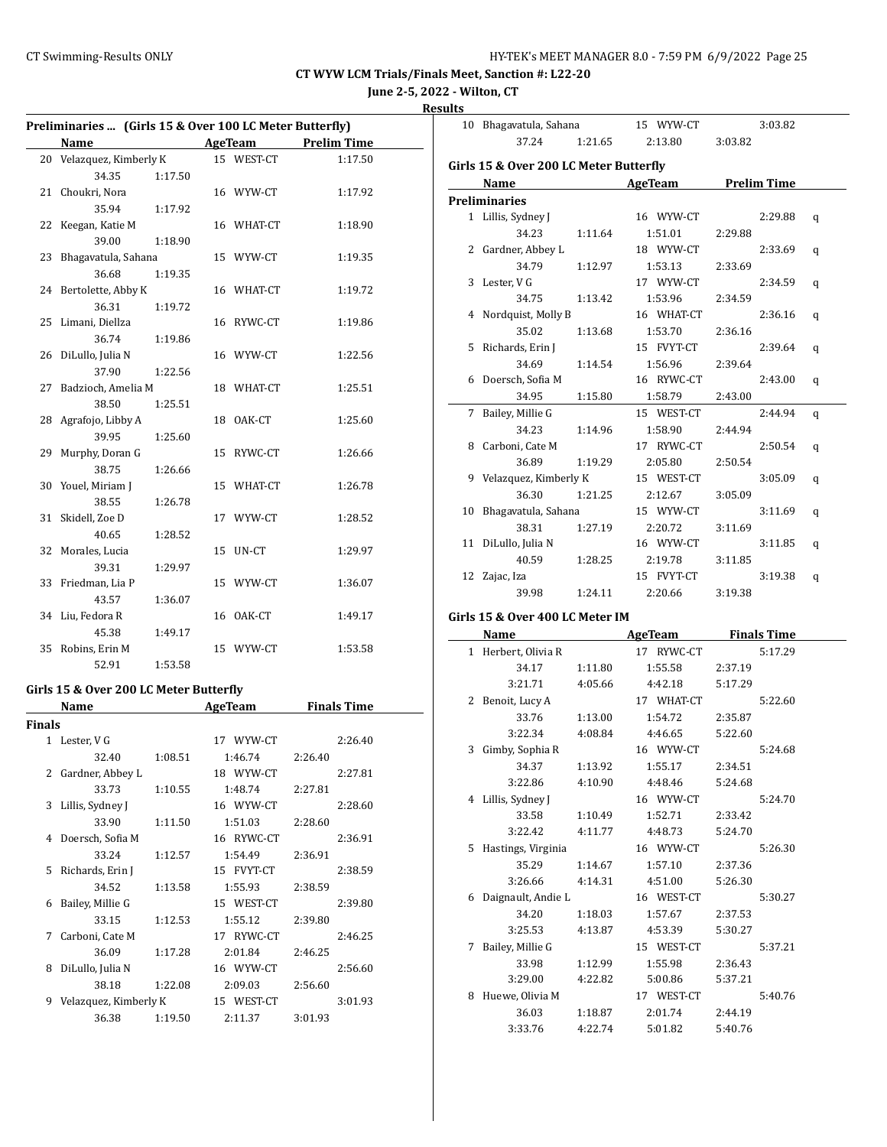**June 2-5, 2022 - Wilton, CT**

| Results |
|---------|
|---------|

 $\overline{a}$ 

 $\overline{a}$ 

 $\overline{a}$ 

| Preliminaries  (Girls 15 & Over 100 LC Meter Butterfly) |                                        |         |    |                            |         |                    |  |
|---------------------------------------------------------|----------------------------------------|---------|----|----------------------------|---------|--------------------|--|
|                                                         | Name                                   |         |    | AgeTeam                    |         | <b>Prelim Time</b> |  |
| 20                                                      | Velazquez, Kimberly K                  |         |    | 15 WEST-CT                 |         | 1:17.50            |  |
|                                                         | 34.35                                  | 1:17.50 |    |                            |         |                    |  |
| 21                                                      | Choukri, Nora                          |         |    | 16 WYW-CT                  |         | 1:17.92            |  |
|                                                         | 35.94                                  | 1:17.92 |    |                            |         |                    |  |
| 22                                                      | Keegan, Katie M                        |         |    | 16 WHAT-CT                 |         | 1:18.90            |  |
|                                                         | 39.00                                  | 1:18.90 |    |                            |         |                    |  |
| 23                                                      | Bhagavatula, Sahana                    |         |    | 15 WYW-CT                  |         | 1:19.35            |  |
|                                                         | 36.68                                  | 1:19.35 |    |                            |         |                    |  |
| 24                                                      | Bertolette, Abby K                     |         |    | 16 WHAT-CT                 |         | 1:19.72            |  |
|                                                         | 36.31                                  | 1:19.72 |    |                            |         |                    |  |
| 25                                                      | Limani, Diellza                        |         |    | 16 RYWC-CT                 |         | 1:19.86            |  |
|                                                         | 36.74                                  | 1:19.86 |    |                            |         |                    |  |
| 26                                                      | DiLullo, Julia N                       |         |    | 16 WYW-CT                  |         | 1:22.56            |  |
|                                                         | 37.90                                  | 1:22.56 |    |                            |         |                    |  |
| 27                                                      | Badzioch, Amelia M                     |         |    | 18 WHAT-CT                 |         | 1:25.51            |  |
|                                                         | 38.50                                  | 1:25.51 |    |                            |         |                    |  |
| 28                                                      | Agrafojo, Libby A                      |         | 18 | OAK-CT                     |         | 1:25.60            |  |
|                                                         | 39.95                                  | 1:25.60 |    |                            |         |                    |  |
| 29                                                      | Murphy, Doran G                        |         |    | 15 RYWC-CT                 |         | 1:26.66            |  |
|                                                         | 38.75                                  | 1:26.66 |    |                            |         |                    |  |
| 30                                                      | Youel, Miriam J                        |         |    | 15 WHAT-CT                 |         | 1:26.78            |  |
|                                                         | 38.55                                  | 1:26.78 |    |                            |         |                    |  |
| 31                                                      | Skidell, Zoe D                         |         |    | 17 WYW-CT                  |         | 1:28.52            |  |
|                                                         | 40.65                                  | 1:28.52 |    |                            |         |                    |  |
| 32                                                      | Morales, Lucia                         |         | 15 | UN-CT                      |         | 1:29.97            |  |
|                                                         | 39.31                                  | 1:29.97 |    |                            |         |                    |  |
| 33                                                      | Friedman, Lia P                        |         |    | 15 WYW-CT                  |         | 1:36.07            |  |
|                                                         | 43.57                                  | 1:36.07 |    |                            |         |                    |  |
| 34                                                      | Liu, Fedora R                          |         |    | 16 OAK-CT                  |         | 1:49.17            |  |
|                                                         | 45.38                                  | 1:49.17 |    |                            |         |                    |  |
| 35                                                      | Robins, Erin M                         |         |    | 15 WYW-CT                  |         | 1:53.58            |  |
|                                                         | 52.91                                  | 1:53.58 |    |                            |         |                    |  |
|                                                         | Girls 15 & Over 200 LC Meter Butterfly |         |    |                            |         |                    |  |
|                                                         | Name                                   |         |    | <b>Example 2.1 AgeTeam</b> |         | <b>Finals Time</b> |  |
| Finals                                                  |                                        |         |    |                            |         |                    |  |
|                                                         | 1 Lester, V G                          |         |    | 17 WYW-CT                  |         | 2:26.40            |  |
|                                                         | 32.40                                  | 1:08.51 |    | 1:46.74                    | 2:26.40 |                    |  |
|                                                         | 2 Gardner, Abbey L                     |         |    | 18 WYW-CT                  |         | 2:27.81            |  |
|                                                         | 33.73                                  | 1:10.55 |    | 1:48.74                    | 2:27.81 |                    |  |
| 3                                                       | Lillis, Sydney J                       |         |    | 16 WYW-CT                  |         | 2:28.60            |  |

33.90 1:11.50 1:51.03 2:28.60 4 Doersch, Sofia M 16 RYWC-CT 2:36.91 33.24 1:12.57 1:54.49 2:36.91 5 Richards, Erin J 15 FVYT-CT 2:38.59 34.52 1:13.58 1:55.93 2:38.59 6 Bailey, Millie G 15 WEST-CT 2:39.80 33.15 1:12.53 1:55.12 2:39.80 7 Carboni, Cate M 17 RYWC-CT 2:46.25 36.09 1:17.28 2:01.84 2:46.25 8 DiLullo, Julia N 16 WYW-CT 2:56.60 38.18 1:22.08 2:09.03 2:56.60 9 Velazquez, Kimberly K 15 WEST-CT 3:01.93 36.38 1:19.50 2:11.37 3:01.93

|    | 10 Bhagavatula, Sahana                 |         | 15 WYW-CT                |             | 3:03.82 |   |
|----|----------------------------------------|---------|--------------------------|-------------|---------|---|
|    | 37.24                                  | 1:21.65 | 2:13.80                  | 3:03.82     |         |   |
|    | Girls 15 & Over 200 LC Meter Butterfly |         |                          |             |         |   |
|    | Name                                   |         | <b>Example 2 AgeTeam</b> | Prelim Time |         |   |
|    | Preliminaries                          |         |                          |             |         |   |
|    | 1 Lillis, Sydney J                     |         | 16 WYW-CT                |             | 2:29.88 |   |
|    | 34.23                                  | 1:11.64 | 1:51.01                  | 2:29.88     |         | q |
|    | 2 Gardner, Abbey L                     |         | 18 WYW-CT                |             | 2:33.69 |   |
|    | 34.79                                  | 1:12.97 | 1:53.13                  | 2:33.69     |         | q |
|    | 3 Lester, V G                          |         | 17 WYW-CT                |             | 2:34.59 |   |
|    | 34.75                                  | 1:13.42 | 1:53.96                  | 2:34.59     |         | q |
|    |                                        |         |                          |             |         |   |
|    | 4 Nordquist, Molly B                   |         | 16 WHAT-CT<br>1:53.70    |             | 2:36.16 | q |
|    | 35.02                                  | 1:13.68 |                          | 2:36.16     |         |   |
|    | 5 Richards, Erin J<br>34.69            |         | 15 FVYT-CT               |             | 2:39.64 | q |
|    | 6 Doersch, Sofia M                     | 1:14.54 | 1:56.96<br>16 RYWC-CT    | 2:39.64     |         |   |
|    |                                        |         |                          |             | 2:43.00 | q |
|    | 34.95                                  | 1:15.80 | 1:58.79                  | 2:43.00     |         |   |
| 7  | Bailey, Millie G                       |         | 15 WEST-CT               |             | 2:44.94 | q |
|    | 34.23                                  | 1:14.96 | 1:58.90                  | 2:44.94     |         |   |
|    | 8 Carboni, Cate M                      |         | 17 RYWC-CT               |             | 2:50.54 | q |
|    | 36.89                                  | 1:19.29 | 2:05.80                  | 2:50.54     |         |   |
|    | 9 Velazquez, Kimberly K                |         | 15 WEST-CT<br>2:12.67    |             | 3:05.09 | q |
| 10 | 36.30<br>Bhagavatula, Sahana           | 1:21.25 | 15 WYW-CT                | 3:05.09     | 3:11.69 |   |
|    | 38.31                                  | 1:27.19 | 2:20.72                  |             |         | q |
| 11 | DiLullo, Julia N                       |         | 16 WYW-CT                | 3:11.69     | 3:11.85 |   |
|    | 40.59                                  | 1:28.25 | 2:19.78                  |             |         | q |
|    | 12 Zajac, Iza                          |         | 15 FVYT-CT               | 3:11.85     | 3:19.38 |   |
|    | 39.98                                  | 1:24.11 | 2:20.66                  | 3:19.38     |         | q |
|    |                                        |         |                          |             |         |   |
|    | Girls 15 & Over 400 LC Meter IM        |         |                          |             |         |   |
|    | Name                                   |         | AgeTeam Finals Time      |             |         |   |
|    | 1 Herbert, Olivia R                    |         | 17 RYWC-CT               |             | 5:17.29 |   |
|    | 34.17                                  | 1:11.80 | 1:55.58                  | 2:37.19     |         |   |
|    | 3:21.71                                | 4:05.66 | 4:42.18                  | 5:17.29     |         |   |
|    | 2 Benoit, Lucy A                       |         | 17 WHAT-CT               |             | 5:22.60 |   |
|    | 33.76                                  | 1:13.00 | 1:54.72                  | 2:35.87     |         |   |
|    | 3:22.34                                | 4:08.84 | 4:46.65                  | 5:22.60     |         |   |
| 3  | Gimby, Sophia R                        |         | 16 WYW-CT                |             | 5:24.68 |   |
|    | 34.37                                  | 1:13.92 | 1:55.17                  | 2:34.51     |         |   |
|    | 3:22.86                                | 4:10.90 | 4:48.46                  | 5:24.68     |         |   |
|    | 4 Lillis, Sydney J                     |         | 16 WYW-CT                |             | 5:24.70 |   |
|    | 33.58                                  | 1:10.49 | 1:52.71                  | 2:33.42     |         |   |
|    | 3:22.42                                | 4:11.77 | 4:48.73                  | 5:24.70     |         |   |
| 5. | Hastings, Virginia                     |         | 16 WYW-CT                |             | 5:26.30 |   |
|    | 35.29                                  | 1:14.67 | 1:57.10                  | 2:37.36     |         |   |
|    | 3:26.66                                | 4:14.31 | 4:51.00                  | 5:26.30     |         |   |
|    | 6 Daignault, Andie L                   |         | 16 WEST-CT               |             | 5:30.27 |   |
|    | 34.20                                  | 1:18.03 | 1:57.67                  | 2:37.53     |         |   |
|    | 3:25.53                                | 4:13.87 | 4:53.39                  | 5:30.27     |         |   |
|    | 7 Bailey, Millie G                     |         | 15 WEST-CT               |             | 5:37.21 |   |

7 Bailey, Millie G 15 WEST-CT 5:37.21 33.98 1:12.99 1:55.98 2:36.43 3:29.00 4:22.82 5:00.86 5:37.21 8 Huewe, Olivia M 17 WEST-CT 5:40.76 36.03 1:18.87 2:01.74 2:44.19 3:33.76 4:22.74 5:01.82 5:40.76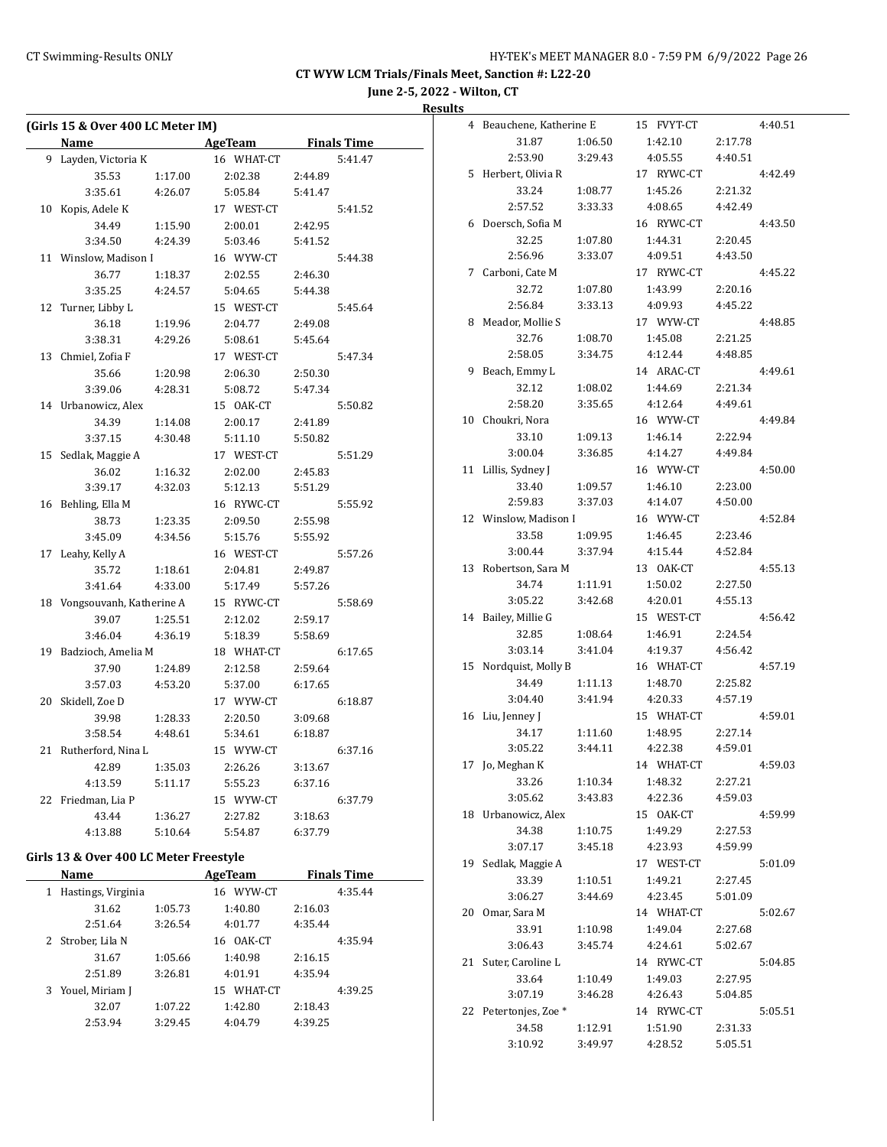**June 2-5, 2022 - Wilton, CT**

**Results**

|              | (Girls 15 & Over 400 LC Meter IM)      |                    |                |                    |                    |  |
|--------------|----------------------------------------|--------------------|----------------|--------------------|--------------------|--|
|              | Name                                   |                    | AgeTeam        | <b>Finals Time</b> |                    |  |
|              | 9 Layden, Victoria K                   |                    | 16 WHAT-CT     |                    | 5:41.47            |  |
|              | 35.53                                  | 1:17.00            | 2:02.38        | 2:44.89            |                    |  |
|              | 3:35.61                                | 4:26.07            | 5:05.84        | 5:41.47            |                    |  |
|              | 10 Kopis, Adele K                      |                    | 17 WEST-CT     |                    | 5:41.52            |  |
|              | 34.49                                  | 1:15.90            | 2:00.01        | 2:42.95            |                    |  |
|              | 3:34.50                                | 4:24.39            | 5:03.46        | 5:41.52            |                    |  |
|              | 11 Winslow, Madison I                  |                    | 16 WYW-CT      |                    | 5:44.38            |  |
|              | 36.77                                  | 1:18.37            | 2:02.55        | 2:46.30            |                    |  |
|              | 3:35.25                                | 4:24.57            | 5:04.65        | 5:44.38            |                    |  |
|              | 12 Turner, Libby L                     |                    | 15 WEST-CT     |                    | 5:45.64            |  |
|              | 36.18                                  | 1:19.96            | 2:04.77        | 2:49.08            |                    |  |
|              | 3:38.31                                | 4:29.26            | 5:08.61        | 5:45.64            |                    |  |
|              | 13 Chmiel, Zofia F                     |                    | 17 WEST-CT     |                    | 5:47.34            |  |
|              | 35.66                                  | 1:20.98            | 2:06.30        | 2:50.30            |                    |  |
|              | 3:39.06                                | 4:28.31            | 5:08.72        | 5:47.34            |                    |  |
|              | 14 Urbanowicz, Alex                    |                    | 15 OAK-CT      |                    | 5:50.82            |  |
|              | 34.39                                  | 1:14.08            | 2:00.17        | 2:41.89            |                    |  |
|              | 3:37.15                                | 4:30.48            | 5:11.10        | 5:50.82            |                    |  |
|              | 15 Sedlak, Maggie A                    |                    | 17 WEST-CT     |                    | 5:51.29            |  |
|              | 36.02                                  | 1:16.32            | 2:02.00        | 2:45.83            |                    |  |
|              | 3:39.17                                | 4:32.03            | 5:12.13        | 5:51.29            |                    |  |
|              | 16 Behling, Ella M                     |                    | 16 RYWC-CT     |                    | 5:55.92            |  |
|              | 38.73                                  | 1:23.35            | 2:09.50        | 2:55.98            |                    |  |
|              | 3:45.09                                | 4:34.56            | 5:15.76        | 5:55.92            |                    |  |
|              | 17 Leahy, Kelly A                      |                    | 16 WEST-CT     |                    | 5:57.26            |  |
|              | 35.72                                  | 1:18.61            | 2:04.81        | 2:49.87            |                    |  |
|              | 3:41.64                                | 4:33.00            | 5:17.49        | 5:57.26            |                    |  |
|              | 18 Vongsouvanh, Katherine A            |                    | 15 RYWC-CT     |                    | 5:58.69            |  |
|              |                                        |                    |                |                    |                    |  |
|              | 39.07<br>3:46.04                       | 1:25.51<br>4:36.19 | 2:12.02        | 2:59.17<br>5:58.69 |                    |  |
|              |                                        |                    | 5:18.39        |                    |                    |  |
|              | 19 Badzioch, Amelia M                  |                    | 18 WHAT-CT     |                    | 6:17.65            |  |
|              | 37.90                                  | 1:24.89            | 2:12.58        | 2:59.64            |                    |  |
|              | 3:57.03                                | 4:53.20            | 5:37.00        | 6:17.65            |                    |  |
|              | 20 Skidell, Zoe D                      |                    | 17 WYW-CT      |                    | 6:18.87            |  |
|              | 39.98                                  | 1:28.33            | 2:20.50        | 3:09.68            |                    |  |
|              | 3:58.54                                | 4:48.61            | 5:34.61        | 6:18.87            |                    |  |
|              | 21 Rutherford, Nina L                  |                    | 15 WYW-CT      |                    | 6:37.16            |  |
|              | 42.89 1:35.03                          |                    | 2:26.26        | 3:13.67            |                    |  |
|              | 4:13.59                                | 5:11.17            | 5:55.23        | 6:37.16            |                    |  |
|              | 22 Friedman, Lia P                     |                    | 15 WYW-CT      |                    | 6:37.79            |  |
|              | 43.44                                  | 1:36.27            | 2:27.82        | 3:18.63            |                    |  |
|              | 4:13.88                                | 5:10.64            | 5:54.87        | 6:37.79            |                    |  |
|              | Girls 13 & Over 400 LC Meter Freestyle |                    |                |                    |                    |  |
|              | Name                                   |                    | <b>AgeTeam</b> |                    | <b>Finals Time</b> |  |
| $\mathbf{1}$ | Hastings, Virginia                     |                    | 16 WYW-CT      |                    | 4:35.44            |  |
|              | 31.62                                  | 1:05.73            | 1:40.80        | 2:16.03            |                    |  |
|              | 2:51.64                                | 3:26.54            | 4:01.77        | 4:35.44            |                    |  |
| 2            | Strober, Lila N                        |                    | 16 OAK-CT      |                    | 4:35.94            |  |
|              | 31.67                                  | 1:05.66            | 1:40.98        | 2:16.15            |                    |  |

2:51.89 3:26.81 4:01.91 4:35.94 3 Youel, Miriam J 15 WHAT-CT 4:39.25 32.07 1:07.22 1:42.80 2:18.43 2:53.94 3:29.45 4:04.79 4:39.25

| 4  | Beauchene, Katherine E |         | 15 FVYT-CT |         | 4:40.51 |
|----|------------------------|---------|------------|---------|---------|
|    | 31.87                  | 1:06.50 | 1:42.10    | 2:17.78 |         |
|    | 2:53.90                | 3:29.43 | 4:05.55    | 4:40.51 |         |
| 5  | Herbert, Olivia R      |         | 17 RYWC-CT |         | 4:42.49 |
|    | 33.24                  | 1:08.77 | 1:45.26    | 2:21.32 |         |
|    | 2:57.52                | 3:33.33 | 4:08.65    | 4:42.49 |         |
| 6  | Doersch, Sofia M       |         | 16 RYWC-CT |         | 4:43.50 |
|    | 32.25                  | 1:07.80 | 1:44.31    | 2:20.45 |         |
|    | 2:56.96                | 3:33.07 | 4:09.51    | 4:43.50 |         |
| 7  | Carboni, Cate M        |         | 17 RYWC-CT |         | 4:45.22 |
|    | 32.72                  | 1:07.80 | 1:43.99    | 2:20.16 |         |
|    | 2:56.84                | 3:33.13 | 4:09.93    | 4:45.22 |         |
| 8  | Meador, Mollie S       |         | 17 WYW-CT  |         | 4:48.85 |
|    | 32.76                  | 1:08.70 | 1:45.08    | 2:21.25 |         |
|    | 2:58.05                | 3:34.75 | 4:12.44    | 4:48.85 |         |
| 9  | Beach, Emmy L          |         | 14 ARAC-CT |         | 4:49.61 |
|    | 32.12                  | 1:08.02 | 1:44.69    | 2:21.34 |         |
|    | 2:58.20                | 3:35.65 | 4:12.64    | 4:49.61 |         |
| 10 | Choukri, Nora          |         | 16 WYW-CT  |         | 4:49.84 |
|    | 33.10                  | 1:09.13 | 1:46.14    | 2:22.94 |         |
|    | 3:00.04                | 3:36.85 | 4:14.27    | 4:49.84 |         |
| 11 | Lillis, Sydney J       |         | 16 WYW-CT  |         | 4:50.00 |
|    | 33.40                  | 1:09.57 | 1:46.10    | 2:23.00 |         |
|    | 2:59.83                | 3:37.03 | 4:14.07    | 4:50.00 |         |
| 12 | Winslow, Madison I     |         | 16 WYW-CT  |         | 4:52.84 |
|    | 33.58                  | 1:09.95 | 1:46.45    | 2:23.46 |         |
|    | 3:00.44                | 3:37.94 | 4:15.44    | 4:52.84 |         |
| 13 | Robertson, Sara M      |         | 13 OAK-CT  |         | 4:55.13 |
|    | 34.74                  | 1:11.91 | 1:50.02    | 2:27.50 |         |
|    | 3:05.22                | 3:42.68 | 4:20.01    | 4:55.13 |         |
| 14 | Bailey, Millie G       |         | 15 WEST-CT |         | 4:56.42 |
|    | 32.85                  | 1:08.64 | 1:46.91    | 2:24.54 |         |
|    | 3:03.14                | 3:41.04 | 4:19.37    | 4:56.42 |         |
| 15 | Nordquist, Molly B     |         | 16 WHAT-CT |         | 4:57.19 |
|    | 34.49                  | 1:11.13 | 1:48.70    | 2:25.82 |         |
|    | 3:04.40                | 3:41.94 | 4:20.33    | 4:57.19 |         |
| 16 | Liu, Jenney J          |         | 15 WHAT-CT |         | 4:59.01 |
|    | 34.17                  | 1:11.60 | 1:48.95    | 2:27.14 |         |
|    | 3:05.22                | 3:44.11 | 4:22.38    | 4:59.01 |         |
|    | 17 Jo, Meghan K        |         | 14 WHAT-CT |         | 4:59.03 |
|    | 33.26                  | 1:10.34 | 1:48.32    | 2:27.21 |         |
|    | 3:05.62                | 3:43.83 | 4:22.36    | 4:59.03 |         |
|    | 18 Urbanowicz, Alex    |         | 15 OAK-CT  |         | 4:59.99 |
|    | 34.38                  | 1:10.75 | 1:49.29    | 2:27.53 |         |
|    | 3:07.17                | 3:45.18 | 4:23.93    | 4:59.99 |         |
| 19 | Sedlak, Maggie A       |         | 17 WEST-CT |         | 5:01.09 |
|    | 33.39                  | 1:10.51 | 1:49.21    | 2:27.45 |         |
|    | 3:06.27                | 3:44.69 | 4:23.45    | 5:01.09 |         |
| 20 | Omar, Sara M           |         | 14 WHAT-CT |         | 5:02.67 |
|    | 33.91                  | 1:10.98 | 1:49.04    | 2:27.68 |         |
|    | 3:06.43                | 3:45.74 | 4:24.61    | 5:02.67 |         |
| 21 | Suter, Caroline L      |         | 14 RYWC-CT |         | 5:04.85 |
|    | 33.64                  | 1:10.49 | 1:49.03    | 2:27.95 |         |
|    | 3:07.19                | 3:46.28 | 4:26.43    | 5:04.85 |         |
|    | 22 Petertonjes, Zoe *  |         | 14 RYWC-CT |         | 5:05.51 |
|    | 34.58                  | 1:12.91 | 1:51.90    | 2:31.33 |         |
|    | 3:10.92                | 3:49.97 | 4:28.52    | 5:05.51 |         |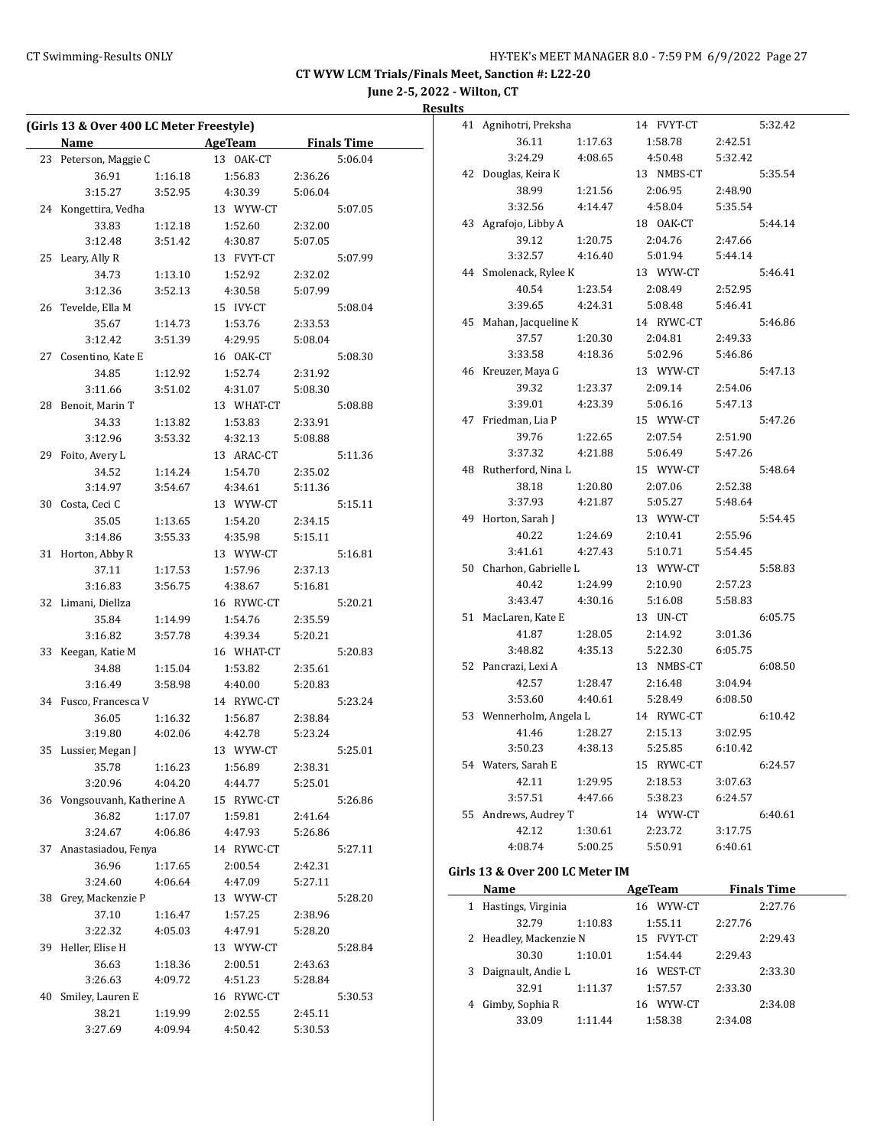**June 2-5, 2022 - Wilton, CT**

**Results**

|    | (Girls 13 & Over 400 LC Meter Freestyle) |         |                          |         |                    |  |  |
|----|------------------------------------------|---------|--------------------------|---------|--------------------|--|--|
|    | Name                                     |         | <b>Example 2 AgeTeam</b> |         | <b>Finals Time</b> |  |  |
| 23 | Peterson, Maggie C                       |         | 13 OAK-CT                |         | 5:06.04            |  |  |
|    | 36.91<br>1:16.18                         |         | 1:56.83                  | 2:36.26 |                    |  |  |
|    | 3:15.27                                  | 3:52.95 | 4:30.39                  | 5:06.04 |                    |  |  |
| 24 | Kongettira, Vedha                        |         | 13 WYW-CT                | 5:07.05 |                    |  |  |
|    | 33.83<br>1:12.18                         |         | 1:52.60                  | 2:32.00 |                    |  |  |
|    | 3:12.48                                  | 3:51.42 | 4:30.87                  | 5:07.05 |                    |  |  |
| 25 | Leary, Ally R                            |         | 13 FVYT-CT               |         | 5:07.99            |  |  |
|    | 34.73                                    | 1:13.10 | 1:52.92                  | 2:32.02 |                    |  |  |
|    | 3:12.36                                  | 3:52.13 | 4:30.58                  | 5:07.99 |                    |  |  |
| 26 | Tevelde, Ella M                          |         | 15 IVY-CT                |         | 5:08.04            |  |  |
|    | 35.67                                    | 1:14.73 | 1:53.76                  | 2:33.53 |                    |  |  |
|    | 3:12.42                                  | 3:51.39 | 4:29.95                  | 5:08.04 |                    |  |  |
|    | 27 Cosentino, Kate E                     |         | 16 OAK-CT                |         | 5:08.30            |  |  |
|    | 34.85                                    | 1:12.92 | 1:52.74                  | 2:31.92 |                    |  |  |
|    | 3:11.66                                  | 3:51.02 | 4:31.07                  | 5:08.30 |                    |  |  |
| 28 | Benoit, Marin T                          |         | 13 WHAT-CT               |         | 5:08.88            |  |  |
|    | 34.33                                    | 1:13.82 | 1:53.83                  | 2:33.91 |                    |  |  |
|    | 3:12.96                                  | 3:53.32 | 4:32.13                  | 5:08.88 |                    |  |  |
| 29 | Foito, Avery L                           |         | 13 ARAC-CT               |         | 5:11.36            |  |  |
|    | 34.52                                    | 1:14.24 | 1:54.70                  | 2:35.02 |                    |  |  |
|    | 3:14.97                                  | 3:54.67 | 4:34.61                  | 5:11.36 |                    |  |  |
| 30 | Costa, Ceci C                            |         | 13 WYW-CT                |         | 5:15.11            |  |  |
|    | 35.05                                    | 1:13.65 | 1:54.20                  | 2:34.15 |                    |  |  |
|    | 3:14.86                                  | 3:55.33 | 4:35.98                  | 5:15.11 |                    |  |  |
| 31 | Horton, Abby R                           |         | 13 WYW-CT                |         | 5:16.81            |  |  |
|    | 37.11                                    | 1:17.53 | 1:57.96                  | 2:37.13 |                    |  |  |
|    | 3:16.83                                  | 3:56.75 | 4:38.67                  | 5:16.81 |                    |  |  |
| 32 | Limani, Diellza                          |         | 16 RYWC-CT               |         | 5:20.21            |  |  |
|    | 35.84                                    | 1:14.99 | 1:54.76                  | 2:35.59 |                    |  |  |
|    | 3:16.82                                  | 3:57.78 | 4:39.34                  | 5:20.21 |                    |  |  |
| 33 | Keegan, Katie M                          |         | 16 WHAT-CT               |         | 5:20.83            |  |  |
|    | 34.88                                    | 1:15.04 | 1:53.82                  | 2:35.61 |                    |  |  |
|    | 3:16.49                                  | 3:58.98 | 4:40.00                  | 5:20.83 |                    |  |  |
|    | 34 Fusco, Francesca V                    |         | 14 RYWC-CT               |         | 5:23.24            |  |  |
|    | 36.05                                    | 1:16.32 | 1:56.87                  | 2:38.84 |                    |  |  |
|    | 3:19.80                                  | 4:02.06 | 4:42.78                  | 5:23.24 |                    |  |  |
|    | 35 Lussier, Megan J                      |         | 13 WYW-CT                |         | 5:25.01            |  |  |
|    | 35.78                                    | 1:16.23 | 1:56.89                  | 2:38.31 |                    |  |  |
|    | 3:20.96                                  | 4:04.20 | 4:44.77                  | 5:25.01 |                    |  |  |
|    | 36 Vongsouvanh, Katherine A              |         | 15 RYWC-CT               |         | 5:26.86            |  |  |
|    | 36.82                                    | 1:17.07 | 1:59.81                  | 2:41.64 |                    |  |  |
|    | 3:24.67                                  | 4:06.86 | 4:47.93                  | 5:26.86 |                    |  |  |
| 37 | Anastasiadou, Fenya                      |         | 14 RYWC-CT               |         | 5:27.11            |  |  |
|    | 36.96                                    | 1:17.65 | 2:00.54                  | 2:42.31 |                    |  |  |
|    | 3:24.60                                  | 4:06.64 | 4:47.09                  | 5:27.11 |                    |  |  |
| 38 | Grey, Mackenzie P                        |         | 13 WYW-CT                |         | 5:28.20            |  |  |
|    | 37.10                                    | 1:16.47 | 1:57.25                  | 2:38.96 |                    |  |  |
|    | 3:22.32                                  | 4:05.03 | 4:47.91                  | 5:28.20 |                    |  |  |
| 39 | Heller, Elise H                          |         | 13 WYW-CT                |         | 5:28.84            |  |  |
|    | 36.63                                    | 1:18.36 | 2:00.51                  | 2:43.63 |                    |  |  |
|    | 3:26.63                                  | 4:09.72 | 4:51.23                  | 5:28.84 |                    |  |  |
| 40 | Smiley, Lauren E                         |         | 16 RYWC-CT               |         | 5:30.53            |  |  |
|    | 38.21                                    | 1:19.99 | 2:02.55                  | 2:45.11 |                    |  |  |
|    | 3:27.69                                  | 4:09.94 | 4:50.42                  | 5:30.53 |                    |  |  |
|    |                                          |         |                          |         |                    |  |  |

| 41 | Agnihotri, Preksha   |         | 14 FVYT-CT |         | 5:32.42 |
|----|----------------------|---------|------------|---------|---------|
|    | 36.11                | 1:17.63 | 1:58.78    | 2:42.51 |         |
|    | 3:24.29              | 4:08.65 | 4:50.48    | 5:32.42 |         |
| 42 | Douglas, Keira K     |         | 13 NMBS-CT |         | 5:35.54 |
|    | 38.99                | 1:21.56 | 2:06.95    | 2:48.90 |         |
|    | 3:32.56              | 4:14.47 | 4:58.04    | 5:35.54 |         |
| 43 | Agrafojo, Libby A    |         | 18 OAK-CT  |         | 5:44.14 |
|    | 39.12                | 1:20.75 | 2:04.76    | 2:47.66 |         |
|    | 3:32.57              | 4:16.40 | 5:01.94    | 5:44.14 |         |
| 44 | Smolenack, Rylee K   |         | 13 WYW-CT  |         | 5:46.41 |
|    | 40.54                | 1:23.54 | 2:08.49    | 2:52.95 |         |
|    | 3:39.65              | 4:24.31 | 5:08.48    | 5:46.41 |         |
| 45 | Mahan, Jacqueline K  |         | 14 RYWC-CT |         | 5:46.86 |
|    | 37.57                | 1:20.30 | 2:04.81    | 2:49.33 |         |
|    | 3:33.58              | 4:18.36 | 5:02.96    | 5:46.86 |         |
| 46 | Kreuzer, Maya G      |         | 13 WYW-CT  |         | 5:47.13 |
|    | 39.32                | 1:23.37 | 2:09.14    | 2:54.06 |         |
|    | 3:39.01              | 4:23.39 | 5:06.16    | 5:47.13 |         |
| 47 | Friedman, Lia P      |         | 15 WYW-CT  |         | 5:47.26 |
|    | 39.76                | 1:22.65 | 2:07.54    | 2:51.90 |         |
|    | 3:37.32              | 4:21.88 | 5:06.49    | 5:47.26 |         |
| 48 | Rutherford, Nina L   |         | 15 WYW-CT  |         | 5:48.64 |
|    | 38.18                | 1:20.80 | 2:07.06    | 2:52.38 |         |
|    | 3:37.93              | 4:21.87 | 5:05.27    | 5:48.64 |         |
| 49 | Horton, Sarah J      |         | 13 WYW-CT  |         | 5:54.45 |
|    | 40.22                | 1:24.69 | 2:10.41    | 2:55.96 |         |
|    | 3:41.61              | 4:27.43 | 5:10.71    | 5:54.45 |         |
| 50 | Charhon, Gabrielle L |         | 13 WYW-CT  |         | 5:58.83 |
|    | 40.42                | 1:24.99 | 2:10.90    | 2:57.23 |         |
|    | 3:43.47              | 4:30.16 | 5:16.08    | 5:58.83 |         |
| 51 | MacLaren, Kate E     |         | 13 UN-CT   |         | 6:05.75 |
|    | 41.87                | 1:28.05 | 2:14.92    | 3:01.36 |         |
|    | 3:48.82              | 4:35.13 | 5:22.30    | 6:05.75 |         |
| 52 | Pancrazi, Lexi A     |         | 13 NMBS-CT |         | 6:08.50 |
|    | 42.57                | 1:28.47 | 2:16.48    | 3:04.94 |         |
|    | 3:53.60              | 4:40.61 | 5:28.49    | 6:08.50 |         |
| 53 | Wennerholm, Angela L |         | 14 RYWC-CT |         | 6:10.42 |
|    | 41.46                | 1:28.27 | 2:15.13    | 3:02.95 |         |
|    | 3:50.23              | 4:38.13 | 5:25.85    | 6:10.42 |         |
| 54 | Waters, Sarah E      |         | 15 RYWC-CT |         | 6:24.57 |
|    | 42.11                | 1:29.95 | 2:18.53    | 3:07.63 |         |
|    | 3:57.51              | 4:47.66 | 5:38.23    | 6:24.57 |         |
| 55 | Andrews, Audrey T    |         | 14 WYW-CT  |         | 6:40.61 |
|    | 42.12                | 1:30.61 | 2:23.72    | 3:17.75 |         |
|    | 4:08.74              | 5:00.25 | 5:50.91    | 6:40.61 |         |
|    |                      |         |            |         |         |

## **Girls 13 & Over 200 LC Meter IM**

|   | Name                   |         | AgeTeam      | <b>Finals Time</b> |  |
|---|------------------------|---------|--------------|--------------------|--|
| 1 | Hastings, Virginia     |         | 16 WYW-CT    | 2:27.76            |  |
|   | 32.79                  | 1:10.83 | 1:55.11      | 2:27.76            |  |
|   | 2 Headley, Mackenzie N |         | 15 FVYT-CT   | 2:29.43            |  |
|   | 30.30                  | 1:10.01 | 1:54.44      | 2:29.43            |  |
| 3 | Daignault, Andie L     |         | 16 WEST-CT   | 2:33.30            |  |
|   | 32.91                  | 1:11.37 | 1:57.57      | 2:33.30            |  |
| 4 | Gimby, Sophia R        |         | WYW-CT<br>16 | 2:34.08            |  |
|   | 33.09                  | 1:11.44 | 1:58.38      | 2:34.08            |  |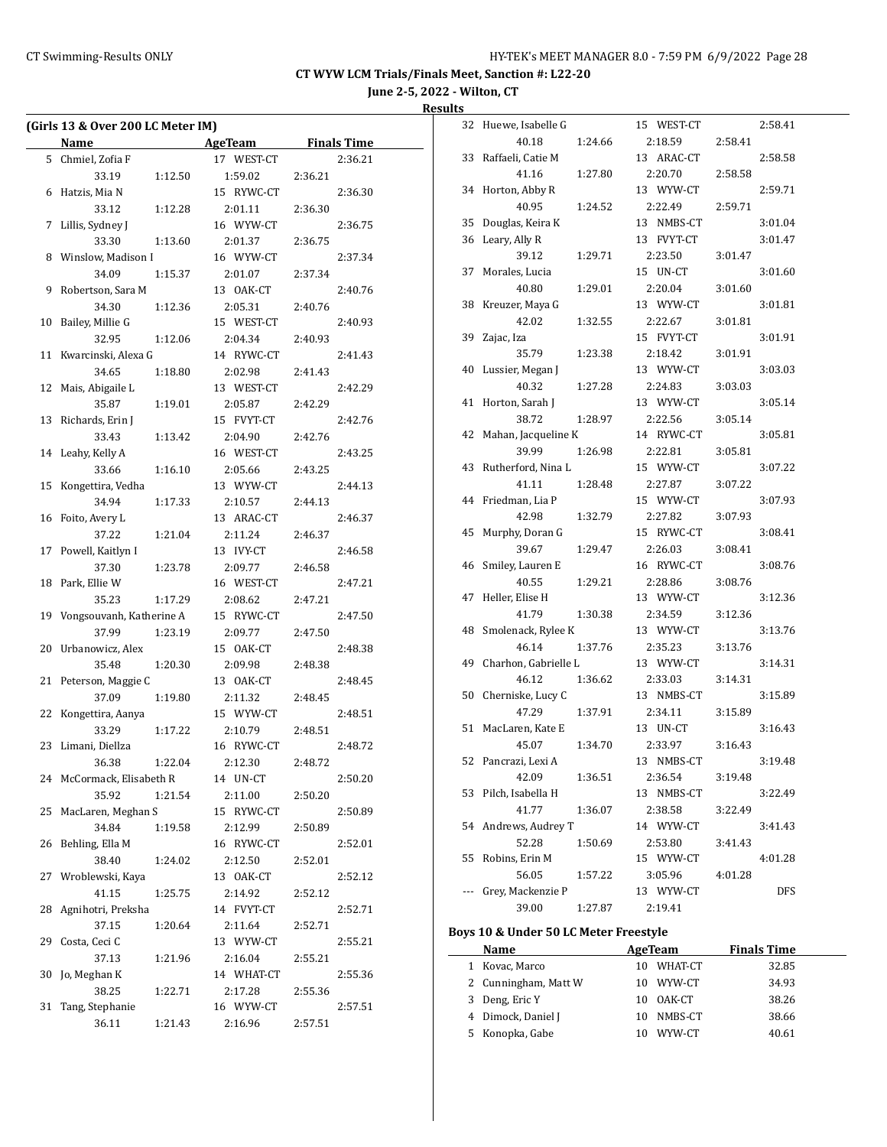**June 2-5, 2022 - Wilton, CT**

**Results**

|    | (Girls 13 & Over 200 LC Meter IM) |         |            |         |                    |
|----|-----------------------------------|---------|------------|---------|--------------------|
|    | <b>Name</b>                       |         | AgeTeam    |         | <b>Finals Time</b> |
|    | 5 Chmiel, Zofia F                 |         | 17 WEST-CT |         | 2:36.21            |
|    | 33.19                             | 1:12.50 | 1:59.02    | 2:36.21 |                    |
| 6  | Hatzis, Mia N                     |         | 15 RYWC-CT |         | 2:36.30            |
|    | 33.12                             | 1:12.28 | 2:01.11    | 2:36.30 |                    |
| 7  | Lillis, Sydney J                  |         | 16 WYW-CT  |         | 2:36.75            |
|    | 33.30                             | 1:13.60 | 2:01.37    | 2:36.75 |                    |
|    | 8 Winslow, Madison I              |         | 16 WYW-CT  |         | 2:37.34            |
|    | 34.09                             | 1:15.37 | 2:01.07    | 2:37.34 |                    |
| 9  | Robertson, Sara M                 |         | 13 OAK-CT  |         | 2:40.76            |
|    | 34.30                             | 1:12.36 | 2:05.31    | 2:40.76 |                    |
| 10 | Bailey, Millie G                  |         | 15 WEST-CT |         | 2:40.93            |
|    | 32.95                             | 1:12.06 | 2:04.34    | 2:40.93 |                    |
| 11 | Kwarcinski, Alexa G               |         | 14 RYWC-CT |         | 2:41.43            |
|    | 34.65                             | 1:18.80 | 2:02.98    | 2:41.43 |                    |
| 12 | Mais, Abigaile L                  |         | 13 WEST-CT |         | 2:42.29            |
|    | 35.87                             | 1:19.01 | 2:05.87    | 2:42.29 |                    |
| 13 | Richards, Erin J                  |         | 15 FVYT-CT |         | 2:42.76            |
|    | 33.43                             |         |            |         |                    |
| 14 |                                   | 1:13.42 | 2:04.90    | 2:42.76 |                    |
|    | Leahy, Kelly A                    |         | 16 WEST-CT |         | 2:43.25            |
|    | 33.66                             | 1:16.10 | 2:05.66    | 2:43.25 |                    |
| 15 | Kongettira, Vedha                 |         | 13 WYW-CT  |         | 2:44.13            |
|    | 34.94                             | 1:17.33 | 2:10.57    | 2:44.13 |                    |
| 16 | Foito, Avery L                    |         | 13 ARAC-CT |         | 2:46.37            |
|    | 37.22                             | 1:21.04 | 2:11.24    | 2:46.37 |                    |
| 17 | Powell, Kaitlyn I                 |         | 13 IVY-CT  |         | 2:46.58            |
|    | 37.30                             | 1:23.78 | 2:09.77    | 2:46.58 |                    |
| 18 | Park, Ellie W                     |         | 16 WEST-CT |         | 2:47.21            |
|    | 35.23                             | 1:17.29 | 2:08.62    | 2:47.21 |                    |
| 19 | Vongsouvanh, Katherine A          |         | 15 RYWC-CT |         | 2:47.50            |
|    | 37.99                             | 1:23.19 | 2:09.77    | 2:47.50 |                    |
| 20 | Urbanowicz, Alex                  |         | 15 OAK-CT  |         | 2:48.38            |
|    | 35.48                             | 1:20.30 | 2:09.98    | 2:48.38 |                    |
| 21 | Peterson, Maggie C                |         | 13 OAK-CT  |         | 2:48.45            |
|    | 37.09                             | 1:19.80 | 2:11.32    | 2:48.45 |                    |
| 22 | Kongettira, Aanya                 |         | 15 WYW-CT  |         | 2:48.51            |
|    | 33.29                             | 1:17.22 | 2:10.79    | 2:48.51 |                    |
| 23 | Limani, Diellza                   |         | 16 RYWC-CT |         | 2:48.72            |
|    | 36.38                             | 1:22.04 | 2:12.30    | 2:48.72 |                    |
| 24 | McCormack, Elisabeth R            |         | 14 UN-CT   |         | 2:50.20            |
|    | 35.92                             | 1:21.54 | 2:11.00    | 2:50.20 |                    |
| 25 | MacLaren, Meghan S                |         | 15 RYWC-CT |         | 2:50.89            |
|    | 34.84                             | 1:19.58 | 2:12.99    | 2:50.89 |                    |
| 26 | Behling, Ella M                   |         | 16 RYWC-CT |         | 2:52.01            |
|    | 38.40                             | 1:24.02 | 2:12.50    | 2:52.01 |                    |
| 27 | Wroblewski, Kaya                  |         | 13 OAK-CT  |         | 2:52.12            |
|    | 41.15                             | 1:25.75 | 2:14.92    | 2:52.12 |                    |
| 28 | Agnihotri, Preksha                |         | 14 FVYT-CT |         | 2:52.71            |
|    | 37.15                             | 1:20.64 | 2:11.64    | 2:52.71 |                    |
| 29 | Costa, Ceci C                     |         | 13 WYW-CT  |         | 2:55.21            |
|    | 37.13                             | 1:21.96 | 2:16.04    | 2:55.21 |                    |
| 30 | Jo, Meghan K                      |         | 14 WHAT-CT |         | 2:55.36            |
|    | 38.25                             | 1:22.71 | 2:17.28    | 2:55.36 |                    |
| 31 | Tang, Stephanie                   |         | 16 WYW-CT  |         | 2:57.51            |
|    | 36.11                             | 1:21.43 | 2:16.96    | 2:57.51 |                    |
|    |                                   |         |            |         |                    |

| 32  | Huewe, Isabelle G    |         |    | 15 WEST-CT |         | 2:58.41 |
|-----|----------------------|---------|----|------------|---------|---------|
|     | 40.18                | 1:24.66 |    | 2:18.59    | 2:58.41 |         |
| 33  | Raffaeli, Catie M    |         |    | 13 ARAC-CT |         | 2:58.58 |
|     | 41.16                | 1:27.80 |    | 2:20.70    | 2:58.58 |         |
| 34  | Horton, Abby R       |         |    | 13 WYW-CT  |         | 2:59.71 |
|     | 40.95                | 1:24.52 |    | 2:22.49    | 2:59.71 |         |
| 35  | Douglas, Keira K     |         | 13 | NMBS-CT    |         | 3:01.04 |
| 36  | Leary, Ally R        |         |    | 13 FVYT-CT |         | 3:01.47 |
|     | 39.12                | 1:29.71 |    | 2:23.50    | 3:01.47 |         |
| 37  | Morales, Lucia       |         |    | 15 UN-CT   |         | 3:01.60 |
|     | 40.80                | 1:29.01 |    | 2:20.04    | 3:01.60 |         |
| 38  | Kreuzer, Maya G      |         |    | 13 WYW-CT  |         | 3:01.81 |
|     | 42.02                | 1:32.55 |    | 2:22.67    | 3:01.81 |         |
| 39  | Zajac, Iza           |         |    | 15 FVYT-CT |         | 3:01.91 |
|     | 35.79                | 1:23.38 |    | 2:18.42    | 3:01.91 |         |
| 40  | Lussier, Megan J     |         |    | 13 WYW-CT  |         | 3:03.03 |
|     | 40.32                | 1:27.28 |    | 2:24.83    | 3:03.03 |         |
| 41  | Horton, Sarah J      |         |    | 13 WYW-CT  |         | 3:05.14 |
|     | 38.72                | 1:28.97 |    | 2:22.56    | 3:05.14 |         |
| 42  | Mahan, Jacqueline K  |         |    | 14 RYWC-CT |         | 3:05.81 |
|     | 39.99                | 1:26.98 |    | 2:22.81    | 3:05.81 |         |
| 43  | Rutherford, Nina L   |         |    | 15 WYW-CT  |         | 3:07.22 |
|     | 41.11                | 1:28.48 |    | 2:27.87    | 3:07.22 |         |
| 44  | Friedman, Lia P      |         |    | 15 WYW-CT  |         | 3:07.93 |
|     | 42.98                | 1:32.79 |    | 2:27.82    | 3:07.93 |         |
| 45  | Murphy, Doran G      |         |    | 15 RYWC-CT |         | 3:08.41 |
|     | 39.67                | 1:29.47 |    | 2:26.03    | 3:08.41 |         |
| 46  | Smiley, Lauren E     |         |    | 16 RYWC-CT |         | 3:08.76 |
|     | 40.55                | 1:29.21 |    | 2:28.86    | 3:08.76 |         |
| 47  | Heller, Elise H      |         |    | 13 WYW-CT  |         | 3:12.36 |
|     | 41.79                | 1:30.38 |    | 2:34.59    | 3:12.36 |         |
| 48  | Smolenack, Rylee K   |         |    | 13 WYW-CT  |         | 3:13.76 |
|     | 46.14                | 1:37.76 |    | 2:35.23    | 3:13.76 |         |
| 49  | Charhon, Gabrielle L |         |    | 13 WYW-CT  |         | 3:14.31 |
|     | 46.12                | 1:36.62 |    | 2:33.03    | 3:14.31 |         |
| 50  | Cherniske, Lucy C    |         |    | 13 NMBS-CT |         | 3:15.89 |
|     | 47.29                | 1:37.91 |    | 2:34.11    | 3:15.89 |         |
| 51  | MacLaren, Kate E     |         |    | 13 UN-CT   |         | 3:16.43 |
|     | 45.07                | 1:34.70 |    | 2:33.97    | 3:16.43 |         |
| 52  | Pancrazi, Lexi A     |         | 13 | NMBS-CT    |         | 3:19.48 |
|     | 42.09                | 1:36.51 |    | 2:36.54    | 3:19.48 |         |
| 53  | Pilch, Isabella H    |         |    | 13 NMBS-CT |         | 3:22.49 |
|     | 41.77                | 1:36.07 |    | 2:38.58    | 3:22.49 |         |
| 54  | Andrews, Audrey T    |         |    | 14 WYW-CT  |         | 3:41.43 |
|     | 52.28                | 1:50.69 |    | 2:53.80    | 3:41.43 |         |
| 55  | Robins, Erin M       |         |    | 15 WYW-CT  |         | 4:01.28 |
|     | 56.05                | 1:57.22 |    | 3:05.96    | 4:01.28 |         |
| --- | Grey, Mackenzie P    |         |    | 13 WYW-CT  |         | DFS     |
|     | 39.00                | 1:27.87 |    | 2:19.41    |         |         |
|     |                      |         |    |            |         |         |

# **Boys 10 & Under 50 LC Meter Freestyle**

|   | Name                 |    | AgeTeam    | <b>Finals Time</b> |  |
|---|----------------------|----|------------|--------------------|--|
| 1 | Kovac, Marco         |    | 10 WHAT-CT | 32.85              |  |
|   | 2 Cunningham, Matt W |    | 10 WYW-CT  | 34.93              |  |
|   | 3 Deng, Eric Y       |    | 10 OAK-CT  | 38.26              |  |
|   | 4 Dimock, Daniel J   |    | 10 NMBS-CT | 38.66              |  |
|   | 5 Konopka, Gabe      | 10 | WYW-CT     | 40.61              |  |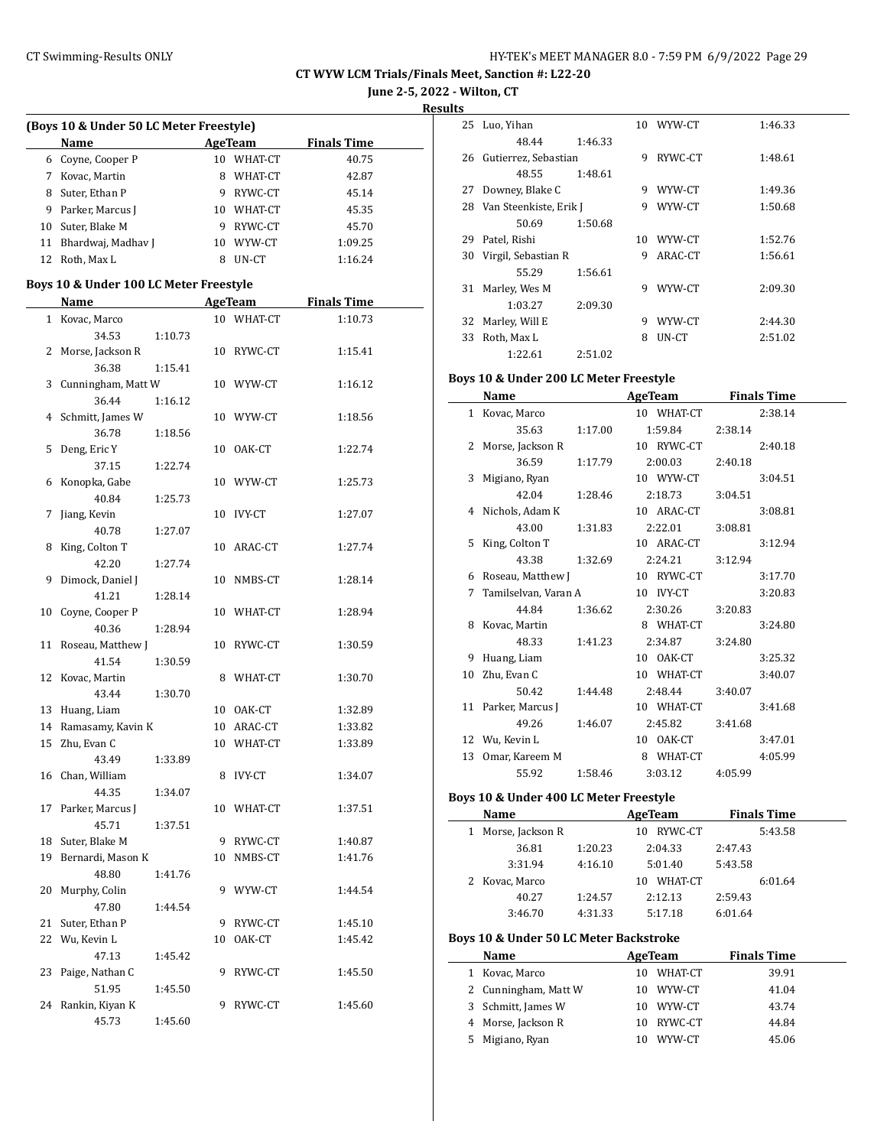**June 2-5, 2022 - Wilton, CT**

| (Boys 10 & Under 50 LC Meter Freestyle) |    |                         |                    |
|-----------------------------------------|----|-------------------------|--------------------|
| Name                                    |    | <b>AgeTeam</b>          | <b>Finals Time</b> |
| 6 Coyne, Cooper P                       |    | 10 WHAT-CT              | 40.75              |
| 7 Kovac, Martin                         |    | 8 WHAT-CT               | 42.87              |
| 8 Suter, Ethan P                        |    | 9 RYWC-CT               | 45.14              |
| 9 Parker, Marcus J                      |    | 10 WHAT-CT              | 45.35              |
| 10 Suter, Blake M                       |    | 9 RYWC-CT               | 45.70              |
|                                         |    |                         |                    |
| 11 Bhardwaj, Madhav J                   |    | 10 WYW-CT<br>8 UN-CT    | 1:09.25<br>1:16.24 |
| 12 Roth, Max L                          |    |                         |                    |
| Boys 10 & Under 100 LC Meter Freestyle  |    |                         |                    |
| <b>Example 2018 AgeTeam</b><br>Name     |    |                         | <b>Finals Time</b> |
| 1 Kovac, Marco<br>34.53<br>1:10.73      |    | 10 WHAT-CT              | 1:10.73            |
| 2 Morse, Jackson R                      |    | 10 RYWC-CT              | 1:15.41            |
| 36.38<br>1:15.41                        |    |                         |                    |
| 3 Cunningham, Matt W                    |    | 10 WYW-CT               | 1:16.12            |
| 36.44<br>1:16.12                        |    |                         |                    |
| 4 Schmitt, James W                      |    | 10 WYW-CT               | 1:18.56            |
| 36.78<br>1:18.56                        |    |                         |                    |
| 5 Deng, Eric Y                          |    | 10 OAK-CT               | 1:22.74            |
| 37.15<br>1:22.74                        |    |                         |                    |
| 6 Konopka, Gabe                         |    | 10 WYW-CT               | 1:25.73            |
| 40.84<br>1:25.73                        |    |                         |                    |
| 7 Jiang, Kevin                          |    | 10 IVY-CT               | 1:27.07            |
| 40.78<br>1:27.07                        |    |                         |                    |
| 8 King, Colton T                        |    | 10 ARAC-CT              | 1:27.74            |
| 42.20<br>1:27.74                        |    |                         |                    |
| 9 Dimock, Daniel J                      |    | 10 NMBS-CT              | 1:28.14            |
| 41.21<br>1:28.14                        |    |                         |                    |
| 10 Coyne, Cooper P                      |    | 10 WHAT-CT              | 1:28.94            |
| 40.36<br>1:28.94                        |    |                         |                    |
| 11 Roseau, Matthew J                    |    | 10 RYWC-CT              | 1:30.59            |
| 41.54<br>1:30.59                        |    |                         |                    |
| 12 Kovac, Martin                        | 8  | WHAT-CT                 | 1:30.70            |
| 43.44<br>1:30.70                        |    |                         |                    |
| 13 Huang, Liam                          |    |                         |                    |
|                                         |    | 10 OAK-CT<br>10 ARAC-CT | 1:32.89            |
| 14 Ramasamy, Kavin K                    |    |                         | 1:33.82            |
| 15 Zhu, Evan C                          |    | 10 WHAT-CT              | 1:33.89            |
| 43.49<br>1:33.89                        |    |                         |                    |
| 16 Chan, William                        |    | 8 IVY-CT                | 1:34.07            |
| 44.35<br>1:34.07                        |    |                         |                    |
| 17 Parker, Marcus J                     |    | 10 WHAT-CT              | 1:37.51            |
| 45.71<br>1:37.51                        |    |                         |                    |
| 18 Suter, Blake M                       |    | 9 RYWC-CT               | 1:40.87            |
| 19 Bernardi, Mason K                    |    | 10 NMBS-CT              | 1:41.76            |
| 48.80<br>1:41.76                        |    |                         |                    |
| 20 Murphy, Colin                        |    | 9 WYW-CT                | 1:44.54            |
| 47.80<br>1:44.54                        |    |                         |                    |
| 21 Suter, Ethan P                       |    | 9 RYWC-CT               | 1:45.10            |
| 22 Wu, Kevin L                          | 10 | OAK-CT                  | 1:45.42            |
| 47.13<br>1:45.42                        |    |                         |                    |
| 23 Paige, Nathan C                      |    | 9 RYWC-CT               | 1:45.50            |
| 51.95<br>1:45.50                        |    |                         |                    |
| 24 Rankin, Kiyan K                      | 9  | RYWC-CT                 | 1:45.60            |

45.73 1:45.60

| sults |                         |         |    |         |         |
|-------|-------------------------|---------|----|---------|---------|
|       | 25 Luo, Yihan           |         | 10 | WYW-CT  | 1:46.33 |
|       | 48.44                   | 1:46.33 |    |         |         |
|       | 26 Gutierrez, Sebastian |         | 9  | RYWC-CT | 1:48.61 |
|       | 48.55                   | 1:48.61 |    |         |         |
| 27    | Downey, Blake C         |         | 9  | WYW-CT  | 1:49.36 |
| 28    | Van Steenkiste, Erik J  |         | 9  | WYW-CT  | 1:50.68 |
|       | 50.69                   | 1:50.68 |    |         |         |
| 29    | Patel, Rishi            |         | 10 | WYW-CT  | 1:52.76 |
| 30    | Virgil, Sebastian R     |         | 9  | ARAC-CT | 1:56.61 |
|       | 55.29                   | 1:56.61 |    |         |         |
| 31    | Marley, Wes M           |         | 9  | WYW-CT  | 2:09.30 |
|       | 1:03.27                 | 2:09.30 |    |         |         |
| 32    | Marley, Will E          |         | 9  | WYW-CT  | 2:44.30 |
| 33    | Roth, Max L             |         | 8  | UN-CT   | 2:51.02 |
|       | 1:22.61                 | 2:51.02 |    |         |         |

#### **Boys 10 & Under 200 LC Meter Freestyle**

|              | <b>Name</b>          |         | <b>AgeTeam</b> | <b>Finals Time</b> |
|--------------|----------------------|---------|----------------|--------------------|
| $\mathbf{1}$ | Kovac, Marco         |         | 10 WHAT-CT     | 2:38.14            |
|              | 35.63                | 1:17.00 | 1:59.84        | 2:38.14            |
| 2            | Morse, Jackson R     |         | 10 RYWC-CT     | 2:40.18            |
|              | 36.59                | 1:17.79 | 2:00.03        | 2:40.18            |
| 3            | Migiano, Ryan        |         | 10 WYW-CT      | 3:04.51            |
|              | 42.04                | 1:28.46 | 2:18.73        | 3:04.51            |
|              | 4 Nichols, Adam K    |         | 10 ARAC-CT     | 3:08.81            |
|              | 43.00                | 1:31.83 | 2:22.01        | 3:08.81            |
| 5            | King, Colton T       |         | 10 ARAC-CT     | 3:12.94            |
|              | 43.38                | 1:32.69 | 2:24.21        | 3:12.94            |
| 6            | Roseau, Matthew J    |         | 10 RYWC-CT     | 3:17.70            |
| 7            | Tamilselvan, Varan A |         | 10 IVY-CT      | 3:20.83            |
|              | 44.84                | 1:36.62 | 2:30.26        | 3:20.83            |
| 8            | Kovac, Martin        |         | 8 WHAT-CT      | 3:24.80            |
|              | 48.33                | 1:41.23 | 2:34.87        | 3:24.80            |
| 9            | Huang, Liam          |         | 10 OAK-CT      | 3:25.32            |
| 10           | Zhu, Evan C          |         | 10 WHAT-CT     | 3:40.07            |
|              | 50.42                | 1:44.48 | 2:48.44        | 3:40.07            |
|              | 11 Parker, Marcus J  |         | 10 WHAT-CT     | 3:41.68            |
|              | 49.26                | 1:46.07 | 2:45.82        | 3:41.68            |
|              | 12 Wu, Kevin L       |         | 10 OAK-CT      | 3:47.01            |
| 13           | Omar, Kareem M       |         | 8 WHAT-CT      | 4:05.99            |
|              | 55.92                | 1:58.46 | 3:03.12        | 4:05.99            |

## **Boys 10 & Under 400 LC Meter Freestyle**

|   | Name             |         | AgeTeam       |         | <b>Finals Time</b> |
|---|------------------|---------|---------------|---------|--------------------|
| 1 | Morse, Jackson R |         | RYWC-CT<br>10 |         | 5:43.58            |
|   | 36.81            | 1:20.23 | 2:04.33       | 2:47.43 |                    |
|   | 3:31.94          | 4:16.10 | 5:01.40       | 5:43.58 |                    |
|   | 2 Kovac, Marco   |         | WHAT-CT<br>10 |         | 6:01.64            |
|   | 40.27            | 1:24.57 | 2:12.13       | 2:59.43 |                    |
|   | 3:46.70          | 4:31.33 | 5:17.18       | 6:01.64 |                    |

#### **Boys 10 & Under 50 LC Meter Backstroke**

|    | Name                 |     | AgeTeam   | <b>Finals Time</b> |  |
|----|----------------------|-----|-----------|--------------------|--|
| 1  | Kovac, Marco         | 10. | WHAT-CT   | 39.91              |  |
|    | 2 Cunningham, Matt W |     | 10 WYW-CT | 41.04              |  |
|    | 3 Schmitt, James W   | 10. | WYW-CT    | 43.74              |  |
|    | 4 Morse, Jackson R   | 10. | RYWC-CT   | 44.84              |  |
| 5. | Migiano, Ryan        | 10. | WYW-CT    | 45.06              |  |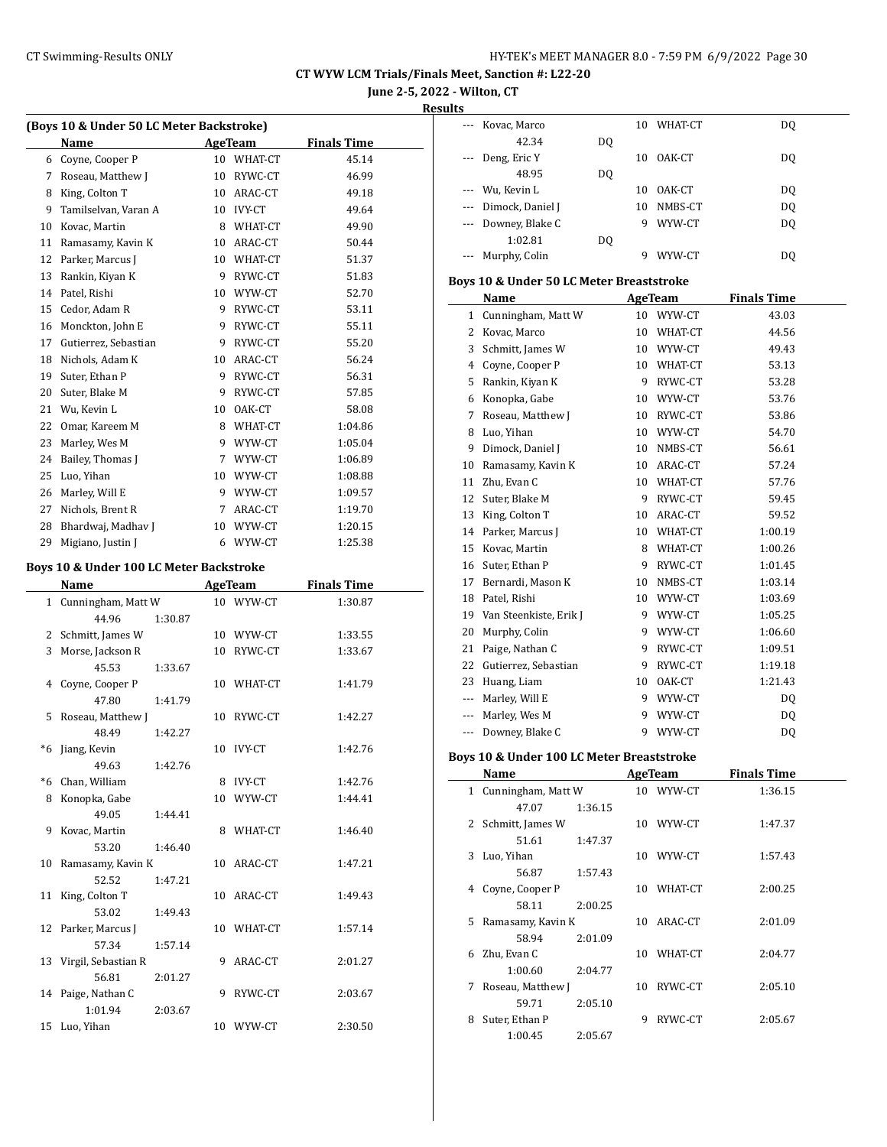**June 2-5, 2022 - Wilton, CT**

#### **Results**

|      | (Boys 10 & Under 50 LC Meter Backstroke) |    |                |                    |
|------|------------------------------------------|----|----------------|--------------------|
|      | Name                                     |    | <b>AgeTeam</b> | <b>Finals Time</b> |
|      | 6 Coyne, Cooper P                        |    | 10 WHAT-CT     | 45.14              |
|      | 7 Roseau, Matthew J                      |    | 10 RYWC-CT     | 46.99              |
| 8    | King, Colton T                           |    | 10 ARAC-CT     | 49.18              |
| 9    | Tamilselvan, Varan A                     |    | 10 IVY-CT      | 49.64              |
|      | 10 Kovac, Martin                         |    | 8 WHAT-CT      | 49.90              |
|      | 11 Ramasamy, Kavin K                     |    | 10 ARAC-CT     | 50.44              |
|      | 12 Parker, Marcus J                      |    | 10 WHAT-CT     | 51.37              |
| 13   | Rankin, Kiyan K                          |    | 9 RYWC-CT      | 51.83              |
|      | 14 Patel, Rishi                          |    | 10 WYW-CT      | 52.70              |
| 15   | Cedor, Adam R                            |    | 9 RYWC-CT      | 53.11              |
|      | 16 Monckton, John E                      |    | 9 RYWC-CT      | 55.11              |
| 17   | Gutierrez, Sebastian                     |    | 9 RYWC-CT      | 55.20              |
|      | 18 Nichols, Adam K                       |    | 10 ARAC-CT     | 56.24              |
| 19   | Suter, Ethan P                           |    | 9 RYWC-CT      | 56.31              |
| 20   | Suter, Blake M                           |    | 9 RYWC-CT      | 57.85              |
| 21   | Wu, Kevin L                              |    | 10 OAK-CT      | 58.08              |
| 22   | Omar, Kareem M                           |    | 8 WHAT-CT      | 1:04.86            |
| 23   | Marley, Wes M                            |    | 9 WYW-CT       | 1:05.04            |
| 24   | Bailey, Thomas J                         |    | 7 WYW-CT       | 1:06.89            |
| 25   | Luo, Yihan                               |    | 10 WYW-CT      | 1:08.88            |
| 26   | Marley, Will E                           |    | 9 WYW-CT       | 1:09.57            |
| 27   | Nichols, Brent R                         |    | 7 ARAC-CT      | 1:19.70            |
| 28   | Bhardwaj, Madhav J                       |    | 10 WYW-CT      | 1:20.15            |
|      |                                          |    |                |                    |
| 29   | Migiano, Justin J                        |    | 6 WYW-CT       | 1:25.38            |
|      | Boys 10 & Under 100 LC Meter Backstroke  |    |                |                    |
|      | Name                                     |    | AgeTeam        | <b>Finals Time</b> |
|      | 1 Cunningham, Matt W                     |    | 10 WYW-CT      | 1:30.87            |
|      | 44.96<br>1:30.87                         |    |                |                    |
| 2    | Schmitt, James W                         |    | 10 WYW-CT      | 1:33.55            |
| 3    | Morse, Jackson R                         |    | 10 RYWC-CT     | 1:33.67            |
|      | 45.53<br>1:33.67                         |    |                |                    |
| 4    | Coyne, Cooper P                          |    | 10 WHAT-CT     | 1:41.79            |
|      | 47.80<br>1:41.79                         |    |                |                    |
| 5    | Roseau, Matthew J                        |    | 10 RYWC-CT     | 1:42.27            |
|      | 48.49<br>1:42.27                         |    |                |                    |
| $*6$ | Jiang, Kevin                             | 10 | IVY-CT         | 1:42.76            |
|      | 49.63<br>1:42.76                         |    |                |                    |
|      | *6 Chan, William                         |    | 8 IVY-CT       | 1:42.76            |
|      | 8 Konopka, Gabe                          |    | 10 WYW-CT      | 1:44.41            |
|      | 49.05<br>1:44.41                         |    |                |                    |
| 9    | Kovac, Martin                            |    | 8 WHAT-CT      | 1:46.40            |
|      | 53.20<br>1:46.40                         |    |                |                    |
| 10   | Ramasamy, Kavin K                        |    | 10 ARAC-CT     | 1:47.21            |
|      | 52.52<br>1:47.21                         |    |                |                    |
| 11   | King, Colton T                           |    | 10 ARAC-CT     | 1:49.43            |
|      | 53.02<br>1:49.43                         |    |                |                    |
| 12   | Parker, Marcus J                         |    | 10 WHAT-CT     | 1:57.14            |
|      | 57.34<br>1:57.14                         |    |                |                    |
| 13   | Virgil, Sebastian R                      | 9. | ARAC-CT        | 2:01.27            |
|      | 56.81<br>2:01.27                         |    |                |                    |
|      | 14 Paige, Nathan C                       | 9  | RYWC-CT        | 2:03.67            |
|      | 1:01.94                                  |    |                |                    |
| 15   | 2:03.67<br>Luo, Yihan                    |    | 10 WYW-CT      | 2:30.50            |
|      |                                          |    |                |                    |

| ---   | Kovac, Marco                              |         |   | 10 WHAT-CT     | DQ                 |  |
|-------|-------------------------------------------|---------|---|----------------|--------------------|--|
|       | 42.34                                     | DO.     |   |                |                    |  |
| $---$ | Deng, Eric Y                              |         |   | 10 OAK-CT      | DQ                 |  |
|       | 48.95                                     | DQ      |   |                |                    |  |
|       | --- Wu, Kevin L                           |         |   | 10 OAK-CT      | DQ                 |  |
|       | --- Dimock, Daniel J                      |         |   | 10 NMBS-CT     | DQ                 |  |
|       | --- Downey, Blake C                       |         |   | 9 WYW-CT       | DQ                 |  |
|       | 1:02.81                                   | DQ      |   |                |                    |  |
|       | Murphy, Colin                             |         | 9 | WYW-CT         | DQ                 |  |
|       |                                           |         |   |                |                    |  |
|       | Boys 10 & Under 50 LC Meter Breaststroke  |         |   |                |                    |  |
|       | Name                                      |         |   | AgeTeam        | <b>Finals Time</b> |  |
|       | 1 Cunningham, Matt W                      |         |   | 10 WYW-CT      | 43.03              |  |
|       | 2 Kovac, Marco                            |         |   | 10 WHAT-CT     | 44.56              |  |
|       | 3 Schmitt, James W                        |         |   | 10 WYW-CT      | 49.43              |  |
|       | 4 Coyne, Cooper P                         |         |   | 10 WHAT-CT     | 53.13              |  |
|       | 5 Rankin, Kiyan K                         |         |   | 9 RYWC-CT      | 53.28              |  |
|       | 6 Konopka, Gabe                           |         |   | 10 WYW-CT      | 53.76              |  |
|       | 7 Roseau, Matthew J                       |         |   | 10 RYWC-CT     | 53.86              |  |
|       | 8 Luo, Yihan                              |         |   | 10 WYW-CT      | 54.70              |  |
|       | 9 Dimock, Daniel J                        |         |   | 10 NMBS-CT     | 56.61              |  |
|       | 10 Ramasamy, Kavin K                      |         |   | 10 ARAC-CT     | 57.24              |  |
|       | 11 Zhu, Evan C                            |         |   | 10 WHAT-CT     | 57.76              |  |
|       | 12 Suter, Blake M                         |         |   | 9 RYWC-CT      | 59.45              |  |
|       | 13 King, Colton T                         |         |   | 10 ARAC-CT     | 59.52              |  |
|       | 14 Parker, Marcus J                       |         |   | 10 WHAT-CT     | 1:00.19            |  |
|       | 15 Kovac, Martin                          |         |   | 8 WHAT-CT      | 1:00.26            |  |
|       | 16 Suter, Ethan P                         |         |   | 9 RYWC-CT      | 1:01.45            |  |
|       | 17 Bernardi, Mason K                      |         |   | 10 NMBS-CT     | 1:03.14            |  |
|       | 18 Patel, Rishi                           |         |   | 10 WYW-CT      | 1:03.69            |  |
|       | 19 Van Steenkiste, Erik J                 |         |   | 9 WYW-CT       | 1:05.25            |  |
|       | 20 Murphy, Colin                          |         |   | 9 WYW-CT       | 1:06.60            |  |
|       | 21 Paige, Nathan C                        |         |   | 9 RYWC-CT      | 1:09.51            |  |
|       | 22 Gutierrez, Sebastian                   |         |   | 9 RYWC-CT      | 1:19.18            |  |
|       | 23 Huang, Liam                            |         |   | 10 OAK-CT      | 1:21.43            |  |
|       | --- Marley, Will E                        |         |   | 9 WYW-CT       | DQ                 |  |
|       | --- Marley, Wes M                         |         |   | 9 WYW-CT       | DQ                 |  |
|       | --- Downey, Blake C                       |         |   | 9 WYW-CT       | DQ                 |  |
|       |                                           |         |   |                |                    |  |
|       | Boys 10 & Under 100 LC Meter Breaststroke |         |   |                |                    |  |
|       | Name                                      |         |   | <b>AgeTeam</b> | <b>Finals Time</b> |  |
|       | 1 Cunningham, Matt W                      |         |   | 10 WYW-CT      | 1:36.15            |  |
|       | 47.07                                     | 1:36.15 |   |                |                    |  |
|       | 2 Schmitt, James W                        |         |   | 10 WYW-CT      | 1:47.37            |  |
|       | 51.61<br>3 Luo, Yihan                     | 1:47.37 |   | 10 WYW-CT      | 1:57.43            |  |
|       | 56.87                                     |         |   |                |                    |  |
| 4     | Coyne, Cooper P                           | 1:57.43 |   | 10 WHAT-CT     | 2:00.25            |  |
|       |                                           |         |   |                |                    |  |
| 5     | 58.11<br>Ramasamy, Kavin K                | 2:00.25 |   | 10 ARAC-CT     | 2:01.09            |  |
|       |                                           |         |   |                |                    |  |
| 6     | 58.94<br>Zhu, Evan C                      | 2:01.09 |   | 10 WHAT-CT     | 2:04.77            |  |
|       | 1:00.60                                   |         |   |                |                    |  |
| 7     | Roseau, Matthew J                         | 2:04.77 |   | 10 RYWC-CT     |                    |  |
|       | 59.71                                     |         |   |                | 2:05.10            |  |
|       | 8 Suter, Ethan P                          | 2:05.10 |   | 9 RYWC-CT      | 2:05.67            |  |
|       | 1:00.45                                   | 2:05.67 |   |                |                    |  |
|       |                                           |         |   |                |                    |  |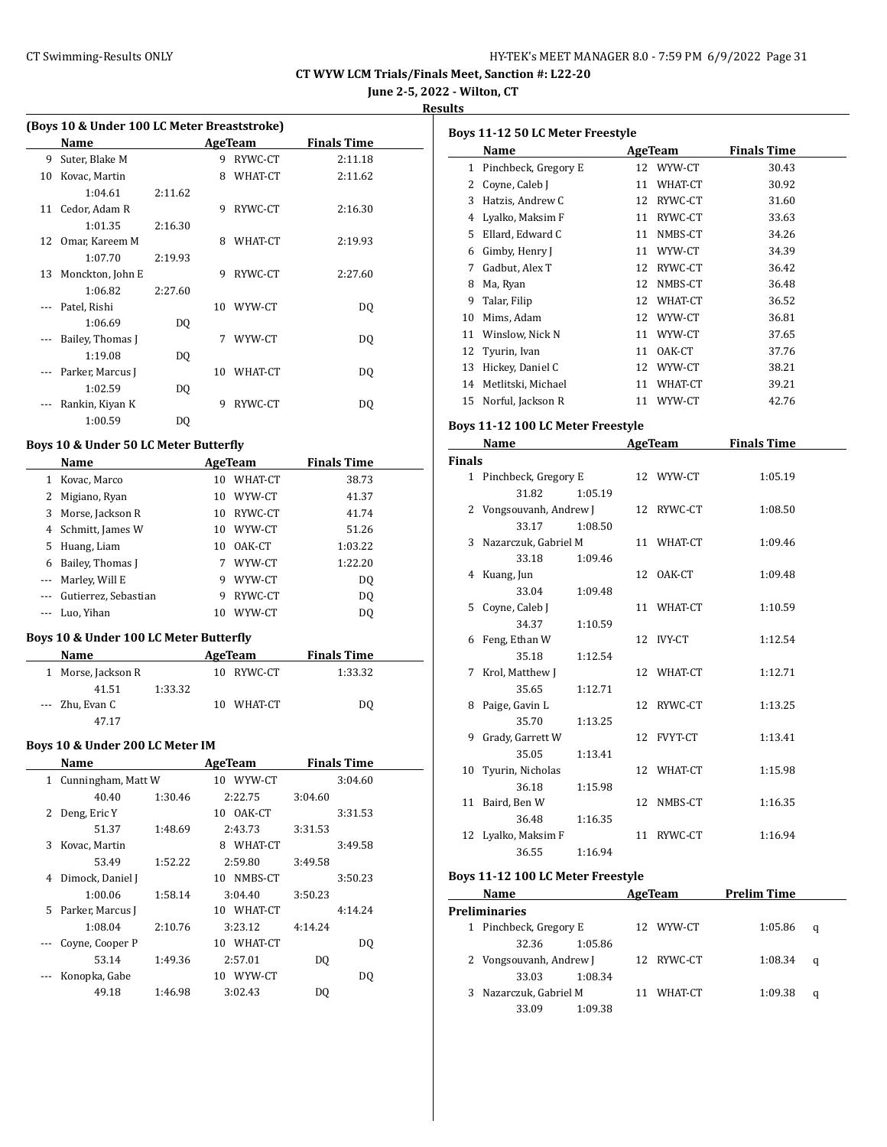#### CT Swimming-Results ONLY **EXAMPLE 19 AND SET MANAGER 8.0 - 7:59 PM 6/9/2022** Page 31

**CT WYW LCM Trials/Finals Meet, Sanction #: L22-20**

**June 2-5, 2022 - Wilton, CT**

**Results**

|    | (Boys 10 & Under 100 LC Meter Breaststroke) |         |    |         |                    |  |  |  |  |  |
|----|---------------------------------------------|---------|----|---------|--------------------|--|--|--|--|--|
|    | Name                                        |         |    | AgeTeam | <b>Finals Time</b> |  |  |  |  |  |
| 9  | Suter, Blake M                              |         | 9  | RYWC-CT | 2:11.18            |  |  |  |  |  |
| 10 | Kovac, Martin                               |         | 8  | WHAT-CT | 2:11.62            |  |  |  |  |  |
|    | 1:04.61                                     | 2:11.62 |    |         |                    |  |  |  |  |  |
| 11 | Cedor, Adam R                               |         | 9  | RYWC-CT | 2:16.30            |  |  |  |  |  |
|    | 1:01.35                                     | 2:16.30 |    |         |                    |  |  |  |  |  |
| 12 | Omar, Kareem M                              |         | 8  | WHAT-CT | 2:19.93            |  |  |  |  |  |
|    | 1:07.70                                     | 2:19.93 |    |         |                    |  |  |  |  |  |
| 13 | Monckton, John E                            |         | 9  | RYWC-CT | 2:27.60            |  |  |  |  |  |
|    | 1:06.82                                     | 2:27.60 |    |         |                    |  |  |  |  |  |
|    | Patel, Rishi                                |         | 10 | WYW-CT  | DQ                 |  |  |  |  |  |
|    | 1:06.69                                     | DQ      |    |         |                    |  |  |  |  |  |
|    | Bailey, Thomas J                            |         | 7  | WYW-CT  | DQ                 |  |  |  |  |  |
|    | 1:19.08                                     | DO.     |    |         |                    |  |  |  |  |  |
|    | Parker, Marcus J                            |         | 10 | WHAT-CT | DQ                 |  |  |  |  |  |
|    | 1:02.59                                     | DQ      |    |         |                    |  |  |  |  |  |
|    | Rankin, Kiyan K                             |         | 9  | RYWC-CT | DQ                 |  |  |  |  |  |
|    | 1:00.59                                     | DQ      |    |         |                    |  |  |  |  |  |

#### **Boys 10 & Under 50 LC Meter Butterfly**

 $\frac{1}{2}$ 

|          | Name                 |    | AgeTeam | <b>Finals Time</b> |
|----------|----------------------|----|---------|--------------------|
|          | Kovac, Marco         | 10 | WHAT-CT | 38.73              |
|          | Migiano, Ryan        | 10 | WYW-CT  | 41.37              |
| 3        | Morse, Jackson R     | 10 | RYWC-CT | 41.74              |
| 4        | Schmitt, James W     | 10 | WYW-CT  | 51.26              |
| 5        | Huang, Liam          | 10 | OAK-CT  | 1:03.22            |
| 6        | Bailey, Thomas I     |    | WYW-CT  | 1:22.20            |
|          | Marley, Will E       | 9  | WYW-CT  | D <sub>0</sub>     |
| $\cdots$ | Gutierrez, Sebastian | 9  | RYWC-CT | D <sub>0</sub>     |
|          | Luo, Yihan           | 10 | WYW-CT  | DO.                |

## **Boys 10 & Under 100 LC Meter Butterfly**

| <b>Name</b> |                    |         | AgeTeam    | <b>Finals Time</b> |  |
|-------------|--------------------|---------|------------|--------------------|--|
|             | 1 Morse, Jackson R |         | 10 RYWC-CT | 1:33.32            |  |
|             | 41.51              | 1:33.32 |            |                    |  |
|             | --- Zhu, Evan C    |         | 10 WHAT-CT | DO                 |  |
|             | 47.17              |         |            |                    |  |

#### **Boys 10 & Under 200 LC Meter IM**

|              | Name               |         | AgeTeam    | <b>Finals Time</b> |  |
|--------------|--------------------|---------|------------|--------------------|--|
| $\mathbf{1}$ | Cunningham, Matt W |         | 10 WYW-CT  | 3:04.60            |  |
|              | 40.40              | 1:30.46 | 2:22.75    | 3:04.60            |  |
| 2            | Deng, Eric Y       |         | 10 OAK-CT  | 3:31.53            |  |
|              | 51.37              | 1:48.69 | 2:43.73    | 3:31.53            |  |
| 3            | Kovac, Martin      |         | 8 WHAT-CT  | 3:49.58            |  |
|              | 53.49              | 1:52.22 | 2:59.80    | 3:49.58            |  |
| 4            | Dimock, Daniel J   |         | 10 NMBS-CT | 3:50.23            |  |
|              | 1:00.06            | 1:58.14 | 3:04.40    | 3:50.23            |  |
| 5.           | Parker, Marcus J   |         | 10 WHAT-CT | 4:14.24            |  |
|              | 1:08.04            | 2:10.76 | 3:23.12    | 4:14.24            |  |
|              | Coyne, Cooper P    |         | 10 WHAT-CT | DQ                 |  |
|              | 53.14              | 1:49.36 | 2:57.01    | DO                 |  |
|              | Konopka, Gabe      |         | 10 WYW-CT  | DQ                 |  |
|              | 49.18              | 1:46.98 | 3:02.43    | DO                 |  |
|              |                    |         |            |                    |  |

| Boys 11-12 50 LC Meter Freestyle |                      |    |         |                    |  |  |  |  |  |
|----------------------------------|----------------------|----|---------|--------------------|--|--|--|--|--|
|                                  | Name                 |    | AgeTeam | <b>Finals Time</b> |  |  |  |  |  |
| 1                                | Pinchbeck, Gregory E | 12 | WYW-CT  | 30.43              |  |  |  |  |  |
| 2                                | Coyne, Caleb J       | 11 | WHAT-CT | 30.92              |  |  |  |  |  |
| 3                                | Hatzis, Andrew C     | 12 | RYWC-CT | 31.60              |  |  |  |  |  |
| 4                                | Lyalko, Maksim F     | 11 | RYWC-CT | 33.63              |  |  |  |  |  |
| 5.                               | Ellard, Edward C     | 11 | NMBS-CT | 34.26              |  |  |  |  |  |
| 6                                | Gimby, Henry J       | 11 | WYW-CT  | 34.39              |  |  |  |  |  |
| 7                                | Gadbut, Alex T       | 12 | RYWC-CT | 36.42              |  |  |  |  |  |
| 8                                | Ma, Ryan             | 12 | NMBS-CT | 36.48              |  |  |  |  |  |
| 9                                | Talar, Filip         | 12 | WHAT-CT | 36.52              |  |  |  |  |  |
| 10                               | Mims, Adam           | 12 | WYW-CT  | 36.81              |  |  |  |  |  |
| 11                               | Winslow, Nick N      | 11 | WYW-CT  | 37.65              |  |  |  |  |  |
| 12                               | Tyurin, Ivan         | 11 | OAK-CT  | 37.76              |  |  |  |  |  |
| 13                               | Hickey, Daniel C     | 12 | WYW-CT  | 38.21              |  |  |  |  |  |
| 14                               | Metlitski, Michael   | 11 | WHAT-CT | 39.21              |  |  |  |  |  |
| 15                               | Norful, Jackson R    | 11 | WYW-CT  | 42.76              |  |  |  |  |  |
|                                  |                      |    |         |                    |  |  |  |  |  |

#### **Boys 11-12 100 LC Meter Freestyle**

|               | Name                    |         | AgeTeam    | <b>Finals Time</b> |
|---------------|-------------------------|---------|------------|--------------------|
| <b>Finals</b> |                         |         |            |                    |
|               | 1 Pinchbeck, Gregory E  |         | 12 WYW-CT  | 1:05.19            |
|               | 31.82                   | 1:05.19 |            |                    |
|               | 2 Vongsouvanh, Andrew J |         | 12 RYWC-CT | 1:08.50            |
|               | 33.17                   | 1:08.50 |            |                    |
|               | 3 Nazarczuk, Gabriel M  |         | 11 WHAT-CT | 1:09.46            |
|               | 33.18                   | 1:09.46 |            |                    |
|               | 4 Kuang, Jun            |         | 12 OAK-CT  | 1:09.48            |
|               | 33.04                   | 1:09.48 |            |                    |
|               | 5 Coyne, Caleb J        |         | 11 WHAT-CT | 1:10.59            |
|               | 34.37                   | 1:10.59 |            |                    |
|               | 6 Feng, Ethan W         |         | 12 IVY-CT  | 1:12.54            |
|               | 35.18                   | 1:12.54 |            |                    |
|               | 7 Krol, Matthew J       |         | 12 WHAT-CT | 1:12.71            |
|               | 35.65                   | 1:12.71 |            |                    |
|               | 8 Paige, Gavin L        |         | 12 RYWC-CT | 1:13.25            |
|               | 35.70                   | 1:13.25 |            |                    |
|               | 9 Grady, Garrett W      |         | 12 FVYT-CT | 1:13.41            |
|               | 35.05                   | 1:13.41 |            |                    |
|               | 10 Tyurin, Nicholas     |         | 12 WHAT-CT | 1:15.98            |
|               | 36.18                   | 1:15.98 |            |                    |
|               | 11 Baird, Ben W         |         | 12 NMBS-CT | 1:16.35            |
|               | 36.48                   | 1:16.35 |            |                    |
|               | 12 Lyalko, Maksim F     |         | 11 RYWC-CT | 1:16.94            |
|               | 36.55                   | 1:16.94 |            |                    |

# **Boys 11-12 100 LC Meter Freestyle**

|   | Name                    |         |    | AgeTeam    | <b>Prelim Time</b> |   |
|---|-------------------------|---------|----|------------|--------------------|---|
|   | Preliminaries           |         |    |            |                    |   |
| 1 | Pinchbeck, Gregory E    |         |    | 12 WYW-CT  | 1:05.86            | q |
|   | 32.36                   | 1:05.86 |    |            |                    |   |
|   | 2 Vongsouvanh, Andrew J |         |    | 12 RYWC-CT | 1:08.34            | q |
|   | 33.03                   | 1:08.34 |    |            |                    |   |
| 3 | Nazarczuk, Gabriel M    |         | 11 | WHAT-CT    | 1:09.38            | q |
|   | 33.09                   | 1:09.38 |    |            |                    |   |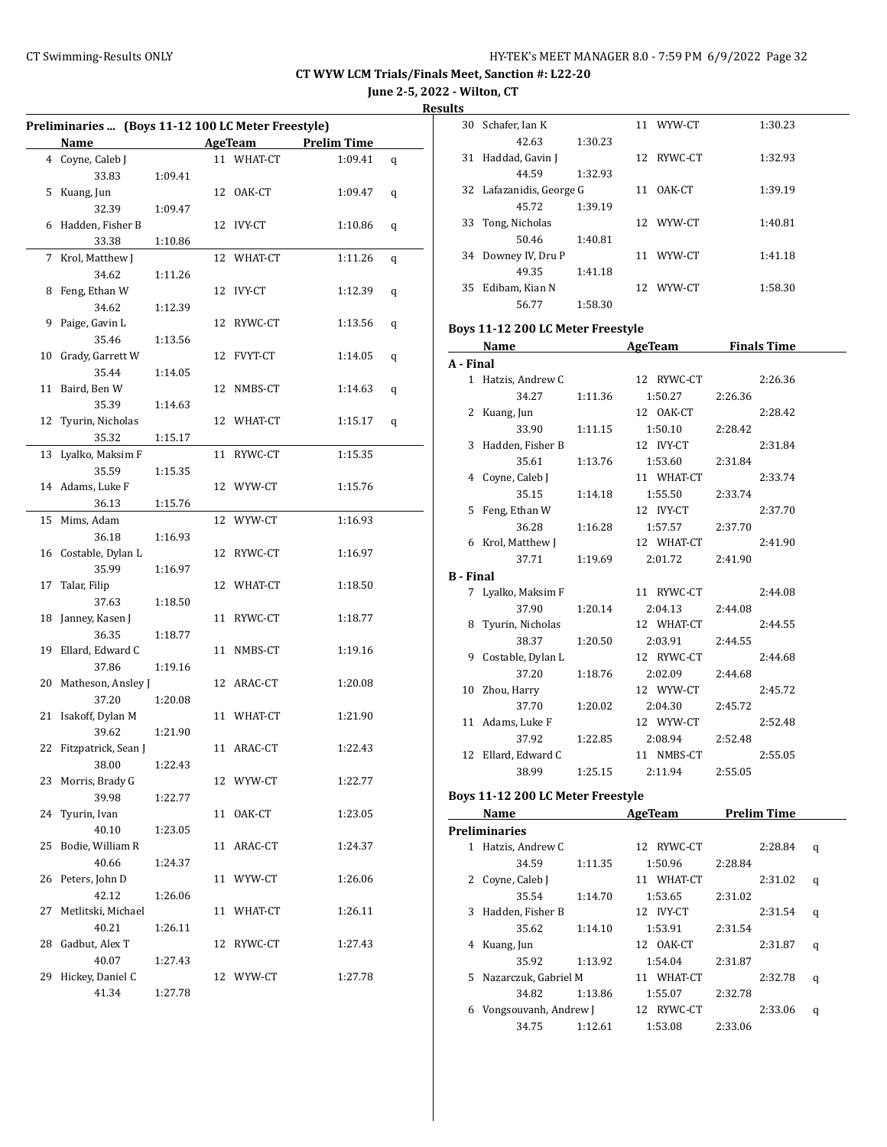**June 2-5, 2022 - Wilton, CT**

**Results**

| Preliminaries  (Boys 11-12 100 LC Meter Freestyle) |                       |         |  |            |                    |   |
|----------------------------------------------------|-----------------------|---------|--|------------|--------------------|---|
|                                                    | Name                  |         |  | AgeTeam    | <b>Prelim Time</b> |   |
|                                                    | 4 Coyne, Caleb J      |         |  | 11 WHAT-CT | 1:09.41            | q |
|                                                    | 33.83                 | 1:09.41 |  |            |                    |   |
| 5                                                  | Kuang, Jun            |         |  | 12 OAK-CT  | 1:09.47            | q |
|                                                    | 32.39                 | 1:09.47 |  |            |                    |   |
| 6                                                  | Hadden, Fisher B      |         |  | 12 IVY-CT  | 1:10.86            | q |
|                                                    | 33.38                 | 1:10.86 |  |            |                    |   |
| 7                                                  | Krol, Matthew J       |         |  | 12 WHAT-CT | 1:11.26            | q |
|                                                    | 34.62                 | 1:11.26 |  |            |                    |   |
| 8                                                  | Feng, Ethan W         |         |  | 12 IVY-CT  | 1:12.39            | q |
|                                                    | 34.62                 | 1:12.39 |  |            |                    |   |
| 9                                                  | Paige, Gavin L        |         |  | 12 RYWC-CT | 1:13.56            | q |
|                                                    | 35.46                 | 1:13.56 |  |            |                    |   |
| 10                                                 | Grady, Garrett W      |         |  | 12 FVYT-CT | 1:14.05            | q |
|                                                    | 35.44                 | 1:14.05 |  |            |                    |   |
| 11                                                 | Baird, Ben W          |         |  | 12 NMBS-CT | 1:14.63            | q |
|                                                    | 35.39                 | 1:14.63 |  |            |                    |   |
| 12                                                 | Tyurin, Nicholas      |         |  | 12 WHAT-CT | 1:15.17            | q |
|                                                    | 35.32                 | 1:15.17 |  |            |                    |   |
| 13                                                 | Lyalko, Maksim F      |         |  | 11 RYWC-CT | 1:15.35            |   |
|                                                    | 35.59                 | 1:15.35 |  |            |                    |   |
|                                                    | 14 Adams, Luke F      |         |  | 12 WYW-CT  | 1:15.76            |   |
|                                                    | 36.13                 | 1:15.76 |  |            |                    |   |
| 15                                                 | Mims, Adam            |         |  |            |                    |   |
|                                                    |                       |         |  | 12 WYW-CT  | 1:16.93            |   |
|                                                    | 36.18                 | 1:16.93 |  |            |                    |   |
|                                                    | 16 Costable, Dylan L  |         |  | 12 RYWC-CT | 1:16.97            |   |
|                                                    | 35.99                 | 1:16.97 |  |            |                    |   |
| 17                                                 | Talar, Filip          |         |  | 12 WHAT-CT | 1:18.50            |   |
|                                                    | 37.63                 | 1:18.50 |  |            |                    |   |
| 18                                                 | Janney, Kasen J       |         |  | 11 RYWC-CT | 1:18.77            |   |
|                                                    | 36.35                 | 1:18.77 |  |            |                    |   |
| 19                                                 | Ellard, Edward C      |         |  | 11 NMBS-CT | 1:19.16            |   |
|                                                    | 37.86                 | 1:19.16 |  |            |                    |   |
|                                                    | 20 Matheson, Ansley J |         |  | 12 ARAC-CT | 1:20.08            |   |
|                                                    | 37.20                 | 1:20.08 |  |            |                    |   |
| 21                                                 | Isakoff, Dylan M      |         |  | 11 WHAT-CT | 1:21.90            |   |
|                                                    | 39.62                 | 1:21.90 |  |            |                    |   |
| 22                                                 | Fitzpatrick, Sean J   |         |  | 11 ARAC-CT | 1:22.43            |   |
|                                                    | 38.00                 | 1:22.43 |  |            |                    |   |
| 23                                                 | Morris, Brady G       |         |  | 12 WYW-CT  | 1:22.77            |   |
|                                                    | 39.98                 | 1:22.77 |  |            |                    |   |
| 24                                                 | Tyurin, Ivan          |         |  | 11 OAK-CT  | 1:23.05            |   |
|                                                    | 40.10                 | 1:23.05 |  |            |                    |   |
| 25                                                 | Bodie, William R      |         |  | 11 ARAC-CT | 1:24.37            |   |
|                                                    | 40.66                 | 1:24.37 |  |            |                    |   |
|                                                    | 26 Peters, John D     |         |  | 11 WYW-CT  | 1:26.06            |   |
|                                                    | 42.12                 | 1:26.06 |  |            |                    |   |
| 27                                                 | Metlitski, Michael    |         |  | 11 WHAT-CT | 1:26.11            |   |
|                                                    | 40.21                 | 1:26.11 |  |            |                    |   |
|                                                    | 28 Gadbut, Alex T     |         |  | 12 RYWC-CT | 1:27.43            |   |
|                                                    | 40.07                 | 1:27.43 |  |            |                    |   |
| 29                                                 | Hickey, Daniel C      |         |  | 12 WYW-CT  | 1:27.78            |   |
|                                                    | 41.34                 | 1:27.78 |  |            |                    |   |

| 30 | Schafer, Ian K           |         |     | 11 WYW-CT | 1:30.23 |
|----|--------------------------|---------|-----|-----------|---------|
|    | 42.63                    | 1:30.23 |     |           |         |
| 31 | Haddad, Gavin J          |         | 12. | RYWC-CT   | 1:32.93 |
|    | 44.59                    | 1:32.93 |     |           |         |
|    | 32 Lafazanidis, George G |         | 11  | OAK-CT    | 1:39.19 |
|    | 45.72                    | 1:39.19 |     |           |         |
| 33 | Tong, Nicholas           |         |     | 12 WYW-CT | 1:40.81 |
|    | 50.46                    | 1:40.81 |     |           |         |
| 34 | Downey IV, Dru P         |         | 11  | WYW-CT    | 1:41.18 |
|    | 49.35                    | 1:41.18 |     |           |         |
| 35 | Edibam, Kian N           |         |     | 12 WYW-CT | 1:58.30 |
|    | 56.77                    | 1:58.30 |     |           |         |

# **Boys 11-12 200 LC Meter Freestyle**

|                  | Name                |         | <b>AgeTeam</b>  | <b>Finals Time</b> |
|------------------|---------------------|---------|-----------------|--------------------|
| A - Final        |                     |         |                 |                    |
|                  | 1 Hatzis, Andrew C  |         | 12 RYWC-CT      | 2:26.36            |
|                  | 34.27               | 1:11.36 | 1:50.27         | 2:26.36            |
|                  | 2 Kuang, Jun        |         | 12 OAK-CT       | 2:28.42            |
|                  | 33.90               | 1:11.15 | 1:50.10         | 2:28.42            |
|                  | 3 Hadden, Fisher B  |         | 12 IVY-CT       | 2:31.84            |
|                  | 35.61               | 1:13.76 | 1:53.60         | 2:31.84            |
|                  | 4 Coyne, Caleb J    |         | 11 WHAT-CT      | 2:33.74            |
|                  | 35.15               | 1:14.18 | 1:55.50         | 2:33.74            |
| 5                | Feng, Ethan W       |         | 12 IVY-CT       | 2:37.70            |
|                  | 36.28               | 1:16.28 | 1:57.57 2:37.70 |                    |
|                  | 6 Krol, Matthew J   |         | 12 WHAT-CT      | 2:41.90            |
|                  | 37.71 1:19.69       |         | 2:01.72         | 2:41.90            |
| <b>B</b> - Final |                     |         |                 |                    |
|                  | 7 Lyalko, Maksim F  |         | 11 RYWC-CT      | 2:44.08            |
|                  | 37.90               | 1:20.14 | 2:04.13 2:44.08 |                    |
|                  | 8 Tyurin, Nicholas  |         | 12 WHAT-CT      | 2:44.55            |
|                  | 38.37 1:20.50       |         | 2:03.91 2:44.55 |                    |
|                  | 9 Costable, Dylan L |         | 12 RYWC-CT      | 2:44.68            |
|                  | 37.20               | 1:18.76 | 2:02.09         | 2:44.68            |
|                  | 10 Zhou, Harry      |         | 12 WYW-CT       | 2:45.72            |
|                  | 37.70               |         | 1:20.02 2:04.30 | 2:45.72            |
|                  | 11 Adams, Luke F    |         | 12 WYW-CT       | 2:52.48            |
|                  | 37.92 1:22.85       |         | 2:08.94 2:52.48 |                    |
|                  | 12 Ellard, Edward C |         | 11 NMBS-CT      | 2:55.05            |
|                  | 38.99               | 1:25.15 | 2:11.94         | 2:55.05            |
|                  |                     |         |                 |                    |

#### **Boys 11-12 200 LC Meter Freestyle**

|    | Name                  |         | AgeTeam       | <b>Prelim Time</b> |   |
|----|-----------------------|---------|---------------|--------------------|---|
|    | Preliminaries         |         |               |                    |   |
| 1  | Hatzis, Andrew C      |         | RYWC-CT<br>12 | 2:28.84            | q |
|    | 34.59                 | 1:11.35 | 1:50.96       | 2:28.84            |   |
| 2  | Coyne, Caleb J        |         | 11 WHAT-CT    | 2:31.02            | q |
|    | 35.54                 | 1:14.70 | 1:53.65       | 2:31.02            |   |
| 3  | Hadden, Fisher B      |         | 12 IVY-CT     | 2:31.54            | q |
|    | 35.62                 | 1:14.10 | 1:53.91       | 2:31.54            |   |
| 4  | Kuang, Jun            |         | 12 0AK-CT     | 2:31.87            | q |
|    | 35.92                 | 1:13.92 | 1:54.04       | 2:31.87            |   |
| 5. | Nazarczuk, Gabriel M  |         | 11 WHAT-CT    | 2:32.78            | q |
|    | 34.82                 | 1:13.86 | 1:55.07       | 2:32.78            |   |
| 6  | Vongsouvanh, Andrew J |         | 12 RYWC-CT    | 2:33.06            | q |
|    | 34.75                 | 1:12.61 | 1:53.08       | 2:33.06            |   |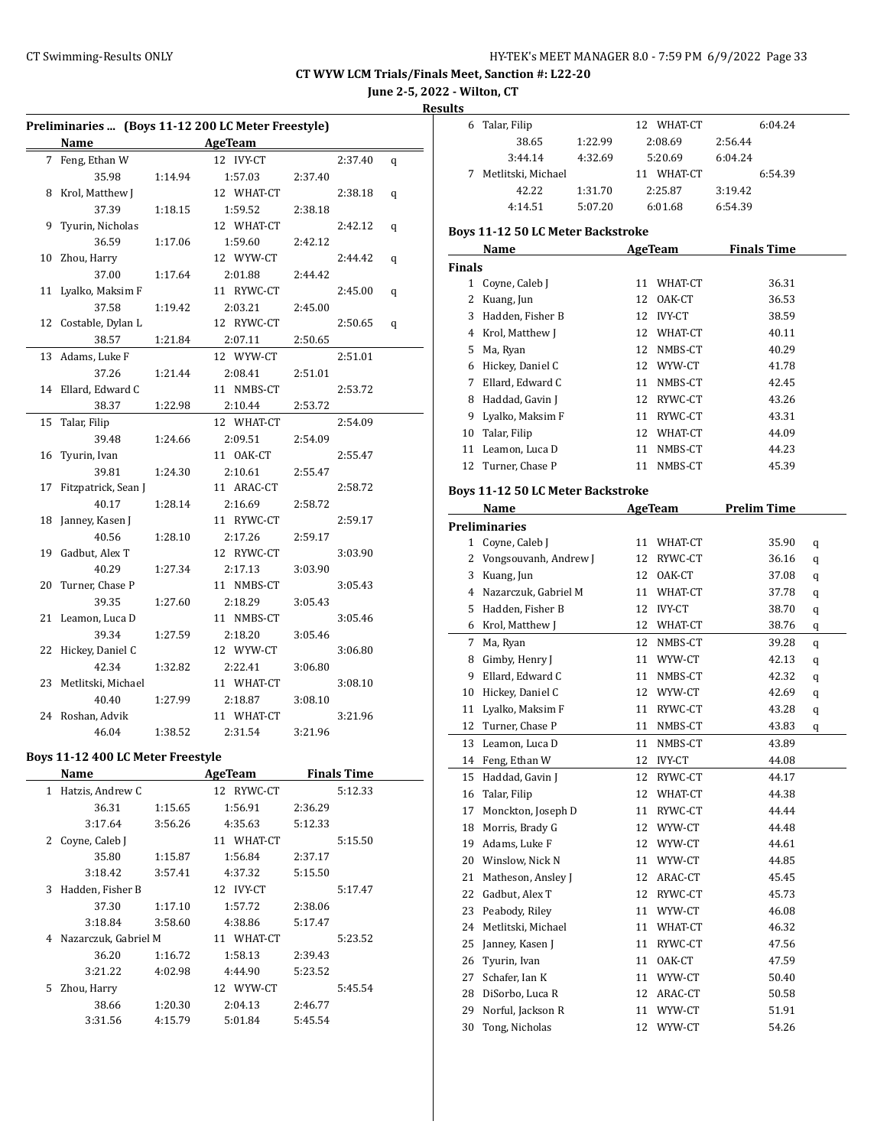**June 2-5, 2022 - Wilton, CT**

**Results**

| Preliminaries  (Boys 11-12 200 LC Meter Freestyle) |                                        |         |                |         |                    |   |  |
|----------------------------------------------------|----------------------------------------|---------|----------------|---------|--------------------|---|--|
|                                                    | Name                                   |         | <b>AgeTeam</b> |         |                    |   |  |
| 7                                                  | Feng, Ethan W                          |         | 12 IVY-CT      |         | 2:37.40            | q |  |
|                                                    | 35.98                                  | 1:14.94 | 1:57.03        | 2:37.40 |                    |   |  |
| 8                                                  | Krol, Matthew J                        |         | 12 WHAT-CT     |         | 2:38.18            | q |  |
|                                                    | 37.39                                  | 1:18.15 | 1:59.52        | 2:38.18 |                    |   |  |
| 9                                                  | Tyurin, Nicholas                       |         | 12 WHAT-CT     |         | 2:42.12            | q |  |
|                                                    | 36.59                                  | 1:17.06 | 1:59.60        | 2:42.12 |                    |   |  |
|                                                    | 10 Zhou, Harry                         |         | 12 WYW-CT      |         | 2:44.42            | q |  |
|                                                    | 37.00                                  | 1:17.64 | 2:01.88        | 2:44.42 |                    |   |  |
| 11                                                 | Lyalko, Maksim F                       |         | 11 RYWC-CT     |         | 2:45.00            | q |  |
|                                                    | 37.58                                  | 1:19.42 | 2:03.21        | 2:45.00 |                    |   |  |
|                                                    | 12 Costable, Dylan L                   |         | 12 RYWC-CT     |         | 2:50.65            | q |  |
|                                                    | 38.57                                  | 1:21.84 | 2:07.11        | 2:50.65 |                    |   |  |
| 13                                                 | Adams, Luke F                          |         | 12 WYW-CT      |         | 2:51.01            |   |  |
|                                                    | 37.26                                  | 1:21.44 | 2:08.41        | 2:51.01 |                    |   |  |
| 14                                                 | Ellard, Edward C                       |         | 11 NMBS-CT     |         | 2:53.72            |   |  |
|                                                    | 38.37                                  | 1:22.98 | 2:10.44        | 2:53.72 |                    |   |  |
| 15                                                 | Talar, Filip                           |         | 12 WHAT-CT     |         | 2:54.09            |   |  |
|                                                    | 39.48                                  | 1:24.66 | 2:09.51        | 2:54.09 |                    |   |  |
| 16                                                 | Tyurin, Ivan                           |         | 11 OAK-CT      |         | 2:55.47            |   |  |
|                                                    | 39.81                                  | 1:24.30 | 2:10.61        | 2:55.47 |                    |   |  |
| 17                                                 | Fitzpatrick, Sean J                    |         | 11 ARAC-CT     |         | 2:58.72            |   |  |
|                                                    | 40.17                                  | 1:28.14 | 2:16.69        | 2:58.72 |                    |   |  |
| 18                                                 | Janney, Kasen J                        |         | 11 RYWC-CT     |         | 2:59.17            |   |  |
|                                                    | 40.56                                  | 1:28.10 | 2:17.26        | 2:59.17 |                    |   |  |
| 19                                                 | Gadbut, Alex T                         |         | 12 RYWC-CT     |         | 3:03.90            |   |  |
|                                                    | 40.29                                  | 1:27.34 | 2:17.13        | 3:03.90 |                    |   |  |
| 20                                                 | Turner, Chase P                        |         | 11 NMBS-CT     |         | 3:05.43            |   |  |
|                                                    | 39.35                                  | 1:27.60 | 2:18.29        | 3:05.43 |                    |   |  |
|                                                    | 21 Leamon, Luca D                      |         | 11 NMBS-CT     |         | 3:05.46            |   |  |
|                                                    | 39.34                                  | 1:27.59 | 2:18.20        | 3:05.46 |                    |   |  |
| 22                                                 | Hickey, Daniel C                       |         | 12 WYW-CT      |         | 3:06.80            |   |  |
|                                                    | 42.34                                  | 1:32.82 | 2:22.41        | 3:06.80 |                    |   |  |
| 23                                                 | Metlitski, Michael                     |         | 11 WHAT-CT     |         | 3:08.10            |   |  |
|                                                    | 40.40                                  | 1:27.99 | 2:18.87        | 3:08.10 |                    |   |  |
|                                                    | 24 Roshan, Advik                       |         | 11 WHAT-CT     |         | 3:21.96            |   |  |
|                                                    | 46.04                                  | 1:38.52 | 2:31.54        | 3:21.96 |                    |   |  |
|                                                    | Boys 11-12 400 LC Meter Freestyle      |         |                |         |                    |   |  |
|                                                    | <b>Name</b>                            |         | AgeTeam        |         | <b>Finals Time</b> |   |  |
|                                                    | 1 Hatzis, Andrew C                     |         | 12 RYWC-CT     |         | 5:12.33            |   |  |
|                                                    | 36.31                                  | 1:15.65 | 1:56.91        | 2:36.29 |                    |   |  |
|                                                    | 3:17.64                                | 3:56.26 | 4:35.63        | 5:12.33 |                    |   |  |
|                                                    | 2 Coyne, Caleb J                       |         | 11 WHAT-CT     |         | 5:15.50            |   |  |
|                                                    | 35.80                                  | 1:15.87 | 1:56.84        | 2:37.17 |                    |   |  |
|                                                    | 3:18.42                                | 3:57.41 | 4:37.32        | 5:15.50 |                    |   |  |
| 3                                                  | Hadden, Fisher B                       |         | 12 IVY-CT      |         | 5:17.47            |   |  |
|                                                    | 1:57.72                                |         | 2:38.06        |         |                    |   |  |
|                                                    | 37.30<br>1:17.10<br>3:18.84<br>3:58.60 |         | 4:38.86        | 5:17.47 |                    |   |  |
|                                                    | 4 Nazarczuk, Gabriel M                 |         | 11 WHAT-CT     |         | 5:23.52            |   |  |
|                                                    | 36.20                                  | 1:16.72 | 1:58.13        | 2:39.43 |                    |   |  |
|                                                    | 3:21.22                                | 4:02.98 | 4:44.90        | 5:23.52 |                    |   |  |
| 5                                                  | Zhou, Harry                            |         | 12 WYW-CT      |         | 5:45.54            |   |  |
|                                                    | 38.66                                  | 1:20.30 | 2:04.13        | 2:46.77 |                    |   |  |
|                                                    | 3:31.56                                | 4:15.79 | 5:01.84        | 5:45.54 |                    |   |  |
|                                                    |                                        |         |                |         |                    |   |  |

| - |                    |         |               |         |
|---|--------------------|---------|---------------|---------|
|   | Talar, Filip       |         | 12 WHAT-CT    | 6:04.24 |
|   | 38.65              | 1:22.99 | 2:08.69       | 2:56.44 |
|   | 3:44.14            | 4:32.69 | 5:20.69       | 6:04.24 |
|   | Metlitski, Michael |         | WHAT-CT<br>11 | 6:54.39 |
|   | 42.22              | 1:31.70 | 2:25.87       | 3:19.42 |
|   | 4:14.51            | 5:07.20 | 6:01.68       | 6:54.39 |

# **Boys 11-12 50 LC Meter Backstroke**

|               | Name<br><b>AgeTeam</b> |    | <b>Finals Time</b> |       |  |
|---------------|------------------------|----|--------------------|-------|--|
| <b>Finals</b> |                        |    |                    |       |  |
|               | Coyne, Caleb J         | 11 | WHAT-CT            | 36.31 |  |
| 2             | Kuang, Jun             | 12 | OAK-CT             | 36.53 |  |
| 3             | Hadden, Fisher B       | 12 | IVY-CT             | 38.59 |  |
| 4             | Krol, Matthew J        | 12 | WHAT-CT            | 40.11 |  |
| 5.            | Ma, Ryan               | 12 | NMBS-CT            | 40.29 |  |
| 6             | Hickey, Daniel C       | 12 | WYW-CT             | 41.78 |  |
| 7             | Ellard, Edward C       | 11 | NMBS-CT            | 42.45 |  |
| 8             | Haddad, Gavin J        | 12 | RYWC-CT            | 43.26 |  |
| 9             | Lyalko, Maksim F       | 11 | RYWC-CT            | 43.31 |  |
| 10            | Talar, Filip           | 12 | WHAT-CT            | 44.09 |  |
| 11            | Leamon, Luca D         | 11 | NMBS-CT            | 44.23 |  |
| 12            | Turner, Chase P        | 11 | NMBS-CT            | 45.39 |  |

#### **Boys 11-12 50 LC Meter Backstroke**

|              | Name                  | <b>AgeTeam</b>      | <b>Prelim Time</b> |   |
|--------------|-----------------------|---------------------|--------------------|---|
|              | <b>Preliminaries</b>  |                     |                    |   |
| $\mathbf{1}$ | Coyne, Caleb J        | WHAT-CT<br>11       | 35.90              | q |
| 2            | Vongsouvanh, Andrew J | 12<br>RYWC-CT       | 36.16              | q |
| 3            | Kuang, Jun            | OAK-CT<br>12        | 37.08              | q |
| 4            | Nazarczuk, Gabriel M  | 11<br>WHAT-CT       | 37.78              | q |
| 5            | Hadden, Fisher B      | 12<br><b>IVY-CT</b> | 38.70              | q |
| 6            | Krol, Matthew J       | 12<br>WHAT-CT       | 38.76              | q |
| 7            | Ma, Ryan              | 12<br>NMBS-CT       | 39.28              | q |
| 8            | Gimby, Henry J        | WYW-CT<br>11        | 42.13              | q |
| 9            | Ellard, Edward C      | 11<br>NMBS-CT       | 42.32              | q |
| 10           | Hickey, Daniel C      | 12<br>WYW-CT        | 42.69              | q |
| 11           | Lyalko, Maksim F      | 11<br>RYWC-CT       | 43.28              | q |
| 12           | Turner, Chase P       | 11<br>NMBS-CT       | 43.83              | q |
|              | 13 Leamon, Luca D     | 11<br>NMBS-CT       | 43.89              |   |
| 14           | Feng, Ethan W         | 12<br><b>IVY-CT</b> | 44.08              |   |
| 15           | Haddad, Gavin J       | 12<br>RYWC-CT       | 44.17              |   |
| 16           | Talar, Filip          | 12<br>WHAT-CT       | 44.38              |   |
| 17           | Monckton, Joseph D    | RYWC-CT<br>11       | 44.44              |   |
| 18           | Morris, Brady G       | 12<br>WYW-CT        | 44.48              |   |
| 19           | Adams, Luke F         | 12<br>WYW-CT        | 44.61              |   |
| 20           | Winslow, Nick N       | WYW-CT<br>11        | 44.85              |   |
| 21           | Matheson, Ansley J    | ARAC-CT<br>12       | 45.45              |   |
| 22           | Gadbut, Alex T        | 12<br>RYWC-CT       | 45.73              |   |
| 23           | Peabody, Riley        | WYW-CT<br>11        | 46.08              |   |
| 24           | Metlitski, Michael    | 11<br>WHAT-CT       | 46.32              |   |
| 25           | Janney, Kasen J       | 11<br>RYWC-CT       | 47.56              |   |
| 26           | Tyurin, Ivan          | OAK-CT<br>11        | 47.59              |   |
| 27           | Schafer, Ian K        | 11<br>WYW-CT        | 50.40              |   |
| 28           | DiSorbo, Luca R       | 12<br>ARAC-CT       | 50.58              |   |
| 29           | Norful, Jackson R     | WYW-CT<br>11        | 51.91              |   |
| 30           | Tong, Nicholas        | 12<br>WYW-CT        | 54.26              |   |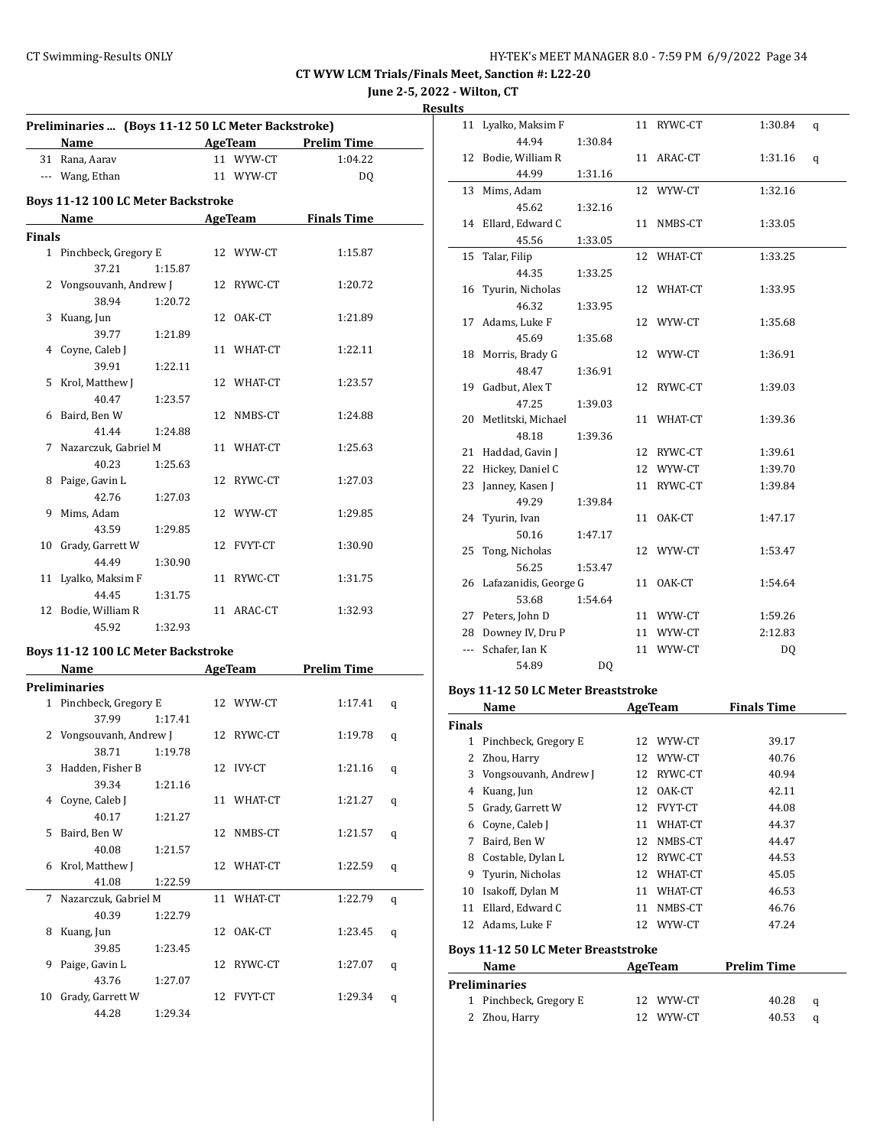# **June 2-5, 2022 - Wilton, CT**

| esults |  |
|--------|--|
|        |  |

| 39.77                  | 1:21.89                                                                                                                                                                                                                                                                                |                                                                                                                                                                   |                                            |                                                                                                                                                                                                                                                                                                                                                                                         |                                                                                                                                                                                                                                                                                               |
|------------------------|----------------------------------------------------------------------------------------------------------------------------------------------------------------------------------------------------------------------------------------------------------------------------------------|-------------------------------------------------------------------------------------------------------------------------------------------------------------------|--------------------------------------------|-----------------------------------------------------------------------------------------------------------------------------------------------------------------------------------------------------------------------------------------------------------------------------------------------------------------------------------------------------------------------------------------|-----------------------------------------------------------------------------------------------------------------------------------------------------------------------------------------------------------------------------------------------------------------------------------------------|
| 4 Coyne, Caleb J       |                                                                                                                                                                                                                                                                                        |                                                                                                                                                                   |                                            | 1:22.11                                                                                                                                                                                                                                                                                                                                                                                 |                                                                                                                                                                                                                                                                                               |
| 39.91                  | 1:22.11                                                                                                                                                                                                                                                                                |                                                                                                                                                                   |                                            |                                                                                                                                                                                                                                                                                                                                                                                         |                                                                                                                                                                                                                                                                                               |
| 5 Krol, Matthew J      |                                                                                                                                                                                                                                                                                        |                                                                                                                                                                   |                                            | 1:23.57                                                                                                                                                                                                                                                                                                                                                                                 |                                                                                                                                                                                                                                                                                               |
| 40.47                  | 1:23.57                                                                                                                                                                                                                                                                                |                                                                                                                                                                   |                                            |                                                                                                                                                                                                                                                                                                                                                                                         |                                                                                                                                                                                                                                                                                               |
|                        |                                                                                                                                                                                                                                                                                        |                                                                                                                                                                   |                                            | 1:24.88                                                                                                                                                                                                                                                                                                                                                                                 |                                                                                                                                                                                                                                                                                               |
|                        |                                                                                                                                                                                                                                                                                        |                                                                                                                                                                   |                                            |                                                                                                                                                                                                                                                                                                                                                                                         |                                                                                                                                                                                                                                                                                               |
|                        |                                                                                                                                                                                                                                                                                        |                                                                                                                                                                   |                                            |                                                                                                                                                                                                                                                                                                                                                                                         |                                                                                                                                                                                                                                                                                               |
|                        |                                                                                                                                                                                                                                                                                        |                                                                                                                                                                   |                                            |                                                                                                                                                                                                                                                                                                                                                                                         |                                                                                                                                                                                                                                                                                               |
|                        |                                                                                                                                                                                                                                                                                        |                                                                                                                                                                   |                                            |                                                                                                                                                                                                                                                                                                                                                                                         |                                                                                                                                                                                                                                                                                               |
|                        |                                                                                                                                                                                                                                                                                        |                                                                                                                                                                   |                                            |                                                                                                                                                                                                                                                                                                                                                                                         |                                                                                                                                                                                                                                                                                               |
|                        |                                                                                                                                                                                                                                                                                        |                                                                                                                                                                   |                                            |                                                                                                                                                                                                                                                                                                                                                                                         |                                                                                                                                                                                                                                                                                               |
|                        |                                                                                                                                                                                                                                                                                        |                                                                                                                                                                   |                                            |                                                                                                                                                                                                                                                                                                                                                                                         |                                                                                                                                                                                                                                                                                               |
| 43.59                  | 1:29.85                                                                                                                                                                                                                                                                                |                                                                                                                                                                   |                                            |                                                                                                                                                                                                                                                                                                                                                                                         |                                                                                                                                                                                                                                                                                               |
| Grady, Garrett W<br>10 |                                                                                                                                                                                                                                                                                        |                                                                                                                                                                   |                                            | 1:30.90                                                                                                                                                                                                                                                                                                                                                                                 |                                                                                                                                                                                                                                                                                               |
| 44.49                  | 1:30.90                                                                                                                                                                                                                                                                                |                                                                                                                                                                   |                                            |                                                                                                                                                                                                                                                                                                                                                                                         |                                                                                                                                                                                                                                                                                               |
| Lyalko, Maksim F<br>11 |                                                                                                                                                                                                                                                                                        |                                                                                                                                                                   |                                            | 1:31.75                                                                                                                                                                                                                                                                                                                                                                                 |                                                                                                                                                                                                                                                                                               |
| 44.45                  | 1:31.75                                                                                                                                                                                                                                                                                |                                                                                                                                                                   |                                            |                                                                                                                                                                                                                                                                                                                                                                                         |                                                                                                                                                                                                                                                                                               |
|                        |                                                                                                                                                                                                                                                                                        |                                                                                                                                                                   |                                            |                                                                                                                                                                                                                                                                                                                                                                                         |                                                                                                                                                                                                                                                                                               |
| 45.92                  |                                                                                                                                                                                                                                                                                        |                                                                                                                                                                   |                                            |                                                                                                                                                                                                                                                                                                                                                                                         |                                                                                                                                                                                                                                                                                               |
|                        |                                                                                                                                                                                                                                                                                        |                                                                                                                                                                   |                                            |                                                                                                                                                                                                                                                                                                                                                                                         |                                                                                                                                                                                                                                                                                               |
|                        |                                                                                                                                                                                                                                                                                        |                                                                                                                                                                   |                                            |                                                                                                                                                                                                                                                                                                                                                                                         |                                                                                                                                                                                                                                                                                               |
|                        |                                                                                                                                                                                                                                                                                        |                                                                                                                                                                   |                                            |                                                                                                                                                                                                                                                                                                                                                                                         |                                                                                                                                                                                                                                                                                               |
|                        |                                                                                                                                                                                                                                                                                        |                                                                                                                                                                   |                                            |                                                                                                                                                                                                                                                                                                                                                                                         |                                                                                                                                                                                                                                                                                               |
|                        |                                                                                                                                                                                                                                                                                        |                                                                                                                                                                   |                                            |                                                                                                                                                                                                                                                                                                                                                                                         | q                                                                                                                                                                                                                                                                                             |
|                        |                                                                                                                                                                                                                                                                                        |                                                                                                                                                                   |                                            |                                                                                                                                                                                                                                                                                                                                                                                         |                                                                                                                                                                                                                                                                                               |
|                        |                                                                                                                                                                                                                                                                                        |                                                                                                                                                                   |                                            |                                                                                                                                                                                                                                                                                                                                                                                         | q                                                                                                                                                                                                                                                                                             |
|                        |                                                                                                                                                                                                                                                                                        |                                                                                                                                                                   |                                            |                                                                                                                                                                                                                                                                                                                                                                                         |                                                                                                                                                                                                                                                                                               |
|                        |                                                                                                                                                                                                                                                                                        |                                                                                                                                                                   |                                            | 1:21.16                                                                                                                                                                                                                                                                                                                                                                                 | q                                                                                                                                                                                                                                                                                             |
| 39.34                  | 1:21.16                                                                                                                                                                                                                                                                                |                                                                                                                                                                   |                                            |                                                                                                                                                                                                                                                                                                                                                                                         |                                                                                                                                                                                                                                                                                               |
| Coyne, Caleb J         |                                                                                                                                                                                                                                                                                        |                                                                                                                                                                   |                                            | 1:21.27                                                                                                                                                                                                                                                                                                                                                                                 | q                                                                                                                                                                                                                                                                                             |
| 40.17                  | 1:21.27                                                                                                                                                                                                                                                                                |                                                                                                                                                                   |                                            |                                                                                                                                                                                                                                                                                                                                                                                         |                                                                                                                                                                                                                                                                                               |
|                        |                                                                                                                                                                                                                                                                                        |                                                                                                                                                                   |                                            |                                                                                                                                                                                                                                                                                                                                                                                         | q                                                                                                                                                                                                                                                                                             |
|                        |                                                                                                                                                                                                                                                                                        |                                                                                                                                                                   |                                            |                                                                                                                                                                                                                                                                                                                                                                                         |                                                                                                                                                                                                                                                                                               |
| Krol, Matthew J        |                                                                                                                                                                                                                                                                                        |                                                                                                                                                                   |                                            | 1:22.59                                                                                                                                                                                                                                                                                                                                                                                 | q                                                                                                                                                                                                                                                                                             |
| 3                      | 31 Rana, Aarav<br>--- Wang, Ethan<br><b>Finals</b><br>37.21<br>38.94<br>Kuang, Jun<br>6 Baird, Ben W<br>41.44<br>7<br>40.23<br>Paige, Gavin L<br>8<br>42.76<br>Mims, Adam<br>12 Bodie, William R<br>Name<br><b>Preliminaries</b><br>37.99<br>Hadden, Fisher B<br>Baird, Ben W<br>40.08 | 1:15.87<br>1:20.72<br>1:24.88<br>Nazarczuk, Gabriel M<br>1:25.63<br>1:27.03<br>1:32.93<br>1 Pinchbeck, Gregory E<br>1:17.41<br>2 Vongsouvanh, Andrew J<br>1:21.57 | 2 Vongsouvanh, Andrew J<br>38.71   1:19.78 | 11 WYW-CT<br>11 WYW-CT<br><b>Boys 11-12 100 LC Meter Backstroke</b><br>1 Pinchbeck, Gregory E 12 WYW-CT<br>12 RYWC-CT<br>12 OAK-CT<br>11 WHAT-CT<br>12 WHAT-CT<br>12 NMBS-CT<br>11 WHAT-CT<br>12 RYWC-CT<br>12 WYW-CT<br>12 FVYT-CT<br>11 RYWC-CT<br>11 ARAC-CT<br>Boys 11-12 100 LC Meter Backstroke<br>12 WYW-CT<br>12 RYWC-CT<br>12 IVY-CT<br>11 WHAT-CT<br>12 NMBS-CT<br>12 WHAT-CT | Preliminaries  (Boys 11-12 50 LC Meter Backstroke)<br>Name AgeTeam Prelim Time<br>1:04.22<br>DQ<br>Name AgeTeam Finals Time<br>1:15.87<br>1:20.72<br>1:21.89<br>1:25.63<br>1:27.03<br>1:29.85<br>1:32.93<br><b>Example 2.1 AgeTeam</b><br><b>Prelim Time</b><br>1:17.41<br>1:19.78<br>1:21.57 |

41.08 1:22.59

40.39 1:22.79

39.85 1:23.45

43.76 1:27.07

44.28 1:29.34

7 Nazarczuk, Gabriel M 11 WHAT-CT 1:22.79 q

8 Kuang, Jun 12 OAK-CT 1:23.45 q

9 Paige, Gavin L 12 RYWC-CT 1:27.07 q

10 Grady, Garrett W 12 FVYT-CT 1:29.34 q

| S                    |                       |         |    |            |         |   |
|----------------------|-----------------------|---------|----|------------|---------|---|
| 11                   | Lyalko, Maksim F      |         |    | 11 RYWC-CT | 1:30.84 | q |
|                      | 44.94                 | 1:30.84 |    |            |         |   |
| 12                   | Bodie, William R      |         |    | 11 ARAC-CT | 1:31.16 | q |
|                      | 44.99                 | 1:31.16 |    |            |         |   |
| 13                   | Mims, Adam            |         |    | 12 WYW-CT  | 1:32.16 |   |
|                      | 45.62                 | 1:32.16 |    |            |         |   |
| 14                   | Ellard, Edward C      |         | 11 | NMBS-CT    | 1:33.05 |   |
|                      | 45.56                 | 1:33.05 |    |            |         |   |
| 15                   | Talar, Filip          |         | 12 | WHAT-CT    | 1:33.25 |   |
|                      | 44.35                 | 1:33.25 |    |            |         |   |
| 16                   | Tyurin, Nicholas      |         | 12 | WHAT-CT    | 1:33.95 |   |
|                      | 46.32                 | 1:33.95 |    |            |         |   |
| 17                   | Adams, Luke F         |         | 12 | WYW-CT     | 1:35.68 |   |
|                      | 45.69                 | 1:35.68 |    |            |         |   |
| 18                   | Morris, Brady G       |         | 12 | WYW-CT     | 1:36.91 |   |
|                      | 48.47                 | 1:36.91 |    |            |         |   |
| 19                   | Gadbut, Alex T        |         | 12 | RYWC-CT    | 1:39.03 |   |
|                      | 47.25                 | 1:39.03 |    |            |         |   |
| 20                   | Metlitski, Michael    |         | 11 | WHAT-CT    | 1:39.36 |   |
|                      | 48.18                 | 1:39.36 |    |            |         |   |
| 21                   | Haddad, Gavin J       |         |    | 12 RYWC-CT | 1:39.61 |   |
| 22                   | Hickey, Daniel C      |         | 12 | WYW-CT     | 1:39.70 |   |
| 23                   | Janney, Kasen J       |         | 11 | RYWC-CT    | 1:39.84 |   |
|                      | 49.29                 | 1:39.84 |    |            |         |   |
| 24                   | Tyurin, Ivan          |         | 11 | OAK-CT     | 1:47.17 |   |
|                      | 50.16                 | 1:47.17 |    |            |         |   |
| 25                   | Tong, Nicholas        |         | 12 | WYW-CT     | 1:53.47 |   |
|                      | 56.25                 | 1:53.47 |    |            |         |   |
| 26                   | Lafazanidis, George G |         | 11 | OAK-CT     | 1:54.64 |   |
|                      | 53.68                 | 1:54.64 |    |            |         |   |
| 27                   | Peters, John D        |         |    | 11 WYW-CT  | 1:59.26 |   |
| 28                   | Downey IV, Dru P      |         |    | 11 WYW-CT  | 2:12.83 |   |
| $\scriptstyle\cdots$ | Schafer, Ian K        |         |    | 11 WYW-CT  | DQ      |   |
|                      | 54.89                 | DQ      |    |            |         |   |
|                      |                       |         |    |            |         |   |

#### **Boys 11-12 50 LC Meter Breaststroke**

|               | Name                                       | AgeTeam |                | <b>Finals Time</b> |   |  |  |  |
|---------------|--------------------------------------------|---------|----------------|--------------------|---|--|--|--|
| <b>Finals</b> |                                            |         |                |                    |   |  |  |  |
| 1             | Pinchbeck, Gregory E                       | 12      | WYW-CT         | 39.17              |   |  |  |  |
| 2             | Zhou, Harry                                | 12      | WYW-CT         | 40.76              |   |  |  |  |
| 3             | Vongsouvanh, Andrew J                      | 12      | RYWC-CT        | 40.94              |   |  |  |  |
| 4             | Kuang, Jun                                 | 12      | OAK-CT         | 42.11              |   |  |  |  |
| 5             | Grady, Garrett W                           | 12      | <b>FVYT-CT</b> | 44.08              |   |  |  |  |
| 6             | Coyne, Caleb J                             | 11      | WHAT-CT        | 44.37              |   |  |  |  |
| 7             | Baird, Ben W                               | 12      | NMBS-CT        | 44.47              |   |  |  |  |
| 8             | Costable, Dylan L                          | 12      | RYWC-CT        | 44.53              |   |  |  |  |
| 9             | Tyurin, Nicholas                           | 12      | WHAT-CT        | 45.05              |   |  |  |  |
| 10            | Isakoff, Dylan M                           | 11      | WHAT-CT        | 46.53              |   |  |  |  |
| 11            | Ellard, Edward C                           | 11      | NMBS-CT        | 46.76              |   |  |  |  |
| 12            | Adams, Luke F                              | 12      | WYW-CT         | 47.24              |   |  |  |  |
|               | <b>Boys 11-12 50 LC Meter Breaststroke</b> |         |                |                    |   |  |  |  |
|               | Name                                       |         | AgeTeam        | <b>Prelim Time</b> |   |  |  |  |
|               | <b>Preliminaries</b>                       |         |                |                    |   |  |  |  |
| 1             | Pinchbeck, Gregory E                       |         | 12 WYW-CT      | 40.28              | q |  |  |  |

2 Zhou, Harry 12 WYW-CT 40.53 q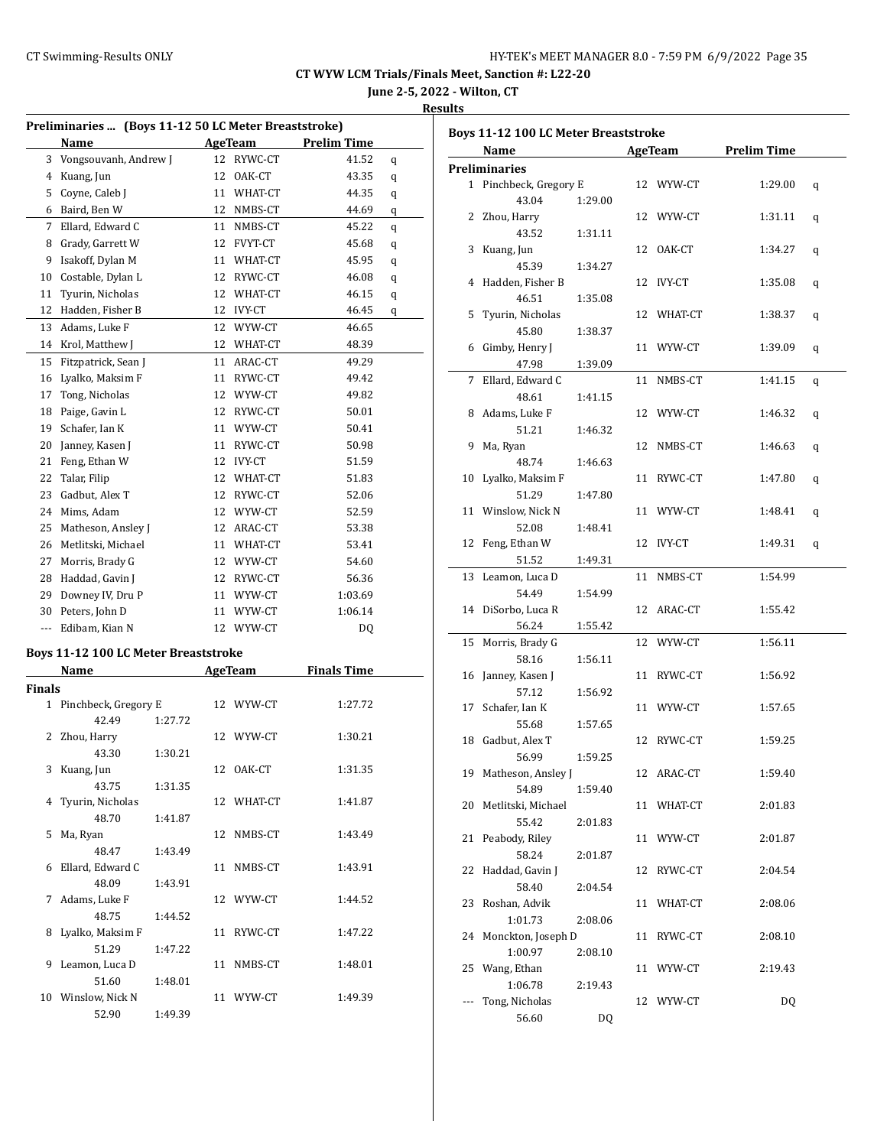# **June 2-5, 2022 - Wilton, CT**

#### **Results**

|               | Preliminaries  (Boys 11-12 50 LC Meter Breaststroke)<br>Name |         |    | AgeTeam       | <b>Prelim Time</b> |   |
|---------------|--------------------------------------------------------------|---------|----|---------------|--------------------|---|
|               | 3 Vongsouvanh, Andrew J                                      |         | 12 | RYWC-CT       | 41.52              |   |
|               |                                                              |         |    |               |                    | q |
|               | 4 Kuang, Jun                                                 |         |    | 12 OAK-CT     | 43.35              | q |
| 5             | Coyne, Caleb J<br>6 Baird, Ben W                             |         | 11 | WHAT-CT       | 44.35              | q |
|               |                                                              |         |    | 12 NMBS-CT    | 44.69              | q |
| 7             | Ellard, Edward C                                             |         | 11 | NMBS-CT       | 45.22              | q |
| 8             | Grady, Garrett W                                             |         |    | 12 FVYT-CT    | 45.68              | q |
| 9             | Isakoff, Dylan M                                             |         |    | 11 WHAT-CT    | 45.95              | q |
| 10            | Costable, Dylan L                                            |         | 12 | RYWC-CT       | 46.08              | q |
| 11            | Tyurin, Nicholas                                             |         |    | 12 WHAT-CT    | 46.15              | q |
| 12            | Hadden, Fisher B                                             |         | 12 | <b>IVY-CT</b> | 46.45              | q |
| 13            | Adams, Luke F                                                |         |    | 12 WYW-CT     | 46.65              |   |
| 14            | Krol, Matthew J                                              |         |    | 12 WHAT-CT    | 48.39              |   |
| 15            | Fitzpatrick, Sean J                                          |         |    | 11 ARAC-CT    | 49.29              |   |
| 16            | Lyalko, Maksim F                                             |         | 11 | RYWC-CT       | 49.42              |   |
| 17            | Tong, Nicholas                                               |         |    | 12 WYW-CT     | 49.82              |   |
| 18            | Paige, Gavin L                                               |         |    | 12 RYWC-CT    | 50.01              |   |
| 19            | Schafer, Ian K                                               |         |    | 11 WYW-CT     | 50.41              |   |
| 20            | Janney, Kasen J                                              |         | 11 | RYWC-CT       | 50.98              |   |
| 21            | Feng, Ethan W                                                |         |    | 12 IVY-CT     | 51.59              |   |
| 22            | Talar, Filip                                                 |         |    | 12 WHAT-CT    | 51.83              |   |
| 23            | Gadbut, Alex T                                               |         |    | 12 RYWC-CT    | 52.06              |   |
|               | 24 Mims, Adam                                                |         |    | 12 WYW-CT     | 52.59              |   |
| 25            | Matheson, Ansley J                                           |         |    | 12 ARAC-CT    | 53.38              |   |
|               | 26 Metlitski, Michael                                        |         |    | 11 WHAT-CT    | 53.41              |   |
| 27            | Morris, Brady G                                              |         |    | 12 WYW-CT     | 54.60              |   |
| 28            | Haddad, Gavin J                                              |         |    | 12 RYWC-CT    | 56.36              |   |
| 29            | Downey IV, Dru P                                             |         |    | 11 WYW-CT     | 1:03.69            |   |
| 30            | Peters, John D                                               |         |    | 11 WYW-CT     | 1:06.14            |   |
| ---           | Edibam, Kian N                                               |         |    | 12 WYW-CT     | DQ                 |   |
|               | Boys 11-12 100 LC Meter Breaststroke                         |         |    |               |                    |   |
|               | Name                                                         |         |    | AgeTeam       | <b>Finals Time</b> |   |
| <b>Finals</b> |                                                              |         |    |               |                    |   |
| $\mathbf{1}$  | Pinchbeck, Gregory E                                         |         |    | 12 WYW-CT     | 1:27.72            |   |
|               | 42.49                                                        | 1:27.72 |    |               |                    |   |
| 2             | Zhou, Harry                                                  |         |    | 12 WYW-CT     | 1:30.21            |   |
|               | 43.30                                                        | 1:30.21 |    |               |                    |   |
|               | 3 Kuang, Jun                                                 |         |    | 12 OAK-CT     | 1:31.35            |   |
|               | 43.75                                                        | 1:31.35 |    |               |                    |   |
| 4             | Tyurin, Nicholas                                             |         |    | 12 WHAT-CT    | 1:41.87            |   |
|               | 48.70                                                        | 1:41.87 |    |               |                    |   |
| 5             | Ma, Ryan                                                     |         | 12 | NMBS-CT       | 1:43.49            |   |
|               | 48.47                                                        | 1:43.49 |    |               |                    |   |
| 6             | Ellard, Edward C                                             |         | 11 | NMBS-CT       | 1:43.91            |   |
|               | 48.09                                                        | 1:43.91 |    |               |                    |   |
| 7             | Adams, Luke F                                                |         |    | 12 WYW-CT     | 1:44.52            |   |
|               | 48.75                                                        | 1:44.52 |    |               |                    |   |
| 8             | Lyalko, Maksim F                                             |         | 11 | RYWC-CT       | 1:47.22            |   |
|               | 51.29                                                        | 1:47.22 |    |               |                    |   |
| 9             | Leamon, Luca D                                               |         | 11 | NMBS-CT       | 1:48.01            |   |
|               | 51.60                                                        | 1:48.01 |    |               |                    |   |
|               | 10 Winslow, Nick N                                           |         |    | 11 WYW-CT     | 1:49.39            |   |
|               | 52.90                                                        | 1:49.39 |    |               |                    |   |

|     | Name                     |         |    | AgeTeam       | <b>Prelim Time</b> |   |
|-----|--------------------------|---------|----|---------------|--------------------|---|
|     | <b>Preliminaries</b>     |         |    |               |                    |   |
|     | 1 Pinchbeck, Gregory E   |         |    | 12 WYW-CT     | 1:29.00            |   |
|     | 43.04                    | 1:29.00 |    |               |                    | q |
|     |                          |         |    |               |                    |   |
| 2   | Zhou, Harry              |         |    | 12 WYW-CT     | 1:31.11            | q |
|     | 43.52                    | 1:31.11 |    |               |                    |   |
| 3   | Kuang, Jun               |         | 12 | OAK-CT        | 1:34.27            | q |
|     | 45.39                    | 1:34.27 |    |               |                    |   |
| 4   | Hadden, Fisher B         |         | 12 | IVY-CT        | 1:35.08            | q |
|     | 46.51                    | 1:35.08 |    |               |                    |   |
| 5   | Tyurin, Nicholas         |         |    | 12 WHAT-CT    | 1:38.37            | q |
|     | 45.80                    | 1:38.37 |    |               |                    |   |
| 6   | Gimby, Henry J           |         |    | 11 WYW-CT     | 1:39.09            | q |
|     | 47.98                    | 1:39.09 |    |               |                    |   |
| 7   | Ellard, Edward C         |         | 11 | NMBS-CT       | 1:41.15            | q |
|     | 48.61                    | 1:41.15 |    |               |                    |   |
| 8   | Adams, Luke F            |         |    | 12 WYW-CT     | 1:46.32            | q |
|     | 51.21                    | 1:46.32 |    |               |                    |   |
| 9   | Ma, Ryan                 |         | 12 | NMBS-CT       | 1:46.63            | q |
|     | 48.74                    | 1:46.63 |    |               |                    |   |
| 10  | Lyalko, Maksim F         |         | 11 | RYWC-CT       | 1:47.80            | q |
|     | 51.29                    | 1:47.80 |    |               |                    |   |
| 11  | Winslow, Nick N          |         | 11 | WYW-CT        | 1:48.41            |   |
|     |                          |         |    |               |                    | q |
|     | 52.08                    | 1:48.41 |    |               |                    |   |
| 12  | Feng, Ethan W            |         | 12 | <b>IVY-CT</b> | 1:49.31            | q |
|     | 51.52                    | 1:49.31 |    |               |                    |   |
| 13  | Leamon, Luca D           |         | 11 | NMBS-CT       | 1:54.99            |   |
|     | 54.49                    | 1:54.99 |    |               |                    |   |
|     | 14 DiSorbo, Luca R       |         | 12 | ARAC-CT       | 1:55.42            |   |
|     | 56.24                    | 1:55.42 |    |               |                    |   |
| 15  | Morris, Brady G          |         | 12 | WYW-CT        | 1:56.11            |   |
|     | 58.16                    | 1:56.11 |    |               |                    |   |
| 16  | Janney, Kasen J          |         | 11 | RYWC-CT       | 1:56.92            |   |
|     | 57.12                    | 1:56.92 |    |               |                    |   |
|     | 17 Schafer, Ian K        |         |    | 11 WYW-CT     | 1:57.65            |   |
|     | 55.68                    | 1:57.65 |    |               |                    |   |
|     | 18 Gadbut, Alex T        |         | 12 | RYWC-CT       | 1:59.25            |   |
|     | 56.99                    | 1:59.25 |    |               |                    |   |
|     | 19 Matheson, Ansley J    |         | 12 | ARAC-CT       | 1:59.40            |   |
|     | 54.89                    | 1:59.40 |    |               |                    |   |
|     | 20 Metlitski, Michael    |         |    | 11 WHAT-CT    | 2:01.83            |   |
|     | 55.42                    | 2:01.83 |    |               |                    |   |
| 21  | Peabody, Riley           |         |    | 11 WYW-CT     | 2:01.87            |   |
|     | 58.24                    | 2:01.87 |    |               |                    |   |
| 22  | Haddad, Gavin J          |         | 12 | RYWC-CT       | 2:04.54            |   |
|     | 58.40                    | 2:04.54 |    |               |                    |   |
| 23  |                          |         |    |               |                    |   |
|     | Roshan, Advik<br>1:01.73 |         | 11 | WHAT-CT       | 2:08.06            |   |
|     |                          | 2:08.06 |    |               |                    |   |
| 24  | Monckton, Joseph D       |         | 11 | RYWC-CT       | 2:08.10            |   |
|     | 1:00.97                  | 2:08.10 |    |               |                    |   |
| 25  | Wang, Ethan              |         |    | 11 WYW-CT     | 2:19.43            |   |
|     | 1:06.78                  | 2:19.43 |    |               |                    |   |
| --- | Tong, Nicholas           |         |    | 12 WYW-CT     | DQ                 |   |
|     | 56.60                    | DQ      |    |               |                    |   |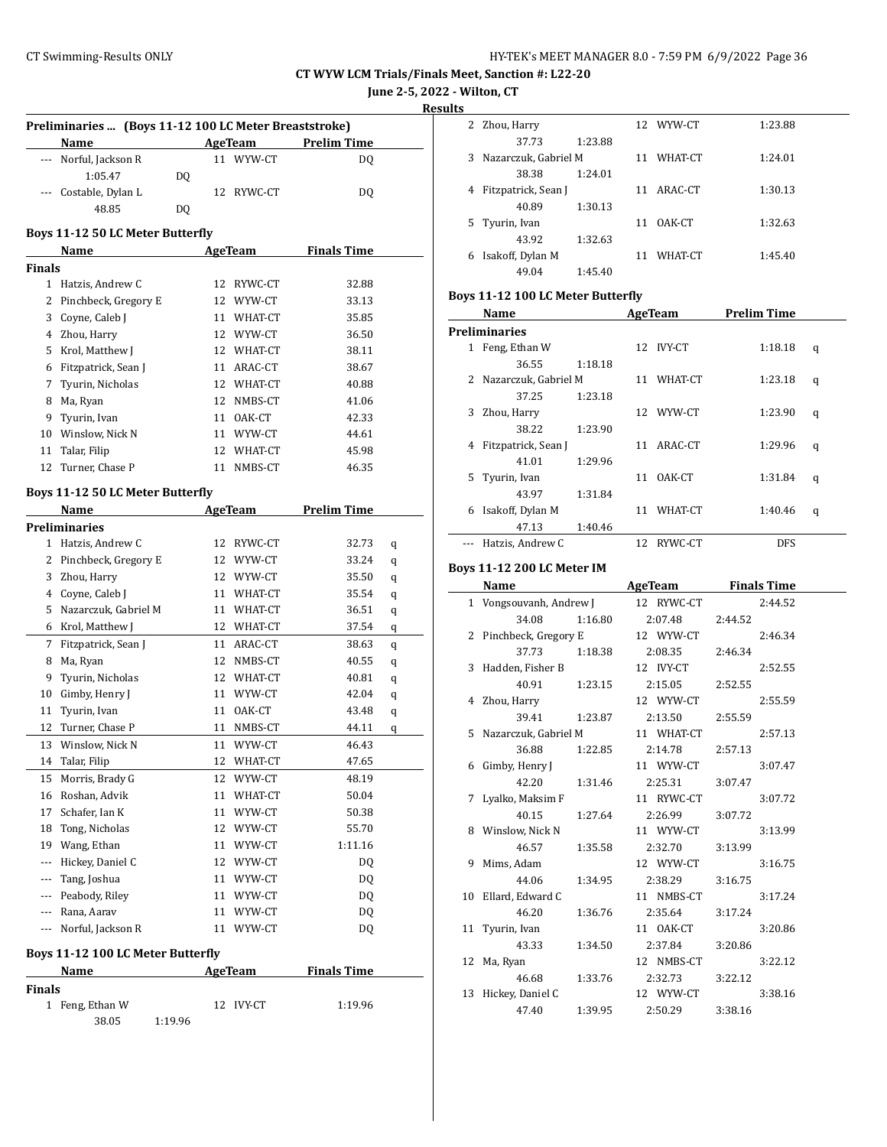**June 2-5, 2022 - Wilton, CT**

**Results**

 $\sim$ 

|                                   | Preliminaries  (Boys 11-12 100 LC Meter Breaststroke)<br>Name |         |    | AgeTeam       | <b>Prelim Time</b> |   |  |  |
|-----------------------------------|---------------------------------------------------------------|---------|----|---------------|--------------------|---|--|--|
|                                   | --- Norful, Jackson R                                         |         |    | 11 WYW-CT     | DQ                 |   |  |  |
|                                   | 1:05.47                                                       | DQ      |    |               |                    |   |  |  |
|                                   | Costable, Dylan L                                             |         |    | 12 RYWC-CT    | DQ                 |   |  |  |
|                                   | 48.85                                                         | DQ      |    |               |                    |   |  |  |
|                                   |                                                               |         |    |               |                    |   |  |  |
|                                   | <b>Boys 11-12 50 LC Meter Butterfly</b>                       |         |    |               |                    |   |  |  |
|                                   | Name                                                          |         |    | AgeTeam       | <b>Finals Time</b> |   |  |  |
| <b>Finals</b>                     |                                                               |         |    |               |                    |   |  |  |
|                                   | 1 Hatzis, Andrew C                                            |         |    | 12 RYWC-CT    | 32.88              |   |  |  |
|                                   | 2 Pinchbeck, Gregory E                                        |         |    | 12 WYW-CT     | 33.13              |   |  |  |
|                                   | 3 Coyne, Caleb J                                              |         |    | 11 WHAT-CT    | 35.85              |   |  |  |
|                                   | 4 Zhou, Harry                                                 |         |    | 12 WYW-CT     | 36.50              |   |  |  |
|                                   | 5 Krol, Matthew J                                             |         |    | 12 WHAT-CT    | 38.11              |   |  |  |
|                                   | 6 Fitzpatrick, Sean J                                         |         |    | 11 ARAC-CT    | 38.67              |   |  |  |
|                                   | 7 Tyurin, Nicholas                                            |         |    | 12 WHAT-CT    | 40.88              |   |  |  |
|                                   | 8 Ma, Ryan                                                    |         |    | 12 NMBS-CT    | 41.06              |   |  |  |
| 9                                 | Tyurin, Ivan                                                  |         |    | 11 OAK-CT     | 42.33              |   |  |  |
|                                   | 10 Winslow, Nick N                                            |         |    | 11 WYW-CT     | 44.61              |   |  |  |
| 11                                | Talar, Filip                                                  |         |    | 12 WHAT-CT    | 45.98              |   |  |  |
| 12                                | Turner, Chase P                                               |         |    | 11 NMBS-CT    | 46.35              |   |  |  |
|                                   | <b>Boys 11-12 50 LC Meter Butterfly</b>                       |         |    |               |                    |   |  |  |
|                                   |                                                               |         |    |               | <b>Prelim Time</b> |   |  |  |
|                                   | Name                                                          |         |    | AgeTeam       |                    |   |  |  |
|                                   | <b>Preliminaries</b>                                          |         |    |               |                    |   |  |  |
| 1                                 | Hatzis, Andrew C                                              |         |    | 12 RYWC-CT    | 32.73              | q |  |  |
|                                   | 2 Pinchbeck, Gregory E                                        |         |    | 12 WYW-CT     | 33.24              | q |  |  |
|                                   | 3 Zhou, Harry                                                 |         |    | 12 WYW-CT     | 35.50              | q |  |  |
|                                   | 4 Coyne, Caleb J                                              |         |    | 11 WHAT-CT    | 35.54              | q |  |  |
|                                   | 5 Nazarczuk, Gabriel M                                        |         |    | 11 WHAT-CT    | 36.51              | q |  |  |
|                                   | 6 Krol, Matthew J                                             |         |    | 12 WHAT-CT    | 37.54              | q |  |  |
| 7                                 | Fitzpatrick, Sean J                                           |         |    | 11 ARAC-CT    | 38.63              | q |  |  |
|                                   | 8 Ma, Ryan                                                    |         |    | 12 NMBS-CT    | 40.55              | q |  |  |
| 9                                 | Tyurin, Nicholas                                              |         |    | 12 WHAT-CT    | 40.81              | q |  |  |
| 10                                | Gimby, Henry J                                                |         |    | 11 WYW-CT     | 42.04              | q |  |  |
| 11                                | Tyurin, Ivan                                                  |         |    | 11 OAK-CT     | 43.48              | q |  |  |
| 12                                | Turner, Chase P                                               |         |    | 11 NMBS-CT    | 44.11              | q |  |  |
| 13                                | Winslow, Nick N                                               |         |    | 11 WYW-CT     | 46.43              |   |  |  |
| 14                                | Talar, Filip                                                  |         | 12 | WHAT-CT       | 47.65              |   |  |  |
| 15                                | Morris, Brady G                                               |         | 12 | WYW-CT        | 48.19              |   |  |  |
| 16                                | Roshan, Advik                                                 |         | 11 | WHAT-CT       | 50.04              |   |  |  |
| 17                                | Schafer, Ian K                                                |         |    | 11 WYW-CT     | 50.38              |   |  |  |
| 18                                | Tong, Nicholas                                                |         |    | 12 WYW-CT     | 55.70              |   |  |  |
| 19                                | Wang, Ethan                                                   |         |    | 11 WYW-CT     | 1:11.16            |   |  |  |
| ---                               | Hickey, Daniel C                                              |         |    | 12 WYW-CT     | DQ                 |   |  |  |
| ---                               | Tang, Joshua                                                  |         |    | 11 WYW-CT     | DQ                 |   |  |  |
| $\overline{\phantom{a}}$          | Peabody, Riley                                                |         | 11 | WYW-CT        | DQ                 |   |  |  |
|                                   | --- Rana, Aarav                                               |         | 11 | WYW-CT        | DQ                 |   |  |  |
| $\cdots$                          | Norful, Jackson R                                             |         | 11 | WYW-CT        | DQ                 |   |  |  |
|                                   |                                                               |         |    |               |                    |   |  |  |
| Boys 11-12 100 LC Meter Butterfly |                                                               |         |    |               |                    |   |  |  |
|                                   | Name                                                          |         |    | AgeTeam       | <b>Finals Time</b> |   |  |  |
| <b>Finals</b>                     |                                                               |         |    |               |                    |   |  |  |
| 1                                 | Feng, Ethan W                                                 |         | 12 | <b>IVY-CT</b> | 1:19.96            |   |  |  |
|                                   | 38.05                                                         | 1:19.96 |    |               |                    |   |  |  |

| s |                      |         |    |           |         |
|---|----------------------|---------|----|-----------|---------|
|   | 2 Zhou, Harry        |         |    | 12 WYW-CT | 1:23.88 |
|   | 37.73                | 1:23.88 |    |           |         |
| 3 | Nazarczuk, Gabriel M |         | 11 | WHAT-CT   | 1:24.01 |
|   | 38.38                | 1:24.01 |    |           |         |
| 4 | Fitzpatrick, Sean J  |         | 11 | ARAC-CT   | 1:30.13 |
|   | 40.89                | 1:30.13 |    |           |         |
| 5 | Tyurin, Ivan         |         | 11 | OAK-CT    | 1:32.63 |
|   | 43.92                | 1:32.63 |    |           |         |
| 6 | Isakoff, Dylan M     |         | 11 | WHAT-CT   | 1:45.40 |
|   | 49.04                | 1:45.40 |    |           |         |

## **Boys 11-12 100 LC Meter Butterfly**

| Name |                      |         |    | <b>AgeTeam</b> | <b>Prelim Time</b> |   |
|------|----------------------|---------|----|----------------|--------------------|---|
|      | <b>Preliminaries</b> |         |    |                |                    |   |
| 1    | Feng, Ethan W        |         | 12 | IVY-CT         | 1:18.18            | q |
|      | 36.55                | 1:18.18 |    |                |                    |   |
| 2    | Nazarczuk, Gabriel M |         | 11 | WHAT-CT        | 1:23.18            | q |
|      | 37.25                | 1:23.18 |    |                |                    |   |
| 3    | Zhou, Harry          |         | 12 | WYW-CT         | 1:23.90            | q |
|      | 38.22                | 1:23.90 |    |                |                    |   |
| 4    | Fitzpatrick, Sean J  |         | 11 | ARAC-CT        | 1:29.96            | q |
|      | 41.01                | 1:29.96 |    |                |                    |   |
| 5.   | Tyurin, Ivan         |         | 11 | OAK-CT         | 1:31.84            | q |
|      | 43.97                | 1:31.84 |    |                |                    |   |
| 6    | Isakoff, Dylan M     |         | 11 | WHAT-CT        | 1:40.46            | q |
|      | 47.13                | 1:40.46 |    |                |                    |   |
|      | Hatzis, Andrew C     |         | 12 | RYWC-CT        | DFS                |   |

#### **Boys 11-12 200 LC Meter IM**

|    | Name                               |         | AgeTeam    | <b>Finals Time</b> |         |  |
|----|------------------------------------|---------|------------|--------------------|---------|--|
|    | 1 Vongsouvanh, Andrew J 12 RYWC-CT |         |            |                    | 2:44.52 |  |
|    | 34.08                              | 1:16.80 | 2:07.48    | 2:44.52            |         |  |
|    | 2 Pinchbeck, Gregory E             |         | 12 WYW-CT  |                    | 2:46.34 |  |
|    | 37.73                              | 1:18.38 | 2:08.35    | 2:46.34            |         |  |
|    | 3 Hadden, Fisher B                 |         | 12 IVY-CT  |                    | 2:52.55 |  |
|    | 40.91                              | 1:23.15 | 2:15.05    | 2:52.55            |         |  |
| 4  | Zhou, Harry                        |         | 12 WYW-CT  |                    | 2:55.59 |  |
|    | 39.41                              | 1:23.87 | 2:13.50    | 2:55.59            |         |  |
|    | 5 Nazarczuk, Gabriel M             |         | 11 WHAT-CT |                    | 2:57.13 |  |
|    | 36.88                              | 1:22.85 | 2:14.78    | 2:57.13            |         |  |
| 6  | Gimby, Henry J                     |         | 11 WYW-CT  |                    | 3:07.47 |  |
|    | 42.20 1:31.46                      |         | 2:25.31    | 3:07.47            |         |  |
|    | 7 Lyalko, Maksim F                 |         | 11 RYWC-CT |                    | 3:07.72 |  |
|    | 40.15                              | 1:27.64 | 2:26.99    | 3:07.72            |         |  |
|    | 8 Winslow, Nick N                  |         | 11 WYW-CT  |                    | 3:13.99 |  |
|    | 46.57                              | 1:35.58 | 2:32.70    | 3:13.99            |         |  |
| 9  | Mims, Adam                         |         | 12 WYW-CT  |                    | 3:16.75 |  |
|    | 44.06                              | 1:34.95 | 2:38.29    | 3:16.75            |         |  |
|    | 10 Ellard, Edward C                |         | 11 NMBS-CT |                    | 3:17.24 |  |
|    | 46.20                              | 1:36.76 | 2:35.64    | 3:17.24            |         |  |
|    | 11 Tyurin, Ivan                    |         | 11 OAK-CT  |                    | 3:20.86 |  |
|    | 43.33                              | 1:34.50 | 2:37.84    | 3:20.86            |         |  |
| 12 | Ma, Ryan                           |         | 12 NMBS-CT |                    | 3:22.12 |  |
|    | 46.68                              | 1:33.76 | 2:32.73    | 3:22.12            |         |  |
|    | 13 Hickey, Daniel C                |         | 12 WYW-CT  |                    | 3:38.16 |  |
|    | 47.40                              | 1:39.95 | 2:50.29    | 3:38.16            |         |  |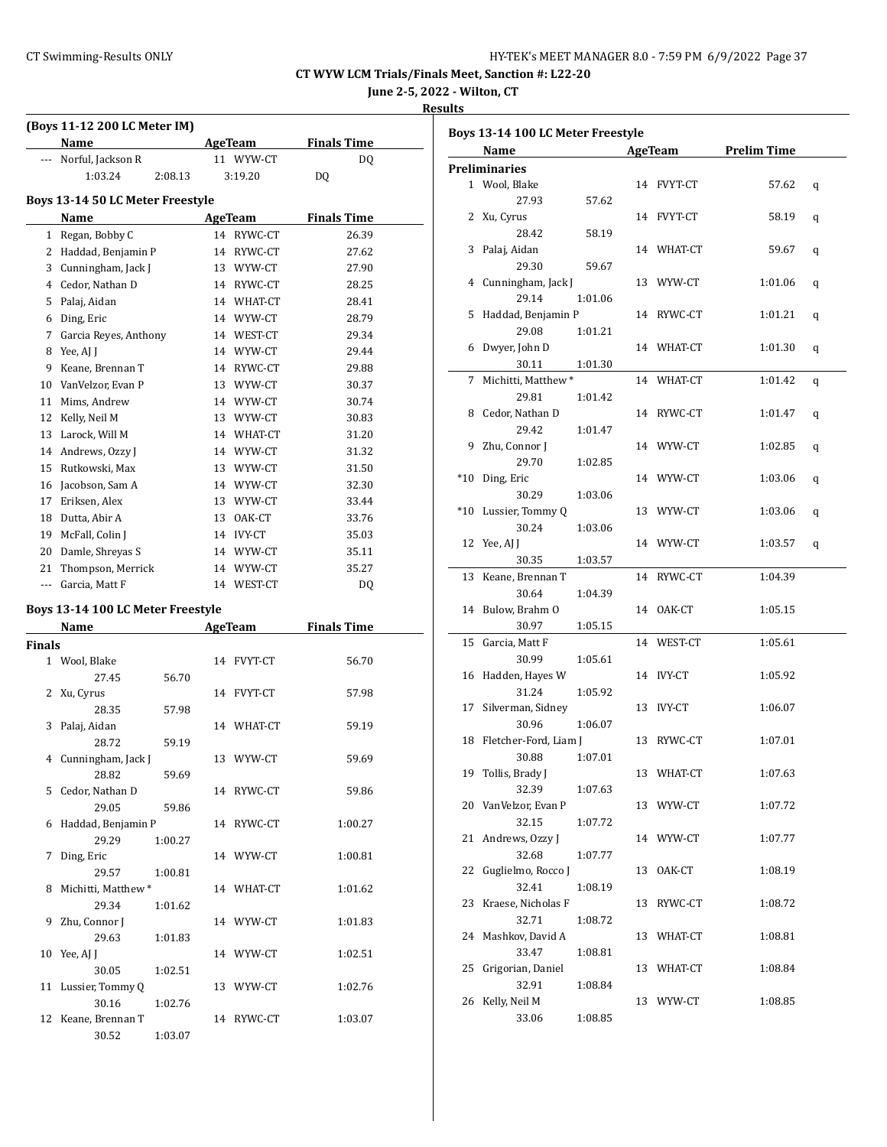**June 2-5, 2022 - Wilton, CT**

#### **Results**

|               | (Boys 11-12 200 LC Meter IM)      |                         |                    |
|---------------|-----------------------------------|-------------------------|--------------------|
|               | Name                              | AgeTeam                 | <b>Finals Time</b> |
| ---           | Norful, Jackson R                 | 11 WYW-CT               | DQ                 |
|               | 1:03.24<br>2:08.13                | 3:19.20                 | DQ                 |
|               | Boys 13-14 50 LC Meter Freestyle  |                         |                    |
|               | Name                              | AgeTeam                 | <b>Finals Time</b> |
| $\mathbf{1}$  | Regan, Bobby C                    | 14 RYWC-CT              | 26.39              |
|               |                                   |                         |                    |
|               | 2 Haddad, Benjamin P              | 14 RYWC-CT<br>13 WYW-CT | 27.62<br>27.90     |
|               | 3 Cunningham, Jack J              |                         |                    |
|               | 4 Cedor, Nathan D                 | 14 RYWC-CT              | 28.25              |
|               | 5 Palaj, Aidan                    | 14 WHAT-CT              | 28.41              |
|               | 6 Ding, Eric                      | 14 WYW-CT               | 28.79              |
|               | 7 Garcia Reyes, Anthony           | 14 WEST-CT              | 29.34              |
|               | 8 Yee, AJ J                       | 14 WYW-CT               | 29.44              |
|               | 9 Keane, Brennan T                | 14 RYWC-CT              | 29.88              |
|               | 10 VanVelzor, Evan P              | 13 WYW-CT               | 30.37              |
|               | 11 Mims, Andrew                   | 14 WYW-CT               | 30.74              |
|               | 12 Kelly, Neil M                  | 13 WYW-CT               | 30.83              |
|               | 13 Larock, Will M                 | 14 WHAT-CT              | 31.20              |
|               | 14 Andrews, Ozzy J                | 14 WYW-CT               | 31.32              |
|               | 15 Rutkowski, Max                 | 13 WYW-CT               | 31.50              |
|               | 16 Jacobson, Sam A                | 14 WYW-CT               | 32.30              |
|               | 17 Eriksen, Alex                  | 13 WYW-CT               | 33.44              |
|               | 18 Dutta, Abir A                  | 13 OAK-CT               | 33.76              |
|               | 19 McFall, Colin J                | 14 IVY-CT               | 35.03              |
|               | 20 Damle, Shreyas S               | 14 WYW-CT               | 35.11              |
|               | 21 Thompson, Merrick              | 14 WYW-CT               | 35.27              |
|               | --- Garcia, Matt F                | 14 WEST-CT              | DQ                 |
|               |                                   |                         |                    |
|               | Boys 13-14 100 LC Meter Freestyle |                         |                    |
|               | Name                              | <b>AgeTeam</b>          | <b>Finals Time</b> |
| <b>Finals</b> |                                   |                         |                    |
|               | 1 Wool, Blake                     | 14 FVYT-CT              | 56.70              |
|               | 27.45<br>56.70                    |                         |                    |
| 2             | Xu, Cyrus                         | 14 FVYT-CT              | 57.98              |
|               | 28.35<br>57.98                    |                         |                    |
| 3             | Palaj, Aidan                      | 14 WHAT-CT              | 59.19              |
|               | 28.72<br>59.19                    |                         |                    |
|               | 4 Cunningham, Jack J              | 13 WYW-CT               | 59.69              |
|               | 28.82<br>59.69                    |                         |                    |
|               | 5 Cedor, Nathan D                 | 14 RYWC-CT              | 59.86              |
|               | 29.05<br>59.86                    |                         |                    |
| 6             | Haddad, Benjamin P                | 14 RYWC-CT              | 1:00.27            |
|               | 29.29<br>1:00.27                  |                         |                    |
| 7             | Ding, Eric                        | 14 WYW-CT               | 1:00.81            |
|               | 29.57<br>1:00.81                  |                         |                    |
| 8             | Michitti, Matthew*                | 14 WHAT-CT              | 1:01.62            |
|               | 29.34<br>1:01.62                  |                         |                    |
| 9             | Zhu, Connor J                     | 14 WYW-CT               | 1:01.83            |
|               | 29.63<br>1:01.83                  |                         |                    |
| 10            | Yee, AJ J                         | 14 WYW-CT               | 1:02.51            |
|               | 30.05<br>1:02.51                  |                         |                    |
| 11            | Lussier, Tommy Q                  | 13 WYW-CT               | 1:02.76            |
|               | 30.16<br>1:02.76                  |                         |                    |
| 12            | Keane, Brennan T                  | 14 RYWC-CT              | 1:03.07            |
|               | 30.52<br>1:03.07                  |                         |                    |

|        | Boys 13-14 100 LC Meter Freestyle |         |    |            |                    |   |
|--------|-----------------------------------|---------|----|------------|--------------------|---|
|        | Name                              |         |    | AgeTeam    | <b>Prelim Time</b> |   |
|        | <b>Preliminaries</b>              |         |    |            |                    |   |
|        | 1 Wool, Blake                     |         |    | 14 FVYT-CT | 57.62              | q |
|        | 27.93                             | 57.62   |    |            |                    |   |
|        | 2 Xu, Cyrus                       |         |    | 14 FVYT-CT | 58.19              | q |
|        | 28.42                             | 58.19   |    |            |                    |   |
| 3      | Palaj, Aidan                      |         |    | 14 WHAT-CT | 59.67              | q |
|        | 29.30                             | 59.67   |    |            |                    |   |
| 4      | Cunningham, Jack J                |         |    | 13 WYW-CT  | 1:01.06            | q |
|        | 29.14                             | 1:01.06 |    |            |                    |   |
| 5      | Haddad, Benjamin P                |         |    | 14 RYWC-CT | 1:01.21            | q |
|        | 29.08                             | 1:01.21 |    |            |                    |   |
| 6      | Dwyer, John D                     |         |    | 14 WHAT-CT | 1:01.30            | q |
|        | 30.11                             | 1:01.30 |    |            |                    |   |
| 7      | Michitti, Matthew*                |         |    | 14 WHAT-CT | 1:01.42            | q |
|        | 29.81                             | 1:01.42 |    |            |                    |   |
|        | 8 Cedor, Nathan D                 |         |    | 14 RYWC-CT | 1:01.47            | q |
|        | 29.42                             | 1:01.47 |    |            |                    |   |
| 9      | Zhu, Connor J                     |         |    | 14 WYW-CT  | 1:02.85            | q |
|        | 29.70                             | 1:02.85 |    |            |                    |   |
| $*10$  | Ding, Eric                        |         |    | 14 WYW-CT  | 1:03.06            | q |
|        | 30.29                             | 1:03.06 |    |            |                    |   |
| $^*10$ | Lussier, Tommy Q                  |         |    | 13 WYW-CT  | 1:03.06            | q |
|        | 30.24                             | 1:03.06 |    |            |                    |   |
|        | 12 Yee, AJ J                      |         |    | 14 WYW-CT  | 1:03.57            | q |
|        | 30.35                             | 1:03.57 |    |            |                    |   |
| 13     | Keane, Brennan T                  |         | 14 | RYWC-CT    | 1:04.39            |   |
|        | 30.64                             | 1:04.39 |    |            |                    |   |
|        | 14 Bulow, Brahm O                 |         |    | 14 OAK-CT  | 1:05.15            |   |
|        | 30.97                             | 1:05.15 |    |            |                    |   |
| 15     | Garcia, Matt F                    |         |    | 14 WEST-CT | 1:05.61            |   |
|        | 30.99                             | 1:05.61 |    |            |                    |   |
|        | 16 Hadden, Hayes W                |         |    | 14 IVY-CT  | 1:05.92            |   |
|        | 31.24                             | 1:05.92 |    |            |                    |   |
| 17     | Silverman, Sidney                 |         |    | 13 IVY-CT  | 1:06.07            |   |
|        | 30.96                             | 1:06.07 |    |            |                    |   |
| 18     | Fletcher-Ford, Liam J             |         | 13 | RYWC-CT    | 1:07.01            |   |
|        | 30.88                             | 1:07.01 |    |            |                    |   |
|        | 19 Tollis, Brady J                |         | 13 | WHAT-CT    | 1:07.63            |   |
|        | 32.39                             | 1:07.63 |    |            |                    |   |
|        | 20 VanVelzor, Evan P              |         |    | 13 WYW-CT  | 1:07.72            |   |
|        | 32.15                             | 1:07.72 |    |            |                    |   |
|        | 21 Andrews, Ozzy J                |         |    | 14 WYW-CT  | 1:07.77            |   |
|        | 32.68                             | 1:07.77 |    |            |                    |   |
|        | 22 Guglielmo, Rocco J<br>32.41    |         | 13 | OAK-CT     | 1:08.19            |   |
| 23     | Kraese, Nicholas F                | 1:08.19 | 13 | RYWC-CT    | 1:08.72            |   |
|        | 32.71                             | 1:08.72 |    |            |                    |   |
| 24     | Mashkov, David A                  |         |    | 13 WHAT-CT | 1:08.81            |   |
|        | 33.47                             | 1:08.81 |    |            |                    |   |
| 25     | Grigorian, Daniel                 |         |    | 13 WHAT-CT | 1:08.84            |   |
|        | 32.91                             | 1:08.84 |    |            |                    |   |
| 26     | Kelly, Neil M                     |         |    | 13 WYW-CT  | 1:08.85            |   |
|        | 33.06                             | 1:08.85 |    |            |                    |   |
|        |                                   |         |    |            |                    |   |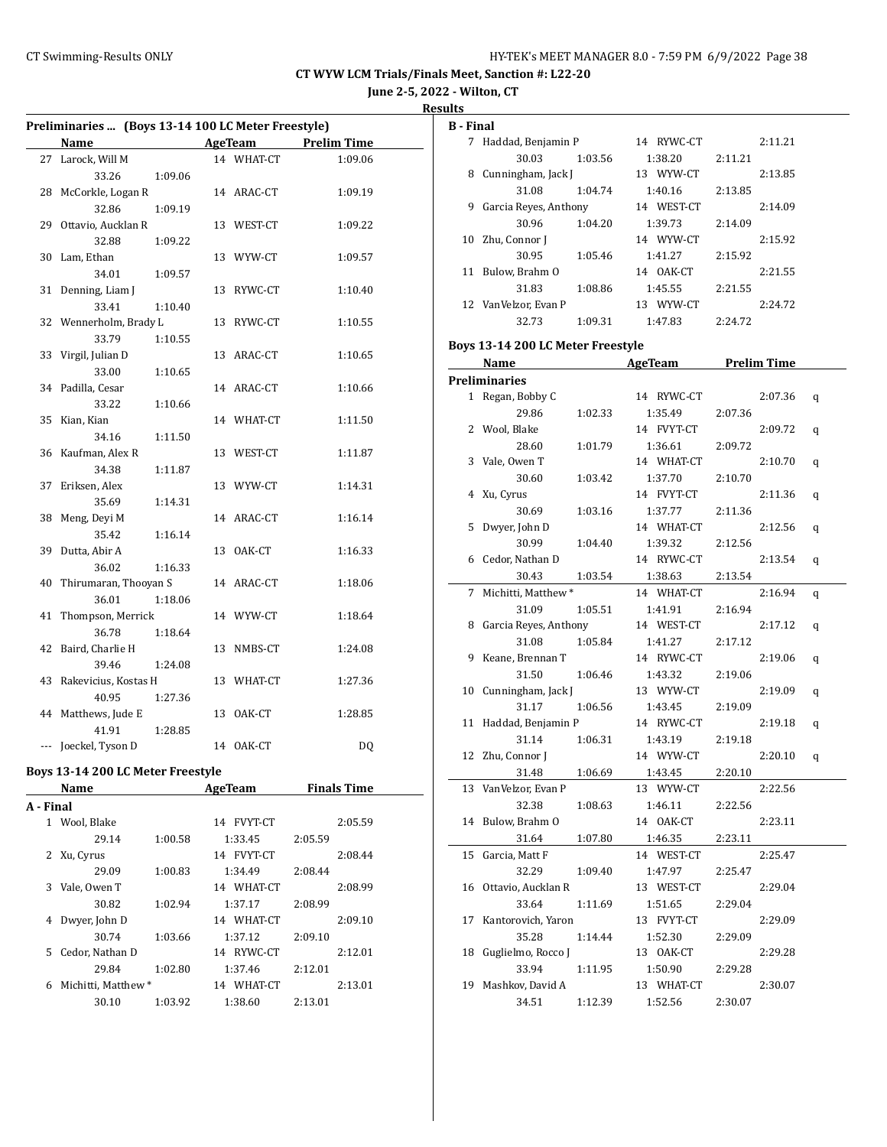7 Haddad, Benjamin P 14 RYWC-CT 2:11.21 30.03 1:03.56 1:38.20 2:11.21 8 Cunningham, Jack J 13 WYW-CT 2:13.85 31.08 1:04.74 1:40.16 2:13.85 9 Garcia Reyes, Anthony 14 WEST-CT 2:14.09 30.96 1:04.20 1:39.73 2:14.09 10 Zhu, Connor J 14 WYW-CT 2:15.92

**CT WYW LCM Trials/Finals Meet, Sanction #: L22-20**

**June 2-5, 2022 - Wilton, CT**

**Results**

**B - Final**

|              | Preliminaries  (Boys 13-14 100 LC Meter Freestyle) |         |    |                |                    |  |
|--------------|----------------------------------------------------|---------|----|----------------|--------------------|--|
|              | Name                                               |         |    | AgeTeam        | <b>Prelim Time</b> |  |
| 27           | Larock, Will M                                     |         |    | 14 WHAT-CT     | 1:09.06            |  |
|              | 33.26                                              | 1:09.06 |    |                |                    |  |
| 28           | McCorkle, Logan R                                  |         |    | 14 ARAC-CT     | 1:09.19            |  |
|              | 32.86                                              | 1:09.19 |    |                |                    |  |
| 29           | Ottavio, Aucklan R                                 |         |    | 13 WEST-CT     | 1:09.22            |  |
|              | 32.88                                              | 1:09.22 |    |                |                    |  |
| 30           | Lam, Ethan                                         |         |    | 13 WYW-CT      | 1:09.57            |  |
|              | 34.01                                              | 1:09.57 |    |                |                    |  |
| 31           | Denning, Liam J                                    |         |    | 13 RYWC-CT     | 1:10.40            |  |
|              | 33.41                                              | 1:10.40 |    |                |                    |  |
| 32           | Wennerholm, Brady L                                |         | 13 | RYWC-CT        | 1:10.55            |  |
|              | 33.79                                              | 1:10.55 |    |                |                    |  |
| 33           | Virgil, Julian D                                   |         |    | 13 ARAC-CT     | 1:10.65            |  |
|              | 33.00                                              | 1:10.65 |    |                |                    |  |
| 34           | Padilla, Cesar                                     |         |    | 14 ARAC-CT     | 1:10.66            |  |
|              | 33.22                                              | 1:10.66 |    |                |                    |  |
| 35           | Kian, Kian                                         |         |    | 14 WHAT-CT     | 1:11.50            |  |
|              | 34.16                                              | 1:11.50 |    |                |                    |  |
| 36           | Kaufman, Alex R                                    |         |    | 13 WEST-CT     | 1:11.87            |  |
|              | 34.38                                              | 1:11.87 |    |                |                    |  |
| 37           | Eriksen, Alex                                      |         |    | 13 WYW-CT      | 1:14.31            |  |
|              | 35.69                                              | 1:14.31 |    |                |                    |  |
| 38           | Meng, Deyi M                                       |         |    | 14 ARAC-CT     | 1:16.14            |  |
|              | 35.42                                              | 1:16.14 |    |                |                    |  |
| 39           | Dutta, Abir A                                      |         | 13 | OAK-CT         | 1:16.33            |  |
|              | 36.02                                              | 1:16.33 |    |                |                    |  |
| 40           | Thirumaran, Thooyan S                              |         |    | 14 ARAC-CT     | 1:18.06            |  |
|              | 36.01                                              | 1:18.06 |    |                |                    |  |
| 41           | Thompson, Merrick                                  |         |    | 14 WYW-CT      | 1:18.64            |  |
|              | 36.78                                              | 1:18.64 |    |                |                    |  |
| 42           | Baird, Charlie H                                   |         |    | 13 NMBS-CT     | 1:24.08            |  |
|              | 39.46                                              | 1:24.08 |    |                |                    |  |
| 43           | Rakevicius, Kostas H                               |         |    | 13 WHAT-CT     | 1:27.36            |  |
|              | 40.95                                              | 1:27.36 |    |                |                    |  |
| 44           | Matthews, Jude E                                   |         |    | 13 OAK-CT      | 1:28.85            |  |
|              | 41.91                                              | 1:28.85 |    |                |                    |  |
| $\cdots$     | Joeckel, Tyson D                                   |         |    | 14 OAK-CT      | DQ                 |  |
|              | Boys 13-14 200 LC Meter Freestyle                  |         |    |                |                    |  |
|              | Name                                               |         |    | <b>AgeTeam</b> | <b>Finals Time</b> |  |
| A - Final    |                                                    |         |    |                |                    |  |
| $\mathbf{1}$ | Wool, Blake                                        |         | 14 | <b>FVYT-CT</b> | 2:05.59            |  |

29.14 1:00.58 1:33.45 2:05.59 2 Xu, Cyrus 14 FVYT-CT 2:08.44 29.09 1:00.83 1:34.49 2:08.44 3 Vale, Owen T 14 WHAT-CT 2:08.99 30.82 1:02.94 1:37.17 2:08.99 4 Dwyer, John D 14 WHAT-CT 2:09.10 30.74 1:03.66 1:37.12 2:09.10 5 Cedor, Nathan D 14 RYWC-CT 2:12.01 29.84 1:02.80 1:37.46 2:12.01 6 Michitti, Matthew \* 14 WHAT-CT 2:13.01 30.10 1:03.92 1:38.60 2:13.01

|    | 30.95                             | 1:05.46 | 1:41.27                     | 2:15.92 |                    |   |
|----|-----------------------------------|---------|-----------------------------|---------|--------------------|---|
|    | 11 Bulow, Brahm O                 |         | 14 OAK-CT                   |         | 2:21.55            |   |
|    | 31.83                             | 1:08.86 | 1:45.55                     | 2:21.55 |                    |   |
|    | 12 VanVelzor, Evan P              |         | 13 WYW-CT                   |         | 2:24.72            |   |
|    | 32.73                             | 1:09.31 | 1:47.83                     | 2:24.72 |                    |   |
|    | Boys 13-14 200 LC Meter Freestyle |         |                             |         |                    |   |
|    | Name                              |         | <b>Example 2018</b> AgeTeam |         | <b>Prelim Time</b> |   |
|    | <b>Preliminaries</b>              |         |                             |         |                    |   |
|    | 1 Regan, Bobby C                  |         | 14 RYWC-CT                  |         | 2:07.36            | q |
|    | 29.86                             | 1:02.33 | 1:35.49                     | 2:07.36 |                    |   |
|    | 2 Wool, Blake                     |         | 14 FVYT-CT                  |         | 2:09.72            | q |
|    | 28.60                             | 1:01.79 | 1:36.61                     | 2:09.72 |                    |   |
|    | 3 Vale, Owen T                    |         | 14 WHAT-CT                  |         | 2:10.70            |   |
|    | 30.60                             |         | 1:37.70                     |         |                    | q |
|    |                                   | 1:03.42 |                             | 2:10.70 | 2:11.36            |   |
|    | 4 Xu, Cyrus                       |         | 14 FVYT-CT                  |         |                    | q |
|    | 30.69                             | 1:03.16 | 1:37.77                     | 2:11.36 |                    |   |
| 5  | Dwyer, John D                     |         | 14 WHAT-CT                  |         | 2:12.56            | q |
|    | 30.99                             | 1:04.40 | 1:39.32                     | 2:12.56 |                    |   |
| 6  | Cedor, Nathan D                   |         | 14 RYWC-CT                  |         | 2:13.54            | q |
|    | 30.43                             | 1:03.54 | 1:38.63                     | 2:13.54 |                    |   |
| 7  | Michitti, Matthew*                |         | 14 WHAT-CT                  |         | 2:16.94            | q |
|    | 31.09                             | 1:05.51 | 1:41.91                     | 2:16.94 |                    |   |
|    | 8 Garcia Reyes, Anthony           |         | 14 WEST-CT                  |         | 2:17.12            | q |
|    | 31.08                             | 1:05.84 | 1:41.27                     | 2:17.12 |                    |   |
| 9  | Keane, Brennan T                  |         | 14 RYWC-CT                  |         | 2:19.06            | q |
|    | 31.50                             | 1:06.46 | 1:43.32                     | 2:19.06 |                    |   |
|    | 10 Cunningham, Jack J             |         | 13 WYW-CT                   |         | 2:19.09            | q |
|    | 31.17                             | 1:06.56 | 1:43.45                     | 2:19.09 |                    |   |
|    | 11 Haddad, Benjamin P             |         | 14 RYWC-CT                  |         | 2:19.18            | q |
|    | 31.14                             | 1:06.31 | 1:43.19                     | 2:19.18 |                    |   |
|    | 12 Zhu, Connor J                  |         | 14 WYW-CT                   |         | 2:20.10            | q |
|    | 31.48                             | 1:06.69 | 1:43.45                     | 2:20.10 |                    |   |
|    | 13 VanVelzor, Evan P              |         | 13 WYW-CT                   |         | 2:22.56            |   |
|    | 32.38                             | 1:08.63 | 1:46.11                     | 2:22.56 |                    |   |
|    | 14 Bulow, Brahm O                 |         | 14 OAK-CT                   |         | 2:23.11            |   |
|    | 31.64                             | 1:07.80 | 1:46.35                     | 2:23.11 |                    |   |
| 15 | Garcia, Matt F                    |         | 14 WEST-CT                  |         | 2:25.47            |   |
|    | 32.29                             | 1:09.40 | 1:47.97                     | 2:25.47 |                    |   |
|    | 16 Ottavio, Aucklan R             |         | 13 WEST-CT                  |         | 2:29.04            |   |
|    | 33.64                             | 1:11.69 | 1:51.65                     | 2:29.04 |                    |   |
| 17 | Kantorovich, Yaron                |         | 13 FVYT-CT                  |         | 2:29.09            |   |
|    | 35.28                             | 1:14.44 | 1:52.30                     | 2:29.09 |                    |   |
| 18 | Guglielmo, Rocco J                |         | 13 OAK-CT                   |         | 2:29.28            |   |
|    | 33.94                             | 1:11.95 | 1:50.90                     | 2:29.28 |                    |   |
| 19 | Mashkov, David A                  |         | 13 WHAT-CT                  |         | 2:30.07            |   |
|    | 34.51                             | 1:12.39 | 1:52.56                     | 2:30.07 |                    |   |
|    |                                   |         |                             |         |                    |   |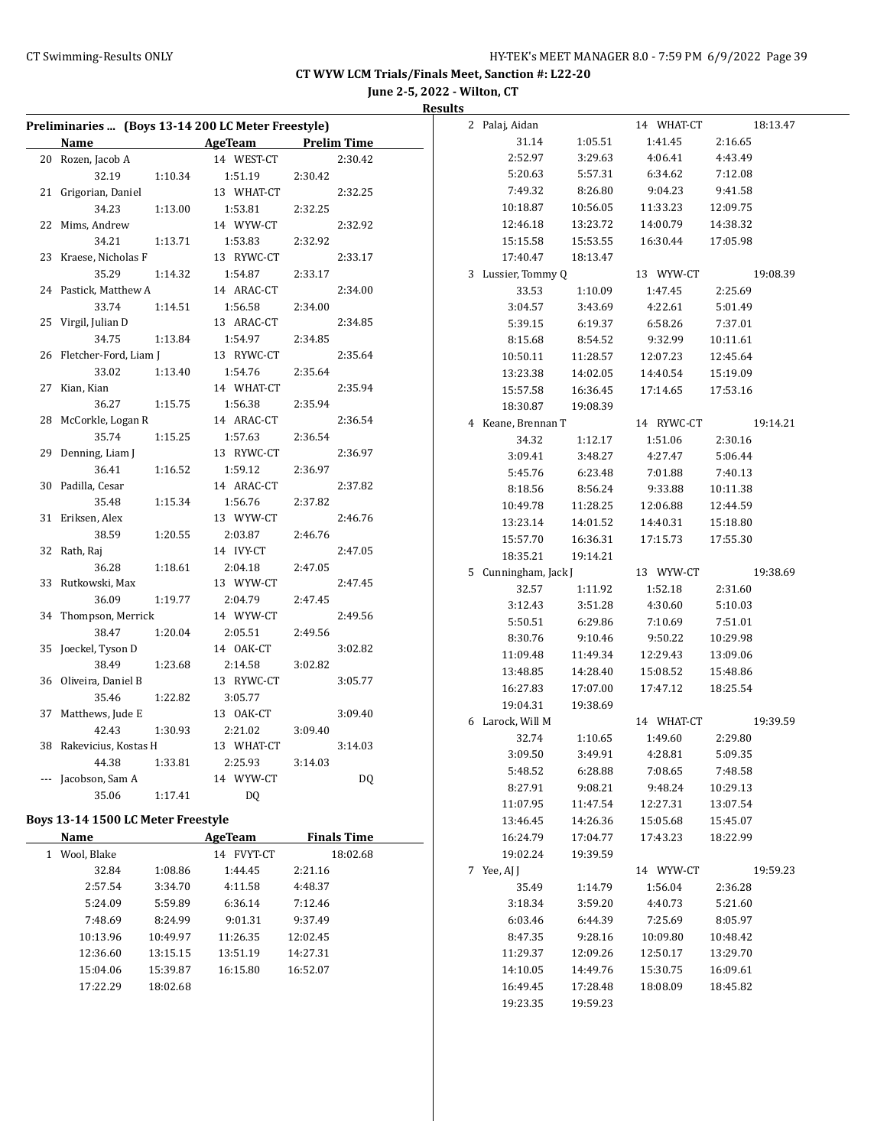**June 2-5, 2022 - Wilton, CT Results**

| Preliminaries  (Boys 13-14 200 LC Meter Freestyle) |          |                |          |                    | 2 Palaj, Aidan       |          | 14 WHAT-CT |          | 18:13.47 |
|----------------------------------------------------|----------|----------------|----------|--------------------|----------------------|----------|------------|----------|----------|
| Name AgeTeam                                       |          |                |          | <b>Prelim Time</b> | 31.14                | 1:05.51  | 1:41.45    | 2:16.65  |          |
| 20 Rozen, Jacob A                                  |          | 14 WEST-CT     |          | 2:30.42            | 2:52.97              | 3:29.63  | 4:06.41    | 4:43.49  |          |
| 32.19                                              | 1:10.34  | 1:51.19        | 2:30.42  |                    | 5:20.63              | 5:57.31  | 6:34.62    | 7:12.08  |          |
| 21 Grigorian, Daniel                               |          | 13 WHAT-CT     |          | 2:32.25            | 7:49.32              | 8:26.80  | 9:04.23    | 9:41.58  |          |
| 34.23                                              | 1:13.00  | 1:53.81        | 2:32.25  |                    | 10:18.87             | 10:56.05 | 11:33.23   | 12:09.75 |          |
| 22 Mims, Andrew                                    |          | 14 WYW-CT      |          | 2:32.92            | 12:46.18             | 13:23.72 | 14:00.79   | 14:38.32 |          |
| 34.21                                              | 1:13.71  | 1:53.83        | 2:32.92  |                    | 15:15.58             | 15:53.55 | 16:30.44   | 17:05.98 |          |
| 23 Kraese, Nicholas F                              |          | 13 RYWC-CT     |          | 2:33.17            | 17:40.47             | 18:13.47 |            |          |          |
| 35.29                                              | 1:14.32  | 1:54.87        | 2:33.17  |                    | 3 Lussier, Tommy Q   |          | 13 WYW-CT  |          | 19:08.39 |
| 24 Pastick, Matthew A                              |          | 14 ARAC-CT     |          | 2:34.00            | 33.53                | 1:10.09  | 1:47.45    | 2:25.69  |          |
| 33.74                                              | 1:14.51  | 1:56.58        | 2:34.00  |                    | 3:04.57              | 3:43.69  | 4:22.61    | 5:01.49  |          |
| 25 Virgil, Julian D                                |          | 13 ARAC-CT     |          | 2:34.85            | 5:39.15              | 6:19.37  | 6:58.26    | 7:37.01  |          |
| 34.75                                              | 1:13.84  | 1:54.97        | 2:34.85  |                    | 8:15.68              | 8:54.52  | 9:32.99    | 10:11.61 |          |
| 26 Fletcher-Ford, Liam J                           |          | 13 RYWC-CT     |          | 2:35.64            | 10:50.11             | 11:28.57 | 12:07.23   | 12:45.64 |          |
| 33.02                                              | 1:13.40  | 1:54.76        | 2:35.64  |                    | 13:23.38             | 14:02.05 | 14:40.54   | 15:19.09 |          |
| 27 Kian, Kian                                      |          | 14 WHAT-CT     |          | 2:35.94            | 15:57.58             | 16:36.45 | 17:14.65   | 17:53.16 |          |
| 36.27                                              | 1:15.75  | 1:56.38        | 2:35.94  |                    | 18:30.87             | 19:08.39 |            |          |          |
| 28 McCorkle, Logan R                               |          | 14 ARAC-CT     |          | 2:36.54            | 4 Keane, Brennan T   |          | 14 RYWC-CT |          | 19:14.21 |
| 35.74                                              | 1:15.25  | 1:57.63        | 2:36.54  |                    | 34.32                | 1:12.17  | 1:51.06    | 2:30.16  |          |
| 29 Denning, Liam J                                 |          | 13 RYWC-CT     |          | 2:36.97            | 3:09.41              | 3:48.27  | 4:27.47    | 5:06.44  |          |
| 36.41                                              | 1:16.52  | 1:59.12        | 2:36.97  |                    | 5:45.76              | 6:23.48  | 7:01.88    | 7:40.13  |          |
| 30 Padilla, Cesar                                  |          | 14 ARAC-CT     |          | 2:37.82            | 8:18.56              | 8:56.24  | 9:33.88    | 10:11.38 |          |
| 35.48                                              | 1:15.34  | 1:56.76        | 2:37.82  |                    | 10:49.78             | 11:28.25 | 12:06.88   | 12:44.59 |          |
| 31 Eriksen, Alex                                   |          | 13 WYW-CT      |          | 2:46.76            | 13:23.14             | 14:01.52 | 14:40.31   | 15:18.80 |          |
| 38.59                                              | 1:20.55  | 2:03.87        | 2:46.76  |                    | 15:57.70             | 16:36.31 | 17:15.73   | 17:55.30 |          |
| 32 Rath, Raj                                       |          | 14 IVY-CT      |          | 2:47.05            | 18:35.21             | 19:14.21 |            |          |          |
| 36.28                                              | 1:18.61  | 2:04.18        | 2:47.05  |                    | 5 Cunningham, Jack J |          | 13 WYW-CT  |          | 19:38.69 |
| 33 Rutkowski, Max                                  |          | 13 WYW-CT      |          | 2:47.45            | 32.57                | 1:11.92  | 1:52.18    | 2:31.60  |          |
| 36.09                                              | 1:19.77  | 2:04.79        | 2:47.45  |                    | 3:12.43              | 3:51.28  | 4:30.60    | 5:10.03  |          |
| 34 Thompson, Merrick                               |          | 14 WYW-CT      |          | 2:49.56            | 5:50.51              | 6:29.86  | 7:10.69    | 7:51.01  |          |
| 38.47                                              | 1:20.04  | 2:05.51        | 2:49.56  |                    | 8:30.76              | 9:10.46  | 9:50.22    | 10:29.98 |          |
| 35 Joeckel, Tyson D                                |          | 14 OAK-CT      |          | 3:02.82            | 11:09.48             | 11:49.34 | 12:29.43   | 13:09.06 |          |
| 38.49                                              | 1:23.68  | 2:14.58        | 3:02.82  |                    | 13:48.85             | 14:28.40 | 15:08.52   | 15:48.86 |          |
| 36 Oliveira, Daniel B                              |          | 13 RYWC-CT     |          | 3:05.77            | 16:27.83             | 17:07.00 | 17:47.12   | 18:25.54 |          |
| 35.46                                              | 1:22.82  | 3:05.77        |          |                    | 19:04.31             | 19:38.69 |            |          |          |
| 37 Matthews, Jude E                                |          | 13 OAK-CT      |          | 3:09.40            | 6 Larock, Will M     |          | 14 WHAT-CT |          | 19:39.59 |
| 42.43                                              | 1:30.93  | 2:21.02        | 3:09.40  |                    | 32.74                | 1:10.65  | 1:49.60    | 2:29.80  |          |
| 38 Rakevicius, Kostas H                            |          | 13 WHAT-CT     |          | 3:14.03            | 3:09.50              | 3:49.91  | 4:28.81    | 5:09.35  |          |
| 44.38                                              | 1:33.81  | 2:25.93        | 3:14.03  |                    | 5:48.52              | 6:28.88  | 7:08.65    | 7:48.58  |          |
| --- Jacobson, Sam A                                |          | 14 WYW-CT      |          | DQ                 | 8:27.91              | 9:08.21  | 9:48.24    | 10:29.13 |          |
| 35.06                                              | 1:17.41  | DQ             |          |                    | 11:07.95             | 11:47.54 | 12:27.31   | 13:07.54 |          |
| Boys 13-14 1500 LC Meter Freestyle                 |          |                |          |                    | 13:46.45             | 14:26.36 | 15:05.68   | 15:45.07 |          |
| Name                                               |          | <b>AgeTeam</b> |          | <b>Finals Time</b> | 16:24.79             | 17:04.77 | 17:43.23   | 18:22.99 |          |
| 1 Wool, Blake                                      |          | 14 FVYT-CT     |          | 18:02.68           | 19:02.24             | 19:39.59 |            |          |          |
| 32.84                                              | 1:08.86  | 1:44.45        | 2:21.16  |                    | 7 Yee, AJ J          |          | 14 WYW-CT  |          | 19:59.23 |
| 2:57.54                                            | 3:34.70  | 4:11.58        | 4:48.37  |                    | 35.49                | 1:14.79  | 1:56.04    | 2:36.28  |          |
| 5:24.09                                            | 5:59.89  | 6:36.14        | 7:12.46  |                    | 3:18.34              | 3:59.20  | 4:40.73    | 5:21.60  |          |
| 7:48.69                                            | 8:24.99  | 9:01.31        | 9:37.49  |                    | 6:03.46              | 6:44.39  | 7:25.69    | 8:05.97  |          |
| 10:13.96                                           | 10:49.97 | 11:26.35       | 12:02.45 |                    | 8:47.35              | 9:28.16  | 10:09.80   | 10:48.42 |          |
| 12:36.60                                           | 13:15.15 | 13:51.19       | 14:27.31 |                    | 11:29.37             | 12:09.26 | 12:50.17   | 13:29.70 |          |
| 15:04.06                                           | 15:39.87 | 16:15.80       | 16:52.07 |                    | 14:10.05             | 14:49.76 | 15:30.75   | 16:09.61 |          |
| 17:22.29                                           | 18:02.68 |                |          |                    | 16:49.45             | 17:28.48 | 18:08.09   | 18:45.82 |          |
|                                                    |          |                |          |                    |                      |          |            |          |          |

19:23.35 19:59.23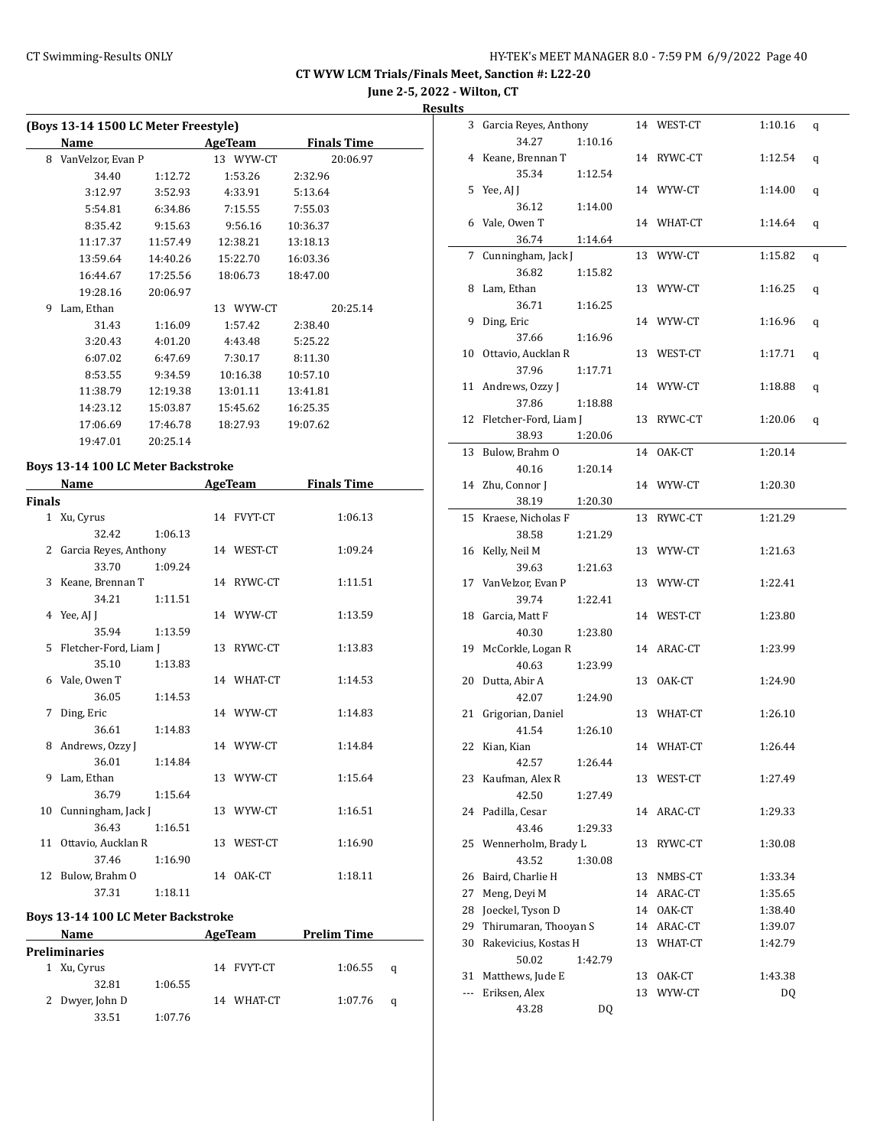**June 2-5, 2022 - Wilton, CT**

**Result** 

|   | (Boys 13-14 1500 LC Meter Freestyle) |          |                |          |                    |  |  |  |  |  |  |  |
|---|--------------------------------------|----------|----------------|----------|--------------------|--|--|--|--|--|--|--|
|   | Name                                 |          | <b>AgeTeam</b> |          | <b>Finals Time</b> |  |  |  |  |  |  |  |
| 8 | VanVelzor, Evan P                    |          | 13 WYW-CT      |          | 20:06.97           |  |  |  |  |  |  |  |
|   | 34.40                                | 1:12.72  | 1:53.26        | 2:32.96  |                    |  |  |  |  |  |  |  |
|   | 3:12.97                              | 3:52.93  | 4:33.91        | 5:13.64  |                    |  |  |  |  |  |  |  |
|   | 5:54.81                              | 6:34.86  | 7:15.55        | 7:55.03  |                    |  |  |  |  |  |  |  |
|   | 8:35.42                              | 9:15.63  | 9:56.16        | 10:36.37 |                    |  |  |  |  |  |  |  |
|   | 11:17.37                             | 11:57.49 | 12:38.21       | 13:18.13 |                    |  |  |  |  |  |  |  |
|   | 13:59.64                             | 14:40.26 | 15:22.70       | 16:03.36 |                    |  |  |  |  |  |  |  |
|   | 16:44.67                             | 17:25.56 | 18:06.73       | 18:47.00 |                    |  |  |  |  |  |  |  |
|   | 19:28.16                             | 20:06.97 |                |          |                    |  |  |  |  |  |  |  |
| 9 | Lam, Ethan                           |          | 13 WYW-CT      |          | 20:25.14           |  |  |  |  |  |  |  |
|   | 31.43                                | 1:16.09  | 1:57.42        | 2:38.40  |                    |  |  |  |  |  |  |  |
|   | 3:20.43                              | 4:01.20  | 4:43.48        | 5:25.22  |                    |  |  |  |  |  |  |  |
|   | 6:07.02                              | 6:47.69  | 7:30.17        | 8:11.30  |                    |  |  |  |  |  |  |  |
|   | 8:53.55                              | 9:34.59  | 10:16.38       | 10:57.10 |                    |  |  |  |  |  |  |  |
|   | 11:38.79                             | 12:19.38 | 13:01.11       | 13:41.81 |                    |  |  |  |  |  |  |  |
|   | 14:23.12                             | 15:03.87 | 15:45.62       | 16:25.35 |                    |  |  |  |  |  |  |  |
|   | 17:06.69                             | 17:46.78 | 18:27.93       | 19:07.62 |                    |  |  |  |  |  |  |  |
|   | 19:47.01                             | 20:25.14 |                |          |                    |  |  |  |  |  |  |  |
|   | Boys 13-14 100 LC Meter Backstroke   |          |                |          |                    |  |  |  |  |  |  |  |

| Name          |                         |         | <b>AgeTeam</b> | <b>Finals Time</b> |  |
|---------------|-------------------------|---------|----------------|--------------------|--|
| <b>Finals</b> |                         |         |                |                    |  |
|               | 1 Xu, Cyrus             |         | 14 FVYT-CT     | 1:06.13            |  |
|               | 32.42                   | 1:06.13 |                |                    |  |
|               | 2 Garcia Reyes, Anthony |         | 14 WEST-CT     | 1:09.24            |  |
|               | 33.70                   | 1:09.24 |                |                    |  |
|               | 3 Keane, Brennan T      |         | 14 RYWC-CT     | 1:11.51            |  |
|               | 34.21                   | 1:11.51 |                |                    |  |
|               | 4 Yee, AI I             |         | 14 WYW-CT      | 1:13.59            |  |
|               | 35.94                   | 1:13.59 |                |                    |  |
|               | 5 Fletcher-Ford, Liam J |         | 13 RYWC-CT     | 1:13.83            |  |
|               | 35.10                   | 1:13.83 |                |                    |  |
|               | 6 Vale, Owen T          |         | 14 WHAT-CT     | 1:14.53            |  |
|               | 36.05                   | 1:14.53 |                |                    |  |
| 7             | Ding, Eric              |         | 14 WYW-CT      | 1:14.83            |  |
|               | 36.61                   | 1:14.83 |                |                    |  |
|               | 8 Andrews, Ozzy J       |         | 14 WYW-CT      | 1:14.84            |  |
|               | 36.01                   | 1:14.84 |                |                    |  |
|               | 9 Lam, Ethan            |         | 13 WYW-CT      | 1:15.64            |  |
|               | 36.79                   | 1:15.64 |                |                    |  |
|               | 10 Cunningham, Jack J   |         | 13 WYW-CT      | 1:16.51            |  |
|               | 36.43                   | 1:16.51 |                |                    |  |
|               | 11 Ottavio, Aucklan R   |         | 13 WEST-CT     | 1:16.90            |  |
|               | 37.46                   | 1:16.90 |                |                    |  |
|               | 12 Bulow, Brahm O       |         | 14 OAK-CT      | 1:18.11            |  |
|               | 37.31                   | 1:18.11 |                |                    |  |

#### **Boys 13-14 100 LC Meter Backstroke**

| <b>Name</b>     |         | AgeTeam    | <b>Prelim Time</b> |   |  |
|-----------------|---------|------------|--------------------|---|--|
| Preliminaries   |         |            |                    |   |  |
| 1 Xu, Cyrus     |         | 14 FVYT-CT | 1:06.55            | a |  |
| 32.81           | 1:06.55 |            |                    |   |  |
| 2 Dwyer, John D |         | 14 WHAT-CT | 1:07.76            | a |  |
| 33.51           | 1:07.76 |            |                    |   |  |

| uits |                                      |    |            |         |   |
|------|--------------------------------------|----|------------|---------|---|
|      | 3 Garcia Reyes, Anthony              |    | 14 WEST-CT | 1:10.16 | q |
|      | 34.27<br>1:10.16                     |    |            |         |   |
|      | 4 Keane, Brennan T                   |    | 14 RYWC-CT | 1:12.54 | q |
|      | 35.34<br>1:12.54                     |    |            |         |   |
| 5    | Yee, AJ J                            |    | 14 WYW-CT  | 1:14.00 | q |
|      | 36.12<br>1:14.00                     |    |            |         |   |
|      | 6 Vale, Owen T                       |    | 14 WHAT-CT | 1:14.64 | q |
|      | 36.74<br>1:14.64                     |    |            |         |   |
|      | 7 Cunningham, Jack J                 |    | 13 WYW-CT  | 1:15.82 | q |
|      | 36.82<br>1:15.82                     |    |            |         |   |
| 8    | Lam, Ethan                           |    | 13 WYW-CT  | 1:16.25 | q |
|      | 36.71<br>1:16.25                     |    |            |         |   |
| 9    | Ding, Eric                           |    | 14 WYW-CT  | 1:16.96 | q |
|      | 37.66<br>1:16.96                     |    |            |         |   |
|      | 10 Ottavio, Aucklan R                |    | 13 WEST-CT | 1:17.71 | q |
|      | 37.96<br>1:17.71                     |    |            |         |   |
|      | 11 Andrews, Ozzy J                   |    | 14 WYW-CT  | 1:18.88 | q |
|      | 37.86<br>1:18.88                     |    |            |         |   |
|      | 12 Fletcher-Ford, Liam J             |    | 13 RYWC-CT | 1:20.06 | q |
|      | 38.93<br>1:20.06                     |    |            |         |   |
|      | 13 Bulow, Brahm O                    |    | 14 OAK-CT  | 1:20.14 |   |
|      | 40.16<br>1:20.14<br>14 Zhu, Connor J |    | 14 WYW-CT  |         |   |
|      | 38.19                                |    |            | 1:20.30 |   |
|      | 1:20.30<br>15 Kraese, Nicholas F     |    | 13 RYWC-CT | 1:21.29 |   |
|      | 38.58<br>1:21.29                     |    |            |         |   |
|      | 16 Kelly, Neil M                     |    | 13 WYW-CT  | 1:21.63 |   |
|      | 39.63<br>1:21.63                     |    |            |         |   |
|      | 17 VanVelzor, Evan P                 |    | 13 WYW-CT  | 1:22.41 |   |
|      | 39.74<br>1:22.41                     |    |            |         |   |
|      | 18 Garcia, Matt F                    |    | 14 WEST-CT | 1:23.80 |   |
|      | 40.30<br>1:23.80                     |    |            |         |   |
|      | 19 McCorkle, Logan R                 |    | 14 ARAC-CT | 1:23.99 |   |
|      | 40.63<br>1:23.99                     |    |            |         |   |
| 20   | Dutta, Abir A                        |    | 13 OAK-CT  | 1:24.90 |   |
|      | 42.07<br>1:24.90                     |    |            |         |   |
| 21   | Grigorian, Daniel                    |    | 13 WHAT-CT | 1:26.10 |   |
|      | 41.54<br>1:26.10                     |    |            |         |   |
|      | 22 Kian, Kian                        |    | 14 WHAT-CT | 1:26.44 |   |
|      | 42.57<br>1:26.44                     |    |            |         |   |
|      | 23 Kaufman, Alex R                   |    | 13 WEST-CT | 1:27.49 |   |
|      | 42.50<br>1:27.49                     |    |            |         |   |
| 24   | Padilla, Cesar                       | 14 | ARAC-CT    | 1:29.33 |   |
|      | 43.46<br>1:29.33                     |    |            |         |   |
|      | 25 Wennerholm, Brady L               | 13 | RYWC-CT    | 1:30.08 |   |
|      | 43.52<br>1:30.08                     |    |            |         |   |
| 26   | Baird, Charlie H                     | 13 | NMBS-CT    | 1:33.34 |   |
| 27   | Meng, Deyi M                         |    | 14 ARAC-CT | 1:35.65 |   |
| 28   | Joeckel, Tyson D                     |    | 14 OAK-CT  | 1:38.40 |   |
| 29   | Thirumaran, Thooyan S                |    | 14 ARAC-CT | 1:39.07 |   |
|      | 30 Rakevicius, Kostas H              |    | 13 WHAT-CT | 1:42.79 |   |
|      | 50.02<br>1:42.79                     |    |            |         |   |
| 31   | Matthews, Jude E                     |    | 13 OAK-CT  | 1:43.38 |   |
| ---  | Eriksen, Alex                        |    | 13 WYW-CT  | DQ      |   |
|      | 43.28<br>DQ                          |    |            |         |   |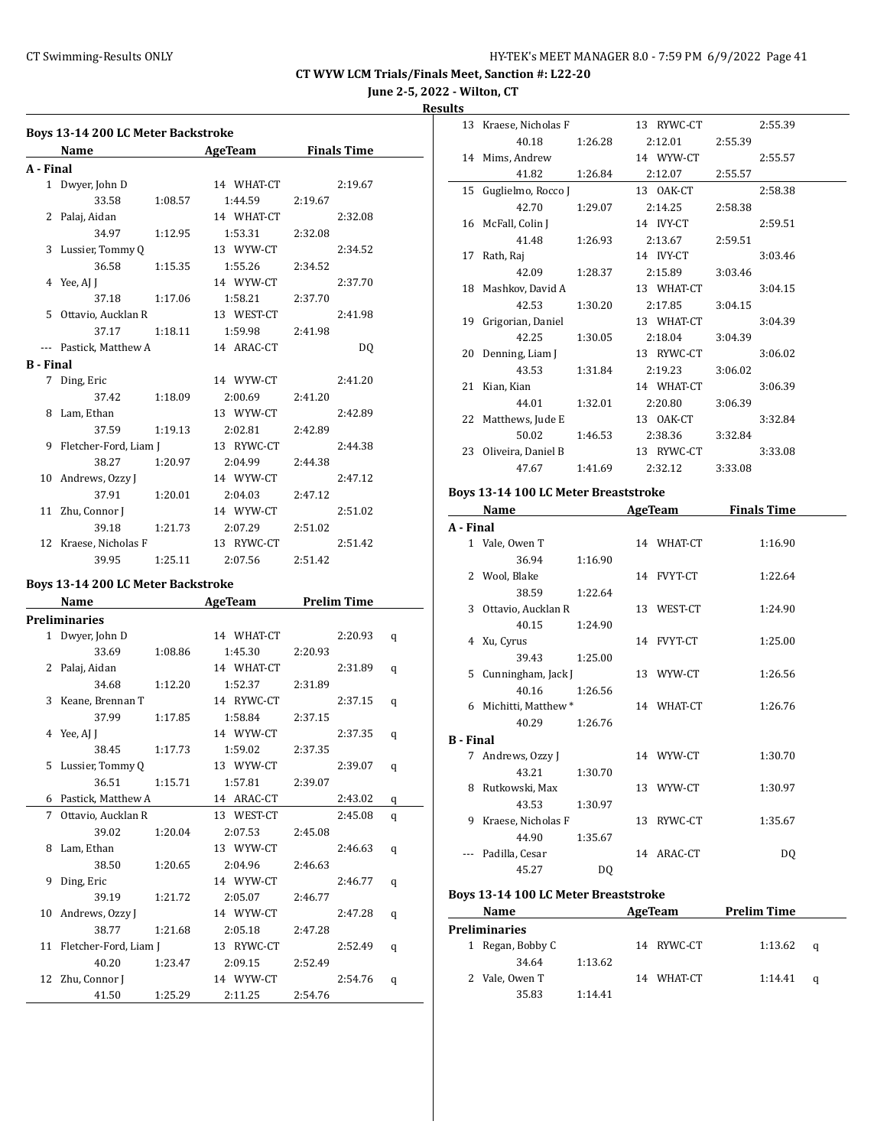**June 2-5, 2022 - Wilton, CT**

**Results**

|                  | <b>Boys 13-14 200 LC Meter Backstroke</b> |         |                               |         |         |   |
|------------------|-------------------------------------------|---------|-------------------------------|---------|---------|---|
|                  | Name AgeTeam Finals Time                  |         |                               |         |         |   |
| A - Final        |                                           |         |                               |         |         |   |
|                  | 1 Dwyer, John D                           |         | 14 WHAT-CT                    |         | 2:19.67 |   |
|                  | 33.58                                     | 1:08.57 | 1:44.59 2:19.67               |         |         |   |
|                  | 2 Palaj, Aidan                            |         | 14 WHAT-CT                    |         | 2:32.08 |   |
|                  | 34.97                                     | 1:12.95 | 1:53.31                       | 2:32.08 |         |   |
|                  | 3 Lussier, Tommy Q                        |         | 13 WYW-CT                     |         | 2:34.52 |   |
|                  | 36.58                                     | 1:15.35 | 1:55.26                       | 2:34.52 |         |   |
|                  | 4 Yee, AJ J                               |         | 14 WYW-CT                     |         | 2:37.70 |   |
|                  | 37.18 1:17.06                             |         | 1:58.21 2:37.70               |         |         |   |
|                  | 5 Ottavio, Aucklan R                      |         | 13 WEST-CT                    |         | 2:41.98 |   |
|                  | 37.17                                     |         | $1:18.11$ $1:59.98$ $2:41.98$ |         |         |   |
|                  |                                           |         |                               |         |         |   |
|                  | --- Pastick, Matthew A 14 ARAC-CT         |         |                               |         | DQ      |   |
| <b>B</b> - Final |                                           |         |                               |         |         |   |
|                  | 7 Ding, Eric                              |         | 14 WYW-CT                     |         | 2:41.20 |   |
|                  | 37.42 1:18.09                             |         | 2:00.69                       | 2:41.20 |         |   |
|                  | 8 Lam, Ethan                              |         | 13 WYW-CT                     |         | 2:42.89 |   |
|                  | 37.59                                     | 1:19.13 | 2:02.81                       | 2:42.89 |         |   |
|                  | 9 Fletcher-Ford, Liam J                   |         | 13 RYWC-CT                    |         | 2:44.38 |   |
|                  | 38.27                                     |         | 1:20.97 2:04.99 2:44.38       |         |         |   |
|                  | 10 Andrews, Ozzy J                        |         | 14 WYW-CT                     |         | 2:47.12 |   |
|                  | 37.91                                     | 1:20.01 | 2:04.03 2:47.12               |         |         |   |
|                  | 11 Zhu, Connor J                          |         | 14 WYW-CT                     |         | 2:51.02 |   |
|                  | 39.18                                     | 1:21.73 | 2:07.29                       | 2:51.02 |         |   |
|                  | 12 Kraese, Nicholas F                     |         | 13 RYWC-CT                    |         | 2:51.42 |   |
|                  | 39.95                                     | 1:25.11 | 2:07.56                       | 2:51.42 |         |   |
|                  |                                           |         |                               |         |         |   |
|                  | Boys 13-14 200 LC Meter Backstroke        |         |                               |         |         |   |
|                  | Name AgeTeam Prelim Time                  |         |                               |         |         |   |
|                  | <b>Preliminaries</b>                      |         |                               |         |         |   |
|                  | 1 Dwyer, John D                           |         | 14 WHAT-CT                    |         | 2:20.93 | q |
|                  | 33.69                                     | 1:08.86 | 1:45.30 2:20.93               |         |         |   |
|                  | 2 Palaj, Aidan                            |         | 14 WHAT-CT                    |         | 2:31.89 | q |
|                  | 34.68                                     | 1:12.20 | 1:52.37 2:31.89               |         |         |   |
|                  | 3 Keane, Brennan T                        |         | 14 RYWC-CT                    |         | 2:37.15 | q |
|                  | 37.99                                     | 1:17.85 | 1:58.84                       | 2:37.15 |         |   |
|                  | 4 Yee, AJ J                               |         | 14 WYW-CT                     |         | 2:37.35 | q |
|                  | 38.45                                     | 1:17.73 | 1:59.02                       | 2:37.35 |         |   |
|                  | 5 Lussier, Tommy Q                        |         | 13 WYW-CT                     |         | 2:39.07 | q |
|                  | 36.51                                     | 1:15.71 | 1:57.81                       | 2:39.07 |         |   |
| 6                | Pastick, Matthew A                        |         | 14 ARAC-CT                    |         | 2:43.02 | q |
| 7                | Ottavio, Aucklan R                        |         | 13 WEST-CT                    |         | 2:45.08 | q |
|                  | 39.02                                     | 1:20.04 | 2:07.53                       | 2:45.08 |         |   |
| 8                | Lam, Ethan                                |         | 13 WYW-CT                     |         | 2:46.63 | q |
|                  | 38.50                                     | 1:20.65 | 2:04.96                       | 2:46.63 |         |   |
| 9                | Ding, Eric                                |         | 14 WYW-CT                     |         | 2:46.77 | q |
|                  | 39.19                                     | 1:21.72 | 2:05.07                       | 2:46.77 |         |   |
| 10               | Andrews, Ozzy J                           |         | 14 WYW-CT                     |         | 2:47.28 | q |
|                  | 38.77                                     | 1:21.68 | 2:05.18                       | 2:47.28 |         |   |
| 11               | Fletcher-Ford, Liam J                     |         | 13 RYWC-CT                    |         | 2:52.49 |   |
|                  |                                           |         |                               |         |         | q |
|                  | 40.20                                     | 1:23.47 | 2:09.15                       | 2:52.49 |         |   |
| 12               | Zhu, Connor J                             |         | 14 WYW-CT                     |         | 2:54.76 | q |
|                  | 41.50                                     | 1:25.29 | 2:11.25                       | 2:54.76 |         |   |

|                  | 13 Kraese, Nicholas F                |         | 13 RYWC-CT | 2:55.39             |
|------------------|--------------------------------------|---------|------------|---------------------|
|                  | 40.18                                | 1:26.28 | 2:12.01    | 2:55.39             |
|                  | 14 Mims, Andrew                      |         | 14 WYW-CT  | 2:55.57             |
|                  | 41.82                                | 1:26.84 | 2:12.07    | 2:55.57             |
| 15               | Guglielmo, Rocco J                   |         | 13 OAK-CT  | 2:58.38             |
|                  | 42.70                                | 1:29.07 | 2:14.25    | 2:58.38             |
| 16               | McFall, Colin J                      |         | 14 IVY-CT  | 2:59.51             |
|                  | 41.48                                | 1:26.93 | 2:13.67    | 2:59.51             |
|                  | 17 Rath, Raj                         |         | 14 IVY-CT  | 3:03.46             |
|                  | 42.09                                | 1:28.37 | 2:15.89    | 3:03.46             |
|                  | 18 Mashkov, David A                  |         | 13 WHAT-CT | 3:04.15             |
|                  | 42.53                                | 1:30.20 | 2:17.85    | 3:04.15             |
|                  | 19 Grigorian, Daniel                 |         | 13 WHAT-CT | 3:04.39             |
|                  | 42.25                                | 1:30.05 | 2:18.04    | 3:04.39             |
| 20               | Denning, Liam J                      |         | 13 RYWC-CT | 3:06.02             |
|                  | 43.53                                | 1:31.84 | 2:19.23    | 3:06.02             |
| 21               | Kian, Kian                           |         | 14 WHAT-CT | 3:06.39             |
|                  | 44.01                                | 1:32.01 | 2:20.80    | 3:06.39             |
|                  | 22 Matthews, Jude E                  |         | 13 OAK-CT  | 3:32.84             |
|                  | 50.02                                | 1:46.53 | 2:38.36    | 3:32.84             |
|                  | 23 Oliveira, Daniel B                |         | 13 RYWC-CT | 3:33.08             |
|                  | 47.67                                | 1:41.69 |            | 3:33.08             |
|                  |                                      |         | 2:32.12    |                     |
|                  |                                      |         |            |                     |
|                  | Boys 13-14 100 LC Meter Breaststroke |         |            |                     |
|                  | Name                                 |         |            | AgeTeam Finals Time |
| A - Final        |                                      |         |            |                     |
|                  | 1 Vale, Owen T                       |         | 14 WHAT-CT | 1:16.90             |
|                  | 36.94                                | 1:16.90 |            |                     |
| 2                | Wool, Blake                          |         | 14 FVYT-CT | 1:22.64             |
| 3                | 38.59                                | 1:22.64 |            |                     |
|                  | Ottavio, Aucklan R                   |         | 13 WEST-CT | 1:24.90             |
|                  | 40.15                                | 1:24.90 |            |                     |
|                  | 4 Xu, Cyrus                          |         | 14 FVYT-CT | 1:25.00             |
|                  | 39.43                                | 1:25.00 |            |                     |
|                  | 5 Cunningham, Jack J<br>40.16        | 1:26.56 | 13 WYW-CT  | 1:26.56             |
|                  |                                      |         | 14 WHAT-CT | 1:26.76             |
|                  | 6 Michitti, Matthew *<br>40.29       | 1:26.76 |            |                     |
| <b>B</b> - Final |                                      |         |            |                     |
|                  | 7 Andrews, Ozzy J                    |         | 14 WYW-CT  | 1:30.70             |
|                  | 43.21                                | 1:30.70 |            |                     |
|                  | 8 Rutkowski, Max                     |         | 13 WYW-CT  | 1:30.97             |

## 44.90 1:35.67 --- Padilla, Cesar 14 ARAC-CT DQ 45.27 DQ **Boys 13-14 100 LC Meter Breaststroke**

|   | <b>Name</b>          |         | AgeTeam    |            | <b>Prelim Time</b> |   |  |
|---|----------------------|---------|------------|------------|--------------------|---|--|
|   | <b>Preliminaries</b> |         |            |            |                    |   |  |
| 1 | Regan, Bobby C       |         | 14 RYWC-CT |            | 1:13.62            | a |  |
|   | 34.64                | 1:13.62 |            |            |                    |   |  |
|   | 2 Vale, Owen T       |         |            | 14 WHAT-CT | 1:14.41            | a |  |
|   | 35.83                | 1:14:41 |            |            |                    |   |  |

9 Kraese, Nicholas F 13 RYWC-CT 1:35.67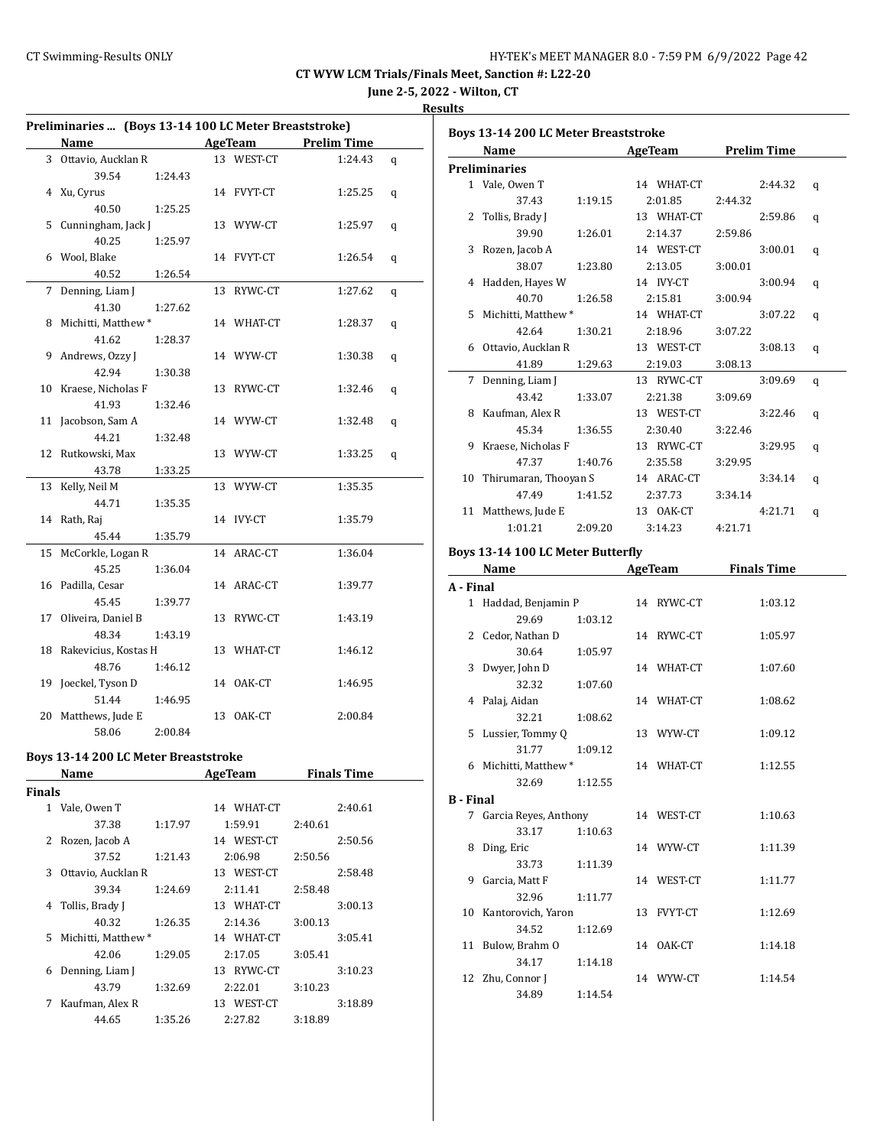**June 2-5, 2022 - Wilton, CT**

#### **Results**

| Preliminaries  (Boys 13-14 100 LC Meter Breaststroke) |                                             |         |  |                |         |                    |   |
|-------------------------------------------------------|---------------------------------------------|---------|--|----------------|---------|--------------------|---|
|                                                       | Name                                        |         |  | AgeTeam        |         | <b>Prelim Time</b> |   |
|                                                       | 3 Ottavio, Aucklan R                        |         |  | 13 WEST-CT     |         | 1:24.43            | q |
|                                                       | 39.54                                       | 1:24.43 |  |                |         |                    |   |
|                                                       | 4 Xu, Cyrus                                 |         |  | 14 FVYT-CT     |         | 1:25.25            | q |
|                                                       | 40.50                                       | 1:25.25 |  |                |         |                    |   |
| 5                                                     | Cunningham, Jack J                          |         |  | 13 WYW-CT      |         | 1:25.97            | q |
|                                                       | 40.25                                       | 1:25.97 |  |                |         |                    |   |
|                                                       | 6 Wool, Blake                               |         |  | 14 FVYT-CT     |         | 1:26.54            | q |
|                                                       | 40.52                                       | 1:26.54 |  |                |         |                    |   |
| 7                                                     | Denning, Liam J                             |         |  | 13 RYWC-CT     |         | 1:27.62            | q |
|                                                       | 41.30                                       | 1:27.62 |  |                |         |                    |   |
|                                                       | 8 Michitti, Matthew *                       |         |  | 14 WHAT-CT     |         | 1:28.37            | q |
|                                                       | 41.62                                       | 1:28.37 |  |                |         |                    |   |
|                                                       | 9 Andrews, Ozzy J                           |         |  | 14 WYW-CT      |         | 1:30.38            | q |
|                                                       | 42.94                                       | 1:30.38 |  |                |         |                    |   |
|                                                       | 10 Kraese, Nicholas F                       |         |  | 13 RYWC-CT     |         | 1:32.46            | q |
|                                                       | 41.93                                       | 1:32.46 |  |                |         |                    |   |
|                                                       | 11 Jacobson, Sam A                          |         |  | 14 WYW-CT      |         | 1:32.48            | q |
|                                                       | 44.21                                       | 1:32.48 |  |                |         |                    |   |
| 12                                                    | Rutkowski, Max                              |         |  | 13 WYW-CT      |         | 1:33.25            | q |
|                                                       | 43.78                                       | 1:33.25 |  |                |         |                    |   |
| 13                                                    | Kelly, Neil M                               |         |  | 13 WYW-CT      |         | 1:35.35            |   |
|                                                       | 44.71                                       | 1:35.35 |  |                |         |                    |   |
|                                                       | 14 Rath, Raj                                |         |  | 14 IVY-CT      |         | 1:35.79            |   |
|                                                       | 45.44                                       | 1:35.79 |  |                |         |                    |   |
|                                                       | 15 McCorkle, Logan R                        |         |  | 14 ARAC-CT     |         | 1:36.04            |   |
|                                                       | 45.25                                       | 1:36.04 |  |                |         |                    |   |
|                                                       | 16 Padilla, Cesar                           |         |  | 14 ARAC-CT     |         | 1:39.77            |   |
|                                                       | 45.45                                       | 1:39.77 |  |                |         |                    |   |
|                                                       | 17 Oliveira, Daniel B                       |         |  | 13 RYWC-CT     |         | 1:43.19            |   |
|                                                       | 48.34                                       | 1:43.19 |  |                |         |                    |   |
|                                                       | 18 Rakevicius, Kostas H                     |         |  | 13 WHAT-CT     |         | 1:46.12            |   |
|                                                       | 48.76                                       | 1:46.12 |  |                |         |                    |   |
|                                                       | 19 Joeckel, Tyson D                         |         |  | 14 OAK-CT      |         | 1:46.95            |   |
|                                                       | 51.44                                       | 1:46.95 |  |                |         |                    |   |
|                                                       | 20 Matthews, Jude E                         |         |  | 13 OAK-CT      |         | 2:00.84            |   |
|                                                       | 58.06                                       | 2:00.84 |  |                |         |                    |   |
|                                                       | <b>Boys 13-14 200 LC Meter Breaststroke</b> |         |  |                |         |                    |   |
|                                                       | <b>Name</b>                                 |         |  | <b>AgeTeam</b> |         | <b>Finals Time</b> |   |
| <b>Finals</b>                                         |                                             |         |  |                |         |                    |   |
|                                                       | 1 Vale, Owen T                              |         |  | 14 WHAT-CT     |         | 2:40.61            |   |
|                                                       | 37.38                                       | 1:17.97 |  | 1:59.91        | 2:40.61 |                    |   |
| 2                                                     | Rozen, Jacob A                              |         |  | 14 WEST-CT     |         | 2:50.56            |   |
|                                                       | 37.52                                       | 1:21.43 |  | 2:06.98        | 2:50.56 |                    |   |
| 3                                                     | Ottavio, Aucklan R                          |         |  | 13 WEST-CT     |         | 2:58.48            |   |
|                                                       | 39.34                                       | 1:24.69 |  | 2:11.41        | 2:58.48 |                    |   |
| 4                                                     | Tollis, Brady J                             |         |  | 13 WHAT-CT     |         | 3:00.13            |   |
|                                                       | 40.32                                       | 1:26.35 |  | 2:14.36        | 3:00.13 |                    |   |
| 5                                                     | Michitti, Matthew *                         |         |  | 14 WHAT-CT     |         | 3:05.41            |   |
|                                                       | 42.06                                       | 1:29.05 |  | 2:17.05        | 3:05.41 |                    |   |

6 Denning, Liam J 13 RYWC-CT 3:10.23 43.79 1:32.69 2:22.01 3:10.23 7 Kaufman, Alex R 13 WEST-CT 3:18.89 44.65 1:35.26 2:27.82 3:18.89

|           | <b>Boys 13-14 200 LC Meter Breaststroke</b> |         |                          |                    |   |
|-----------|---------------------------------------------|---------|--------------------------|--------------------|---|
|           | Name                                        |         | <b>AgeTeam</b>           | <b>Prelim Time</b> |   |
|           | <b>Preliminaries</b>                        |         |                          |                    |   |
|           | 1 Vale, Owen T                              |         | 14 WHAT-CT               | 2:44.32            | q |
|           | 37.43                                       | 1:19.15 | 2:01.85                  | 2:44.32            |   |
|           | 2 Tollis, Brady J                           |         | 13 WHAT-CT               | 2:59.86            | q |
|           | 39.90                                       | 1:26.01 | 2:14.37                  | 2:59.86            |   |
|           | 3 Rozen, Jacob A                            |         | 14 WEST-CT               | 3:00.01            | q |
|           | 38.07                                       | 1:23.80 | 2:13.05                  | 3:00.01            |   |
|           | 4 Hadden, Hayes W                           |         | 14 IVY-CT                | 3:00.94            | q |
|           | 40.70                                       | 1:26.58 | 2:15.81                  | 3:00.94            |   |
|           | 5 Michitti, Matthew *                       |         | 14 WHAT-CT               | 3:07.22            | q |
|           | 42.64                                       | 1:30.21 | 2:18.96                  | 3:07.22            |   |
|           | 6 Ottavio, Aucklan R                        |         | 13 WEST-CT               | 3:08.13            | q |
|           | 41.89                                       | 1:29.63 | 2:19.03                  | 3:08.13            |   |
|           | 7 Denning, Liam J                           |         | 13 RYWC-CT               | 3:09.69            | q |
|           | 43.42                                       | 1:33.07 | 2:21.38                  | 3:09.69            |   |
|           | 8 Kaufman, Alex R                           |         | 13 WEST-CT               | 3:22.46            | q |
|           | 45.34                                       | 1:36.55 | 2:30.40                  | 3:22.46            |   |
|           | 9 Kraese, Nicholas F                        |         | 13 RYWC-CT               | 3:29.95            | q |
|           | 47.37                                       | 1:40.76 | 2:35.58                  | 3:29.95            |   |
|           | 10 Thirumaran, Thooyan S                    |         | 14 ARAC-CT               | 3:34.14            | q |
|           | 47.49                                       | 1:41.52 | 2:37.73                  | 3:34.14            |   |
|           | 11 Matthews, Jude E                         |         | 13 OAK-CT                | 4:21.71            | q |
|           | 1:01.21                                     | 2:09.20 | 3:14.23                  | 4:21.71            |   |
|           | Boys 13-14 100 LC Meter Butterfly           |         |                          |                    |   |
|           | Name                                        |         | <b>Example 2</b> AgeTeam | <b>Finals Time</b> |   |
| A - Final |                                             |         |                          |                    |   |
|           | 1 Haddad, Benjamin P                        |         | 14 RYWC-CT               | 1:03.12            |   |
|           | 29.69                                       | 1:03.12 |                          |                    |   |
|           | 2 Cedor, Nathan D                           |         | 14 RYWC-CT               | 1:05.97            |   |
|           | $30.64$ $1.05.97$                           |         |                          |                    |   |

|           | 30.64                 | 1:05.97 |            |         |
|-----------|-----------------------|---------|------------|---------|
| 3         | Dwyer, John D         |         | 14 WHAT-CT | 1:07.60 |
|           | 32.32                 | 1:07.60 |            |         |
| 4         | Palaj, Aidan          |         | 14 WHAT-CT | 1:08.62 |
|           | 32.21                 | 1:08.62 |            |         |
| 5         | Lussier, Tommy Q      |         | 13 WYW-CT  | 1:09.12 |
|           | 31.77                 | 1:09.12 |            |         |
| 6         | Michitti, Matthew *   |         | 14 WHAT-CT | 1:12.55 |
|           | 32.69                 | 1:12.55 |            |         |
| B - Final |                       |         |            |         |
| 7         | Garcia Reyes, Anthony |         | 14 WEST-CT | 1:10.63 |
|           | 33.17                 | 1:10.63 |            |         |
| 8         | Ding, Eric            |         | 14 WYW-CT  | 1:11.39 |
|           | 33.73                 | 1:11.39 |            |         |
| 9         | Garcia, Matt F        |         | 14 WEST-CT | 1:11.77 |
|           | 32.96                 | 1:11.77 |            |         |
| 10        | Kantorovich, Yaron    |         | 13 FVYT-CT | 1:12.69 |
|           | 34.52                 | 1:12.69 |            |         |
| 11        | Bulow, Brahm O        |         | 14 OAK-CT  | 1:14.18 |
|           | 34.17                 | 1:14.18 |            |         |
| 12        | Zhu, Connor J         |         | 14 WYW-CT  | 1:14.54 |
|           | 34.89                 | 1:14.54 |            |         |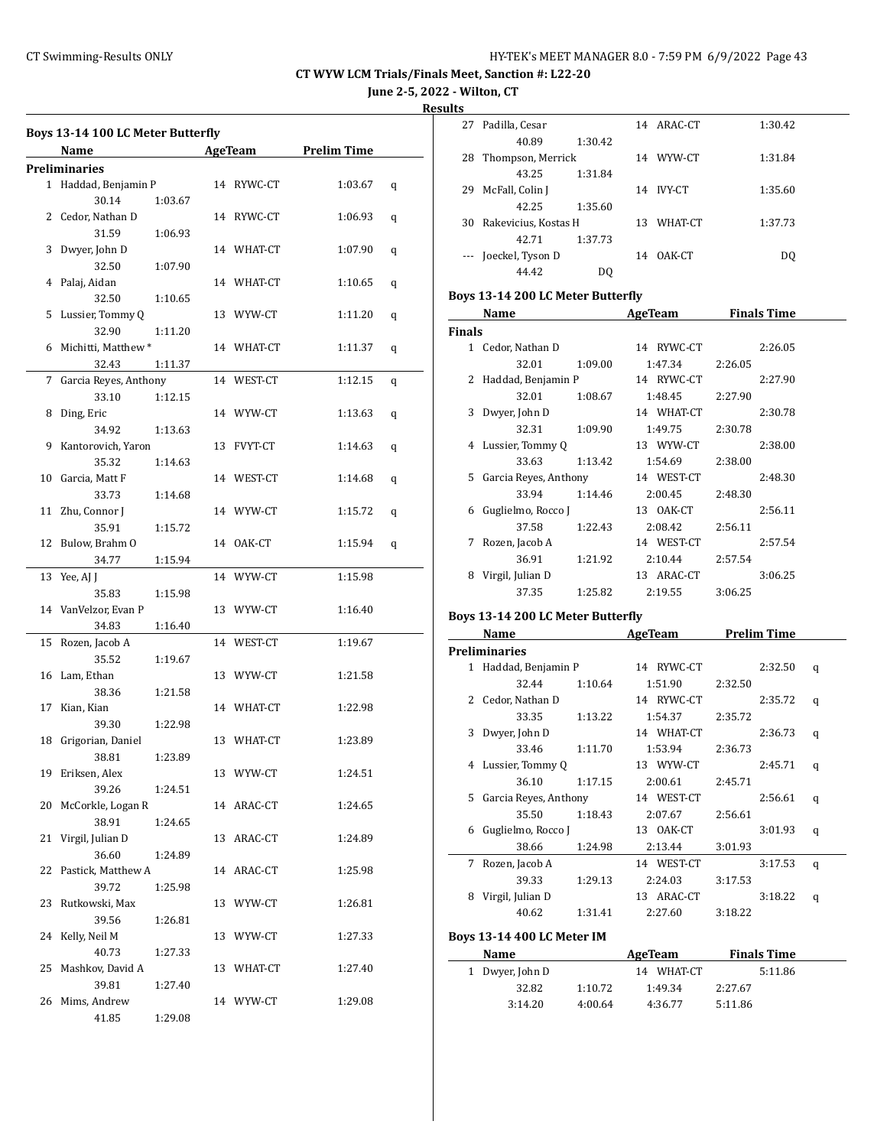**June 2-5, 2022 - Wilton, CT**

**Results**

|    | Boys 13-14 100 LC Meter Butterfly |         |            |                                      |   |
|----|-----------------------------------|---------|------------|--------------------------------------|---|
|    | Name                              |         |            | <b>Example 2 AgeTeam</b> Prelim Time |   |
|    | <b>Preliminaries</b>              |         |            |                                      |   |
|    | 1 Haddad, Benjamin P              |         | 14 RYWC-CT | 1:03.67                              | q |
|    | 30.14                             | 1:03.67 |            |                                      |   |
|    | 2 Cedor. Nathan D                 |         | 14 RYWC-CT | 1:06.93                              | q |
|    | 31.59                             | 1:06.93 |            |                                      |   |
| 3  | Dwyer, John D                     |         | 14 WHAT-CT | 1:07.90                              | q |
|    | 32.50                             | 1:07.90 |            |                                      |   |
|    | 4 Palaj, Aidan                    |         | 14 WHAT-CT | 1:10.65                              | q |
|    | 32.50                             | 1:10.65 |            |                                      |   |
| 5  | Lussier, Tommy Q                  |         | 13 WYW-CT  | 1:11.20                              | q |
|    | 32.90                             | 1:11.20 |            |                                      |   |
|    | 6 Michitti, Matthew *             |         | 14 WHAT-CT | 1:11.37                              | q |
|    | 32.43                             | 1:11.37 |            |                                      |   |
| 7  | Garcia Reyes, Anthony             |         | 14 WEST-CT | 1:12.15                              | q |
|    | 33.10                             | 1:12.15 |            |                                      |   |
|    | 8 Ding, Eric                      |         | 14 WYW-CT  | 1:13.63                              | q |
|    | 34.92                             | 1:13.63 |            |                                      |   |
|    | 9 Kantorovich, Yaron              |         | 13 FVYT-CT | 1:14.63                              | q |
|    | 35.32                             | 1:14.63 |            |                                      |   |
|    | 10 Garcia, Matt F                 |         | 14 WEST-CT | 1:14.68                              | q |
|    | 33.73                             | 1:14.68 |            |                                      |   |
|    | 11 Zhu, Connor J                  |         | 14 WYW-CT  | 1:15.72                              | q |
|    | 35.91                             | 1:15.72 |            |                                      |   |
|    | 12 Bulow, Brahm O                 |         | 14 OAK-CT  | 1:15.94                              | q |
|    | 34.77                             | 1:15.94 |            |                                      |   |
|    | 13 Yee, AJ J                      |         | 14 WYW-CT  | 1:15.98                              |   |
|    | 35.83                             | 1:15.98 |            |                                      |   |
|    | 14 VanVelzor, Evan P              |         | 13 WYW-CT  | 1:16.40                              |   |
|    | 34.83                             | 1:16.40 |            |                                      |   |
| 15 | Rozen, Jacob A                    |         | 14 WEST-CT | 1:19.67                              |   |
|    | 35.52                             | 1:19.67 |            |                                      |   |
|    | 16 Lam, Ethan                     |         | 13 WYW-CT  | 1:21.58                              |   |
|    | 38.36                             | 1:21.58 |            |                                      |   |
| 17 | Kian, Kian                        |         | 14 WHAT-CT | 1:22.98                              |   |
|    | 39.30                             | 1:22.98 |            |                                      |   |
| 18 | Grigorian, Daniel                 |         | 13 WHAT-CT | 1:23.89                              |   |
|    | 38.81                             | 1:23.89 |            |                                      |   |
|    | 19 Eriksen, Alex                  |         | 13 WYW-CT  | 1:24.51                              |   |
|    | 39.26                             | 1:24.51 |            |                                      |   |
| 20 | McCorkle, Logan R                 |         | 14 ARAC-CT | 1:24.65                              |   |
|    | 38.91                             | 1:24.65 |            |                                      |   |
|    | 21 Virgil, Julian D               |         | 13 ARAC-CT | 1:24.89                              |   |
|    | 36.60                             | 1:24.89 |            |                                      |   |
| 22 | Pastick, Matthew A                |         | 14 ARAC-CT | 1:25.98                              |   |
|    | 39.72                             | 1:25.98 |            |                                      |   |
| 23 | Rutkowski, Max                    |         | 13 WYW-CT  | 1:26.81                              |   |
|    | 39.56                             | 1:26.81 |            |                                      |   |
| 24 | Kelly, Neil M                     |         | 13 WYW-CT  | 1:27.33                              |   |
|    | 40.73                             | 1:27.33 |            |                                      |   |
| 25 | Mashkov, David A                  |         | 13 WHAT-CT | 1:27.40                              |   |
|    | 39.81                             | 1:27.40 |            |                                      |   |
| 26 | Mims, Andrew                      |         | 14 WYW-CT  | 1:29.08                              |   |
|    | 41.85                             | 1:29.08 |            |                                      |   |

| LЭ       |                      |         |    |         |         |
|----------|----------------------|---------|----|---------|---------|
| 27       | Padilla, Cesar       |         | 14 | ARAC-CT | 1:30.42 |
|          | 40.89                | 1:30.42 |    |         |         |
| 28       | Thompson, Merrick    |         | 14 | WYW-CT  | 1:31.84 |
|          | 43.25                | 1:31.84 |    |         |         |
| 29       | McFall, Colin J      |         | 14 | IVY-CT  | 1:35.60 |
|          | 42.25                | 1:35.60 |    |         |         |
| 30       | Rakevicius, Kostas H |         | 13 | WHAT-CT | 1:37.73 |
|          | 42.71                | 1:37.73 |    |         |         |
| $\cdots$ | Joeckel, Tyson D     |         | 14 | OAK-CT  | DO.     |
|          | 44.42                | DO.     |    |         |         |

## **Boys 13-14 200 LC Meter Butterfly**

|               | Name                  |         | AgeTeam    | Finals Time |
|---------------|-----------------------|---------|------------|-------------|
| <b>Finals</b> |                       |         |            |             |
| 1.            | Cedor, Nathan D       |         | 14 RYWC-CT | 2:26.05     |
|               | 32.01                 | 1:09.00 | 1:47.34    | 2:26.05     |
| 2             | Haddad, Benjamin P    |         | 14 RYWC-CT | 2:27.90     |
|               | 32.01                 | 1:08.67 | 1:48.45    | 2:27.90     |
| 3             | Dwyer, John D         |         | 14 WHAT-CT | 2:30.78     |
|               | 32.31                 | 1:09.90 | 1:49.75    | 2:30.78     |
| 4             | Lussier, Tommy Q      |         | 13 WYW-CT  | 2:38.00     |
|               | 33.63                 | 1:13.42 | 1:54.69    | 2:38.00     |
| 5.            | Garcia Reyes, Anthony |         | 14 WEST-CT | 2:48.30     |
|               | 33.94                 | 1:14.46 | 2:00.45    | 2:48.30     |
| 6             | Guglielmo, Rocco J    |         | 13 OAK-CT  | 2:56.11     |
|               | 37.58                 | 1:22.43 | 2:08.42    | 2:56.11     |
| 7             | Rozen, Jacob A        |         | 14 WEST-CT | 2:57.54     |
|               | 36.91                 | 1:21.92 | 2:10.44    | 2:57.54     |
| 8             | Virgil, Julian D      |         | 13 ARAC-CT | 3:06.25     |
|               | 37.35                 | 1:25.82 | 2:19.55    | 3:06.25     |

#### **Boys 13-14 200 LC Meter Butterfly**

|             | Name                              |         | <b>AgeTeam</b> | <b>Prelim Time</b> |         |   |
|-------------|-----------------------------------|---------|----------------|--------------------|---------|---|
|             | <b>Preliminaries</b>              |         |                |                    |         |   |
| 1           | Haddad, Benjamin P                |         | 14 RYWC-CT     |                    | 2:32.50 | q |
|             | 32.44                             | 1:10.64 | 1:51.90        | 2:32.50            |         |   |
| $2^{\circ}$ | Cedor, Nathan D                   |         | 14 RYWC-CT     |                    | 2:35.72 | q |
|             | 33.35                             | 1:13.22 | 1:54.37        | 2:35.72            |         |   |
| 3           | Dwyer, John D                     |         | 14 WHAT-CT     |                    | 2:36.73 | q |
|             | 33.46                             | 1:11.70 | 1:53.94        | 2:36.73            |         |   |
| 4           | Lussier, Tommy Q                  |         | 13 WYW-CT      |                    | 2:45.71 | q |
|             | 36.10                             | 1:17.15 | 2:00.61        | 2:45.71            |         |   |
| 5.          | Garcia Reyes, Anthony             |         | 14 WEST-CT     |                    | 2:56.61 | q |
|             | 35.50                             | 1:18.43 | 2:07.67        | 2:56.61            |         |   |
| 6           | Guglielmo, Rocco J                |         | 13 OAK-CT      |                    | 3:01.93 | q |
|             | 38.66                             | 1:24.98 | 2:13.44        | 3:01.93            |         |   |
| 7           | Rozen, Jacob A                    |         | 14 WEST-CT     |                    | 3:17.53 | q |
|             | 39.33                             | 1:29.13 | 2:24.03        | 3:17.53            |         |   |
| 8           | Virgil, Julian D                  |         | 13 ARAC-CT     |                    | 3:18.22 | q |
|             | 40.62                             | 1:31.41 | 2:27.60        | 3:18.22            |         |   |
|             | <b>Boys 13-14 400 LC Meter IM</b> |         |                |                    |         |   |

| Name            |         | AgeTeam    | <b>Finals Time</b> |  |
|-----------------|---------|------------|--------------------|--|
| 1 Dwyer, John D |         | 14 WHAT-CT | 5:11.86            |  |
| 32.82           | 1:10.72 | 1:49.34    | 2:27.67            |  |
| 3:14.20         | 4:00.64 | 4:36.77    | 5:11.86            |  |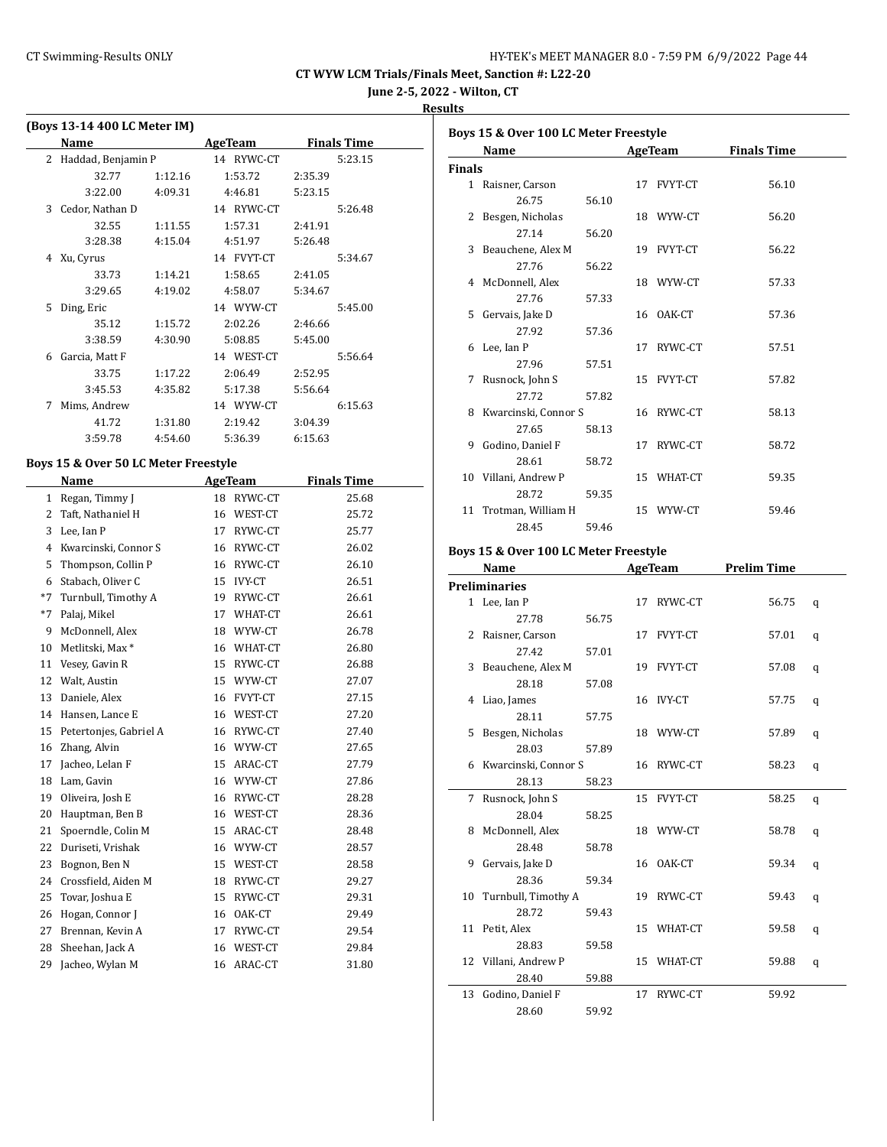**June 2-5, 2022 - Wilton, CT**

**Results**

|   | (Boys 13-14 400 LC Meter IM) |         |            |                    |  |
|---|------------------------------|---------|------------|--------------------|--|
|   | Name                         |         | AgeTeam    | <b>Finals Time</b> |  |
| 2 | Haddad, Benjamin P           |         | 14 RYWC-CT | 5:23.15            |  |
|   | 32.77                        | 1:12.16 | 1:53.72    | 2:35.39            |  |
|   | 3:22.00                      | 4:09.31 | 4:46.81    | 5:23.15            |  |
| 3 | Cedor, Nathan D              |         | 14 RYWC-CT | 5:26.48            |  |
|   | 32.55                        | 1:11.55 | 1:57.31    | 2:41.91            |  |
|   | 3:28.38                      | 4:15.04 | 4:51.97    | 5:26.48            |  |
| 4 | Xu, Cyrus                    |         | 14 FVYT-CT | 5:34.67            |  |
|   | 33.73                        | 1:14.21 | 1:58.65    | 2:41.05            |  |
|   | 3:29.65                      | 4:19.02 | 4:58.07    | 5:34.67            |  |
| 5 | Ding, Eric                   |         | 14 WYW-CT  | 5:45.00            |  |
|   | 35.12                        | 1:15.72 | 2:02.26    | 2:46.66            |  |
|   | 3:38.59                      | 4:30.90 | 5:08.85    | 5:45.00            |  |
| 6 | Garcia, Matt F               |         | 14 WEST-CT | 5:56.64            |  |
|   | 33.75                        | 1:17.22 | 2:06.49    | 2:52.95            |  |
|   | 3:45.53                      | 4:35.82 | 5:17.38    | 5:56.64            |  |
| 7 | Mims, Andrew                 |         | 14 WYW-CT  | 6:15.63            |  |
|   | 41.72                        | 1:31.80 | 2:19.42    | 3:04.39            |  |
|   | 3:59.78                      | 4:54.60 | 5:36.39    | 6:15.63            |  |

#### **Boys 15 & Over 50 LC Meter Freestyle**

|              | Name                        |    | <b>AgeTeam</b> | <b>Finals Time</b> |
|--------------|-----------------------------|----|----------------|--------------------|
| $\mathbf{1}$ | Regan, Timmy J              | 18 | RYWC-CT        | 25.68              |
| 2            | Taft, Nathaniel H           | 16 | WEST-CT        | 25.72              |
| 3            | Lee, Ian P                  | 17 | RYWC-CT        | 25.77              |
| 4            | Kwarcinski, Connor S        | 16 | RYWC-CT        | 26.02              |
| 5            | Thompson, Collin P          | 16 | RYWC-CT        | 26.10              |
| 6            | Stabach, Oliver C           | 15 | <b>IVY-CT</b>  | 26.51              |
| $*7$         | Turnbull, Timothy A         | 19 | RYWC-CT        | 26.61              |
| $*7$         | Palaj, Mikel                | 17 | WHAT-CT        | 26.61              |
| 9            | McDonnell, Alex             | 18 | WYW-CT         | 26.78              |
| 10           | Metlitski, Max <sup>*</sup> | 16 | WHAT-CT        | 26.80              |
| 11           | Vesey, Gavin R              | 15 | RYWC-CT        | 26.88              |
| 12           | Walt, Austin                | 15 | WYW-CT         | 27.07              |
| 13           | Daniele, Alex               | 16 | FVYT-CT        | 27.15              |
| 14           | Hansen, Lance E             | 16 | WEST-CT        | 27.20              |
| 15           | Petertonjes, Gabriel A      | 16 | RYWC-CT        | 27.40              |
| 16           | Zhang, Alvin                | 16 | WYW-CT         | 27.65              |
| 17           | Jacheo, Lelan F             | 15 | ARAC-CT        | 27.79              |
| 18           | Lam, Gavin                  | 16 | WYW-CT         | 27.86              |
| 19           | Oliveira, Josh E            | 16 | RYWC-CT        | 28.28              |
| 20           | Hauptman, Ben B             | 16 | WEST-CT        | 28.36              |
| 21           | Spoerndle, Colin M          | 15 | ARAC-CT        | 28.48              |
| 22           | Duriseti, Vrishak           | 16 | WYW-CT         | 28.57              |
| 23           | Bognon, Ben N               | 15 | WEST-CT        | 28.58              |
| 24           | Crossfield, Aiden M         | 18 | RYWC-CT        | 29.27              |
| 25           | Tovar, Joshua E             | 15 | RYWC-CT        | 29.31              |
| 26           | Hogan, Connor J             | 16 | OAK-CT         | 29.49              |
| 27           | Brennan, Kevin A            | 17 | RYWC-CT        | 29.54              |
| 28           | Sheehan, Jack A             | 16 | WEST-CT        | 29.84              |
| 29           | Jacheo, Wylan M             | 16 | ARAC-CT        | 31.80              |

|               | Boys 15 & Over 100 LC Meter Freestyle |       |  |            |                    |  |  |  |
|---------------|---------------------------------------|-------|--|------------|--------------------|--|--|--|
|               | Name                                  |       |  | AgeTeam    | <b>Finals Time</b> |  |  |  |
| <b>Finals</b> |                                       |       |  |            |                    |  |  |  |
|               | 1 Raisner, Carson                     |       |  | 17 FVYT-CT | 56.10              |  |  |  |
|               | 26.75                                 | 56.10 |  |            |                    |  |  |  |
|               | 2 Besgen, Nicholas                    |       |  | 18 WYW-CT  | 56.20              |  |  |  |
|               | 27.14                                 | 56.20 |  |            |                    |  |  |  |
|               | 3 Beauchene, Alex M                   |       |  | 19 FVYT-CT | 56.22              |  |  |  |
|               | 27.76                                 | 56.22 |  |            |                    |  |  |  |
|               | 4 McDonnell, Alex                     |       |  | 18 WYW-CT  | 57.33              |  |  |  |
|               | 27.76                                 | 57.33 |  |            |                    |  |  |  |
|               | 5 Gervais, Jake D                     |       |  | 16 OAK-CT  | 57.36              |  |  |  |
|               | 27.92                                 | 57.36 |  |            |                    |  |  |  |
|               | 6 Lee, Ian P                          |       |  | 17 RYWC-CT | 57.51              |  |  |  |
|               | 27.96                                 | 57.51 |  |            |                    |  |  |  |
|               | 7 Rusnock, John S                     |       |  | 15 FVYT-CT | 57.82              |  |  |  |
|               | 27.72                                 | 57.82 |  |            |                    |  |  |  |
|               | 8 Kwarcinski, Connor S                |       |  | 16 RYWC-CT | 58.13              |  |  |  |
|               | 27.65                                 | 58.13 |  |            |                    |  |  |  |
|               | 9 Godino, Daniel F                    |       |  | 17 RYWC-CT | 58.72              |  |  |  |
|               | 28.61                                 | 58.72 |  |            |                    |  |  |  |
|               | 10 Villani, Andrew P                  |       |  | 15 WHAT-CT | 59.35              |  |  |  |
|               | 28.72                                 | 59.35 |  |            |                    |  |  |  |
|               | 11 Trotman, William H                 |       |  | 15 WYW-CT  | 59.46              |  |  |  |
|               | 28.45                                 | 59.46 |  |            |                    |  |  |  |
|               |                                       |       |  |            |                    |  |  |  |

#### **Boys 15 & Over 100 LC Meter Freestyle**

| Name                   |       | AgeTeam    | <b>Prelim Time</b> |   |
|------------------------|-------|------------|--------------------|---|
| <b>Preliminaries</b>   |       |            |                    |   |
| 1 Lee, Ian P           |       | 17 RYWC-CT | 56.75              | q |
| 27.78                  | 56.75 |            |                    |   |
| 2 Raisner, Carson      |       | 17 FVYT-CT | 57.01              | q |
| 27.42                  | 57.01 |            |                    |   |
| 3 Beauchene, Alex M    |       | 19 FVYT-CT | 57.08              | q |
| 28.18                  | 57.08 |            |                    |   |
| 4 Liao, James          |       | 16 IVY-CT  | 57.75              | q |
| 28.11                  | 57.75 |            |                    |   |
| 5 Besgen, Nicholas     |       | 18 WYW-CT  | 57.89              | q |
| 28.03                  | 57.89 |            |                    |   |
| 6 Kwarcinski, Connor S |       | 16 RYWC-CT | 58.23              | q |
| 28.13                  | 58.23 |            |                    |   |
| 7 Rusnock, John S      |       | 15 FVYT-CT | 58.25              | q |
| 28.04                  | 58.25 |            |                    |   |
| 8 McDonnell, Alex      |       | 18 WYW-CT  | 58.78              | q |
| 28.48                  | 58.78 |            |                    |   |
| 9 Gervais, Jake D      |       | 16 OAK-CT  | 59.34              | q |
| 28.36                  | 59.34 |            |                    |   |
| 10 Turnbull, Timothy A |       | 19 RYWC-CT | 59.43              | q |
| 28.72                  | 59.43 |            |                    |   |
| 11 Petit, Alex         |       | 15 WHAT-CT | 59.58              | q |
| 28.83                  | 59.58 |            |                    |   |
| 12 Villani, Andrew P   |       | 15 WHAT-CT | 59.88              | q |
| 28.40                  | 59.88 |            |                    |   |
| 13 Godino, Daniel F    |       | 17 RYWC-CT | 59.92              |   |
| 28.60                  | 59.92 |            |                    |   |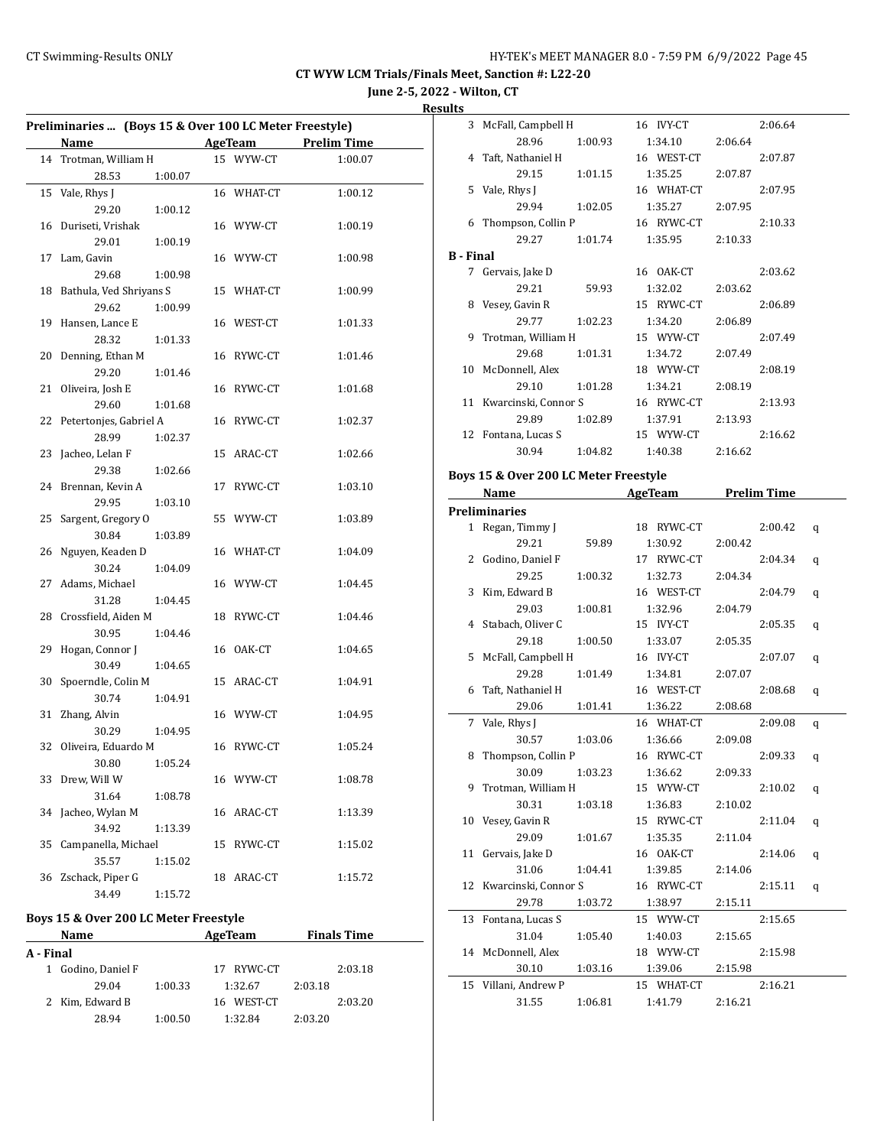**June 2-5, 2022 - Wilton, CT**

#### **Results**

| Preliminaries  (Boys 15 & Over 100 LC Meter Freestyle) |                                 |         |  |            |                     |  |
|--------------------------------------------------------|---------------------------------|---------|--|------------|---------------------|--|
|                                                        | Name                            |         |  |            | AgeTeam Prelim Time |  |
|                                                        | 14 Trotman, William H           |         |  | 15 WYW-CT  | 1:00.07             |  |
|                                                        | 28.53                           | 1:00.07 |  |            |                     |  |
|                                                        | 15 Vale, Rhys J                 |         |  | 16 WHAT-CT | 1:00.12             |  |
|                                                        | 29.20                           | 1:00.12 |  |            |                     |  |
| 16                                                     | Duriseti, Vrishak               |         |  | 16 WYW-CT  | 1:00.19             |  |
|                                                        | 29.01                           | 1:00.19 |  |            |                     |  |
| 17                                                     | Lam, Gavin                      |         |  | 16 WYW-CT  | 1:00.98             |  |
|                                                        | 29.68                           | 1:00.98 |  |            |                     |  |
|                                                        | 18 Bathula, Ved Shriyans S      |         |  | 15 WHAT-CT | 1:00.99             |  |
|                                                        | 29.62                           | 1:00.99 |  |            |                     |  |
| 19                                                     | Hansen, Lance E                 |         |  | 16 WEST-CT | 1:01.33             |  |
|                                                        | 28.32                           | 1:01.33 |  |            |                     |  |
| 20                                                     | Denning, Ethan M                |         |  | 16 RYWC-CT | 1:01.46             |  |
|                                                        | 29.20                           | 1:01.46 |  |            |                     |  |
| 21                                                     | Oliveira, Josh E                |         |  | 16 RYWC-CT |                     |  |
|                                                        | 29.60                           |         |  |            | 1:01.68             |  |
|                                                        |                                 | 1:01.68 |  | 16 RYWC-CT |                     |  |
| 22                                                     | Petertonjes, Gabriel A<br>28.99 | 1:02.37 |  |            | 1:02.37             |  |
|                                                        |                                 |         |  |            |                     |  |
| 23                                                     | Jacheo, Lelan F<br>29.38        | 1:02.66 |  | 15 ARAC-CT | 1:02.66             |  |
|                                                        |                                 |         |  |            |                     |  |
| 24                                                     | Brennan, Kevin A                |         |  | 17 RYWC-CT | 1:03.10             |  |
|                                                        | 29.95                           | 1:03.10 |  |            |                     |  |
| 25                                                     | Sargent, Gregory O              |         |  | 55 WYW-CT  | 1:03.89             |  |
|                                                        | 30.84                           | 1:03.89 |  |            |                     |  |
| 26                                                     | Nguyen, Keaden D                |         |  | 16 WHAT-CT | 1:04.09             |  |
|                                                        | 30.24                           | 1:04.09 |  |            |                     |  |
| 27                                                     | Adams, Michael                  |         |  | 16 WYW-CT  | 1:04.45             |  |
|                                                        | 31.28                           | 1:04.45 |  |            |                     |  |
|                                                        | 28 Crossfield, Aiden M          |         |  | 18 RYWC-CT | 1:04.46             |  |
|                                                        | 30.95                           | 1:04.46 |  |            |                     |  |
| 29                                                     | Hogan, Connor J                 |         |  | 16 OAK-CT  | 1:04.65             |  |
|                                                        | 30.49                           | 1:04.65 |  |            |                     |  |
| 30                                                     | Spoerndle, Colin M              |         |  | 15 ARAC-CT | 1:04.91             |  |
|                                                        | 30.74                           | 1:04.91 |  |            |                     |  |
| 31                                                     | Zhang, Alvin                    |         |  | 16 WYW-CT  | 1:04.95             |  |
|                                                        | 30.29                           | 1:04.95 |  |            |                     |  |
|                                                        | 32 Oliveira, Eduardo M          |         |  | 16 RYWC-CT | 1:05.24             |  |
|                                                        | 30.80   1:05.24                 |         |  |            |                     |  |
|                                                        | 33 Drew, Will W                 |         |  | 16 WYW-CT  | 1:08.78             |  |
|                                                        | 31.64                           | 1:08.78 |  |            |                     |  |
| 34                                                     | Jacheo, Wylan M                 |         |  | 16 ARAC-CT | 1:13.39             |  |
|                                                        | 34.92                           | 1:13.39 |  |            |                     |  |
| 35                                                     | Campanella, Michael             |         |  | 15 RYWC-CT | 1:15.02             |  |
|                                                        | 35.57                           | 1:15.02 |  |            |                     |  |
| 36                                                     | Zschack, Piper G                |         |  | 18 ARAC-CT | 1:15.72             |  |
|                                                        | 34.49                           | 1:15.72 |  |            |                     |  |

## **Boys 15 & Over 200 LC Meter Freestyle**

|           | <b>Name</b>        |         | AgeTeam    |         | <b>Finals Time</b> |  |
|-----------|--------------------|---------|------------|---------|--------------------|--|
| A - Final |                    |         |            |         |                    |  |
|           | 1 Godino, Daniel F |         | 17 RYWC-CT |         | 2:03.18            |  |
|           | 29.04              | 1:00.33 | 1:32.67    | 2:03.18 |                    |  |
|           | 2 Kim, Edward B    |         | 16 WEST-CT |         | 2:03.20            |  |
|           | 28.94              | 1:00.50 | 1:32.84    | 2:03.20 |                    |  |

| սււა             |                                    |         |                 |         |         |
|------------------|------------------------------------|---------|-----------------|---------|---------|
|                  | 3 McFall, Campbell H               |         | 16 IVY-CT       |         | 2:06.64 |
|                  | 28.96                              | 1:00.93 | 1:34.10         | 2:06.64 |         |
|                  | 4 Taft, Nathaniel H                |         | 16 WEST-CT      |         | 2:07.87 |
|                  | 29.15                              | 1:01.15 | 1:35.25         | 2:07.87 |         |
|                  | 5 Vale, Rhys J                     |         | 16 WHAT-CT      |         | 2:07.95 |
|                  | 29.94                              | 1:02.05 | 1:35.27         | 2:07.95 |         |
|                  | 6 Thompson, Collin P 16 RYWC-CT    |         |                 |         | 2:10.33 |
|                  | 29.27                              | 1:01.74 | 1:35.95         | 2:10.33 |         |
| <b>B</b> - Final |                                    |         |                 |         |         |
|                  | 7 Gervais, Jake D                  |         | 16 OAK-CT       |         | 2:03.62 |
|                  | 29.21                              | 59.93   | 1:32.02         | 2:03.62 |         |
|                  | 8 Vesey, Gavin R                   |         | 15 RYWC-CT      |         | 2:06.89 |
|                  | 29.77                              | 1:02.23 | 1:34.20 2:06.89 |         |         |
| 9                | Trotman, William H 15 WYW-CT       |         |                 |         | 2:07.49 |
|                  | 29.68                              | 1:01.31 | 1:34.72         | 2:07.49 |         |
|                  | 10 McDonnell, Alex                 |         | 18 WYW-CT       |         | 2:08.19 |
|                  | 29.10                              | 1:01.28 | 1:34.21         | 2:08.19 |         |
|                  | 11 Kwarcinski, Connor S 16 RYWC-CT |         |                 |         | 2:13.93 |
|                  | 29.89                              | 1:02.89 | 1:37.91         | 2:13.93 |         |
|                  | 12 Fontana, Lucas S                |         | 15 WYW-CT       |         | 2:16.62 |
|                  | 30.94                              | 1:04.82 | 1:40.38         | 2:16.62 |         |
|                  |                                    |         |                 |         |         |

#### **Boys 15 & Over 200 LC Meter Freestyle**

| Name                    |         | AgeTeam    | <b>Prelim Time</b> |         |   |
|-------------------------|---------|------------|--------------------|---------|---|
| <b>Preliminaries</b>    |         |            |                    |         |   |
| 1 Regan, Timmy J        |         | 18 RYWC-CT |                    | 2:00.42 | q |
| 29.21                   | 59.89   | 1:30.92    | 2:00.42            |         |   |
| 2 Godino, Daniel F      |         | 17 RYWC-CT |                    | 2:04.34 | q |
| 29.25                   | 1:00.32 | 1:32.73    | 2:04.34            |         |   |
| 3 Kim, Edward B         |         | 16 WEST-CT |                    | 2:04.79 | q |
| 29.03                   | 1:00.81 | 1:32.96    | 2:04.79            |         |   |
| 4 Stabach, Oliver C     |         | 15 IVY-CT  |                    | 2:05.35 | q |
| 29.18                   | 1:00.50 | 1:33.07    | 2:05.35            |         |   |
| 5 McFall, Campbell H    |         | 16 IVY-CT  |                    | 2:07.07 | q |
| 29.28                   | 1:01.49 | 1:34.81    | 2:07.07            |         |   |
| 6 Taft, Nathaniel H     |         | 16 WEST-CT |                    | 2:08.68 | q |
| 29.06                   | 1:01.41 | 1:36.22    | 2:08.68            |         |   |
| 7 Vale, Rhys J          |         | 16 WHAT-CT |                    | 2:09.08 | q |
| 30.57                   | 1:03.06 | 1:36.66    | 2:09.08            |         |   |
| 8 Thompson, Collin P    |         | 16 RYWC-CT |                    | 2:09.33 | q |
| 30.09                   | 1:03.23 | 1:36.62    | 2:09.33            |         |   |
| 9 Trotman, William H    |         | 15 WYW-CT  |                    | 2:10.02 | q |
| 30.31                   | 1:03.18 | 1:36.83    | 2:10.02            |         |   |
| 10 Vesey, Gavin R       |         | 15 RYWC-CT |                    | 2:11.04 | q |
| 29.09                   | 1:01.67 | 1:35.35    | 2:11.04            |         |   |
| 11 Gervais, Jake D      |         | 16 OAK-CT  |                    | 2:14.06 | q |
| 31.06                   | 1:04.41 | 1:39.85    | 2:14.06            |         |   |
| 12 Kwarcinski, Connor S |         | 16 RYWC-CT |                    | 2:15.11 | q |
| 29.78                   | 1:03.72 | 1:38.97    | 2:15.11            |         |   |
| 13 Fontana, Lucas S     |         | 15 WYW-CT  |                    | 2:15.65 |   |
| 31.04                   | 1:05.40 | 1:40.03    | 2:15.65            |         |   |
| 14 McDonnell, Alex      |         | 18 WYW-CT  |                    | 2:15.98 |   |
| 30.10                   | 1:03.16 | 1:39.06    | 2:15.98            |         |   |
| 15 Villani, Andrew P    |         | 15 WHAT-CT |                    | 2:16.21 |   |
| 31.55                   | 1:06.81 | 1:41.79    | 2:16.21            |         |   |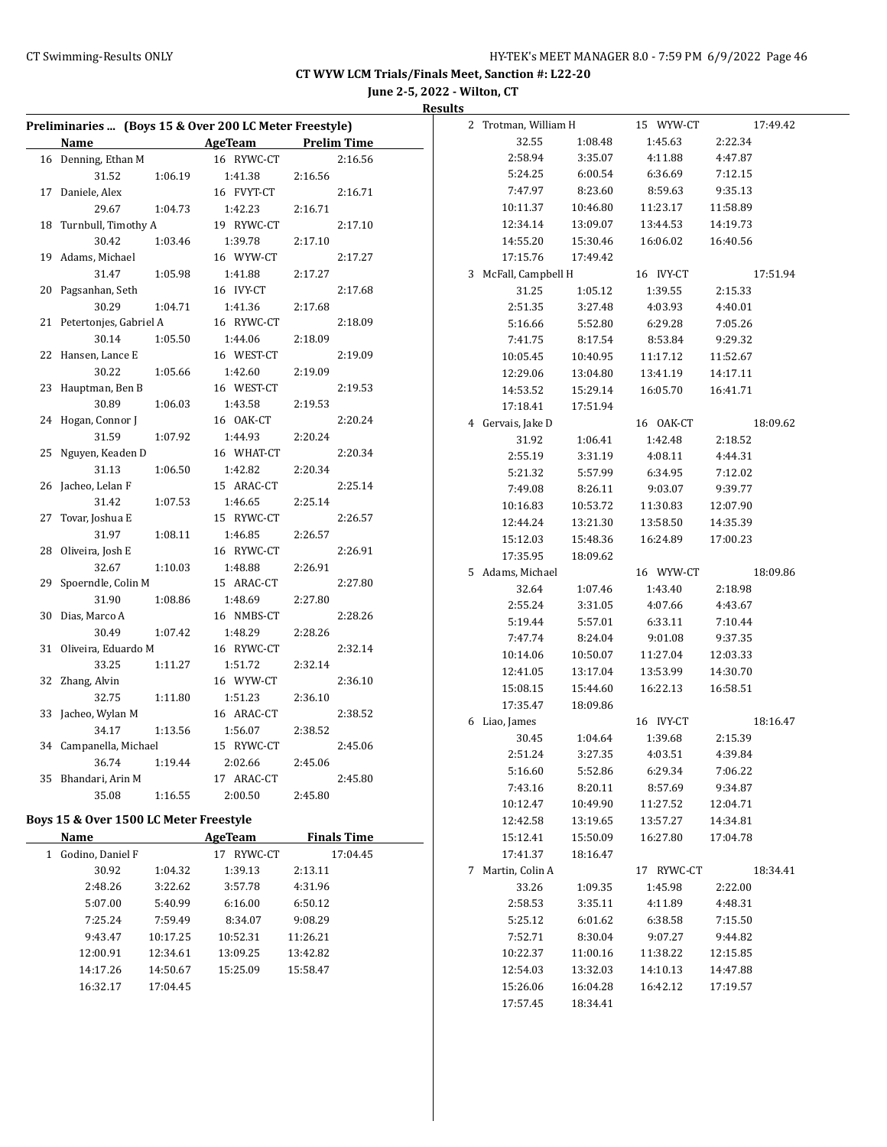**June 2-5, 2022 - Wilton, CT Results**

| Preliminaries  (Boys 15 & Over 200 LC Meter Freestyle) |                       |                    | 2 Trotman, William H |          | 15 WYW-CT  | 17:49.42 |
|--------------------------------------------------------|-----------------------|--------------------|----------------------|----------|------------|----------|
| Name                                                   | <b>AgeTeam</b>        | <b>Prelim Time</b> | 32.55                | 1:08.48  | 1:45.63    | 2:22.34  |
| 16 Denning, Ethan M                                    | 16 RYWC-CT            | 2:16.56            | 2:58.94              | 3:35.07  | 4:11.88    | 4:47.87  |
| 31.52<br>1:06.19                                       | 1:41.38               | 2:16.56            | 5:24.25              | 6:00.54  | 6:36.69    | 7:12.15  |
| 17 Daniele, Alex                                       | 16 FVYT-CT            | 2:16.71            | 7:47.97              | 8:23.60  | 8:59.63    | 9:35.13  |
| 29.67<br>1:04.73                                       | 1:42.23               | 2:16.71            | 10:11.37             | 10:46.80 | 11:23.17   | 11:58.89 |
| 18 Turnbull, Timothy A                                 | 19 RYWC-CT            | 2:17.10            | 12:34.14             | 13:09.07 | 13:44.53   | 14:19.73 |
| 30.42<br>1:03.46                                       | 1:39.78               | 2:17.10            | 14:55.20             | 15:30.46 | 16:06.02   | 16:40.56 |
| 19 Adams, Michael                                      | 16 WYW-CT             | 2:17.27            | 17:15.76             | 17:49.42 |            |          |
| 31.47<br>1:05.98                                       | 1:41.88               | 2:17.27            | 3 McFall, Campbell H |          | 16 IVY-CT  | 17:51.94 |
| 20 Pagsanhan, Seth                                     | 16 IVY-CT             | 2:17.68            | 31.25                | 1:05.12  | 1:39.55    | 2:15.33  |
| 30.29<br>1:04.71                                       | 1:41.36               | 2:17.68            | 2:51.35              | 3:27.48  | 4:03.93    | 4:40.01  |
| 21 Petertonjes, Gabriel A                              | 16 RYWC-CT            | 2:18.09            | 5:16.66              | 5:52.80  | 6:29.28    | 7:05.26  |
| 30.14<br>1:05.50                                       | 1:44.06               | 2:18.09            | 7:41.75              | 8:17.54  | 8:53.84    | 9:29.32  |
| 22 Hansen, Lance E                                     | 16 WEST-CT            | 2:19.09            | 10:05.45             | 10:40.95 | 11:17.12   | 11:52.67 |
| 30.22<br>1:05.66                                       | 1:42.60               | 2:19.09            | 12:29.06             | 13:04.80 | 13:41.19   | 14:17.11 |
| 23 Hauptman, Ben B                                     | 16 WEST-CT            | 2:19.53            | 14:53.52             | 15:29.14 | 16:05.70   | 16:41.71 |
| 30.89<br>1:06.03                                       | 1:43.58               | 2:19.53            |                      |          |            |          |
| 24 Hogan, Connor J                                     | 16 OAK-CT             | 2:20.24            | 17:18.41             | 17:51.94 |            |          |
| 31.59<br>1:07.92                                       | 1:44.93               | 2:20.24            | 4 Gervais, Jake D    |          | 16 OAK-CT  | 18:09.62 |
| 25 Nguyen, Keaden D                                    | 16 WHAT-CT            | 2:20.34            | 31.92                | 1:06.41  | 1:42.48    | 2:18.52  |
| 31.13<br>1:06.50                                       | 1:42.82               | 2:20.34            | 2:55.19              | 3:31.19  | 4:08.11    | 4:44.31  |
| 26 Jacheo, Lelan F                                     | 15 ARAC-CT            | 2:25.14            | 5:21.32              | 5:57.99  | 6:34.95    | 7:12.02  |
| 31.42<br>1:07.53                                       | 1:46.65               | 2:25.14            | 7:49.08              | 8:26.11  | 9:03.07    | 9:39.77  |
| 27 Tovar, Joshua E                                     | 15 RYWC-CT            | 2:26.57            | 10:16.83             | 10:53.72 | 11:30.83   | 12:07.90 |
| 31.97                                                  |                       |                    | 12:44.24             | 13:21.30 | 13:58.50   | 14:35.39 |
| 1:08.11<br>28 Oliveira, Josh E                         | 1:46.85<br>16 RYWC-CT | 2:26.57<br>2:26.91 | 15:12.03             | 15:48.36 | 16:24.89   | 17:00.23 |
| 32.67<br>1:10.03                                       |                       |                    | 17:35.95             | 18:09.62 |            |          |
| 29 Spoerndle, Colin M                                  | 1:48.88<br>15 ARAC-CT | 2:26.91<br>2:27.80 | 5 Adams, Michael     |          | 16 WYW-CT  | 18:09.86 |
| 31.90                                                  | 1:48.69               |                    | 32.64                | 1:07.46  | 1:43.40    | 2:18.98  |
| 1:08.86<br>30 Dias, Marco A                            | 16 NMBS-CT            | 2:27.80<br>2:28.26 | 2:55.24              | 3:31.05  | 4:07.66    | 4:43.67  |
|                                                        |                       |                    | 5:19.44              | 5:57.01  | 6:33.11    | 7:10.44  |
| 30.49<br>1:07.42                                       | 1:48.29               | 2:28.26            | 7:47.74              | 8:24.04  | 9:01.08    | 9:37.35  |
| 31 Oliveira, Eduardo M<br>33.25                        | 16 RYWC-CT            | 2:32.14<br>2:32.14 | 10:14.06             | 10:50.07 | 11:27.04   | 12:03.33 |
| 1:11.27<br>32 Zhang, Alvin                             | 1:51.72               |                    | 12:41.05             | 13:17.04 | 13:53.99   | 14:30.70 |
|                                                        | 16 WYW-CT             | 2:36.10            | 15:08.15             | 15:44.60 | 16:22.13   | 16:58.51 |
| 1:11.80<br>32.75<br>33 Jacheo, Wylan M                 | 1:51.23               | 2:36.10            | 17:35.47             | 18:09.86 |            |          |
|                                                        | 16 ARAC-CT            | 2:38.52            | 6 Liao, James        |          | 16 IVY-CT  | 18:16.47 |
| 34.17<br>1:13.56                                       | 1:56.07<br>15 RYWC-CT | 2:38.52            | 30.45                | 1:04.64  | 1:39.68    | 2:15.39  |
| 34 Campanella, Michael                                 |                       | 2:45.06            | 2:51.24              | 3:27.35  | 4:03.51    | 4:39.84  |
| 36.74<br>1:19.44                                       | 2:02.66               | 2:45.06            | 5:16.60              | 5:52.86  | 6:29.34    | 7:06.22  |
| 35 Bhandari, Arin M                                    | 17 ARAC-CT            | 2:45.80            | 7:43.16              | 8:20.11  | 8:57.69    | 9:34.87  |
| 35.08<br>1:16.55                                       | 2:00.50               | 2:45.80            | 10:12.47             | 10:49.90 | 11:27.52   | 12:04.71 |
| Boys 15 & Over 1500 LC Meter Freestyle                 |                       |                    | 12:42.58             | 13:19.65 | 13:57.27   | 14:34.81 |
| Name                                                   | <b>AgeTeam</b>        | <b>Finals Time</b> | 15:12.41             | 15:50.09 | 16:27.80   | 17:04.78 |
| 1 Godino, Daniel F                                     | 17 RYWC-CT            | 17:04.45           | 17:41.37             | 18:16.47 |            |          |
| 30.92<br>1:04.32                                       | 1:39.13               | 2:13.11            | 7 Martin, Colin A    |          | 17 RYWC-CT | 18:34.41 |
| 2:48.26<br>3:22.62                                     | 3:57.78               | 4:31.96            | 33.26                | 1:09.35  | 1:45.98    | 2:22.00  |
| 5:07.00<br>5:40.99                                     | 6:16.00               | 6:50.12            | 2:58.53              | 3:35.11  | 4:11.89    | 4:48.31  |
| 7:25.24<br>7:59.49                                     | 8:34.07               | 9:08.29            | 5:25.12              | 6:01.62  | 6:38.58    | 7:15.50  |
| 9:43.47<br>10:17.25                                    | 10:52.31              | 11:26.21           | 7:52.71              | 8:30.04  | 9:07.27    | 9:44.82  |
| 12:00.91<br>12:34.61                                   | 13:09.25              | 13:42.82           | 10:22.37             | 11:00.16 | 11:38.22   | 12:15.85 |
| 14:17.26<br>14:50.67                                   | 15:25.09              | 15:58.47           | 12:54.03             | 13:32.03 | 14:10.13   | 14:47.88 |
| 16:32.17<br>17:04.45                                   |                       |                    | 15:26.06             | 16:04.28 | 16:42.12   | 17:19.57 |
|                                                        |                       |                    | 17:57.45             | 18:34.41 |            |          |
|                                                        |                       |                    |                      |          |            |          |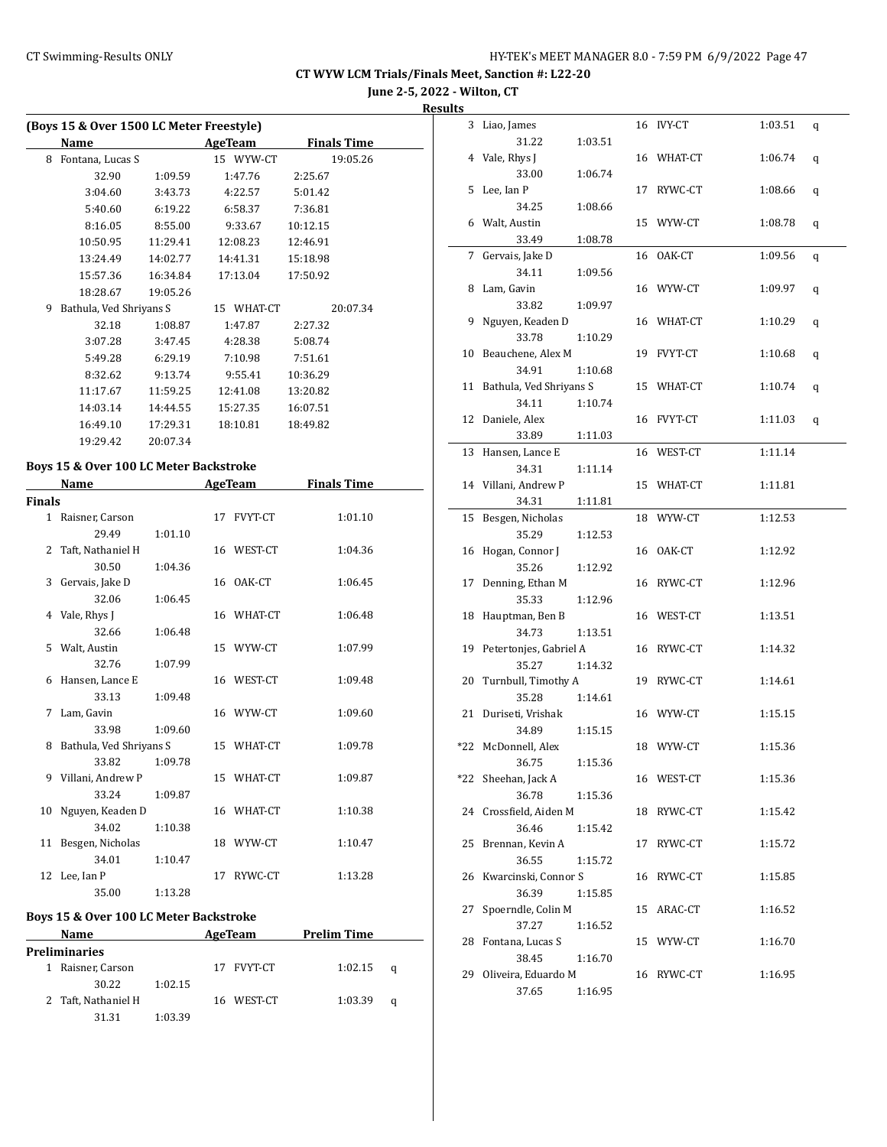**June 2-5, 2022 - Wilton, CT**

**Result** 

|        | (Boys 15 & Over 1500 LC Meter Freestyle) |          |                |                    |  |  |  |  |  |
|--------|------------------------------------------|----------|----------------|--------------------|--|--|--|--|--|
|        | Name                                     |          | <b>AgeTeam</b> | <b>Finals Time</b> |  |  |  |  |  |
| 8      | Fontana, Lucas S                         |          | 15 WYW-CT      | 19:05.26           |  |  |  |  |  |
|        | 32.90                                    | 1:09.59  | 1:47.76        | 2:25.67            |  |  |  |  |  |
|        | 3:04.60                                  | 3:43.73  | 4:22.57        | 5:01.42            |  |  |  |  |  |
|        | 5:40.60                                  | 6:19.22  | 6:58.37        | 7:36.81            |  |  |  |  |  |
|        | 8:16.05                                  | 8:55.00  | 9:33.67        | 10:12.15           |  |  |  |  |  |
|        | 10:50.95                                 | 11:29.41 | 12:08.23       | 12:46.91           |  |  |  |  |  |
|        | 13:24.49                                 | 14:02.77 | 14:41.31       | 15:18.98           |  |  |  |  |  |
|        | 15:57.36                                 | 16:34.84 | 17:13.04       | 17:50.92           |  |  |  |  |  |
|        | 18:28.67                                 | 19:05.26 |                |                    |  |  |  |  |  |
| 9      | Bathula, Ved Shriyans S                  |          | 15 WHAT-CT     | 20:07.34           |  |  |  |  |  |
|        | 32.18                                    | 1:08.87  | 1:47.87        | 2:27.32            |  |  |  |  |  |
|        | 3:07.28                                  | 3:47.45  | 4:28.38        | 5:08.74            |  |  |  |  |  |
|        | 5:49.28                                  | 6:29.19  | 7:10.98        | 7:51.61            |  |  |  |  |  |
|        | 8:32.62                                  | 9:13.74  | 9:55.41        | 10:36.29           |  |  |  |  |  |
|        | 11:17.67                                 | 11:59.25 | 12:41.08       | 13:20.82           |  |  |  |  |  |
|        | 14:03.14                                 | 14:44.55 | 15:27.35       | 16:07.51           |  |  |  |  |  |
|        | 16:49.10                                 | 17:29.31 | 18:10.81       | 18:49.82           |  |  |  |  |  |
|        | 19:29.42                                 | 20:07.34 |                |                    |  |  |  |  |  |
|        | Boys 15 & Over 100 LC Meter Backstroke   |          |                |                    |  |  |  |  |  |
|        | Name                                     |          | AgeTeam        | <b>Finals Time</b> |  |  |  |  |  |
| Finals |                                          |          |                |                    |  |  |  |  |  |
|        | 1 - Raienar Careon                       |          | 17 EVVT.CT     | 1.0110             |  |  |  |  |  |

| 'inals |                           |         |    |            |         |
|--------|---------------------------|---------|----|------------|---------|
|        | 1 Raisner, Carson         |         |    | 17 FVYT-CT | 1:01.10 |
|        | 29.49                     | 1:01.10 |    |            |         |
|        | 2 Taft, Nathaniel H       |         |    | 16 WEST-CT | 1:04.36 |
|        | 30.50                     | 1:04.36 |    |            |         |
| 3      | Gervais, Jake D           |         |    | 16 OAK-CT  | 1:06.45 |
|        | 32.06                     | 1:06.45 |    |            |         |
| 4      | Vale, Rhys J              |         |    | 16 WHAT-CT | 1:06.48 |
|        | 32.66                     | 1:06.48 |    |            |         |
| 5.     | Walt, Austin              |         |    | 15 WYW-CT  | 1:07.99 |
|        | 32.76                     | 1:07.99 |    |            |         |
| 6      | Hansen, Lance E           |         |    | 16 WEST-CT | 1:09.48 |
|        | 33.13                     | 1:09.48 |    |            |         |
| 7      | Lam, Gavin                |         |    | 16 WYW-CT  | 1:09.60 |
|        | 33.98                     | 1:09.60 |    |            |         |
|        | 8 Bathula, Ved Shriyans S |         |    | 15 WHAT-CT | 1:09.78 |
|        | 33.82                     | 1:09.78 |    |            |         |
|        | 9 Villani, Andrew P       |         |    | 15 WHAT-CT | 1:09.87 |
|        | 33.24                     | 1:09.87 |    |            |         |
| 10     | Nguyen, Keaden D          |         |    | 16 WHAT-CT | 1:10.38 |
|        | 34.02                     | 1:10.38 |    |            |         |
| 11     | Besgen, Nicholas          |         |    | 18 WYW-CT  | 1:10.47 |
|        | 34.01                     | 1:10.47 |    |            |         |
|        | 12 Lee, Ian P             |         | 17 | RYWC-CT    | 1:13.28 |
|        | 35.00                     | 1:13.28 |    |            |         |

#### **Boys 15 & Over 100 LC Meter Backstroke**

| Name |                     |         | AgeTeam    | <b>Prelim Time</b> |   |  |
|------|---------------------|---------|------------|--------------------|---|--|
|      | Preliminaries       |         |            |                    |   |  |
|      | Raisner, Carson     |         | 17 FVYT-CT | 1:02.15            | a |  |
|      | 30.22               | 1:02.15 |            |                    |   |  |
|      | 2 Taft, Nathaniel H |         | 16 WEST-CT | 1:03.39            | a |  |
|      | 31.31               | 1:03.39 |            |                    |   |  |

| <u>ults</u> |                                 |         |            |         |   |
|-------------|---------------------------------|---------|------------|---------|---|
| 3           | Liao, James                     |         | 16 IVY-CT  | 1:03.51 | q |
|             | 31.22                           | 1:03.51 |            |         |   |
|             | 4 Vale, Rhys J                  |         | 16 WHAT-CT | 1:06.74 | q |
|             | 33.00                           | 1:06.74 |            |         |   |
| 5           | Lee, Ian P                      |         | 17 RYWC-CT | 1:08.66 | q |
|             | 34.25                           | 1:08.66 |            |         |   |
|             | 6 Walt, Austin                  |         | 15 WYW-CT  | 1:08.78 | q |
|             | 33.49                           | 1:08.78 |            |         |   |
| 7           | Gervais, Jake D                 |         | 16 OAK-CT  | 1:09.56 | q |
|             | 34.11                           | 1:09.56 |            |         |   |
| 8           | Lam, Gavin                      |         | 16 WYW-CT  | 1:09.97 | q |
|             | 33.82                           | 1:09.97 |            |         |   |
| 9           | Nguyen, Keaden D                |         | 16 WHAT-CT | 1:10.29 | q |
|             | 33.78                           | 1:10.29 |            |         |   |
| 10          | Beauchene, Alex M               |         | 19 FVYT-CT | 1:10.68 | q |
|             | 34.91                           | 1:10.68 |            |         |   |
| 11          | Bathula, Ved Shriyans S         |         | 15 WHAT-CT | 1:10.74 | q |
|             | 34.11                           | 1:10.74 |            |         |   |
|             | 12 Daniele, Alex                |         | 16 FVYT-CT | 1:11.03 | q |
|             | 33.89                           | 1:11.03 |            |         |   |
|             | 13 Hansen, Lance E              |         | 16 WEST-CT | 1:11.14 |   |
|             | 34.31                           | 1:11.14 |            |         |   |
|             | 14 Villani, Andrew P            |         | 15 WHAT-CT | 1:11.81 |   |
|             | 34.31                           |         |            |         |   |
| 15          | Besgen, Nicholas                | 1:11.81 | 18 WYW-CT  | 1:12.53 |   |
|             | 35.29                           |         |            |         |   |
| 16          | Hogan, Connor J                 | 1:12.53 | 16 OAK-CT  |         |   |
|             | 35.26                           |         |            | 1:12.92 |   |
|             | 17 Denning, Ethan M             | 1:12.92 | 16 RYWC-CT |         |   |
|             | 35.33                           |         |            | 1:12.96 |   |
| 18          |                                 | 1:12.96 | 16 WEST-CT | 1:13.51 |   |
|             | Hauptman, Ben B<br>34.73        |         |            |         |   |
|             | 19 Petertonjes, Gabriel A       | 1:13.51 |            | 1:14.32 |   |
|             |                                 |         | 16 RYWC-CT |         |   |
|             | 35.27                           | 1:14.32 |            |         |   |
|             | 20 Turnbull, Timothy A<br>35.28 |         | 19 RYWC-CT | 1:14.61 |   |
|             |                                 | 1:14.61 |            |         |   |
| 21          | Duriseti, Vrishak               |         | 16 WYW-CT  | 1:15.15 |   |
| *22         | 34.89                           | 1:15.15 | 18 WYW-CT  | 1:15.36 |   |
|             | McDonnell, Alex                 |         |            |         |   |
|             | 36.75                           | 1:15.36 | 16 WEST-CT |         |   |
|             | *22 Sheehan, Jack A             |         |            | 1:15.36 |   |
|             | 36.78                           | 1:15.36 |            |         |   |
|             | 24 Crossfield, Aiden M          |         | 18 RYWC-CT | 1:15.42 |   |
|             | 36.46                           | 1:15.42 |            |         |   |
|             | 25 Brennan, Kevin A             |         | 17 RYWC-CT | 1:15.72 |   |
|             | 36.55                           | 1:15.72 |            |         |   |
|             | 26 Kwarcinski, Connor S         |         | 16 RYWC-CT | 1:15.85 |   |
|             | 36.39                           | 1:15.85 |            |         |   |
| 27          | Spoerndle, Colin M              |         | 15 ARAC-CT | 1:16.52 |   |
|             | 37.27                           | 1:16.52 |            |         |   |
| 28          | Fontana, Lucas S                |         | 15 WYW-CT  | 1:16.70 |   |
|             | 38.45                           | 1:16.70 |            |         |   |
|             | 29 Oliveira, Eduardo M          |         | 16 RYWC-CT | 1:16.95 |   |
|             | 37.65                           | 1:16.95 |            |         |   |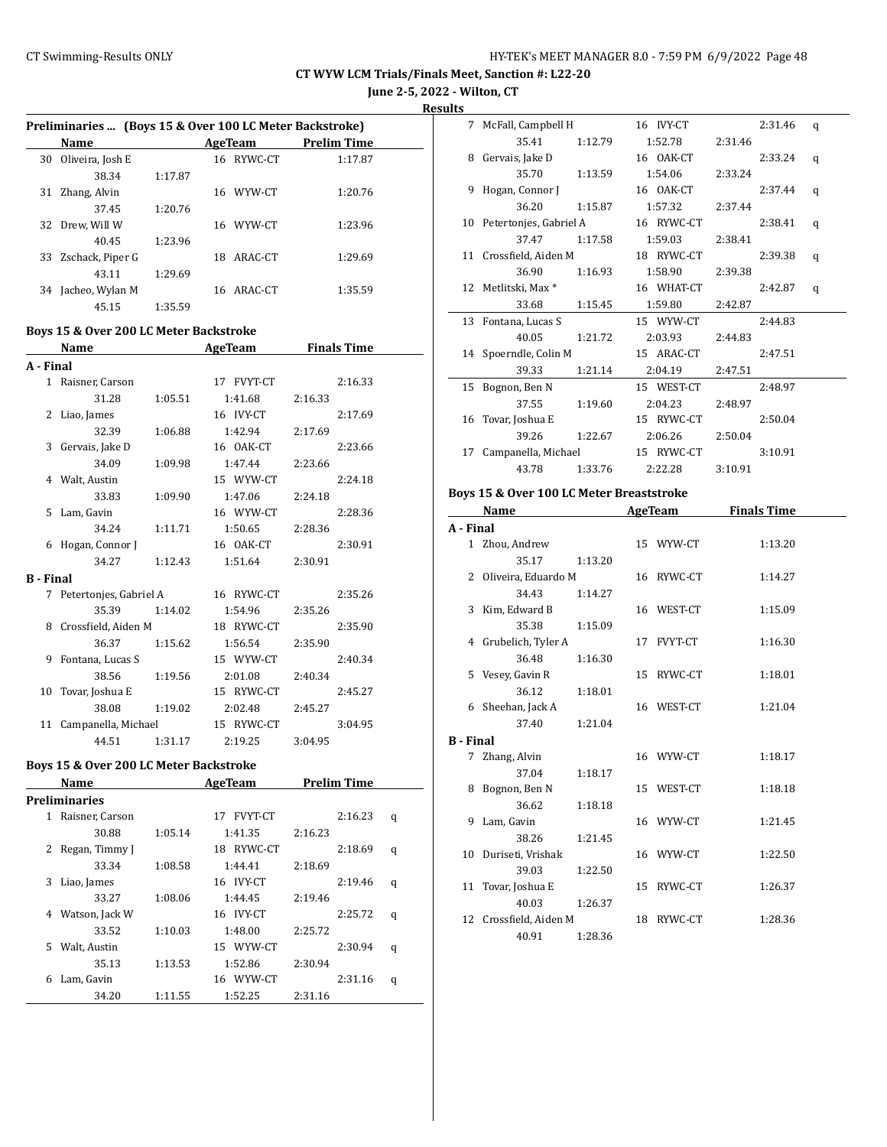**June 2-5, 2022 - Wilton, CT**

**Results**

|    | Preliminaries  (Boys 15 & Over 100 LC Meter Backstroke) |         |     |            |                    |  |  |  |
|----|---------------------------------------------------------|---------|-----|------------|--------------------|--|--|--|
|    | <b>Name</b>                                             |         |     | AgeTeam    | <b>Prelim Time</b> |  |  |  |
| 30 | Oliveira, Josh E                                        |         |     | 16 RYWC-CT | 1:17.87            |  |  |  |
|    | 38.34                                                   | 1:17.87 |     |            |                    |  |  |  |
| 31 | Zhang, Alvin                                            |         | 16. | WYW-CT     | 1:20.76            |  |  |  |
|    | 37.45                                                   | 1:20.76 |     |            |                    |  |  |  |
| 32 | Drew. Will W                                            |         | 16  | WYW-CT     | 1:23.96            |  |  |  |
|    | 40.45                                                   | 1:23.96 |     |            |                    |  |  |  |
| 33 | Zschack, Piper G                                        |         | 18. | ARAC-CT    | 1:29.69            |  |  |  |
|    | 43.11                                                   | 1:29.69 |     |            |                    |  |  |  |
| 34 | Jacheo, Wylan M                                         |         |     | 16 ARAC-CT | 1:35.59            |  |  |  |
|    | 45.15                                                   | 1:35.59 |     |            |                    |  |  |  |

#### **Boys 15 & Over 200 LC Meter Backstroke**

|                  | Name                   |         | <b>AgeTeam</b> | <b>Finals Time</b> |  |  |
|------------------|------------------------|---------|----------------|--------------------|--|--|
| A - Final        |                        |         |                |                    |  |  |
| $\mathbf{1}$     | Raisner, Carson        |         | 17 FVYT-CT     | 2:16.33            |  |  |
|                  | 31.28                  | 1:05.51 | 1:41.68        | 2:16.33            |  |  |
| 2                | Liao, James            |         | 16 IVY-CT      | 2:17.69            |  |  |
|                  | 32.39                  | 1:06.88 | 1:42.94        | 2:17.69            |  |  |
| 3                | Gervais, Jake D        |         | 16 OAK-CT      | 2:23.66            |  |  |
|                  | 34.09                  | 1:09.98 | 1:47.44        | 2:23.66            |  |  |
|                  | 4 Walt, Austin         |         | 15 WYW-CT      | 2:24.18            |  |  |
|                  | 33.83                  | 1:09.90 | 1:47.06        | 2:24.18            |  |  |
|                  | 5 Lam, Gavin           |         | 16 WYW-CT      | 2:28.36            |  |  |
|                  | 34.24                  | 1:11.71 | 1:50.65        | 2:28.36            |  |  |
| 6                | Hogan, Connor J        |         | 16 OAK-CT      | 2:30.91            |  |  |
|                  | 34.27                  | 1:12.43 | 1:51.64        | 2:30.91            |  |  |
| <b>B</b> - Final |                        |         |                |                    |  |  |
| 7                | Petertonjes, Gabriel A |         | 16 RYWC-CT     | 2:35.26            |  |  |
|                  | 35.39                  | 1:14.02 | 1:54.96        | 2:35.26            |  |  |
| 8                | Crossfield, Aiden M    |         | 18 RYWC-CT     | 2:35.90            |  |  |
|                  | 36.37                  | 1:15.62 | 1:56.54        | 2:35.90            |  |  |
| 9                | Fontana, Lucas S       |         | 15 WYW-CT      | 2:40.34            |  |  |
|                  | 38.56                  | 1:19.56 | 2:01.08        | 2:40.34            |  |  |
| 10               | Tovar, Joshua E        |         | 15 RYWC-CT     | 2:45.27            |  |  |
|                  | 38.08                  | 1:19.02 | 2:02.48        | 2:45.27            |  |  |
| 11               | Campanella, Michael    |         | 15 RYWC-CT     | 3:04.95            |  |  |
|                  | 44.51                  | 1:31.17 | 2:19.25        | 3:04.95            |  |  |

## **Boys 15 & Over 200 LC Meter Backstroke**

|   | Name                 |         | AgeTeam              | <b>Prelim Time</b> |   |  |
|---|----------------------|---------|----------------------|--------------------|---|--|
|   | <b>Preliminaries</b> |         |                      |                    |   |  |
| 1 | Raisner, Carson      |         | <b>FVYT-CT</b><br>17 | 2:16.23            | q |  |
|   | 30.88                | 1:05.14 | 1:41.35              | 2:16.23            |   |  |
| 2 | Regan, Timmy J       |         | RYWC-CT<br>18        | 2:18.69            | q |  |
|   | 33.34                | 1:08.58 | 1:44.41              | 2:18.69            |   |  |
| 3 | Liao, James          |         | 16 IVY-CT            | 2:19.46            | q |  |
|   | 33.27                | 1:08.06 | 1:44.45              | 2:19.46            |   |  |
| 4 | Watson, Jack W       |         | 16 IVY-CT            | 2:25.72            | q |  |
|   | 33.52                | 1:10.03 | 1:48.00              | 2:25.72            |   |  |
| 5 | Walt, Austin         |         | 15 WYW-CT            | 2:30.94            | q |  |
|   | 35.13                | 1:13.53 | 1:52.86              | 2:30.94            |   |  |
| 6 | Lam, Gavin           |         | 16 WYW-CT            | 2:31.16            | q |  |
|   | 34.20                | 1:11.55 | 1:52.25              | 2:31.16            |   |  |

|    | 7 McFall, Campbell H      |         | 16 IVY-CT  |         | 2:31.46 | q |
|----|---------------------------|---------|------------|---------|---------|---|
|    | 35.41                     | 1:12.79 | 1:52.78    | 2:31.46 |         |   |
| 8  | Gervais, Jake D           |         | 16 0AK-CT  |         | 2:33.24 | q |
|    | 35.70                     | 1:13.59 | 1:54.06    | 2:33.24 |         |   |
| 9  | Hogan, Connor J           |         | 16 OAK-CT  |         | 2:37.44 | q |
|    | 36.20                     | 1:15.87 | 1:57.32    | 2:37.44 |         |   |
|    | 10 Petertonjes, Gabriel A |         | 16 RYWC-CT |         | 2:38.41 | q |
|    | 37.47                     | 1:17.58 | 1:59.03    | 2:38.41 |         |   |
|    | 11 Crossfield, Aiden M    |         | 18 RYWC-CT |         | 2:39.38 | q |
|    | 36.90                     | 1:16.93 | 1:58.90    | 2:39.38 |         |   |
|    | 12 Metlitski, Max *       |         | 16 WHAT-CT |         | 2:42.87 | q |
|    | 33.68                     | 1:15.45 | 1:59.80    | 2:42.87 |         |   |
|    | 13 Fontana, Lucas S       |         | 15 WYW-CT  |         | 2:44.83 |   |
|    | 40.05                     | 1:21.72 | 2:03.93    | 2:44.83 |         |   |
|    | 14 Spoerndle, Colin M     |         | 15 ARAC-CT |         | 2:47.51 |   |
|    | 39.33                     | 1:21.14 | 2:04.19    | 2:47.51 |         |   |
| 15 | Bognon, Ben N             |         | 15 WEST-CT |         | 2:48.97 |   |
|    | 37.55                     | 1:19.60 | 2:04.23    | 2:48.97 |         |   |
| 16 | Tovar, Joshua E           |         | 15 RYWC-CT |         | 2:50.04 |   |
|    | 39.26                     | 1:22.67 | 2:06.26    | 2:50.04 |         |   |
| 17 | Campanella, Michael       |         | 15 RYWC-CT |         | 3:10.91 |   |
|    | 43.78                     | 1:33.76 | 2:22.28    | 3:10.91 |         |   |
|    |                           |         |            |         |         |   |

#### **Boys 15 & Over 100 LC Meter Breaststroke**

|                  | Name                   |         | <b>AgeTeam</b> | <b>Finals Time</b> |
|------------------|------------------------|---------|----------------|--------------------|
| A - Final        |                        |         |                |                    |
|                  | 1 Zhou, Andrew         |         | 15 WYW-CT      | 1:13.20            |
|                  | 35.17                  | 1:13.20 |                |                    |
| $\mathbf{2}$     | Oliveira, Eduardo M    |         | 16 RYWC-CT     | 1:14.27            |
|                  | 34.43                  | 1:14.27 |                |                    |
| 3                | Kim, Edward B          |         | 16 WEST-CT     | 1:15.09            |
|                  | 35.38                  | 1:15.09 |                |                    |
|                  | 4 Grubelich, Tyler A   |         | 17 FVYT-CT     | 1:16.30            |
|                  | 36.48                  | 1:16.30 |                |                    |
|                  | 5 Vesey, Gavin R       |         | 15 RYWC-CT     | 1:18.01            |
|                  | 36.12                  | 1:18.01 |                |                    |
|                  | 6 Sheehan, Jack A      |         | 16 WEST-CT     | 1:21.04            |
|                  | 37.40                  | 1:21.04 |                |                    |
| <b>B</b> - Final |                        |         |                |                    |
| 7                | Zhang, Alvin           |         | 16 WYW-CT      | 1:18.17            |
|                  | 37.04                  | 1:18.17 |                |                    |
| 8                | Bognon, Ben N          |         | 15 WEST-CT     | 1:18.18            |
|                  | 36.62                  | 1:18.18 |                |                    |
| 9                | Lam, Gavin             |         | 16 WYW-CT      | 1:21.45            |
|                  | 38.26                  | 1:21.45 |                |                    |
| 10               | Duriseti, Vrishak      |         | 16 WYW-CT      | 1:22.50            |
|                  | 39.03                  | 1:22.50 |                |                    |
|                  | 11 Tovar, Joshua E     |         | 15 RYWC-CT     | 1:26.37            |
|                  | 40.03                  | 1:26.37 |                |                    |
|                  | 12 Crossfield, Aiden M |         | 18 RYWC-CT     | 1:28.36            |
|                  | 40.91                  | 1:28.36 |                |                    |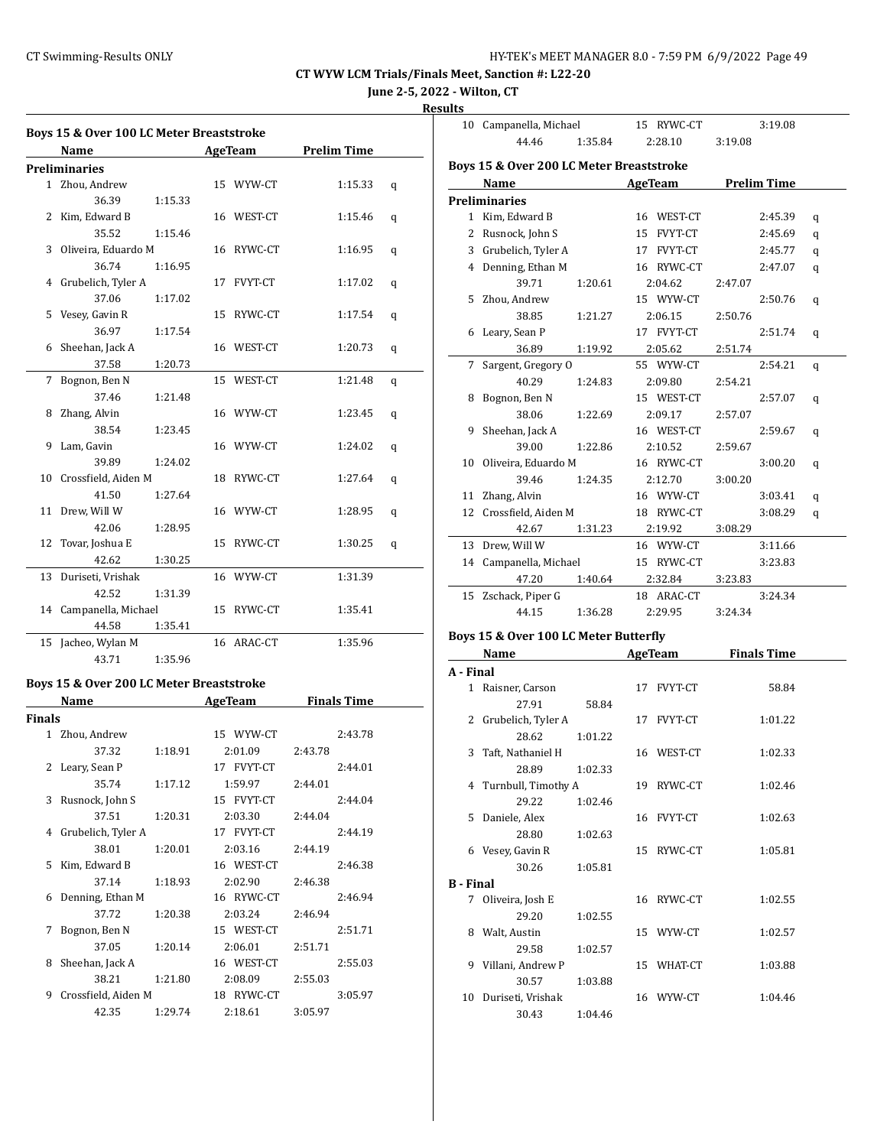**June 2-5, 2022 - Wilton, CT**

| ۰.<br>-<br>н |
|--------------|
|              |

|              | Boys 15 & Over 100 LC Meter Breaststroke |         |            |                    |   |
|--------------|------------------------------------------|---------|------------|--------------------|---|
|              | Name                                     |         | AgeTeam    | <b>Prelim Time</b> |   |
|              | Preliminaries                            |         |            |                    |   |
| $\mathbf{1}$ | Zhou, Andrew                             |         | 15 WYW-CT  | 1:15.33            | q |
|              | 36.39                                    | 1:15.33 |            |                    |   |
| 2            | Kim, Edward B                            |         | 16 WEST-CT | 1:15.46            | q |
|              | 35.52                                    | 1:15.46 |            |                    |   |
|              | 3 Oliveira, Eduardo M                    |         | 16 RYWC-CT | 1:16.95            | q |
|              | 36.74                                    | 1:16.95 |            |                    |   |
| 4            | Grubelich, Tyler A                       |         | 17 FVYT-CT | 1:17.02            | q |
|              | 37.06                                    | 1:17.02 |            |                    |   |
| 5            | Vesey, Gavin R                           |         | 15 RYWC-CT | 1:17.54            | q |
|              | 36.97                                    | 1:17.54 |            |                    |   |
| 6            | Sheehan, Jack A                          |         | 16 WEST-CT | 1:20.73            | q |
|              | 37.58                                    | 1:20.73 |            |                    |   |
| 7            | Bognon, Ben N                            |         | 15 WEST-CT | 1:21.48            | q |
|              | 37.46                                    | 1:21.48 |            |                    |   |
| 8            | Zhang, Alvin                             |         | 16 WYW-CT  | 1:23.45            | q |
|              | 38.54                                    | 1:23.45 |            |                    |   |
| 9            | Lam, Gavin                               |         | 16 WYW-CT  | 1:24.02            | q |
|              | 39.89                                    | 1:24.02 |            |                    |   |
| 10           | Crossfield, Aiden M                      |         | 18 RYWC-CT | 1:27.64            | q |
|              | 41.50                                    | 1:27.64 |            |                    |   |
| 11           | Drew, Will W                             |         | 16 WYW-CT  | 1:28.95            | q |
|              | 42.06                                    | 1:28.95 |            |                    |   |
| 12           | Tovar, Joshua E                          |         | 15 RYWC-CT | 1:30.25            | q |
|              | 42.62                                    | 1:30.25 |            |                    |   |
| 13           | Duriseti, Vrishak                        |         | 16 WYW-CT  | 1:31.39            |   |
|              | 42.52                                    | 1:31.39 |            |                    |   |
| 14           | Campanella, Michael                      |         | 15 RYWC-CT | 1:35.41            |   |
|              | 44.58                                    | 1:35.41 |            |                    |   |
|              | 15 Jacheo, Wylan M                       |         | 16 ARAC-CT | 1:35.96            |   |
|              | 43.71                                    | 1:35.96 |            |                    |   |
|              |                                          |         |            |                    |   |
|              | Boys 15 & Over 200 LC Meter Breaststroke |         |            |                    |   |
|              | <b>Name</b>                              |         | AgeTeam    | <b>Finals Time</b> |   |
| Finals       |                                          |         |            |                    |   |
|              | 1 Zhou, Andrew                           |         | 15 WYW-CT  | 2:43.78            |   |
|              | 37.32                                    | 1:18.91 | 2:01.09    | 2:43.78            |   |
| 2            | Leary, Sean P                            |         | 17 FVYT-CT | 2:44.01            |   |
|              | 35.74                                    | 1:17.12 | 1:59.97    | 2:44.01            |   |
| 3            | Rusnock, John S                          |         | 15 FVYT-CT | 2:44.04            |   |
|              | 37.51                                    | 1:20.31 | 2:03.30    | 2:44.04            |   |
|              | 4 Grubelich, Tyler A                     |         | 17 FVYT-CT | 2:44.19            |   |
|              | 38.01                                    | 1:20.01 | 2:03.16    | 2:44.19            |   |

5 Kim, Edward B 16 WEST-CT 2:46.38 37.14 1:18.93 2:02.90 2:46.38 6 Denning, Ethan M 16 RYWC-CT 2:46.94 37.72 1:20.38 2:03.24 2:46.94 7 Bognon, Ben N 15 WEST-CT 2:51.71 37.05 1:20.14 2:06.01 2:51.71 8 Sheehan, Jack A 16 WEST-CT 2:55.03 38.21 1:21.80 2:08.09 2:55.03 9 Crossfield, Aiden M 18 RYWC-CT 3:05.97 42.35 1:29.74 2:18.61 3:05.97

| 10           | Campanella, Michael                      |         | 15 RYWC-CT | 3:19.08            |   |
|--------------|------------------------------------------|---------|------------|--------------------|---|
|              | 44.46                                    | 1:35.84 | 2:28.10    | 3:19.08            |   |
|              |                                          |         |            |                    |   |
|              | Boys 15 & Over 200 LC Meter Breaststroke |         |            |                    |   |
|              | Name                                     |         | AgeTeam    | <b>Prelim Time</b> |   |
|              | <b>Preliminaries</b>                     |         |            |                    |   |
| $\mathbf{1}$ | Kim, Edward B                            |         | 16 WEST-CT | 2:45.39            | q |
| 2            | Rusnock, John S                          |         | 15 FVYT-CT | 2:45.69            | q |
|              | 3 Grubelich, Tyler A                     |         | 17 FVYT-CT | 2:45.77            | q |
|              | 4 Denning, Ethan M                       |         | 16 RYWC-CT | 2:47.07            | q |
|              | 39.71                                    | 1:20.61 | 2:04.62    | 2:47.07            |   |
|              | 5 Zhou, Andrew                           |         | 15 WYW-CT  | 2:50.76            | q |
|              | 38.85                                    | 1:21.27 | 2:06.15    | 2:50.76            |   |
| 6            | Leary, Sean P                            |         | 17 FVYT-CT | 2:51.74            | q |
|              | 36.89                                    | 1:19.92 | 2:05.62    | 2:51.74            |   |
| 7            | Sargent, Gregory O                       |         | 55 WYW-CT  | 2:54.21            | q |
|              | 40.29                                    | 1:24.83 | 2:09.80    | 2:54.21            |   |
| 8            | Bognon, Ben N                            |         | 15 WEST-CT | 2:57.07            | q |
|              | 38.06                                    | 1:22.69 | 2:09.17    | 2:57.07            |   |
| 9            | Sheehan, Jack A                          |         | 16 WEST-CT | 2:59.67            | q |
|              | 39.00                                    | 1:22.86 | 2:10.52    | 2:59.67            |   |
| 10           | Oliveira, Eduardo M                      |         | 16 RYWC-CT | 3:00.20            | q |
|              | 39.46                                    | 1:24.35 | 2:12.70    | 3:00.20            |   |
| 11           | Zhang, Alvin                             |         | 16 WYW-CT  | 3:03.41            | q |
| 12           | Crossfield, Aiden M                      |         | 18 RYWC-CT | 3:08.29            | q |
|              | 42.67                                    | 1:31.23 | 2:19.92    | 3:08.29            |   |
| 13           | Drew, Will W                             |         | 16 WYW-CT  | 3:11.66            |   |
|              | 14 Campanella, Michael                   |         | 15 RYWC-CT | 3:23.83            |   |
|              | 47.20                                    | 1:40.64 | 2:32.84    | 3:23.83            |   |
| 15           | Zschack, Piper G                         |         | 18 ARAC-CT | 3:24.34            |   |
|              | 44.15                                    | 1:36.28 | 2:29.95    | 3:24.34            |   |
|              |                                          |         |            |                    |   |

#### **Boys 15 & Over 100 LC Meter Butterfly**

|                  | <b>Name</b>           |         |    | AgeTeam        | <b>Finals Time</b> |  |
|------------------|-----------------------|---------|----|----------------|--------------------|--|
| A - Final        |                       |         |    |                |                    |  |
| 1                | Raisner, Carson       |         |    | 17 FVYT-CT     | 58.84              |  |
|                  | 27.91                 | 58.84   |    |                |                    |  |
|                  | 2 Grubelich, Tyler A  |         | 17 | <b>FVYT-CT</b> | 1:01.22            |  |
|                  | 28.62                 | 1:01.22 |    |                |                    |  |
|                  | 3 Taft, Nathaniel H   |         |    | 16 WEST-CT     | 1:02.33            |  |
|                  | 28.89                 | 1:02.33 |    |                |                    |  |
|                  | 4 Turnbull, Timothy A |         |    | 19 RYWC-CT     | 1:02.46            |  |
|                  | 29.22                 | 1:02.46 |    |                |                    |  |
| 5.               | Daniele, Alex         |         |    | 16 FVYT-CT     | 1:02.63            |  |
|                  | 28.80                 | 1:02.63 |    |                |                    |  |
|                  | 6 Vesey, Gavin R      |         | 15 | RYWC-CT        | 1:05.81            |  |
|                  | 30.26                 | 1:05.81 |    |                |                    |  |
| <b>B</b> - Final |                       |         |    |                |                    |  |
| 7                | Oliveira, Josh E      |         | 16 | RYWC-CT        | 1:02.55            |  |
|                  | 29.20                 | 1:02.55 |    |                |                    |  |
| 8                | Walt, Austin          |         |    | 15 WYW-CT      | 1:02.57            |  |
|                  | 29.58                 | 1:02.57 |    |                |                    |  |
|                  | 9 Villani, Andrew P   |         | 15 | WHAT-CT        | 1:03.88            |  |
|                  | 30.57                 | 1:03.88 |    |                |                    |  |
| 10               | Duriseti, Vrishak     |         |    | 16 WYW-CT      | 1:04.46            |  |
|                  | 30.43                 | 1:04.46 |    |                |                    |  |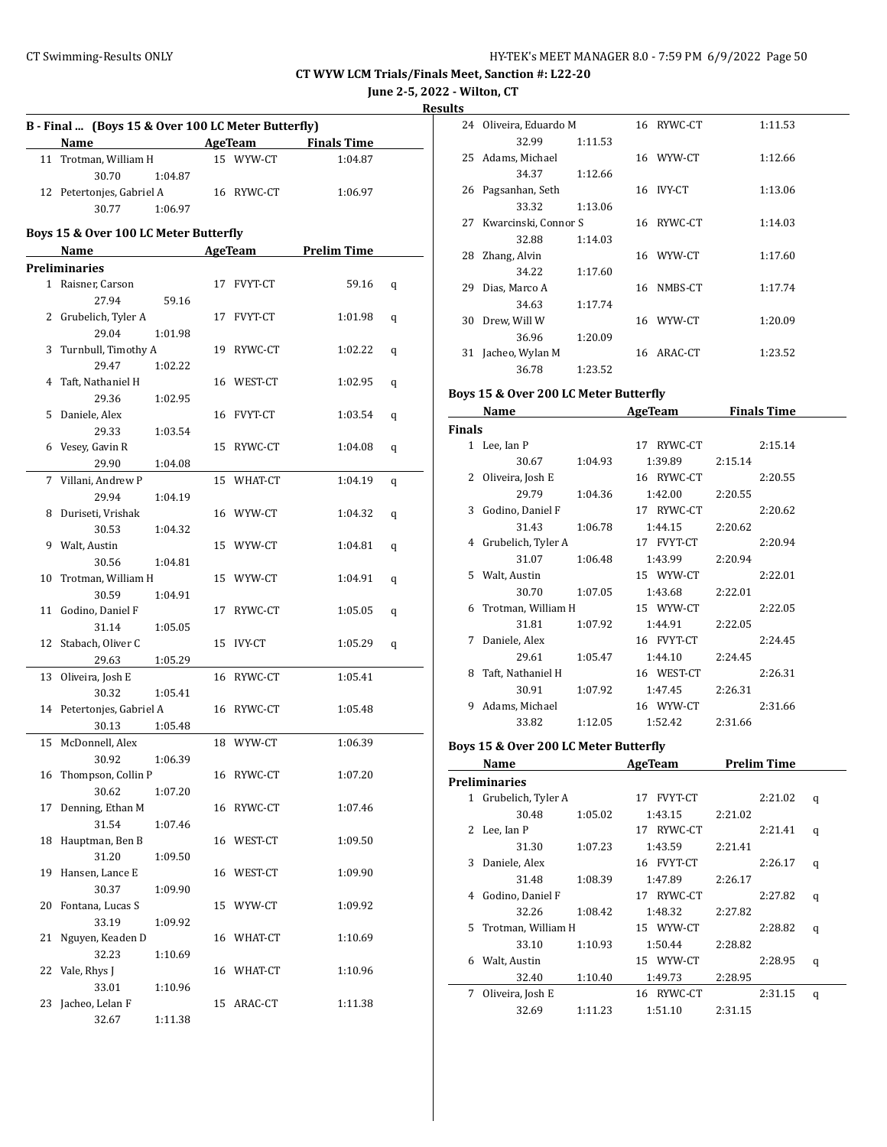**June 2-5, 2022 - Wilton, CT**

**Results**

|    | B - Final  (Boys 15 & Over 100 LC Meter Butterfly)<br><b>Example 2 AgeTeam</b> Finals Time |         |  |            |                     |   |  |
|----|--------------------------------------------------------------------------------------------|---------|--|------------|---------------------|---|--|
|    | Name                                                                                       |         |  |            |                     |   |  |
|    | 11 Trotman, William H                                                                      |         |  | 15 WYW-CT  | 1:04.87             |   |  |
|    | 30.70                                                                                      | 1:04.87 |  |            |                     |   |  |
|    | 12 Petertonjes, Gabriel A                                                                  |         |  | 16 RYWC-CT | 1:06.97             |   |  |
|    | 30.77                                                                                      | 1:06.97 |  |            |                     |   |  |
|    | Boys 15 & Over 100 LC Meter Butterfly                                                      |         |  |            |                     |   |  |
|    | Name                                                                                       |         |  |            | AgeTeam Prelim Time |   |  |
|    | Preliminaries                                                                              |         |  |            |                     |   |  |
|    | 1 Raisner, Carson                                                                          |         |  |            | 59.16               |   |  |
|    | 27.94                                                                                      |         |  | 17 FVYT-CT |                     | q |  |
|    |                                                                                            | 59.16   |  |            |                     |   |  |
|    | 2 Grubelich, Tyler A<br>29.04                                                              |         |  | 17 FVYT-CT | 1:01.98             | q |  |
|    |                                                                                            | 1:01.98 |  |            |                     |   |  |
| 3  | Turnbull, Timothy A                                                                        |         |  | 19 RYWC-CT | 1:02.22             | q |  |
|    | 29.47                                                                                      | 1:02.22 |  |            |                     |   |  |
| 4  | Taft, Nathaniel H                                                                          |         |  | 16 WEST-CT | 1:02.95             | q |  |
|    | 29.36                                                                                      | 1:02.95 |  |            |                     |   |  |
|    | 5 Daniele, Alex                                                                            |         |  | 16 FVYT-CT | 1:03.54             | q |  |
|    | 29.33                                                                                      | 1:03.54 |  |            |                     |   |  |
|    | 6 Vesey, Gavin R                                                                           |         |  | 15 RYWC-CT | 1:04.08             | q |  |
|    | 29.90                                                                                      | 1:04.08 |  |            |                     |   |  |
|    | 7 Villani, Andrew P                                                                        |         |  | 15 WHAT-CT | 1:04.19             | q |  |
|    | 29.94                                                                                      | 1:04.19 |  |            |                     |   |  |
|    | 8 Duriseti, Vrishak                                                                        |         |  | 16 WYW-CT  | 1:04.32             | q |  |
|    | 30.53                                                                                      | 1:04.32 |  |            |                     |   |  |
|    | 9 Walt, Austin                                                                             |         |  | 15 WYW-CT  | 1:04.81             | q |  |
|    | 30.56                                                                                      | 1:04.81 |  |            |                     |   |  |
| 10 | Trotman, William H                                                                         |         |  | 15 WYW-CT  | 1:04.91             | q |  |
|    | 30.59                                                                                      | 1:04.91 |  |            |                     |   |  |
|    | 11 Godino, Daniel F                                                                        |         |  | 17 RYWC-CT | 1:05.05             | q |  |
|    | 31.14                                                                                      | 1:05.05 |  |            |                     |   |  |
| 12 | Stabach, Oliver C                                                                          |         |  | 15 IVY-CT  | 1:05.29             | q |  |
|    | 29.63                                                                                      | 1:05.29 |  |            |                     |   |  |
| 13 | Oliveira, Josh E                                                                           |         |  | 16 RYWC-CT | 1:05.41             |   |  |
|    | 30.32                                                                                      | 1:05.41 |  |            |                     |   |  |
|    | 14 Petertonjes, Gabriel A                                                                  |         |  | 16 RYWC-CT | 1:05.48             |   |  |
|    | 30.13                                                                                      | 1:05.48 |  |            |                     |   |  |
|    | 15 McDonnell, Alex                                                                         |         |  | 18 WYW-CT  | 1:06.39             |   |  |
|    | 30.92                                                                                      | 1:06.39 |  |            |                     |   |  |
| 16 | Thompson, Collin P                                                                         |         |  | 16 RYWC-CT | 1:07.20             |   |  |
|    | 30.62                                                                                      | 1:07.20 |  |            |                     |   |  |
| 17 | Denning, Ethan M                                                                           |         |  | 16 RYWC-CT | 1:07.46             |   |  |
|    | 31.54                                                                                      | 1:07.46 |  |            |                     |   |  |
| 18 | Hauptman, Ben B                                                                            |         |  | 16 WEST-CT | 1:09.50             |   |  |
|    | 31.20                                                                                      | 1:09.50 |  |            |                     |   |  |
| 19 | Hansen, Lance E                                                                            |         |  | 16 WEST-CT | 1:09.90             |   |  |
|    | 30.37                                                                                      | 1:09.90 |  |            |                     |   |  |
| 20 | Fontana, Lucas S                                                                           |         |  | 15 WYW-CT  | 1:09.92             |   |  |
|    | 33.19                                                                                      | 1:09.92 |  |            |                     |   |  |
| 21 | Nguyen, Keaden D                                                                           |         |  | 16 WHAT-CT | 1:10.69             |   |  |
|    | 32.23                                                                                      | 1:10.69 |  |            |                     |   |  |
| 22 | Vale, Rhys J                                                                               |         |  | 16 WHAT-CT | 1:10.96             |   |  |
|    | 33.01                                                                                      | 1:10.96 |  |            |                     |   |  |
| 23 | Jacheo, Lelan F                                                                            |         |  | 15 ARAC-CT | 1:11.38             |   |  |
|    | 32.67                                                                                      | 1:11.38 |  |            |                     |   |  |

|    | 24 Oliveira, Eduardo M |         | 16 RYWC-CT | 1:11.53 |
|----|------------------------|---------|------------|---------|
|    | 32.99                  | 1:11.53 |            |         |
|    | 25 Adams, Michael      |         | 16 WYW-CT  | 1:12.66 |
|    | 34.37                  | 1:12.66 |            |         |
| 26 | Pagsanhan, Seth        |         | 16 IVY-CT  | 1:13.06 |
|    | 33.32                  | 1:13.06 |            |         |
| 27 | Kwarcinski, Connor S   |         | 16 RYWC-CT | 1:14.03 |
|    | 32.88                  | 1:14.03 |            |         |
| 28 | Zhang, Alvin           |         | 16 WYW-CT  | 1:17.60 |
|    | 34.22                  | 1:17.60 |            |         |
| 29 | Dias, Marco A          |         | 16 NMBS-CT | 1:17.74 |
|    | 34.63                  | 1:17.74 |            |         |
| 30 | Drew, Will W           |         | 16 WYW-CT  | 1:20.09 |
|    | 36.96                  | 1:20.09 |            |         |
| 31 | Jacheo, Wylan M        |         | 16 ARAC-CT | 1:23.52 |
|    | 36.78                  | 1:23.52 |            |         |
|    |                        |         |            |         |

#### **Boys 15 & Over 200 LC Meter Butterfly**

|        | Name                 |         | <b>AgeTeam</b> | <b>Finals Time</b> |
|--------|----------------------|---------|----------------|--------------------|
| Finals |                      |         |                |                    |
|        | 1 Lee, Ian P         |         | 17 RYWC-CT     | 2:15.14            |
|        | 30.67                | 1:04.93 | 1:39.89        | 2:15.14            |
| 2      | Oliveira, Josh E     |         | 16 RYWC-CT     | 2:20.55            |
|        | 29.79                | 1:04.36 | 1:42.00        | 2:20.55            |
|        | 3 Godino, Daniel F   |         | 17 RYWC-CT     | 2:20.62            |
|        | 31.43                | 1:06.78 | 1:44.15        | 2:20.62            |
|        | 4 Grubelich, Tyler A |         | 17 FVYT-CT     | 2:20.94            |
|        | 31.07                | 1:06.48 | 1:43.99        | 2:20.94            |
|        | 5 Walt, Austin       |         | 15 WYW-CT      | 2:22.01            |
|        | 30.70                | 1:07.05 | 1:43.68        | 2:22.01            |
| 6.     | Trotman, William H   |         | 15 WYW-CT      | 2:22.05            |
|        | 31.81                | 1:07.92 | 1:44.91        | 2:22.05            |
| 7      | Daniele, Alex        |         | 16 FVYT-CT     | 2:24.45            |
|        | 29.61                | 1:05.47 | 1:44.10        | 2:24.45            |
| 8      | Taft, Nathaniel H    |         | 16 WEST-CT     | 2:26.31            |
|        | 30.91                | 1:07.92 | 1:47.45        | 2:26.31            |
| 9      | Adams, Michael       |         | 16 WYW-CT      | 2:31.66            |
|        | 33.82                | 1:12.05 | 1:52.42        | 2:31.66            |

#### **Boys 15 & Over 200 LC Meter Butterfly**

|    | Name                 |         | <b>AgeTeam</b>       |         | <b>Prelim Time</b> |   |
|----|----------------------|---------|----------------------|---------|--------------------|---|
|    | <b>Preliminaries</b> |         |                      |         |                    |   |
| 1  | Grubelich, Tyler A   |         | <b>FVYT-CT</b><br>17 |         | 2:21.02            | q |
|    | 30.48                | 1:05.02 | 1:43.15              | 2:21.02 |                    |   |
| 2  | Lee, Ian P           |         | RYWC-CT<br>17        |         | 2:21.41            | q |
|    | 31.30                | 1:07.23 | 1:43.59              | 2:21.41 |                    |   |
| 3  | Daniele, Alex        |         | 16 FVYT-CT           |         | 2:26.17            | q |
|    | 31.48                | 1:08.39 | 1:47.89              | 2:26.17 |                    |   |
| 4  | Godino, Daniel F     |         | RYWC-CT<br>17        |         | 2:27.82            | q |
|    | 32.26                | 1:08.42 | 1:48.32              | 2:27.82 |                    |   |
| 5. | Trotman, William H   |         | 15 WYW-CT            |         | 2:28.82            | q |
|    | 33.10                | 1:10.93 | 1:50.44              | 2:28.82 |                    |   |
| 6  | Walt, Austin         |         | 15 WYW-CT            |         | 2:28.95            | q |
|    | 32.40                | 1:10.40 | 1:49.73              | 2:28.95 |                    |   |
| 7  | Oliveira, Josh E     |         | RYWC-CT<br>16        |         | 2:31.15            | q |
|    | 32.69                | 1:11.23 | 1:51.10              | 2:31.15 |                    |   |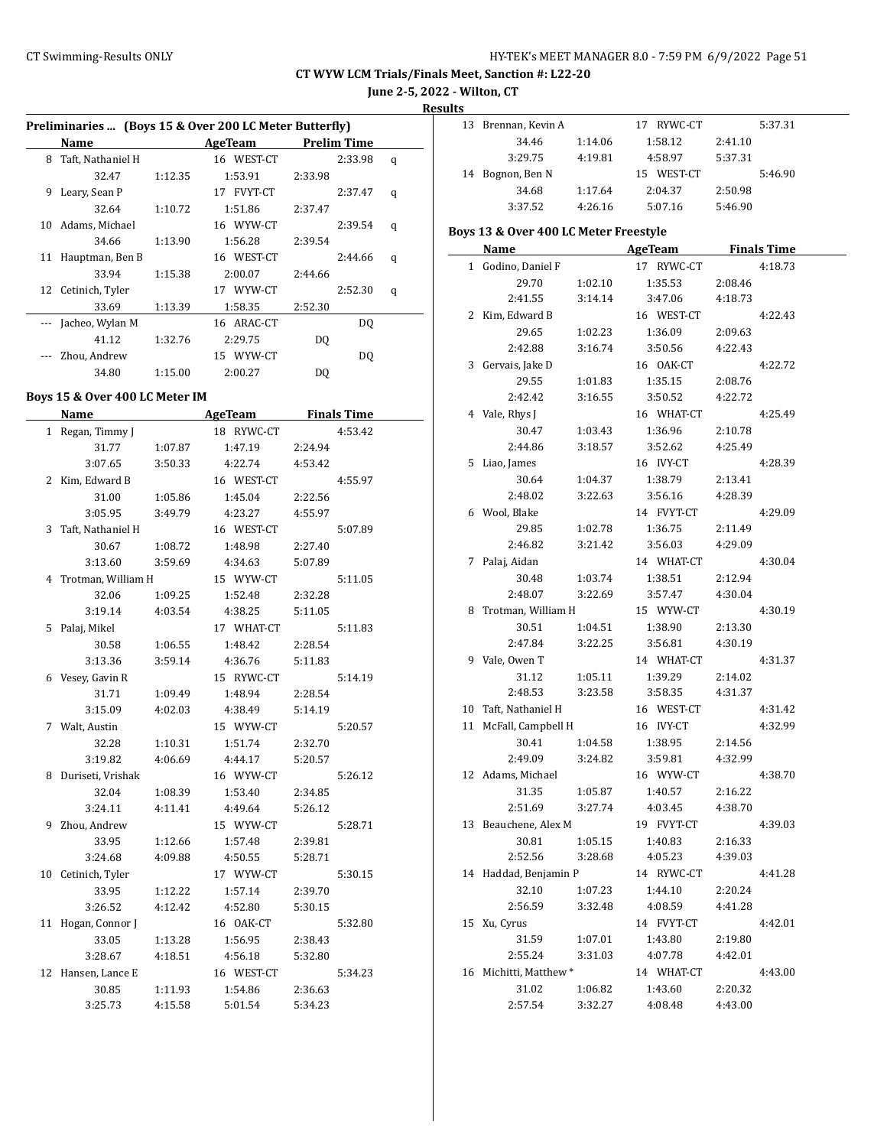**June 2-5, 2022 - Wilton, CT**

**Results**

| Preliminaries  (Boys 15 & Over 200 LC Meter Butterfly) |                   |         |            |             |   |  |  |  |
|--------------------------------------------------------|-------------------|---------|------------|-------------|---|--|--|--|
|                                                        | Name              |         | AgeTeam    | Prelim Time |   |  |  |  |
| 8                                                      | Taft, Nathaniel H |         | 16 WEST-CT | 2:33.98     | q |  |  |  |
|                                                        | 32.47             | 1:12.35 | 1:53.91    | 2:33.98     |   |  |  |  |
| 9                                                      | Leary, Sean P     |         | 17 FVYT-CT | 2:37.47     | q |  |  |  |
|                                                        | 32.64             | 1:10.72 | 1:51.86    | 2:37.47     |   |  |  |  |
| 10                                                     | Adams, Michael    |         | 16 WYW-CT  | 2:39.54     | q |  |  |  |
|                                                        | 34.66             | 1:13.90 | 1:56.28    | 2:39.54     |   |  |  |  |
| 11                                                     | Hauptman, Ben B   |         | 16 WEST-CT | 2:44.66     | q |  |  |  |
|                                                        | 33.94             | 1:15.38 | 2:00.07    | 2:44.66     |   |  |  |  |
| 12                                                     | Cetinich, Tyler   |         | 17 WYW-CT  | 2:52.30     | q |  |  |  |
|                                                        | 33.69             | 1:13.39 | 1:58.35    | 2:52.30     |   |  |  |  |
|                                                        | Jacheo, Wylan M   |         | 16 ARAC-CT | DQ          |   |  |  |  |
|                                                        | 41.12             | 1:32.76 | 2:29.75    | DO          |   |  |  |  |
|                                                        | Zhou, Andrew      |         | 15 WYW-CT  | DO.         |   |  |  |  |
|                                                        | 34.80             | 1:15.00 | 2:00.27    | DO          |   |  |  |  |

#### **Boys 15 & Over 400 LC Meter IM**

|    | <b>Name</b>          |         | <b>AgeTeam</b> | <b>Finals Time</b> |
|----|----------------------|---------|----------------|--------------------|
|    | 1 Regan, Timmy J     |         | 18 RYWC-CT     | 4:53.42            |
|    | 31.77                | 1:07.87 | 1:47.19        | 2:24.94            |
|    | 3:07.65              | 3:50.33 | 4:22.74        | 4:53.42            |
|    | 2 Kim, Edward B      |         | 16 WEST-CT     | 4:55.97            |
|    | 31.00                | 1:05.86 | 1:45.04        | 2:22.56            |
|    | 3:05.95              | 3:49.79 | 4:23.27        | 4:55.97            |
| 3  | Taft, Nathaniel H    |         | 16 WEST-CT     | 5:07.89            |
|    | 30.67                | 1:08.72 | 1:48.98        | 2:27.40            |
|    | 3:13.60              | 3:59.69 | 4:34.63        | 5:07.89            |
|    | 4 Trotman, William H |         | 15 WYW-CT      | 5:11.05            |
|    | 32.06                | 1:09.25 | 1:52.48        | 2:32.28            |
|    | 3:19.14              | 4:03.54 | 4:38.25        | 5:11.05            |
|    | 5 Palaj, Mikel       |         | 17 WHAT-CT     | 5:11.83            |
|    | 30.58                | 1:06.55 | 1:48.42        | 2:28.54            |
|    | 3:13.36              | 3:59.14 | 4:36.76        | 5:11.83            |
|    | 6 Vesey, Gavin R     |         | 15 RYWC-CT     | 5:14.19            |
|    | 31.71                | 1:09.49 | 1:48.94        | 2:28.54            |
|    | 3:15.09              | 4:02.03 | 4:38.49        | 5:14.19            |
| 7  | Walt, Austin         |         | 15 WYW-CT      | 5:20.57            |
|    | 32.28                | 1:10.31 | 1:51.74        | 2:32.70            |
|    | 3:19.82              | 4:06.69 | 4:44.17        | 5:20.57            |
| 8  | Duriseti, Vrishak    |         | 16 WYW-CT      | 5:26.12            |
|    | 32.04                | 1:08.39 | 1:53.40        | 2:34.85            |
|    | 3:24.11              | 4:11.41 | 4:49.64        | 5:26.12            |
| 9  | Zhou, Andrew         |         | 15 WYW-CT      | 5:28.71            |
|    | 33.95                | 1:12.66 | 1:57.48        | 2:39.81            |
|    | 3:24.68              | 4:09.88 | 4:50.55        | 5:28.71            |
| 10 | Cetinich, Tyler      |         | 17 WYW-CT      | 5:30.15            |
|    | 33.95                | 1:12.22 | 1:57.14        | 2:39.70            |
|    | 3:26.52              | 4:12.42 | 4:52.80        | 5:30.15            |
| 11 | Hogan, Connor J      |         | 16 OAK-CT      | 5:32.80            |
|    | 33.05                | 1:13.28 | 1:56.95        | 2:38.43            |
|    | 3:28.67              | 4:18.51 | 4:56.18        | 5:32.80            |
|    | 12 Hansen, Lance E   |         | 16 WEST-CT     | 5:34.23            |
|    | 30.85                | 1:11.93 | 1:54.86        | 2:36.63            |
|    | 3:25.73              | 4:15.58 | 5:01.54        | 5:34.23            |
|    |                      |         |                |                    |

| 13. | Brennan, Kevin A |         | RYWC-CT<br>17 | 5:37.31 |
|-----|------------------|---------|---------------|---------|
|     | 34.46            | 1:14.06 | 1:58.12       | 2:41.10 |
|     | 3:29.75          | 4:19.81 | 4:58.97       | 5:37.31 |
|     | 14 Bognon, Ben N |         | 15 WEST-CT    | 5:46.90 |
|     | 34.68            | 1:17.64 | 2:04.37       | 2:50.98 |
|     | 3:37.52          | 4:26.16 | 5:07.16       | 5:46.90 |

## **Boys 13 & Over 400 LC Meter Freestyle**

| <b>Name</b>            |         | AgeTeam               | <b>Finals Time</b> |  |
|------------------------|---------|-----------------------|--------------------|--|
| 1 Godino, Daniel F     |         | 17 RYWC-CT            | 4:18.73            |  |
| 29.70                  | 1:02.10 | 1:35.53               | 2:08.46            |  |
| 2:41.55                | 3:14.14 | 3:47.06               | 4:18.73            |  |
| 2 Kim, Edward B        |         | 16 WEST-CT            | 4:22.43            |  |
| 29.65                  | 1:02.23 | 1:36.09               | 2:09.63            |  |
| 2:42.88                | 3:16.74 | 3:50.56               | 4:22.43            |  |
| 3 Gervais, Jake D      |         | 16 OAK-CT             | 4:22.72            |  |
| 29.55                  | 1:01.83 | 1:35.15               | 2:08.76            |  |
| 2:42.42                | 3:16.55 | 3:50.52               | 4:22.72            |  |
| 4 Vale, Rhys J         |         | 16 WHAT-CT            | 4:25.49            |  |
| 30.47                  | 1:03.43 | 1:36.96               | 2:10.78            |  |
| 2:44.86                | 3:18.57 | 3:52.62               | 4:25.49            |  |
| 5 Liao, James          |         | 16 IVY-CT             | 4:28.39            |  |
| 30.64                  | 1:04.37 | 1:38.79               | 2:13.41            |  |
| 2:48.02                | 3:22.63 | 3:56.16               | 4:28.39            |  |
| 6 Wool, Blake          |         | 14 FVYT-CT            | 4:29.09            |  |
| 29.85                  | 1:02.78 | 1:36.75               | 2:11.49            |  |
| 2:46.82                | 3:21.42 | 3:56.03               | 4:29.09            |  |
| 7 Palaj, Aidan         |         | 14 WHAT-CT            | 4:30.04            |  |
| 30.48                  | 1:03.74 | 1:38.51               | 2:12.94            |  |
| 2:48.07                | 3:22.69 | 3:57.47               | 4:30.04            |  |
| 8 Trotman, William H   |         | 15 WYW-CT             | 4:30.19            |  |
| 30.51                  | 1:04.51 | 1:38.90               | 2:13.30            |  |
| 2:47.84                | 3:22.25 | 3:56.81               | 4:30.19            |  |
| 9 Vale, Owen T         |         | 14 WHAT-CT            | 4:31.37            |  |
| 31.12                  | 1:05.11 | 1:39.29               | 2:14.02            |  |
| 2:48.53                | 3:23.58 | 3:58.35               | 4:31.37            |  |
| 10 Taft, Nathaniel H   |         | 16 WEST-CT            | 4:31.42            |  |
| 11 McFall, Campbell H  |         | 16 IVY-CT             | 4:32.99            |  |
| 30.41                  | 1:04.58 | 1:38.95               | 2:14.56            |  |
| 2:49.09                | 3:24.82 | 3:59.81               | 4:32.99            |  |
| 12 Adams, Michael      |         | 16 WYW-CT             | 4:38.70            |  |
| 31.35                  | 1:05.87 | 1:40.57               | 2:16.22            |  |
| 2:51.69                | 3:27.74 | 4:03.45               | 4:38.70            |  |
| 13 Beauchene, Alex M   |         | 19 FVYT-CT            | 4:39.03            |  |
| 30.81                  | 1:05.15 | 1:40.83               | 2:16.33            |  |
| 2:52.56                | 3:28.68 | 4:05.23               | 4:39.03            |  |
| 14 Haddad, Benjamin P  |         | 14 RYWC-CT            | 4:41.28            |  |
|                        |         | 32.10 1:07.23 1:44.10 | 2:20.24            |  |
| 2:56.59                | 3:32.48 | 4:08.59               | 4:41.28            |  |
| 15 Xu, Cyrus           |         | 14 FVYT-CT            | 4:42.01            |  |
| 31.59                  | 1:07.01 | 1:43.80               | 2:19.80            |  |
| 2:55.24                | 3:31.03 | 4:07.78               | 4:42.01            |  |
| 16 Michitti, Matthew * |         | 14 WHAT-CT            | 4:43.00            |  |
| 31.02                  | 1:06.82 | 1:43.60               | 2:20.32            |  |
| 2:57.54                | 3:32.27 | 4:08.48               | 4:43.00            |  |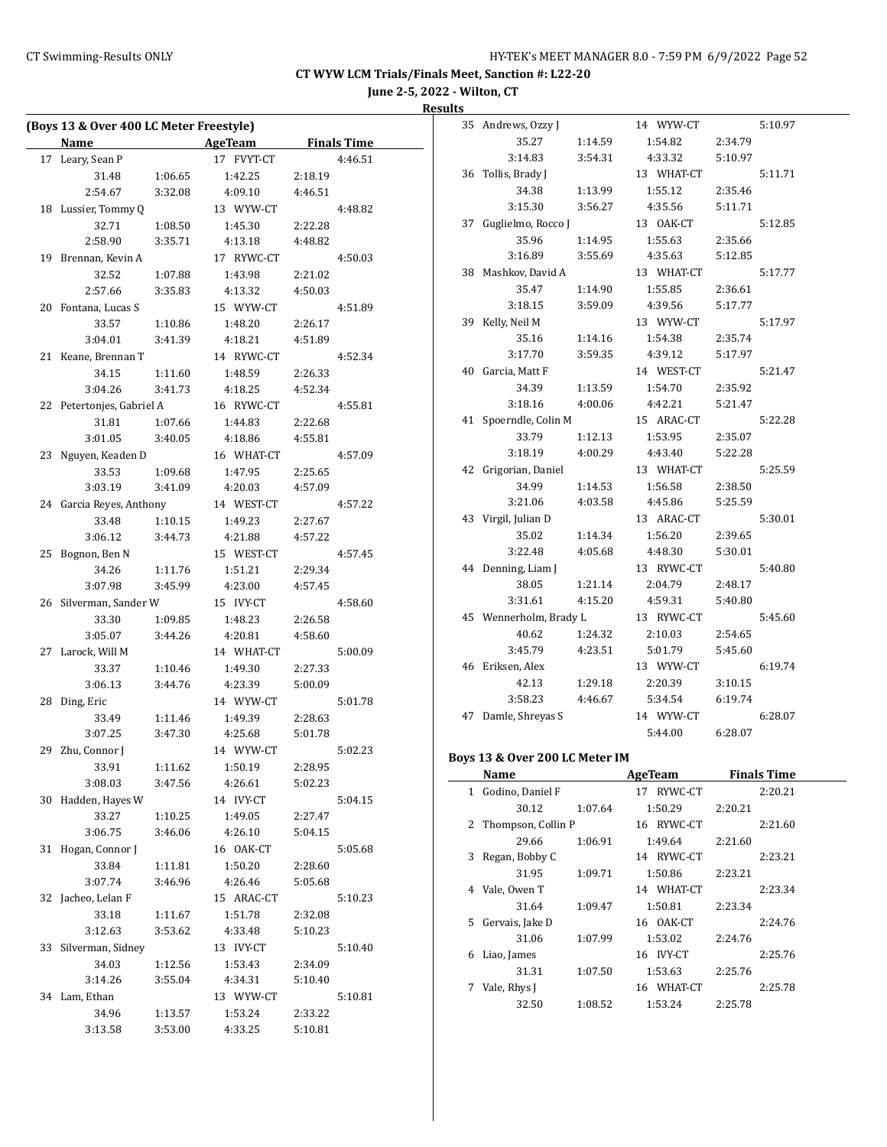**June 2-5, 2022 - Wilton, CT**

**Results**

|    | (Boys 13 & Over 400 LC Meter Freestyle)<br><b>Name</b> |         | <b>Example 2 AgeTeam</b> |         | <b>Finals Time</b> |
|----|--------------------------------------------------------|---------|--------------------------|---------|--------------------|
| 17 | Leary, Sean P                                          |         | 17 FVYT-CT               |         | 4:46.51            |
|    | 31.48                                                  | 1:06.65 | 1:42.25                  | 2:18.19 |                    |
|    | 2:54.67                                                | 3:32.08 | 4:09.10                  | 4:46.51 |                    |
|    | 18 Lussier, Tommy Q                                    |         | 13 WYW-CT                |         | 4:48.82            |
|    | 32.71                                                  | 1:08.50 | 1:45.30                  | 2:22.28 |                    |
|    | 2:58.90                                                | 3:35.71 | 4:13.18                  | 4:48.82 |                    |
|    | 19 Brennan, Kevin A                                    |         | 17 RYWC-CT               |         | 4:50.03            |
|    | 32.52                                                  | 1:07.88 | 1:43.98                  | 2:21.02 |                    |
|    | 2:57.66                                                | 3:35.83 | 4:13.32                  | 4:50.03 |                    |
|    | 20 Fontana, Lucas S                                    |         | 15 WYW-CT                |         | 4:51.89            |
|    | 33.57                                                  | 1:10.86 | 1:48.20                  | 2:26.17 |                    |
|    | 3:04.01                                                | 3:41.39 | 4:18.21                  | 4:51.89 |                    |
|    | 21 Keane, Brennan T                                    |         | 14 RYWC-CT               |         | 4:52.34            |
|    | 34.15                                                  | 1:11.60 | 1:48.59                  | 2:26.33 |                    |
|    | 3:04.26                                                | 3:41.73 | 4:18.25                  | 4:52.34 |                    |
| 22 | Petertonjes, Gabriel A                                 |         | 16 RYWC-CT               |         | 4:55.81            |
|    | 31.81                                                  | 1:07.66 | 1:44.83                  | 2:22.68 |                    |
|    | 3:01.05                                                | 3:40.05 | 4:18.86                  | 4:55.81 |                    |
| 23 | Nguyen, Keaden D                                       |         | 16 WHAT-CT               |         | 4:57.09            |
|    | 33.53                                                  | 1:09.68 | 1:47.95                  | 2:25.65 |                    |
|    | 3:03.19                                                | 3:41.09 | 4:20.03                  | 4:57.09 |                    |
|    | 24 Garcia Reyes, Anthony                               |         | 14 WEST-CT               |         | 4:57.22            |
|    | 33.48                                                  | 1:10.15 | 1:49.23                  | 2:27.67 |                    |
|    | 3:06.12                                                | 3:44.73 | 4:21.88                  | 4:57.22 |                    |
| 25 | Bognon, Ben N                                          |         | 15 WEST-CT               |         | 4:57.45            |
|    | 34.26                                                  | 1:11.76 | 1:51.21                  | 2:29.34 |                    |
|    | 3:07.98                                                | 3:45.99 | 4:23.00                  | 4:57.45 |                    |
|    | 26 Silverman, Sander W                                 |         | 15 IVY-CT                |         | 4:58.60            |
|    | 33.30                                                  | 1:09.85 | 1:48.23                  | 2:26.58 |                    |
|    | 3:05.07                                                | 3:44.26 | 4:20.81                  | 4:58.60 |                    |
|    | 27 Larock, Will M                                      |         | 14 WHAT-CT               |         | 5:00.09            |
|    | 33.37                                                  | 1:10.46 | 1:49.30                  | 2:27.33 |                    |
|    | 3:06.13                                                | 3:44.76 | 4:23.39                  | 5:00.09 |                    |
| 28 | Ding, Eric                                             |         | 14 WYW-CT                |         | 5:01.78            |
|    | 33.49                                                  | 1:11.46 | 1:49.39                  | 2:28.63 |                    |
|    | 3:07.25                                                | 3:47.30 | 4:25.68                  | 5:01.78 |                    |
|    | 29 Zhu, Connor J                                       |         | 14 WYW-CT                |         | 5:02.23            |
|    | 33.91                                                  | 1:11.62 | 1:50.19                  | 2:28.95 |                    |
|    | 3:08.03                                                | 3:47.56 | 4:26.61                  | 5:02.23 |                    |
| 30 | Hadden, Hayes W                                        |         | 14 IVY-CT                |         | 5:04.15            |
|    | 33.27                                                  | 1:10.25 | 1:49.05                  | 2:27.47 |                    |
|    | 3:06.75                                                | 3:46.06 | 4:26.10                  | 5:04.15 |                    |
| 31 | Hogan, Connor J                                        |         | 16 OAK-CT                |         | 5:05.68            |
|    | 33.84                                                  | 1:11.81 | 1:50.20                  | 2:28.60 |                    |
|    | 3:07.74                                                | 3:46.96 | 4:26.46                  | 5:05.68 |                    |
| 32 | Jacheo, Lelan F                                        |         | 15 ARAC-CT               |         | 5:10.23            |
|    | 33.18                                                  | 1:11.67 | 1:51.78                  | 2:32.08 |                    |
|    | 3:12.63                                                | 3:53.62 | 4:33.48                  | 5:10.23 |                    |
| 33 | Silverman, Sidney                                      |         | 13 IVY-CT                |         | 5:10.40            |
|    | 34.03                                                  | 1:12.56 | 1:53.43                  | 2:34.09 |                    |
|    | 3:14.26                                                | 3:55.04 | 4:34.31                  | 5:10.40 |                    |
| 34 | Lam, Ethan                                             |         | 13 WYW-CT                |         | 5:10.81            |
|    | 34.96                                                  | 1:13.57 | 1:53.24                  | 2:33.22 |                    |
|    | 3:13.58                                                | 3:53.00 | 4:33.25                  | 5:10.81 |                    |

| 35 | Andrews, Ozzy J     |         | 14 WYW-CT  |         | 5:10.97 |
|----|---------------------|---------|------------|---------|---------|
|    | 35.27               | 1:14.59 | 1:54.82    | 2:34.79 |         |
|    | 3:14.83             | 3:54.31 | 4:33.32    | 5:10.97 |         |
| 36 | Tollis, Brady J     |         | 13 WHAT-CT |         | 5:11.71 |
|    | 34.38               | 1:13.99 | 1:55.12    | 2:35.46 |         |
|    | 3:15.30             | 3:56.27 | 4:35.56    | 5:11.71 |         |
| 37 | Guglielmo, Rocco J  |         | 13 OAK-CT  |         | 5:12.85 |
|    | 35.96               | 1:14.95 | 1:55.63    | 2:35.66 |         |
|    | 3:16.89             | 3:55.69 | 4:35.63    | 5:12.85 |         |
| 38 | Mashkov, David A    |         | 13 WHAT-CT |         | 5:17.77 |
|    | 35.47               | 1:14.90 | 1:55.85    | 2:36.61 |         |
|    | 3:18.15             | 3:59.09 | 4:39.56    | 5:17.77 |         |
| 39 | Kelly, Neil M       |         | 13 WYW-CT  |         | 5:17.97 |
|    | 35.16               | 1:14.16 | 1:54.38    | 2:35.74 |         |
|    | 3:17.70             | 3:59.35 | 4:39.12    | 5:17.97 |         |
| 40 | Garcia, Matt F      |         | 14 WEST-CT |         | 5:21.47 |
|    | 34.39               | 1:13.59 | 1:54.70    | 2:35.92 |         |
|    | 3:18.16             | 4:00.06 | 4:42.21    | 5:21.47 |         |
| 41 | Spoerndle, Colin M  |         | 15 ARAC-CT |         | 5:22.28 |
|    | 33.79               | 1:12.13 | 1:53.95    | 2:35.07 |         |
|    | 3:18.19             | 4:00.29 | 4:43.40    | 5:22.28 |         |
| 42 | Grigorian, Daniel   |         | 13 WHAT-CT |         | 5:25.59 |
|    | 34.99               | 1:14.53 | 1:56.58    | 2:38.50 |         |
|    | 3:21.06             | 4:03.58 | 4:45.86    | 5:25.59 |         |
| 43 | Virgil, Julian D    |         | 13 ARAC-CT |         | 5:30.01 |
|    | 35.02               | 1:14.34 | 1:56.20    | 2:39.65 |         |
|    | 3:22.48             | 4:05.68 | 4:48.30    | 5:30.01 |         |
| 44 | Denning, Liam J     |         | 13 RYWC-CT |         | 5:40.80 |
|    | 38.05               | 1:21.14 | 2:04.79    | 2:48.17 |         |
|    | 3:31.61             | 4:15.20 | 4:59.31    | 5:40.80 |         |
| 45 | Wennerholm, Brady L |         | 13 RYWC-CT |         | 5:45.60 |
|    | 40.62               | 1:24.32 | 2:10.03    | 2:54.65 |         |
|    | 3:45.79             | 4:23.51 | 5:01.79    | 5:45.60 |         |
| 46 | Eriksen, Alex       |         | 13 WYW-CT  |         | 6:19.74 |
|    | 42.13               | 1:29.18 | 2:20.39    | 3:10.15 |         |
|    | 3:58.23             | 4:46.67 | 5:34.54    | 6:19.74 |         |
| 47 | Damle, Shreyas S    |         | 14 WYW-CT  |         | 6:28.07 |
|    |                     |         | 5:44.00    | 6:28.07 |         |
|    |                     |         |            |         |         |

#### **Boys 13 & Over 200 LC Meter IM**

|    | Name                 |         | AgeTeam    | <b>Finals Time</b> |
|----|----------------------|---------|------------|--------------------|
| 1  | Godino, Daniel F     |         | 17 RYWC-CT | 2:20.21            |
|    | 30.12                | 1:07.64 | 1:50.29    | 2:20.21            |
|    | 2 Thompson, Collin P |         | 16 RYWC-CT | 2:21.60            |
|    | 29.66                | 1:06.91 | 1:49.64    | 2:21.60            |
| 3  | Regan, Bobby C       |         | 14 RYWC-CT | 2:23.21            |
|    | 31.95                | 1:09.71 | 1:50.86    | 2:23.21            |
| 4  | Vale, Owen T         |         | 14 WHAT-CT | 2:23.34            |
|    | 31.64                | 1:09.47 | 1:50.81    | 2:23.34            |
| 5. | Gervais, Jake D      |         | 16 OAK-CT  | 2:24.76            |
|    | 31.06                | 1:07.99 | 1:53.02    | 2:24.76            |
| 6  | Liao, James          |         | 16 IVY-CT  | 2:25.76            |
|    | 31.31                | 1:07.50 | 1:53.63    | 2:25.76            |
| 7  | Vale, Rhys J         |         | 16 WHAT-CT | 2:25.78            |
|    | 32.50                | 1:08.52 | 1:53.24    | 2:25.78            |